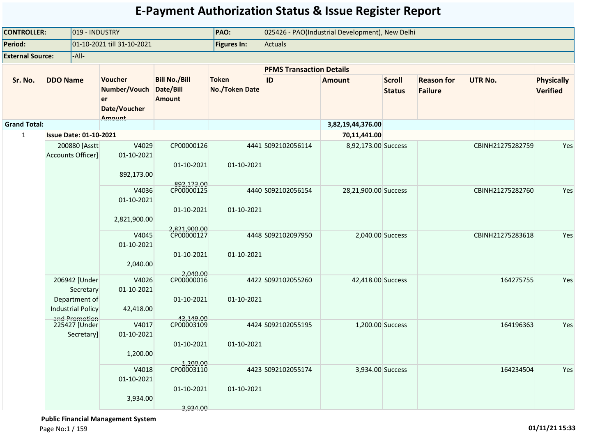| <b>CONTROLLER:</b>      |                               | 019 - INDUSTRY                                               |                                                                       |                                                    | PAO:<br>025426 - PAO(Industrial Development), New Delhi |                                 |                      |                                |                                     |                  |                                      |
|-------------------------|-------------------------------|--------------------------------------------------------------|-----------------------------------------------------------------------|----------------------------------------------------|---------------------------------------------------------|---------------------------------|----------------------|--------------------------------|-------------------------------------|------------------|--------------------------------------|
| Period:                 |                               |                                                              | 01-10-2021 till 31-10-2021                                            |                                                    | <b>Figures In:</b>                                      | <b>Actuals</b>                  |                      |                                |                                     |                  |                                      |
| <b>External Source:</b> |                               | -All-                                                        |                                                                       |                                                    |                                                         |                                 |                      |                                |                                     |                  |                                      |
|                         |                               |                                                              |                                                                       |                                                    |                                                         | <b>PFMS Transaction Details</b> |                      |                                |                                     |                  |                                      |
| Sr. No.                 | <b>DDO Name</b>               |                                                              | <b>Voucher</b><br>Number/Vouch<br>er<br>Date/Voucher<br><b>Amount</b> | <b>Bill No./Bill</b><br>Date/Bill<br><b>Amount</b> | <b>Token</b><br><b>No./Token Date</b>                   | ID                              | <b>Amount</b>        | <b>Scroll</b><br><b>Status</b> | <b>Reason for</b><br><b>Failure</b> | <b>UTR No.</b>   | <b>Physically</b><br><b>Verified</b> |
| <b>Grand Total:</b>     |                               |                                                              |                                                                       |                                                    |                                                         |                                 | 3,82,19,44,376.00    |                                |                                     |                  |                                      |
| $\mathbf{1}$            | <b>Issue Date: 01-10-2021</b> |                                                              |                                                                       |                                                    |                                                         |                                 | 70,11,441.00         |                                |                                     |                  |                                      |
|                         | <b>Accounts Officer]</b>      | 200880 [Asstt                                                | V4029<br>01-10-2021<br>892,173.00                                     | CP00000126<br>01-10-2021<br>892,173.00             | 01-10-2021                                              | 4441 S092102056114              | 8,92,173.00 Success  |                                |                                     | CBINH21275282759 | Yes                                  |
|                         |                               |                                                              | V4036<br>01-10-2021<br>2,821,900.00                                   | CP00000125<br>01-10-2021<br>2,821,900.00           | 01-10-2021                                              | 4440 S092102056154              | 28,21,900.00 Success |                                |                                     | CBINH21275282760 | Yes                                  |
|                         |                               | V4045<br>01-10-2021<br>2,040.00                              | CP00000127<br>01-10-2021                                              | 01-10-2021                                         | 4448 S092102097950                                      | 2,040.00 Success                |                      |                                | CBINH21275283618                    | Yes              |                                      |
|                         | <b>Industrial Policy</b>      | 206942 [Under<br>Secretary<br>Department of<br>and Promotion | V4026<br>01-10-2021<br>42,418.00                                      | 2,040.00<br>CP00000016<br>01-10-2021<br>43,149.00  | 01-10-2021                                              | 4422 S092102055260              | 42,418.00 Success    |                                |                                     | 164275755        | Yes                                  |
|                         |                               | 225427 [Under<br>Secretary]                                  | V4017<br>01-10-2021<br>1,200.00                                       | CP00003109<br>01-10-2021<br>1,200.00               | 01-10-2021                                              | 4424 S092102055195              | 1,200.00 Success     |                                |                                     | 164196363        | Yes                                  |
|                         |                               |                                                              | V4018<br>01-10-2021<br>3,934.00                                       | CP00003110<br>01-10-2021<br>3,934.00               | 01-10-2021                                              | 4423 S092102055174              | 3,934.00 Success     |                                |                                     | 164234504        | Yes                                  |

 **Public Financial Management System**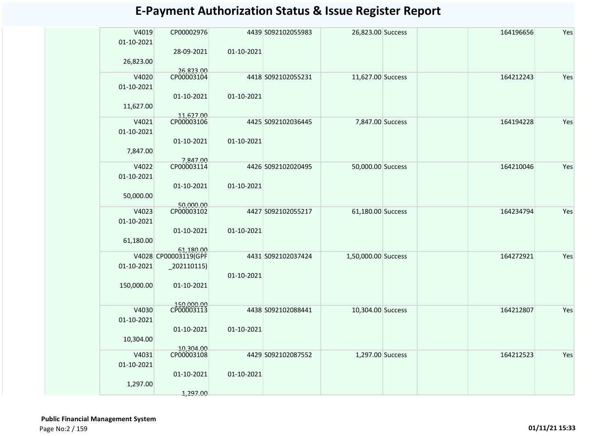| V4019<br>01-10-2021 | CP00002976               |            | 4439 S092102055983 | 26,823.00 Success   | 164196656 | Yes |
|---------------------|--------------------------|------------|--------------------|---------------------|-----------|-----|
|                     | 28-09-2021               | 01-10-2021 |                    |                     |           |     |
| 26,823.00           |                          |            |                    |                     |           |     |
| V4020               | 26,823.00<br>CP00003104  |            | 4418 S092102055231 | 11,627.00 Success   | 164212243 | Yes |
| 01-10-2021          |                          |            |                    |                     |           |     |
|                     | 01-10-2021               | 01-10-2021 |                    |                     |           |     |
|                     |                          |            |                    |                     |           |     |
| 11,627.00           |                          |            |                    |                     |           |     |
| V4021               | 11,627.00<br>CP00003106  |            | 4425 S092102036445 | 7,847.00 Success    | 164194228 | Yes |
| 01-10-2021          |                          |            |                    |                     |           |     |
|                     | 01-10-2021               | 01-10-2021 |                    |                     |           |     |
| 7,847.00            |                          |            |                    |                     |           |     |
|                     | 7,847.00                 |            |                    |                     |           |     |
| V4022               | CP00003114               |            | 4426 S092102020495 | 50,000.00 Success   | 164210046 | Yes |
| 01-10-2021          |                          |            |                    |                     |           |     |
|                     | 01-10-2021               | 01-10-2021 |                    |                     |           |     |
| 50,000.00           |                          |            |                    |                     |           |     |
|                     | 50,000.00                |            |                    |                     |           |     |
| V4023               | CP00003102               |            | 4427 S092102055217 | 61,180.00 Success   | 164234794 | Yes |
| 01-10-2021          |                          |            |                    |                     |           |     |
|                     | 01-10-2021               | 01-10-2021 |                    |                     |           |     |
| 61,180.00           |                          |            |                    |                     |           |     |
|                     | 61,180.00                |            |                    |                     |           |     |
|                     | V4028 CP00003119(GPF     |            | 4431 S092102037424 | 1,50,000.00 Success | 164272921 | Yes |
| 01-10-2021          | $-202110115$             |            |                    |                     |           |     |
|                     |                          | 01-10-2021 |                    |                     |           |     |
| 150,000.00          | 01-10-2021               |            |                    |                     |           |     |
|                     |                          |            |                    |                     |           |     |
|                     | 150,000.00<br>CP00003113 |            |                    |                     |           |     |
| V4030               |                          |            | 4438 S092102088441 | 10,304.00 Success   | 164212807 | Yes |
| 01-10-2021          |                          |            |                    |                     |           |     |
|                     | 01-10-2021               | 01-10-2021 |                    |                     |           |     |
| 10,304.00           |                          |            |                    |                     |           |     |
| V4031               | 10,304.00<br>CP00003108  |            | 4429 S092102087552 | 1,297.00 Success    | 164212523 | Yes |
| 01-10-2021          |                          |            |                    |                     |           |     |
|                     | 01-10-2021               | 01-10-2021 |                    |                     |           |     |
|                     |                          |            |                    |                     |           |     |
| 1,297.00            |                          |            |                    |                     |           |     |
|                     | 1,297.00                 |            |                    |                     |           |     |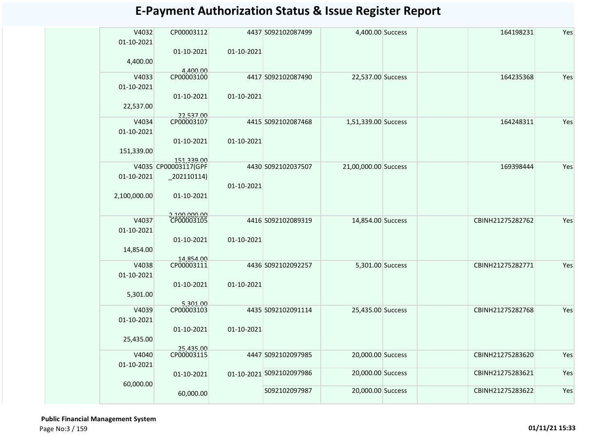| V4032<br>01-10-2021 | CP00003112<br>01-10-2021   | 01-10-2021 | 4437 S092102087499       | 4,400.00 Success     | 164198231        | Yes |
|---------------------|----------------------------|------------|--------------------------|----------------------|------------------|-----|
| 4,400.00            |                            |            |                          |                      |                  |     |
| V4033               | 4,400.00<br>CP00003100     |            | 4417 S092102087490       | 22,537.00 Success    | 164235368        | Yes |
| 01-10-2021          |                            |            |                          |                      |                  |     |
| 22,537.00           | 01-10-2021                 | 01-10-2021 |                          |                      |                  |     |
|                     | 22,537.00                  |            |                          |                      |                  |     |
| V4034               | CP00003107                 |            | 4415 S092102087468       | 1,51,339.00 Success  | 164248311        | Yes |
| 01-10-2021          |                            |            |                          |                      |                  |     |
| 151,339.00          | 01-10-2021                 | 01-10-2021 |                          |                      |                  |     |
|                     | 151,339.00                 |            |                          |                      |                  |     |
|                     | V4035 CP00003117(GPF       |            | 4430 S092102037507       | 21,00,000.00 Success | 169398444        | Yes |
| 01-10-2021          | $-202110114)$              |            |                          |                      |                  |     |
|                     |                            | 01-10-2021 |                          |                      |                  |     |
| 2,100,000.00        | 01-10-2021                 |            |                          |                      |                  |     |
|                     |                            |            |                          |                      |                  |     |
| V4037               | 2,100,000.00<br>CP00003105 |            | 4416 S092102089319       | 14,854.00 Success    | CBINH21275282762 | Yes |
| 01-10-2021          |                            |            |                          |                      |                  |     |
|                     | 01-10-2021                 | 01-10-2021 |                          |                      |                  |     |
| 14,854.00           |                            |            |                          |                      |                  |     |
|                     | 14,854.00                  |            |                          |                      |                  |     |
| V4038               | CP00003111                 |            | 4436 S092102092257       | 5,301.00 Success     | CBINH21275282771 | Yes |
| 01-10-2021          |                            |            |                          |                      |                  |     |
|                     | 01-10-2021                 | 01-10-2021 |                          |                      |                  |     |
| 5,301.00            |                            |            |                          |                      |                  |     |
| V4039               | 5,301.00<br>CP00003103     |            | 4435 S092102091114       | 25,435.00 Success    | CBINH21275282768 | Yes |
| 01-10-2021          |                            |            |                          |                      |                  |     |
|                     | 01-10-2021                 | 01-10-2021 |                          |                      |                  |     |
| 25,435.00           |                            |            |                          |                      |                  |     |
|                     | 25,435.00<br>CP00003115    |            |                          |                      |                  |     |
| V4040               |                            |            | 4447 S092102097985       | 20,000.00 Success    | CBINH21275283620 | Yes |
| 01-10-2021          |                            |            |                          | 20,000.00 Success    | CBINH21275283621 | Yes |
|                     | 01-10-2021                 |            | 01-10-2021 S092102097986 |                      |                  |     |
| 60,000.00           | 60,000.00                  |            | S092102097987            | 20,000.00 Success    | CBINH21275283622 | Yes |
|                     |                            |            |                          |                      |                  |     |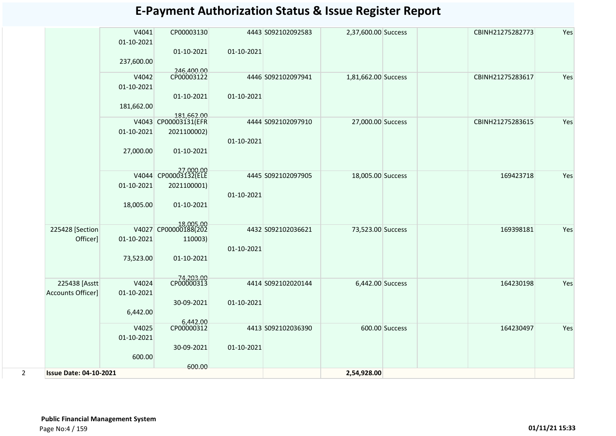|                |                               | V4041<br>01-10-2021 | CP00003130                         |            | 4443 S092102092583 | 2,37,600.00 Success |                | CBINH21275282773 | Yes |
|----------------|-------------------------------|---------------------|------------------------------------|------------|--------------------|---------------------|----------------|------------------|-----|
|                |                               | 237,600.00          | 01-10-2021                         | 01-10-2021 |                    |                     |                |                  |     |
|                |                               | V4042<br>01-10-2021 | 246,400.00                         |            | 4446 S092102097941 | 1,81,662.00 Success |                | CBINH21275283617 | Yes |
|                |                               | 181,662.00          | 01-10-2021                         | 01-10-2021 |                    |                     |                |                  |     |
|                |                               |                     | 181,662.00<br>V4043 CP00003131(EFR |            | 4444 S092102097910 | 27,000.00 Success   |                | CBINH21275283615 | Yes |
|                |                               | 01-10-2021          | 2021100002)                        | 01-10-2021 |                    |                     |                |                  |     |
|                |                               | 27,000.00           | 01-10-2021                         |            |                    |                     |                |                  |     |
|                |                               |                     | 27.000.00<br>V4044 CP00003132(ELE  |            | 4445 S092102097905 | 18,005.00 Success   |                | 169423718        | Yes |
|                |                               | 01-10-2021          | 2021100001)                        | 01-10-2021 |                    |                     |                |                  |     |
|                |                               | 18,005.00           | 01-10-2021                         |            |                    |                     |                |                  |     |
|                | 225428 [Section               |                     | 18,005.00<br>V4027 CP00000188(202  |            | 4432 S092102036621 | 73,523.00 Success   |                | 169398181        | Yes |
|                | Officer]                      | 01-10-2021          | 110003)                            | 01-10-2021 |                    |                     |                |                  |     |
|                |                               | 73,523.00           | 01-10-2021                         |            |                    |                     |                |                  |     |
|                | 225438 [Asstt                 | V4024               | 74,203.00<br>CP00000313            |            | 4414 S092102020144 | 6,442.00 Success    |                | 164230198        | Yes |
|                | <b>Accounts Officer]</b>      | 01-10-2021          |                                    |            |                    |                     |                |                  |     |
|                |                               |                     | 30-09-2021                         | 01-10-2021 |                    |                     |                |                  |     |
|                |                               | 6,442.00            |                                    |            |                    |                     |                |                  |     |
|                |                               | V4025               | 6,442.00<br>CP00000312             |            | 4413 S092102036390 |                     | 600.00 Success | 164230497        | Yes |
|                |                               | 01-10-2021          |                                    |            |                    |                     |                |                  |     |
|                |                               |                     | 30-09-2021                         | 01-10-2021 |                    |                     |                |                  |     |
|                |                               | 600.00              |                                    |            |                    |                     |                |                  |     |
| $\overline{2}$ | <b>Issue Date: 04-10-2021</b> |                     | 600.00                             |            |                    | 2,54,928.00         |                |                  |     |

 **Public Financial Management System**  Page No:4 / 159 **01/11/21 15:33**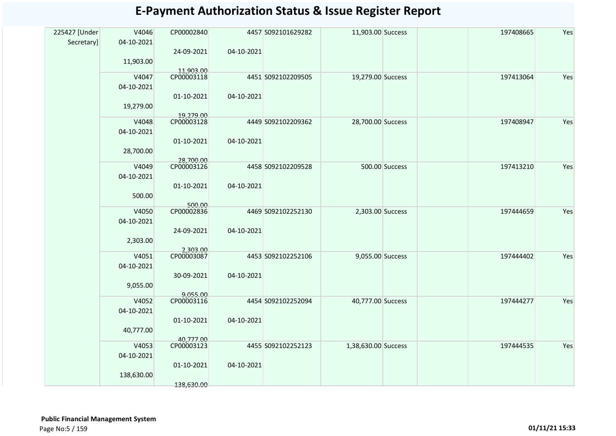|               | V4046      | CP00002840             |            | 4457 S092101629282 | 11,903.00 Success   |                | 197408665 | Yes |
|---------------|------------|------------------------|------------|--------------------|---------------------|----------------|-----------|-----|
| 225427 [Under |            |                        |            |                    |                     |                |           |     |
| Secretary]    | 04-10-2021 |                        |            |                    |                     |                |           |     |
|               |            | 24-09-2021             | 04-10-2021 |                    |                     |                |           |     |
|               | 11,903.00  |                        |            |                    |                     |                |           |     |
|               |            | 11,903.00              |            |                    |                     |                |           |     |
|               | V4047      | CP00003118             |            | 4451 S092102209505 | 19,279.00 Success   |                | 197413064 | Yes |
|               | 04-10-2021 |                        |            |                    |                     |                |           |     |
|               |            |                        |            |                    |                     |                |           |     |
|               |            | 01-10-2021             | 04-10-2021 |                    |                     |                |           |     |
|               | 19,279.00  |                        |            |                    |                     |                |           |     |
|               |            | 19.279.00              |            |                    |                     |                |           |     |
|               | V4048      | CP00003128             |            | 4449 S092102209362 | 28,700.00 Success   |                | 197408947 | Yes |
|               | 04-10-2021 |                        |            |                    |                     |                |           |     |
|               |            | 01-10-2021             | 04-10-2021 |                    |                     |                |           |     |
|               | 28,700.00  |                        |            |                    |                     |                |           |     |
|               |            |                        |            |                    |                     |                |           |     |
|               |            | 28,700.00              |            |                    |                     |                |           | Yes |
|               | V4049      | CP00003126             |            | 4458 S092102209528 |                     | 500.00 Success | 197413210 |     |
|               | 04-10-2021 |                        |            |                    |                     |                |           |     |
|               |            | 01-10-2021             | 04-10-2021 |                    |                     |                |           |     |
|               | 500.00     |                        |            |                    |                     |                |           |     |
|               |            | 500.00                 |            |                    |                     |                |           |     |
|               | V4050      | CP00002836             |            | 4469 S092102252130 | 2,303.00 Success    |                | 197444659 | Yes |
|               | 04-10-2021 |                        |            |                    |                     |                |           |     |
|               |            |                        |            |                    |                     |                |           |     |
|               |            | 24-09-2021             | 04-10-2021 |                    |                     |                |           |     |
|               | 2,303.00   |                        |            |                    |                     |                |           |     |
|               |            | 2,303.00               |            |                    |                     |                |           |     |
|               | V4051      | CP00003087             |            | 4453 S092102252106 | 9,055.00 Success    |                | 197444402 | Yes |
|               | 04-10-2021 |                        |            |                    |                     |                |           |     |
|               |            | 30-09-2021             | 04-10-2021 |                    |                     |                |           |     |
|               |            |                        |            |                    |                     |                |           |     |
|               | 9,055.00   |                        |            |                    |                     |                |           |     |
|               | V4052      | 9,055.00<br>CP00003116 |            | 4454 S092102252094 | 40,777.00 Success   |                | 197444277 | Yes |
|               |            |                        |            |                    |                     |                |           |     |
|               | 04-10-2021 |                        |            |                    |                     |                |           |     |
|               |            | 01-10-2021             | 04-10-2021 |                    |                     |                |           |     |
|               | 40,777.00  |                        |            |                    |                     |                |           |     |
|               |            | 40,777.00              |            |                    |                     |                |           |     |
|               | V4053      | CP00003123             |            | 4455 S092102252123 | 1,38,630.00 Success |                | 197444535 | Yes |
|               | 04-10-2021 |                        |            |                    |                     |                |           |     |
|               |            |                        |            |                    |                     |                |           |     |
|               |            | 01-10-2021             | 04-10-2021 |                    |                     |                |           |     |
|               | 138,630.00 |                        |            |                    |                     |                |           |     |
|               |            | 138,630.00             |            |                    |                     |                |           |     |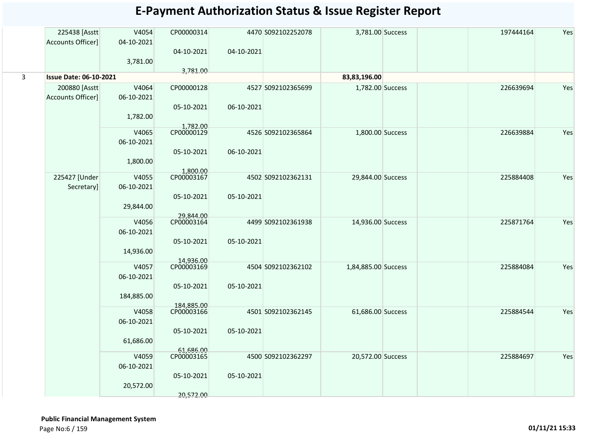|   | 225438 [Asstt                 | V4054               | CP00000314              |            | 4470 S092102252078 | 3,781.00 Success    | 197444164 | Yes |
|---|-------------------------------|---------------------|-------------------------|------------|--------------------|---------------------|-----------|-----|
|   | Accounts Officer]             | 04-10-2021          |                         |            |                    |                     |           |     |
|   |                               | 3,781.00            | 04-10-2021              | 04-10-2021 |                    |                     |           |     |
|   |                               |                     | 3,781.00                |            |                    |                     |           |     |
| 3 | <b>Issue Date: 06-10-2021</b> |                     |                         |            |                    | 83,83,196.00        |           |     |
|   | 200880 [Asstt                 | V4064               | CP00000128              |            | 4527 S092102365699 | 1,782.00 Success    | 226639694 | Yes |
|   | Accounts Officer]             | 06-10-2021          |                         |            |                    |                     |           |     |
|   |                               |                     | 05-10-2021              | 06-10-2021 |                    |                     |           |     |
|   |                               | 1,782.00            |                         |            |                    |                     |           |     |
|   |                               | V4065               | 1,782.00<br>CP00000129  |            | 4526 S092102365864 | 1,800.00 Success    | 226639884 | Yes |
|   |                               | 06-10-2021          |                         |            |                    |                     |           |     |
|   |                               |                     | 05-10-2021              | 06-10-2021 |                    |                     |           |     |
|   |                               | 1,800.00            |                         |            |                    |                     |           |     |
|   | 225427 [Under                 | V4055               | 1,800.00<br>CP00003167  |            | 4502 S092102362131 | 29,844.00 Success   | 225884408 | Yes |
|   | Secretary]                    | 06-10-2021          |                         |            |                    |                     |           |     |
|   |                               |                     | 05-10-2021              | 05-10-2021 |                    |                     |           |     |
|   |                               | 29,844.00           |                         |            |                    |                     |           |     |
|   |                               | V4056               | 29,844.00<br>CP00003164 |            | 4499 S092102361938 | 14,936.00 Success   | 225871764 | Yes |
|   |                               | 06-10-2021          |                         |            |                    |                     |           |     |
|   |                               |                     | 05-10-2021              | 05-10-2021 |                    |                     |           |     |
|   |                               | 14,936.00           |                         |            |                    |                     |           |     |
|   |                               | V4057               | 14,936.00<br>CP00003169 |            | 4504 S092102362102 | 1,84,885.00 Success | 225884084 | Yes |
|   |                               | 06-10-2021          |                         |            |                    |                     |           |     |
|   |                               |                     | 05-10-2021              | 05-10-2021 |                    |                     |           |     |
|   |                               | 184,885.00          |                         |            |                    |                     |           |     |
|   |                               |                     | 184,885.00              |            |                    |                     |           |     |
|   |                               | V4058<br>06-10-2021 | CP00003166              |            | 4501 S092102362145 | 61,686.00 Success   | 225884544 | Yes |
|   |                               |                     | 05-10-2021              | 05-10-2021 |                    |                     |           |     |
|   |                               | 61,686.00           |                         |            |                    |                     |           |     |
|   |                               |                     | 61,686.00<br>CP00003165 |            |                    |                     |           |     |
|   |                               | V4059               |                         |            | 4500 S092102362297 | 20,572.00 Success   | 225884697 | Yes |
|   |                               | 06-10-2021          | 05-10-2021              | 05-10-2021 |                    |                     |           |     |
|   |                               | 20,572.00           |                         |            |                    |                     |           |     |
|   |                               |                     | 20,572.00               |            |                    |                     |           |     |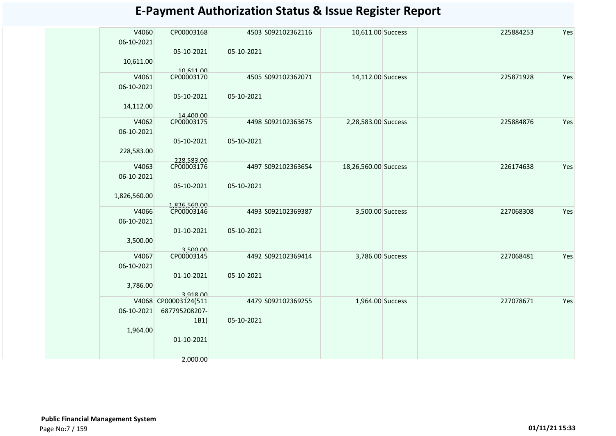| <b>E-Payment Authorization Status &amp; Issue Register Report</b> |  |  |  |  |
|-------------------------------------------------------------------|--|--|--|--|
|-------------------------------------------------------------------|--|--|--|--|

| V4060<br>06-10-2021 | CP00003168                 |            | 4503 S092102362116 | 10,611.00 Success    |  | 225884253 | Yes |
|---------------------|----------------------------|------------|--------------------|----------------------|--|-----------|-----|
|                     | 05-10-2021                 | 05-10-2021 |                    |                      |  |           |     |
| 10,611.00           |                            |            |                    |                      |  |           |     |
|                     |                            |            |                    |                      |  |           |     |
| V4061               | 10,611.00<br>CP00003170    |            | 4505 S092102362071 | 14,112.00 Success    |  | 225871928 | Yes |
| 06-10-2021          |                            |            |                    |                      |  |           |     |
|                     |                            |            |                    |                      |  |           |     |
|                     | 05-10-2021                 | 05-10-2021 |                    |                      |  |           |     |
| 14,112.00           |                            |            |                    |                      |  |           |     |
|                     | 14.400.00                  |            |                    |                      |  |           |     |
| V4062               | CP00003175                 |            | 4498 S092102363675 | 2,28,583.00 Success  |  | 225884876 | Yes |
| 06-10-2021          |                            |            |                    |                      |  |           |     |
|                     | 05-10-2021                 | 05-10-2021 |                    |                      |  |           |     |
| 228,583.00          |                            |            |                    |                      |  |           |     |
|                     | 228,583.00                 |            |                    |                      |  |           |     |
| V4063               | CP00003176                 |            | 4497 S092102363654 | 18,26,560.00 Success |  | 226174638 | Yes |
| 06-10-2021          |                            |            |                    |                      |  |           |     |
|                     | 05-10-2021                 | 05-10-2021 |                    |                      |  |           |     |
| 1,826,560.00        |                            |            |                    |                      |  |           |     |
|                     |                            |            |                    |                      |  |           |     |
| V4066               | 1,826,560.00<br>CP00003146 |            | 4493 S092102369387 | 3,500.00 Success     |  | 227068308 | Yes |
| 06-10-2021          |                            |            |                    |                      |  |           |     |
|                     |                            |            |                    |                      |  |           |     |
|                     | 01-10-2021                 | 05-10-2021 |                    |                      |  |           |     |
| 3,500.00            |                            |            |                    |                      |  |           |     |
|                     | 3,500.00                   |            |                    |                      |  |           |     |
| V4067               | CP00003145                 |            | 4492 S092102369414 | 3,786.00 Success     |  | 227068481 | Yes |
| 06-10-2021          |                            |            |                    |                      |  |           |     |
|                     | 01-10-2021                 | 05-10-2021 |                    |                      |  |           |     |
| 3,786.00            |                            |            |                    |                      |  |           |     |
|                     | 3.918.00                   |            |                    |                      |  |           |     |
|                     | V4068 CP00003124(511       |            | 4479 S092102369255 | 1,964.00 Success     |  | 227078671 | Yes |
| 06-10-2021          | 687795208207-              |            |                    |                      |  |           |     |
|                     | 1B1)                       | 05-10-2021 |                    |                      |  |           |     |
| 1,964.00            |                            |            |                    |                      |  |           |     |
|                     | 01-10-2021                 |            |                    |                      |  |           |     |
|                     |                            |            |                    |                      |  |           |     |
|                     |                            |            |                    |                      |  |           |     |
|                     | 2,000.00                   |            |                    |                      |  |           |     |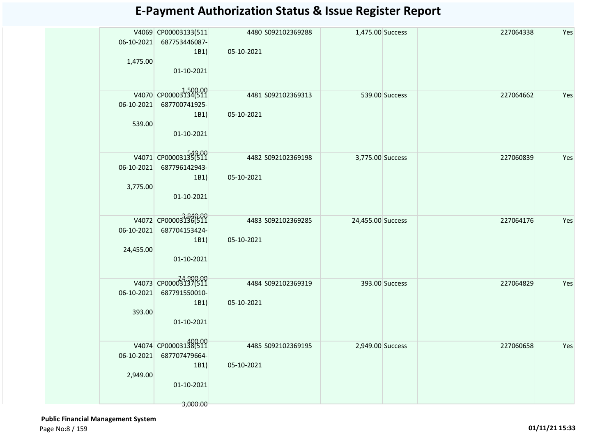| 1,475.00                | V4069 CP00003133(511<br>06-10-2021 687753446087-<br>1B1)<br>01-10-2021             | 05-10-2021 | 4480 S092102369288  | 1,475.00 Success  |                | 227064338 | Yes |
|-------------------------|------------------------------------------------------------------------------------|------------|---------------------|-------------------|----------------|-----------|-----|
| 539.00                  | V4070 CP00003134(511<br>06-10-2021 687700741925-<br>1B1<br>01-10-2021              | 05-10-2021 | 4481 S092102369313  |                   | 539.00 Success | 227064662 | Yes |
| 06-10-2021<br>3,775.00  | V4071 CP00003135(511<br>687796142943-<br>1B1)<br>01-10-2021                        | 05-10-2021 | 4482 \$092102369198 | 3,775.00 Success  |                | 227060839 | Yes |
| 06-10-2021<br>24,455.00 | V4072 CP00003136(511<br>687704153424-<br>1B1)<br>01-10-2021                        | 05-10-2021 | 4483 S092102369285  | 24,455.00 Success |                | 227064176 | Yes |
| 06-10-2021<br>393.00    | V4073 CP00003137(511<br>687791550010-<br>1B1)<br>01-10-2021                        | 05-10-2021 | 4484 S092102369319  |                   | 393.00 Success | 227064829 | Yes |
| 2,949.00                | V4074 CP00003138(511<br>06-10-2021 687707479664-<br>1B1)<br>01-10-2021<br>3,000.00 | 05-10-2021 | 4485 S092102369195  | 2,949.00 Success  |                | 227060658 | Yes |

 **Public Financial Management System**  Page No:8 / 159 **01/11/21 15:33**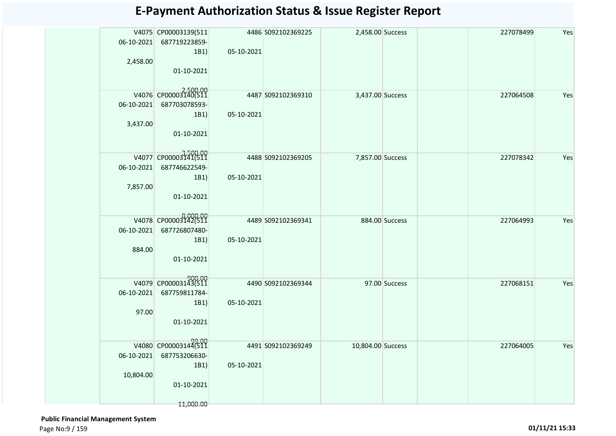| 2,458.00   | V4075 CP00003139(511<br>06-10-2021 687719223859-<br>1B1)<br>01-10-2021 | 05-10-2021 | 4486 S092102369225 | 2,458.00 Success  |                | 227078499 | Yes |
|------------|------------------------------------------------------------------------|------------|--------------------|-------------------|----------------|-----------|-----|
|            | V4076 CP00003140(511                                                   |            | 4487 S092102369310 | 3,437.00 Success  |                | 227064508 | Yes |
| 06-10-2021 | 687703078593-                                                          |            |                    |                   |                |           |     |
|            | 1B1)                                                                   | 05-10-2021 |                    |                   |                |           |     |
| 3,437.00   | 01-10-2021                                                             |            |                    |                   |                |           |     |
|            | V4077 CP00003141(511                                                   |            | 4488 S092102369205 | 7,857.00 Success  |                | 227078342 | Yes |
| 06-10-2021 | 687746622549-                                                          |            |                    |                   |                |           |     |
|            | 1B1)                                                                   | 05-10-2021 |                    |                   |                |           |     |
| 7,857.00   |                                                                        |            |                    |                   |                |           |     |
|            | 01-10-2021                                                             |            |                    |                   |                |           |     |
|            | V4078 CP00003142(511                                                   |            | 4489 S092102369341 |                   | 884.00 Success | 227064993 | Yes |
| 06-10-2021 | 687726807480-                                                          |            |                    |                   |                |           |     |
|            | 1B1)                                                                   | 05-10-2021 |                    |                   |                |           |     |
| 884.00     | 01-10-2021                                                             |            |                    |                   |                |           |     |
|            |                                                                        |            |                    |                   |                |           |     |
|            | V4079 CP00003143(511                                                   |            | 4490 5092102369344 |                   | 97.00 Success  | 227068151 | Yes |
| 06-10-2021 | 687759811784-                                                          |            |                    |                   |                |           |     |
|            | 1B1)                                                                   | 05-10-2021 |                    |                   |                |           |     |
| 97.00      | 01-10-2021                                                             |            |                    |                   |                |           |     |
|            |                                                                        |            |                    |                   |                |           |     |
|            | 99.00<br>V4080 CP00003144(511                                          |            | 4491 S092102369249 | 10,804.00 Success |                | 227064005 | Yes |
| 06-10-2021 | 687753206630-                                                          |            |                    |                   |                |           |     |
| 10,804.00  | 1B1)                                                                   | 05-10-2021 |                    |                   |                |           |     |
|            | 01-10-2021                                                             |            |                    |                   |                |           |     |
|            |                                                                        |            |                    |                   |                |           |     |
|            | 11,000.00                                                              |            |                    |                   |                |           |     |

 **Public Financial Management System**  Page No:9 / 159 **01/11/21 15:33**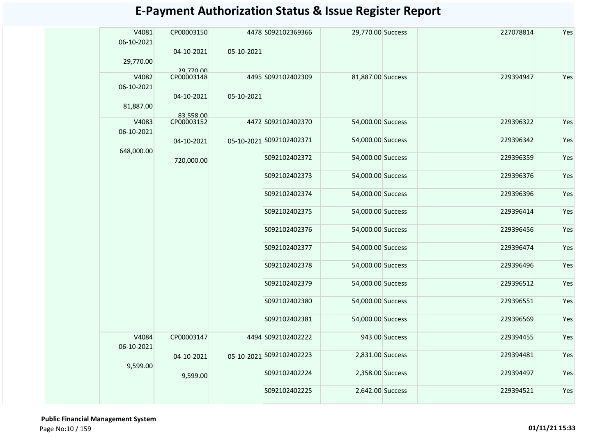| V4081<br>06-10-2021<br>29,770.00 | CP00003150<br>04-10-2021              | 05-10-2021 | 4478 S092102369366       | 29,770.00 Success |                | 227078814 | Yes |
|----------------------------------|---------------------------------------|------------|--------------------------|-------------------|----------------|-----------|-----|
| V4082<br>06-10-2021              | 29,770.00<br>CP00003148<br>04-10-2021 | 05-10-2021 | 4495 S092102402309       | 81,887.00 Success |                | 229394947 | Yes |
| 81,887.00                        |                                       |            |                          |                   |                |           |     |
| V4083<br>06-10-2021              | 83,558.00<br>CP00003152               |            | 4472 S092102402370       | 54,000.00 Success |                | 229396322 | Yes |
|                                  | 04-10-2021                            |            | 05-10-2021 5092102402371 | 54,000.00 Success |                | 229396342 | Yes |
| 648,000.00                       | 720,000.00                            |            | S092102402372            | 54,000.00 Success |                | 229396359 | Yes |
|                                  |                                       |            | S092102402373            | 54,000.00 Success |                | 229396376 | Yes |
|                                  |                                       |            | S092102402374            | 54,000.00 Success |                | 229396396 | Yes |
|                                  |                                       |            | S092102402375            | 54,000.00 Success |                | 229396414 | Yes |
|                                  |                                       |            | S092102402376            | 54,000.00 Success |                | 229396456 | Yes |
|                                  |                                       |            | S092102402377            | 54,000.00 Success |                | 229396474 | Yes |
|                                  |                                       |            | S092102402378            | 54,000.00 Success |                | 229396496 | Yes |
|                                  |                                       |            | S092102402379            | 54,000.00 Success |                | 229396512 | Yes |
|                                  |                                       |            | S092102402380            | 54,000.00 Success |                | 229396551 | Yes |
|                                  |                                       |            | S092102402381            | 54,000.00 Success |                | 229396569 | Yes |
| V4084<br>06-10-2021              | CP00003147                            |            | 4494 S092102402222       |                   | 943.00 Success | 229394455 | Yes |
| 9,599.00                         | 04-10-2021                            |            | 05-10-2021 5092102402223 | 2,831.00 Success  |                | 229394481 | Yes |
|                                  | 9,599.00                              |            | S092102402224            | 2,358.00 Success  |                | 229394497 | Yes |
|                                  |                                       |            | S092102402225            | 2,642.00 Success  |                | 229394521 | Yes |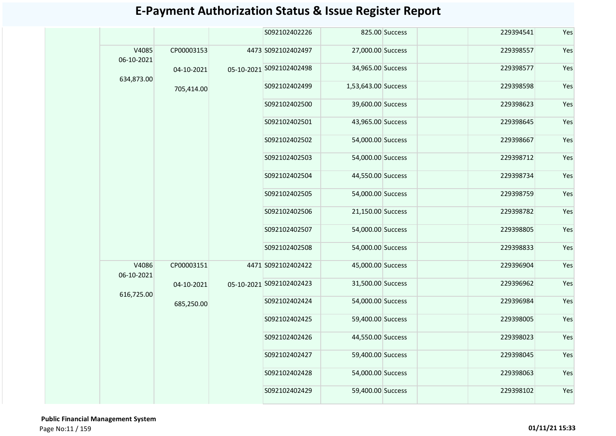| S092102402226<br>825.00 Success<br>229394541<br>V4085<br>CP00003153<br>4473 S092102402497<br>27,000.00 Success<br>229398557<br>06-10-2021<br>34,965.00 Success<br>229398577<br>05-10-2021 S092102402498<br>04-10-2021<br>634,873.00<br>1,53,643.00 Success<br>229398598<br>S092102402499<br>705,414.00<br>S092102402500<br>39,600.00 Success<br>229398623<br>43,965.00 Success<br>S092102402501<br>229398645<br>S092102402502<br>54,000.00 Success<br>229398667<br>54,000.00 Success<br>S092102402503<br>229398712<br>S092102402504<br>44,550.00 Success<br>229398734<br>S092102402505<br>54,000.00 Success<br>229398759<br>S092102402506<br>21,150.00 Success<br>229398782<br>S092102402507<br>54,000.00 Success<br>229398805<br>S092102402508<br>54,000.00 Success<br>229398833<br>V4086<br>CP00003151<br>4471 S092102402422<br>45,000.00 Success<br>229396904<br>06-10-2021<br>05-10-2021 S092102402423<br>31,500.00 Success<br>229396962<br>04-10-2021<br>616,725.00<br>S092102402424<br>54,000.00 Success<br>229396984<br>685,250.00<br>S092102402425<br>59,400.00 Success<br>229398005<br>S092102402426<br>44,550.00 Success<br>229398023<br>59,400.00 Success<br>229398045<br>S092102402427<br>S092102402428<br>54,000.00 Success<br>229398063<br>S092102402429<br>59,400.00 Success<br>229398102 |  |  |  |  |     |     |     |     |  |     |  |  |  |  |  |  |  |  |  |  |  |  |  |     |  |  |  |
|----------------------------------------------------------------------------------------------------------------------------------------------------------------------------------------------------------------------------------------------------------------------------------------------------------------------------------------------------------------------------------------------------------------------------------------------------------------------------------------------------------------------------------------------------------------------------------------------------------------------------------------------------------------------------------------------------------------------------------------------------------------------------------------------------------------------------------------------------------------------------------------------------------------------------------------------------------------------------------------------------------------------------------------------------------------------------------------------------------------------------------------------------------------------------------------------------------------------------------------------------------------------------------------------------------|--|--|--|--|-----|-----|-----|-----|--|-----|--|--|--|--|--|--|--|--|--|--|--|--|--|-----|--|--|--|
|                                                                                                                                                                                                                                                                                                                                                                                                                                                                                                                                                                                                                                                                                                                                                                                                                                                                                                                                                                                                                                                                                                                                                                                                                                                                                                          |  |  |  |  |     | Yes |     |     |  |     |  |  |  |  |  |  |  |  |  |  |  |  |  |     |  |  |  |
|                                                                                                                                                                                                                                                                                                                                                                                                                                                                                                                                                                                                                                                                                                                                                                                                                                                                                                                                                                                                                                                                                                                                                                                                                                                                                                          |  |  |  |  |     | Yes |     |     |  |     |  |  |  |  |  |  |  |  |  |  |  |  |  |     |  |  |  |
|                                                                                                                                                                                                                                                                                                                                                                                                                                                                                                                                                                                                                                                                                                                                                                                                                                                                                                                                                                                                                                                                                                                                                                                                                                                                                                          |  |  |  |  |     | Yes |     |     |  |     |  |  |  |  |  |  |  |  |  |  |  |  |  |     |  |  |  |
|                                                                                                                                                                                                                                                                                                                                                                                                                                                                                                                                                                                                                                                                                                                                                                                                                                                                                                                                                                                                                                                                                                                                                                                                                                                                                                          |  |  |  |  |     | Yes |     |     |  |     |  |  |  |  |  |  |  |  |  |  |  |  |  |     |  |  |  |
|                                                                                                                                                                                                                                                                                                                                                                                                                                                                                                                                                                                                                                                                                                                                                                                                                                                                                                                                                                                                                                                                                                                                                                                                                                                                                                          |  |  |  |  |     | Yes |     |     |  |     |  |  |  |  |  |  |  |  |  |  |  |  |  |     |  |  |  |
|                                                                                                                                                                                                                                                                                                                                                                                                                                                                                                                                                                                                                                                                                                                                                                                                                                                                                                                                                                                                                                                                                                                                                                                                                                                                                                          |  |  |  |  |     |     |     |     |  | Yes |  |  |  |  |  |  |  |  |  |  |  |  |  |     |  |  |  |
|                                                                                                                                                                                                                                                                                                                                                                                                                                                                                                                                                                                                                                                                                                                                                                                                                                                                                                                                                                                                                                                                                                                                                                                                                                                                                                          |  |  |  |  |     |     |     |     |  | Yes |  |  |  |  |  |  |  |  |  |  |  |  |  |     |  |  |  |
|                                                                                                                                                                                                                                                                                                                                                                                                                                                                                                                                                                                                                                                                                                                                                                                                                                                                                                                                                                                                                                                                                                                                                                                                                                                                                                          |  |  |  |  |     | Yes |     |     |  |     |  |  |  |  |  |  |  |  |  |  |  |  |  |     |  |  |  |
|                                                                                                                                                                                                                                                                                                                                                                                                                                                                                                                                                                                                                                                                                                                                                                                                                                                                                                                                                                                                                                                                                                                                                                                                                                                                                                          |  |  |  |  |     | Yes |     |     |  |     |  |  |  |  |  |  |  |  |  |  |  |  |  |     |  |  |  |
|                                                                                                                                                                                                                                                                                                                                                                                                                                                                                                                                                                                                                                                                                                                                                                                                                                                                                                                                                                                                                                                                                                                                                                                                                                                                                                          |  |  |  |  |     | Yes |     |     |  |     |  |  |  |  |  |  |  |  |  |  |  |  |  |     |  |  |  |
|                                                                                                                                                                                                                                                                                                                                                                                                                                                                                                                                                                                                                                                                                                                                                                                                                                                                                                                                                                                                                                                                                                                                                                                                                                                                                                          |  |  |  |  |     | Yes |     |     |  |     |  |  |  |  |  |  |  |  |  |  |  |  |  |     |  |  |  |
|                                                                                                                                                                                                                                                                                                                                                                                                                                                                                                                                                                                                                                                                                                                                                                                                                                                                                                                                                                                                                                                                                                                                                                                                                                                                                                          |  |  |  |  |     | Yes |     |     |  |     |  |  |  |  |  |  |  |  |  |  |  |  |  |     |  |  |  |
|                                                                                                                                                                                                                                                                                                                                                                                                                                                                                                                                                                                                                                                                                                                                                                                                                                                                                                                                                                                                                                                                                                                                                                                                                                                                                                          |  |  |  |  |     | Yes |     |     |  |     |  |  |  |  |  |  |  |  |  |  |  |  |  |     |  |  |  |
|                                                                                                                                                                                                                                                                                                                                                                                                                                                                                                                                                                                                                                                                                                                                                                                                                                                                                                                                                                                                                                                                                                                                                                                                                                                                                                          |  |  |  |  |     | Yes |     |     |  |     |  |  |  |  |  |  |  |  |  |  |  |  |  |     |  |  |  |
|                                                                                                                                                                                                                                                                                                                                                                                                                                                                                                                                                                                                                                                                                                                                                                                                                                                                                                                                                                                                                                                                                                                                                                                                                                                                                                          |  |  |  |  |     | Yes |     |     |  |     |  |  |  |  |  |  |  |  |  |  |  |  |  |     |  |  |  |
|                                                                                                                                                                                                                                                                                                                                                                                                                                                                                                                                                                                                                                                                                                                                                                                                                                                                                                                                                                                                                                                                                                                                                                                                                                                                                                          |  |  |  |  |     | Yes |     |     |  |     |  |  |  |  |  |  |  |  |  |  |  |  |  |     |  |  |  |
|                                                                                                                                                                                                                                                                                                                                                                                                                                                                                                                                                                                                                                                                                                                                                                                                                                                                                                                                                                                                                                                                                                                                                                                                                                                                                                          |  |  |  |  |     |     |     |     |  |     |  |  |  |  |  |  |  |  |  |  |  |  |  | Yes |  |  |  |
|                                                                                                                                                                                                                                                                                                                                                                                                                                                                                                                                                                                                                                                                                                                                                                                                                                                                                                                                                                                                                                                                                                                                                                                                                                                                                                          |  |  |  |  |     |     |     | Yes |  |     |  |  |  |  |  |  |  |  |  |  |  |  |  |     |  |  |  |
|                                                                                                                                                                                                                                                                                                                                                                                                                                                                                                                                                                                                                                                                                                                                                                                                                                                                                                                                                                                                                                                                                                                                                                                                                                                                                                          |  |  |  |  |     |     |     |     |  |     |  |  |  |  |  |  |  |  |  |  |  |  |  |     |  |  |  |
|                                                                                                                                                                                                                                                                                                                                                                                                                                                                                                                                                                                                                                                                                                                                                                                                                                                                                                                                                                                                                                                                                                                                                                                                                                                                                                          |  |  |  |  | Yes |     |     |     |  |     |  |  |  |  |  |  |  |  |  |  |  |  |  |     |  |  |  |
|                                                                                                                                                                                                                                                                                                                                                                                                                                                                                                                                                                                                                                                                                                                                                                                                                                                                                                                                                                                                                                                                                                                                                                                                                                                                                                          |  |  |  |  |     |     | Yes |     |  |     |  |  |  |  |  |  |  |  |  |  |  |  |  |     |  |  |  |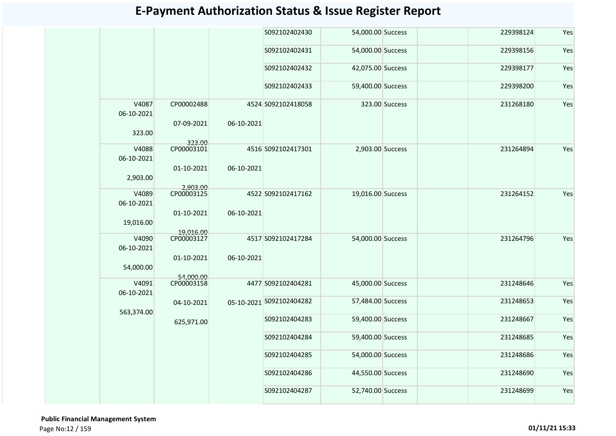|                     |                          |            | S092102402430            | 54,000.00 Success |                | 229398124 | Yes |
|---------------------|--------------------------|------------|--------------------------|-------------------|----------------|-----------|-----|
|                     |                          |            | S092102402431            | 54,000.00 Success |                | 229398156 | Yes |
|                     |                          |            | S092102402432            | 42,075.00 Success |                | 229398177 | Yes |
|                     |                          |            | S092102402433            | 59,400.00 Success |                | 229398200 | Yes |
| V4087<br>06-10-2021 | CP00002488<br>07-09-2021 | 06-10-2021 | 4524 S092102418058       |                   | 323.00 Success | 231268180 | Yes |
| 323.00              |                          |            |                          |                   |                |           |     |
| V4088<br>06-10-2021 | 323.00<br>CP00003101     |            | 4516 S092102417301       | 2,903.00 Success  |                | 231264894 | Yes |
| 2,903.00            | 01-10-2021               | 06-10-2021 |                          |                   |                |           |     |
| V4089<br>06-10-2021 | 2.903.00<br>CP00003125   |            | 4522 S092102417162       | 19,016.00 Success |                | 231264152 | Yes |
| 19,016.00           | 01-10-2021               | 06-10-2021 |                          |                   |                |           |     |
| V4090<br>06-10-2021 | 19,016.00<br>CP00003127  |            | 4517 S092102417284       | 54,000.00 Success |                | 231264796 | Yes |
| 54,000.00           | 01-10-2021<br>54,000.00  | 06-10-2021 |                          |                   |                |           |     |
| V4091<br>06-10-2021 | CP00003158               |            | 4477 S092102404281       | 45,000.00 Success |                | 231248646 | Yes |
| 563,374.00          | 04-10-2021               |            | 05-10-2021 5092102404282 | 57,484.00 Success |                | 231248653 | Yes |
|                     | 625,971.00               |            | S092102404283            | 59,400.00 Success |                | 231248667 | Yes |
|                     |                          |            | S092102404284            | 59,400.00 Success |                | 231248685 | Yes |
|                     |                          |            | S092102404285            | 54,000.00 Success |                | 231248686 | Yes |
|                     |                          |            | S092102404286            | 44,550.00 Success |                | 231248690 | Yes |
|                     |                          |            | S092102404287            | 52,740.00 Success |                | 231248699 | Yes |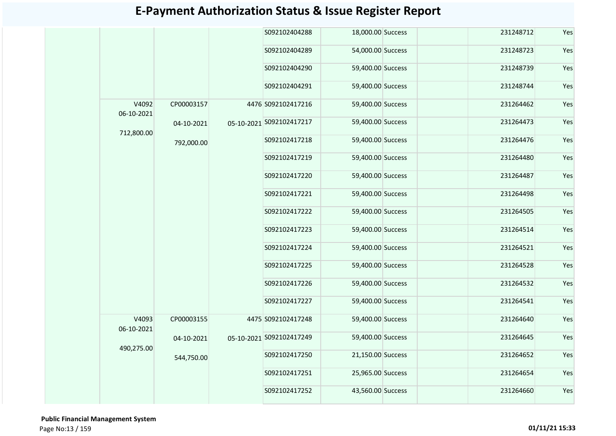|                     |            | S092102404288            | 18,000.00 Success |  | 231248712 | Yes |
|---------------------|------------|--------------------------|-------------------|--|-----------|-----|
|                     |            | S092102404289            | 54,000.00 Success |  | 231248723 | Yes |
|                     |            | S092102404290            | 59,400.00 Success |  | 231248739 | Yes |
|                     |            | S092102404291            | 59,400.00 Success |  | 231248744 | Yes |
| V4092<br>06-10-2021 | CP00003157 | 4476 S092102417216       | 59,400.00 Success |  | 231264462 | Yes |
| 712,800.00          | 04-10-2021 | 05-10-2021 S092102417217 | 59,400.00 Success |  | 231264473 | Yes |
|                     | 792,000.00 | S092102417218            | 59,400.00 Success |  | 231264476 | Yes |
|                     |            | S092102417219            | 59,400.00 Success |  | 231264480 | Yes |
|                     |            | S092102417220            | 59,400.00 Success |  | 231264487 | Yes |
|                     |            | S092102417221            | 59,400.00 Success |  | 231264498 | Yes |
|                     |            | S092102417222            | 59,400.00 Success |  | 231264505 | Yes |
|                     |            | S092102417223            | 59,400.00 Success |  | 231264514 | Yes |
|                     |            | S092102417224            | 59,400.00 Success |  | 231264521 | Yes |
|                     |            | S092102417225            | 59,400.00 Success |  | 231264528 | Yes |
|                     |            | S092102417226            | 59,400.00 Success |  | 231264532 | Yes |
|                     |            | S092102417227            | 59,400.00 Success |  | 231264541 | Yes |
| V4093<br>06-10-2021 | CP00003155 | 4475 S092102417248       | 59,400.00 Success |  | 231264640 | Yes |
| 490,275.00          | 04-10-2021 | 05-10-2021 S092102417249 | 59,400.00 Success |  | 231264645 | Yes |
|                     | 544,750.00 | S092102417250            | 21,150.00 Success |  | 231264652 | Yes |
|                     |            | S092102417251            | 25,965.00 Success |  | 231264654 | Yes |
|                     |            | S092102417252            | 43,560.00 Success |  | 231264660 | Yes |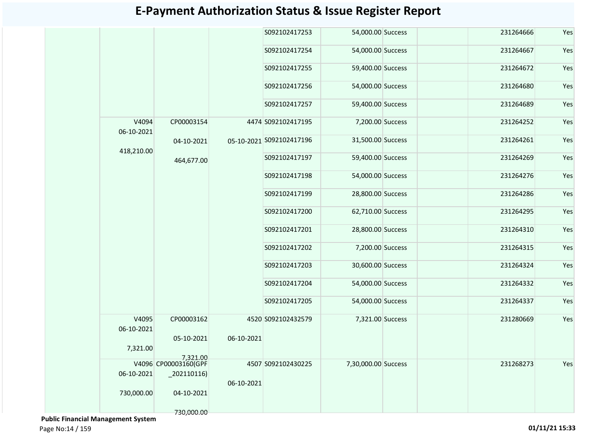|                     |                          |            | S092102417253            | 54,000.00 Success   | 231264666 | Yes |
|---------------------|--------------------------|------------|--------------------------|---------------------|-----------|-----|
|                     |                          |            | S092102417254            | 54,000.00 Success   | 231264667 | Yes |
|                     |                          |            | S092102417255            | 59,400.00 Success   | 231264672 | Yes |
|                     |                          |            | S092102417256            | 54,000.00 Success   | 231264680 | Yes |
|                     |                          |            | S092102417257            | 59,400.00 Success   | 231264689 | Yes |
| V4094<br>06-10-2021 | CP00003154               |            | 4474 S092102417195       | 7,200.00 Success    | 231264252 | Yes |
| 418,210.00          | 04-10-2021               |            | 05-10-2021 5092102417196 | 31,500.00 Success   | 231264261 | Yes |
|                     | 464,677.00               |            | S092102417197            | 59,400.00 Success   | 231264269 | Yes |
|                     |                          |            | S092102417198            | 54,000.00 Success   | 231264276 | Yes |
|                     |                          |            | S092102417199            | 28,800.00 Success   | 231264286 | Yes |
|                     |                          |            | S092102417200            | 62,710.00 Success   | 231264295 | Yes |
|                     |                          |            | S092102417201            | 28,800.00 Success   | 231264310 | Yes |
|                     |                          |            | S092102417202            | 7,200.00 Success    | 231264315 | Yes |
|                     |                          |            | S092102417203            | 30,600.00 Success   | 231264324 | Yes |
|                     |                          |            | S092102417204            | 54,000.00 Success   | 231264332 | Yes |
|                     |                          |            | S092102417205            | 54,000.00 Success   | 231264337 | Yes |
| V4095<br>06-10-2021 | CP00003162               |            | 4520 S092102432579       | 7,321.00 Success    | 231280669 | Yes |
|                     | 05-10-2021               | 06-10-2021 |                          |                     |           |     |
| 7,321.00            | 7.321.00                 |            |                          |                     |           |     |
|                     | V4096 CP00003160(GPF     |            | 4507 S092102430225       | 7,30,000.00 Success | 231268273 | Yes |
| 06-10-2021          | $\left[202110116\right)$ | 06-10-2021 |                          |                     |           |     |
| 730,000.00          | 04-10-2021               |            |                          |                     |           |     |
|                     | 730,000.00               |            |                          |                     |           |     |

 **Public Financial Management System** 

Page No:14 / 159 **01/11/21 15:33**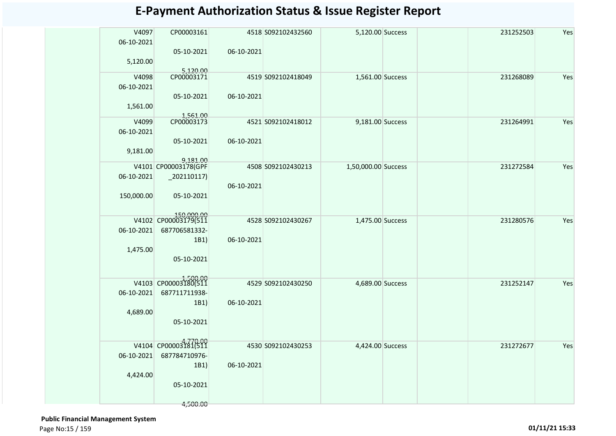| V4097<br>06-10-2021<br>5,120.00 | CP00003161<br>05-10-2021                                                  | 06-10-2021 | 4518 S092102432560 | 5,120.00 Success    |  | 231252503 | Yes |
|---------------------------------|---------------------------------------------------------------------------|------------|--------------------|---------------------|--|-----------|-----|
| V4098<br>06-10-2021<br>1,561.00 | 5,120.00<br>CP00003171<br>05-10-2021                                      | 06-10-2021 | 4519 S092102418049 | 1,561.00 Success    |  | 231268089 | Yes |
| V4099<br>06-10-2021<br>9,181.00 | 1,561.00<br>CP00003173<br>05-10-2021                                      | 06-10-2021 | 4521 S092102418012 | 9,181.00 Success    |  | 231264991 | Yes |
| 06-10-2021<br>150,000.00        | 9,181.00<br>V4101 CP00003178(GPF<br>$_2$ 02110117)<br>05-10-2021          | 06-10-2021 | 4508 S092102430213 | 1,50,000.00 Success |  | 231272584 | Yes |
| 06-10-2021<br>1,475.00          | 150,000.00<br>V4102 CP00003179(511<br>687706581332-<br>1B1)<br>05-10-2021 | 06-10-2021 | 4528 S092102430267 | 1,475.00 Success    |  | 231280576 | Yes |
| 06-10-2021<br>4,689.00          | V4103 CP00003180(511<br>687711711938-<br>1B1)<br>05-10-2021               | 06-10-2021 | 4529 S092102430250 | 4,689.00 Success    |  | 231252147 | Yes |
| 06-10-2021<br>4,424.00          | V4104 CP00003181(511<br>687784710976-<br>1B1)<br>05-10-2021<br>4,500.00   | 06-10-2021 | 4530 S092102430253 | 4,424.00 Success    |  | 231272677 | Yes |

 **Public Financial Management System**  Page No:15 / 159 **01/11/21 15:33**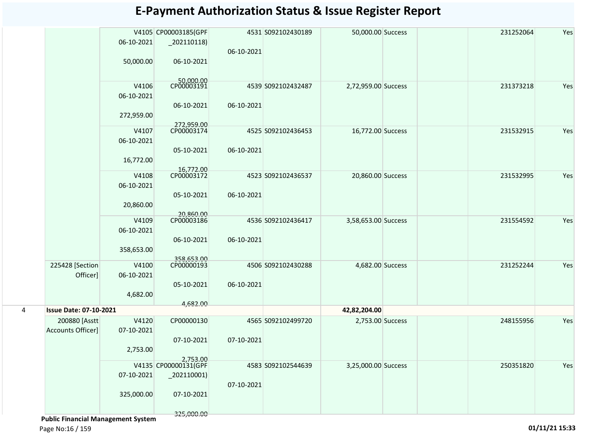|   |                               |            | V4105 CP00003185(GPF                       |            | 4531 S092102430189 | 50,000.00 Success   | 231252064 | Yes |
|---|-------------------------------|------------|--------------------------------------------|------------|--------------------|---------------------|-----------|-----|
|   |                               | 06-10-2021 | $\left  \right $ 202110118)                |            |                    |                     |           |     |
|   |                               |            |                                            | 06-10-2021 |                    |                     |           |     |
|   |                               | 50,000.00  | 06-10-2021                                 |            |                    |                     |           |     |
|   |                               |            |                                            |            |                    |                     |           |     |
|   |                               |            |                                            |            |                    |                     |           |     |
|   |                               | V4106      | 50,000.00<br>CP00003191                    |            | 4539 S092102432487 | 2,72,959.00 Success | 231373218 | Yes |
|   |                               | 06-10-2021 |                                            |            |                    |                     |           |     |
|   |                               |            | 06-10-2021                                 | 06-10-2021 |                    |                     |           |     |
|   |                               | 272,959.00 |                                            |            |                    |                     |           |     |
|   |                               |            | 272,959.00                                 |            |                    |                     |           |     |
|   |                               | V4107      | CP00003174                                 |            | 4525 S092102436453 | 16,772.00 Success   | 231532915 | Yes |
|   |                               | 06-10-2021 |                                            |            |                    |                     |           |     |
|   |                               |            | 05-10-2021                                 | 06-10-2021 |                    |                     |           |     |
|   |                               | 16,772.00  |                                            |            |                    |                     |           |     |
|   |                               |            | 16,772.00<br>CP00003172                    |            |                    |                     |           |     |
|   |                               | V4108      |                                            |            | 4523 S092102436537 | 20,860.00 Success   | 231532995 | Yes |
|   |                               | 06-10-2021 |                                            |            |                    |                     |           |     |
|   |                               |            | 05-10-2021                                 | 06-10-2021 |                    |                     |           |     |
|   |                               | 20,860.00  |                                            |            |                    |                     |           |     |
|   |                               |            | 20,860.00                                  |            |                    |                     |           |     |
|   |                               | V4109      | CP00003186                                 |            | 4536 S092102436417 | 3,58,653.00 Success | 231554592 | Yes |
|   |                               | 06-10-2021 |                                            |            |                    |                     |           |     |
|   |                               |            | 06-10-2021                                 | 06-10-2021 |                    |                     |           |     |
|   |                               | 358,653.00 |                                            |            |                    |                     |           |     |
|   | 225428 [Section               | V4100      | 358,653.00<br>CP00000193                   |            | 4506 S092102430288 | 4,682.00 Success    | 231252244 | Yes |
|   | Officer]                      | 06-10-2021 |                                            |            |                    |                     |           |     |
|   |                               |            | 05-10-2021                                 | 06-10-2021 |                    |                     |           |     |
|   |                               | 4,682.00   |                                            |            |                    |                     |           |     |
|   |                               |            | 4,682.00                                   |            |                    |                     |           |     |
| 4 | <b>Issue Date: 07-10-2021</b> |            |                                            |            |                    | 42,82,204.00        |           |     |
|   | 200880 [Asstt                 | V4120      | CP00000130                                 |            | 4565 S092102499720 | 2,753.00 Success    | 248155956 | Yes |
|   | Accounts Officer]             | 07-10-2021 |                                            |            |                    |                     |           |     |
|   |                               |            | 07-10-2021                                 | 07-10-2021 |                    |                     |           |     |
|   |                               | 2,753.00   |                                            |            |                    |                     |           |     |
|   |                               |            | 2,753.00                                   |            |                    |                     |           |     |
|   |                               |            | V4135 CP00000131(GPF                       |            | 4583 S092102544639 | 3,25,000.00 Success | 250351820 | Yes |
|   |                               | 07-10-2021 | $\left  \frac{202110001}{2000001} \right $ |            |                    |                     |           |     |
|   |                               |            |                                            | 07-10-2021 |                    |                     |           |     |
|   |                               | 325,000.00 | 07-10-2021                                 |            |                    |                     |           |     |
|   |                               |            |                                            |            |                    |                     |           |     |
|   |                               |            | 325,000.00                                 |            |                    |                     |           |     |

 **Public Financial Management System** 

Page No:16 / 159 **01/11/21 15:33**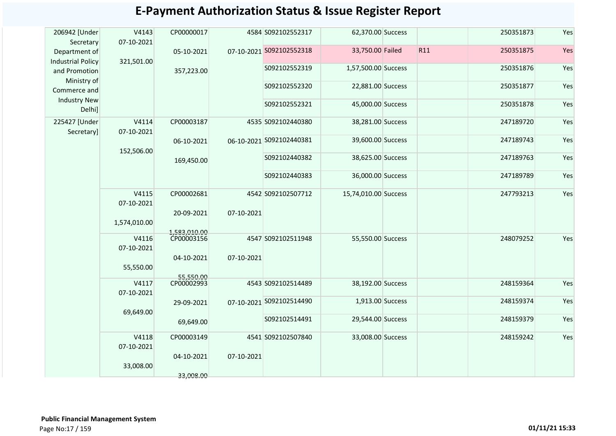| <b>E-Payment Authorization Status &amp; Issue Register Report</b> |  |
|-------------------------------------------------------------------|--|
|-------------------------------------------------------------------|--|

| 206942 [Under<br>Secretary                | V4143<br>07-10-2021 | CP00000017                 |            | 4584 S092102552317       | 62,370.00 Success    |     | 250351873 | Yes |
|-------------------------------------------|---------------------|----------------------------|------------|--------------------------|----------------------|-----|-----------|-----|
| Department of<br><b>Industrial Policy</b> | 321,501.00          | 05-10-2021                 |            | 07-10-2021 S092102552318 | 33,750.00 Failed     | R11 | 250351875 | Yes |
| and Promotion                             |                     | 357,223.00                 |            | S092102552319            | 1,57,500.00 Success  |     | 250351876 | Yes |
| Ministry of<br>Commerce and               |                     |                            |            | S092102552320            | 22,881.00 Success    |     | 250351877 | Yes |
| <b>Industry New</b><br>Delhi]             |                     |                            |            | S092102552321            | 45,000.00 Success    |     | 250351878 | Yes |
| 225427 [Under<br>Secretary]               | V4114<br>07-10-2021 | CP00003187                 |            | 4535 S092102440380       | 38,281.00 Success    |     | 247189720 | Yes |
|                                           | 152,506.00          | 06-10-2021                 |            | 06-10-2021 5092102440381 | 39,600.00 Success    |     | 247189743 | Yes |
|                                           |                     | 169,450.00                 |            | S092102440382            | 38,625.00 Success    |     | 247189763 | Yes |
|                                           |                     |                            |            | S092102440383            | 36,000.00 Success    |     | 247189789 | Yes |
|                                           | V4115<br>07-10-2021 | CP00002681                 |            | 4542 S092102507712       | 15,74,010.00 Success |     | 247793213 | Yes |
|                                           | 1,574,010.00        | 20-09-2021<br>1.583.010.00 | 07-10-2021 |                          |                      |     |           |     |
|                                           | V4116<br>07-10-2021 | CP00003156                 |            | 4547 S092102511948       | 55,550.00 Success    |     | 248079252 | Yes |
|                                           | 55,550.00           | 04-10-2021                 | 07-10-2021 |                          |                      |     |           |     |
|                                           | V4117<br>07-10-2021 | 55.550.00<br>CP00002993    |            | 4543 S092102514489       | 38,192.00 Success    |     | 248159364 | Yes |
|                                           | 69,649.00           | 29-09-2021                 |            | 07-10-2021 S092102514490 | 1,913.00 Success     |     | 248159374 | Yes |
|                                           |                     | 69,649.00                  |            | S092102514491            | 29,544.00 Success    |     | 248159379 | Yes |
|                                           | V4118<br>07-10-2021 | CP00003149                 |            | 4541 S092102507840       | 33,008.00 Success    |     | 248159242 | Yes |
|                                           | 33,008.00           | 04-10-2021                 | 07-10-2021 |                          |                      |     |           |     |
|                                           |                     | 33,008.00                  |            |                          |                      |     |           |     |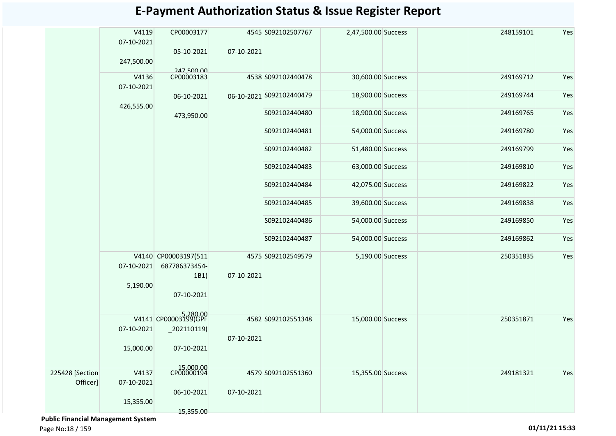|                 | V4119<br>07-10-2021 | CP00003177<br>05-10-2021 | 07-10-2021 | 4545 S092102507767       | 2,47,500.00 Success | 248159101 | Yes |
|-----------------|---------------------|--------------------------|------------|--------------------------|---------------------|-----------|-----|
|                 | 247,500.00          |                          |            |                          |                     |           |     |
|                 | V4136<br>07-10-2021 | 247,500.00<br>CP00003183 |            | 4538 S092102440478       | 30,600.00 Success   | 249169712 | Yes |
|                 | 426,555.00          | 06-10-2021               |            | 06-10-2021 5092102440479 | 18,900.00 Success   | 249169744 | Yes |
|                 |                     | 473,950.00               |            | S092102440480            | 18,900.00 Success   | 249169765 | Yes |
|                 |                     |                          |            | S092102440481            | 54,000.00 Success   | 249169780 | Yes |
|                 |                     |                          |            | S092102440482            | 51,480.00 Success   | 249169799 | Yes |
|                 |                     |                          |            | S092102440483            | 63,000.00 Success   | 249169810 | Yes |
|                 |                     |                          |            | S092102440484            | 42,075.00 Success   | 249169822 | Yes |
|                 |                     |                          |            | S092102440485            | 39,600.00 Success   | 249169838 | Yes |
|                 |                     |                          |            | S092102440486            | 54,000.00 Success   | 249169850 | Yes |
|                 |                     |                          |            | S092102440487            | 54,000.00 Success   | 249169862 | Yes |
|                 |                     | V4140 CP00003197(511     |            | 4575 S092102549579       | 5,190.00 Success    | 250351835 | Yes |
|                 | 07-10-2021          | 687786373454-            |            |                          |                     |           |     |
|                 | 5,190.00            | 1B1)<br>07-10-2021       | 07-10-2021 |                          |                     |           |     |
|                 |                     | V4141 CP00003199(GPF     |            | 4582 S092102551348       | 15,000.00 Success   | 250351871 | Yes |
|                 | 07-10-2021          | $_2$ 202110119)          | 07-10-2021 |                          |                     |           |     |
|                 | 15,000.00           | 07-10-2021               |            |                          |                     |           |     |
| 225428 [Section | V4137               | 15,000.00<br>CP00000194  |            | 4579 S092102551360       | 15,355.00 Success   | 249181321 | Yes |
| Officer]        | 07-10-2021          | 06-10-2021               | 07-10-2021 |                          |                     |           |     |
|                 | 15,355.00           |                          |            |                          |                     |           |     |
|                 |                     | 15,355.00                |            |                          |                     |           |     |

 **Public Financial Management System** 

Page No:18 / 159 **01/11/21 15:33**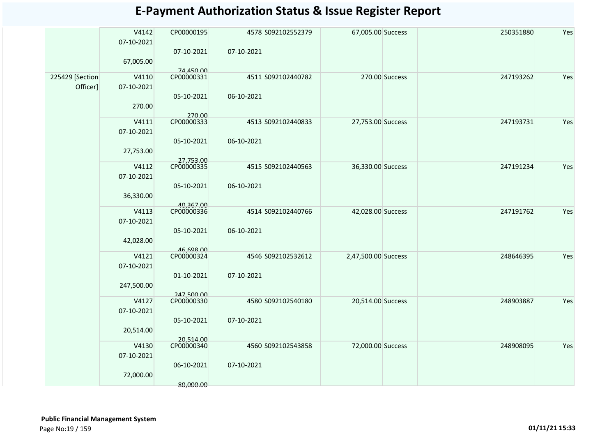|                 | V4142      | CP00000195              |            | 4578 S092102552379 | 67,005.00 Success   |                | 250351880 | Yes |
|-----------------|------------|-------------------------|------------|--------------------|---------------------|----------------|-----------|-----|
|                 | 07-10-2021 |                         |            |                    |                     |                |           |     |
|                 |            | 07-10-2021              | 07-10-2021 |                    |                     |                |           |     |
|                 | 67,005.00  |                         |            |                    |                     |                |           |     |
| 225429 [Section | V4110      | 74,450.00<br>CP00000331 |            | 4511 S092102440782 |                     | 270.00 Success | 247193262 | Yes |
| Officer]        | 07-10-2021 |                         |            |                    |                     |                |           |     |
|                 |            | 05-10-2021              | 06-10-2021 |                    |                     |                |           |     |
|                 | 270.00     |                         |            |                    |                     |                |           |     |
|                 |            | 270.00                  |            |                    |                     |                |           |     |
|                 | V4111      | CP00000333              |            | 4513 S092102440833 | 27,753.00 Success   |                | 247193731 | Yes |
|                 | 07-10-2021 |                         |            |                    |                     |                |           |     |
|                 |            | 05-10-2021              | 06-10-2021 |                    |                     |                |           |     |
|                 | 27,753.00  | 27,753.00               |            |                    |                     |                |           |     |
|                 | V4112      | CP00000335              |            | 4515 S092102440563 | 36,330.00 Success   |                | 247191234 | Yes |
|                 | 07-10-2021 |                         |            |                    |                     |                |           |     |
|                 |            | 05-10-2021              | 06-10-2021 |                    |                     |                |           |     |
|                 | 36,330.00  |                         |            |                    |                     |                |           |     |
|                 | V4113      | 40,367.00<br>CP00000336 |            | 4514 S092102440766 | 42,028.00 Success   |                | 247191762 | Yes |
|                 | 07-10-2021 |                         |            |                    |                     |                |           |     |
|                 |            | 05-10-2021              | 06-10-2021 |                    |                     |                |           |     |
|                 | 42,028.00  |                         |            |                    |                     |                |           |     |
|                 |            | 46,698.00               |            |                    |                     |                |           |     |
|                 | V4121      | CP00000324              |            | 4546 S092102532612 | 2,47,500.00 Success |                | 248646395 | Yes |
|                 | 07-10-2021 | 01-10-2021              | 07-10-2021 |                    |                     |                |           |     |
|                 | 247,500.00 |                         |            |                    |                     |                |           |     |
|                 |            | 247,500.00              |            |                    |                     |                |           |     |
|                 | V4127      | CP00000330              |            | 4580 S092102540180 | 20,514.00 Success   |                | 248903887 | Yes |
|                 | 07-10-2021 |                         |            |                    |                     |                |           |     |
|                 |            | 05-10-2021              | 07-10-2021 |                    |                     |                |           |     |
|                 | 20,514.00  |                         |            |                    |                     |                |           |     |
|                 | V4130      | 20.514.00<br>CP00000340 |            | 4560 S092102543858 | 72,000.00 Success   |                | 248908095 | Yes |
|                 | 07-10-2021 |                         |            |                    |                     |                |           |     |
|                 |            | 06-10-2021              | 07-10-2021 |                    |                     |                |           |     |
|                 | 72,000.00  |                         |            |                    |                     |                |           |     |
|                 |            | 80,000.00               |            |                    |                     |                |           |     |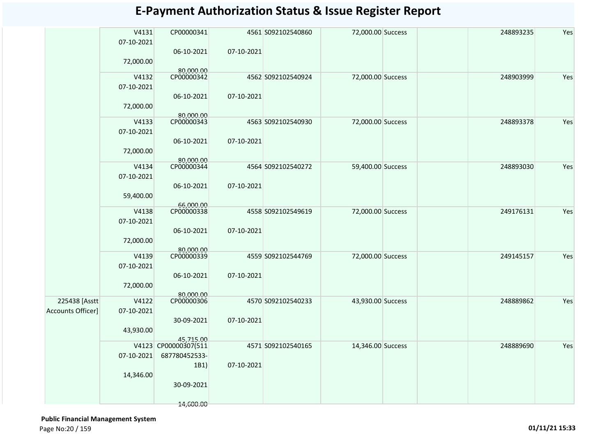|                          | V4131<br>07-10-2021 | CP00000341              |            | 4561 S092102540860 | 72,000.00 Success | 248893235 | Yes |
|--------------------------|---------------------|-------------------------|------------|--------------------|-------------------|-----------|-----|
|                          | 72,000.00           | 06-10-2021              | 07-10-2021 |                    |                   |           |     |
|                          |                     | 80,000.00<br>CP00000342 |            | 4562 S092102540924 |                   | 248903999 | Yes |
|                          | V4132<br>07-10-2021 |                         |            |                    | 72,000.00 Success |           |     |
|                          | 72,000.00           | 06-10-2021              | 07-10-2021 |                    |                   |           |     |
|                          |                     | 80,000.00               |            |                    |                   |           |     |
|                          | V4133               | CP00000343              |            | 4563 S092102540930 | 72,000.00 Success | 248893378 | Yes |
|                          | 07-10-2021          |                         |            |                    |                   |           |     |
|                          | 72,000.00           | 06-10-2021              | 07-10-2021 |                    |                   |           |     |
|                          |                     | 80.000.00               |            |                    |                   |           |     |
|                          | V4134               | CP00000344              |            | 4564 S092102540272 | 59,400.00 Success | 248893030 | Yes |
|                          | 07-10-2021          |                         |            |                    |                   |           |     |
|                          |                     | 06-10-2021              | 07-10-2021 |                    |                   |           |     |
|                          | 59,400.00           |                         |            |                    |                   |           |     |
|                          |                     | 66,000.00<br>CP00000338 |            |                    |                   | 249176131 | Yes |
|                          | V4138               |                         |            | 4558 S092102549619 | 72,000.00 Success |           |     |
|                          | 07-10-2021          |                         |            |                    |                   |           |     |
|                          |                     | 06-10-2021              | 07-10-2021 |                    |                   |           |     |
|                          | 72,000.00           |                         |            |                    |                   |           |     |
|                          | V4139               | 80.000.00<br>CP00000339 |            | 4559 S092102544769 | 72,000.00 Success | 249145157 | Yes |
|                          | 07-10-2021          |                         |            |                    |                   |           |     |
|                          |                     |                         |            |                    |                   |           |     |
|                          |                     | 06-10-2021              | 07-10-2021 |                    |                   |           |     |
|                          | 72,000.00           |                         |            |                    |                   |           |     |
| 225438 [Asstt            | V4122               | 80.000.00<br>CP00000306 |            | 4570 S092102540233 | 43,930.00 Success | 248889862 | Yes |
| <b>Accounts Officer]</b> | 07-10-2021          |                         |            |                    |                   |           |     |
|                          |                     | 30-09-2021              | 07-10-2021 |                    |                   |           |     |
|                          | 43,930.00           |                         |            |                    |                   |           |     |
|                          |                     | 45,715.00               |            |                    |                   |           |     |
|                          |                     | V4123 CP00000307(511    |            | 4571 S092102540165 | 14,346.00 Success | 248889690 | Yes |
|                          | 07-10-2021          | 687780452533-           |            |                    |                   |           |     |
|                          |                     | 1B1)                    | 07-10-2021 |                    |                   |           |     |
|                          | 14,346.00           |                         |            |                    |                   |           |     |
|                          |                     | 30-09-2021              |            |                    |                   |           |     |
|                          |                     |                         |            |                    |                   |           |     |
|                          |                     | 14,600.00               |            |                    |                   |           |     |

 **Public Financial Management System** 

Page No:20 / 159 **01/11/21 15:33**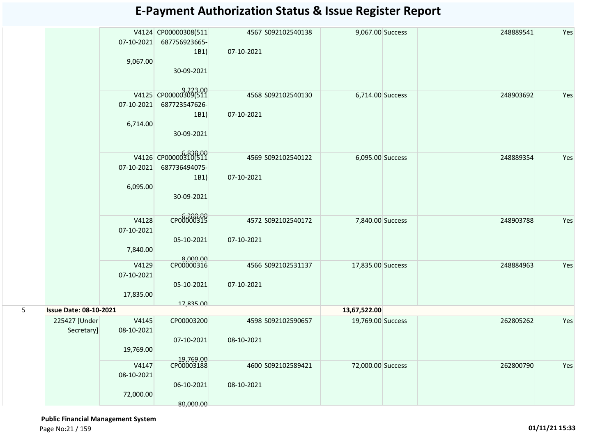|   |                               | 07-10-2021<br>9,067.00           | V4124 CP00000308(511<br>687756923665-<br>1B1)<br>30-09-2021 | 07-10-2021 | 4567 S092102540138 | 9,067.00 Success  | 248889541 | Yes |
|---|-------------------------------|----------------------------------|-------------------------------------------------------------|------------|--------------------|-------------------|-----------|-----|
|   |                               | 07-10-2021<br>6,714.00           | V4125 CP00000309(511<br>687723547626-<br>1B1)<br>30-09-2021 | 07-10-2021 | 4568 S092102540130 | 6,714.00 Success  | 248903692 | Yes |
|   |                               | 07-10-2021<br>6,095.00           | V4126 CP00000310(511<br>687736494075-<br>1B1)<br>30-09-2021 | 07-10-2021 | 4569 S092102540122 | 6,095.00 Success  | 248889354 | Yes |
|   |                               | V4128<br>07-10-2021<br>7,840.00  | CP00000315<br>05-10-2021                                    | 07-10-2021 | 4572 S092102540172 | 7,840.00 Success  | 248903788 | Yes |
|   |                               | V4129<br>07-10-2021<br>17,835.00 | 8,000.00<br>CP00000316<br>05-10-2021<br>17,835.00           | 07-10-2021 | 4566 S092102531137 | 17,835.00 Success | 248884963 | Yes |
| 5 | <b>Issue Date: 08-10-2021</b> |                                  |                                                             |            |                    | 13,67,522.00      |           |     |
|   | 225427 [Under<br>Secretary]   | V4145<br>08-10-2021<br>19,769.00 | CP00003200<br>07-10-2021                                    | 08-10-2021 | 4598 S092102590657 | 19,769.00 Success | 262805262 | Yes |
|   |                               | V4147<br>08-10-2021<br>72,000.00 | 19,769.00<br>06-10-2021<br>80,000.00                        | 08-10-2021 | 4600 S092102589421 | 72,000.00 Success | 262800790 | Yes |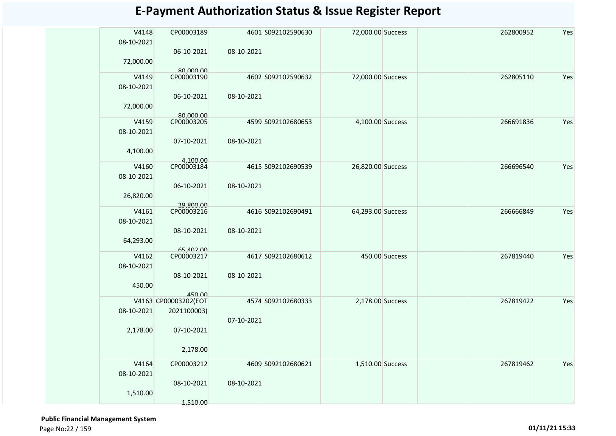| V4148      | CP00003189              |            | 4601 S092102590630 | 72,000.00 Success |                | 262800952 | Yes |
|------------|-------------------------|------------|--------------------|-------------------|----------------|-----------|-----|
| 08-10-2021 |                         |            |                    |                   |                |           |     |
|            | 06-10-2021              | 08-10-2021 |                    |                   |                |           |     |
|            |                         |            |                    |                   |                |           |     |
| 72,000.00  |                         |            |                    |                   |                |           |     |
|            | 80,000.00               |            |                    |                   |                |           |     |
| V4149      | CP00003190              |            | 4602 S092102590632 | 72,000.00 Success |                | 262805110 | Yes |
| 08-10-2021 |                         |            |                    |                   |                |           |     |
|            | 06-10-2021              | 08-10-2021 |                    |                   |                |           |     |
| 72,000.00  |                         |            |                    |                   |                |           |     |
|            |                         |            |                    |                   |                |           |     |
| V4159      | 80,000.00<br>CP00003205 |            |                    | 4,100.00 Success  |                | 266691836 | Yes |
|            |                         |            | 4599 S092102680653 |                   |                |           |     |
| 08-10-2021 |                         |            |                    |                   |                |           |     |
|            | 07-10-2021              | 08-10-2021 |                    |                   |                |           |     |
| 4,100.00   |                         |            |                    |                   |                |           |     |
|            | 4,100.00                |            |                    |                   |                |           |     |
| V4160      | CP00003184              |            | 4615 S092102690539 | 26,820.00 Success |                | 266696540 | Yes |
| 08-10-2021 |                         |            |                    |                   |                |           |     |
|            |                         |            |                    |                   |                |           |     |
|            | 06-10-2021              | 08-10-2021 |                    |                   |                |           |     |
| 26,820.00  |                         |            |                    |                   |                |           |     |
|            | 29,800.00               |            |                    |                   |                |           |     |
| V4161      | CP00003216              |            | 4616 S092102690491 | 64,293.00 Success |                | 266666849 | Yes |
| 08-10-2021 |                         |            |                    |                   |                |           |     |
|            |                         |            |                    |                   |                |           |     |
|            | 08-10-2021              | 08-10-2021 |                    |                   |                |           |     |
| 64,293.00  |                         |            |                    |                   |                |           |     |
|            | 65,402.00               |            |                    |                   |                |           |     |
| V4162      | CP00003217              |            | 4617 S092102680612 |                   | 450.00 Success | 267819440 | Yes |
| 08-10-2021 |                         |            |                    |                   |                |           |     |
|            | 08-10-2021              | 08-10-2021 |                    |                   |                |           |     |
|            |                         |            |                    |                   |                |           |     |
| 450.00     |                         |            |                    |                   |                |           |     |
|            | 450.00                  |            |                    |                   |                |           |     |
|            | V4163 CP00003202(EOT    |            | 4574 S092102680333 | 2,178.00 Success  |                | 267819422 | Yes |
| 08-10-2021 | 2021100003)             |            |                    |                   |                |           |     |
|            |                         | 07-10-2021 |                    |                   |                |           |     |
| 2,178.00   | 07-10-2021              |            |                    |                   |                |           |     |
|            |                         |            |                    |                   |                |           |     |
|            |                         |            |                    |                   |                |           |     |
|            | 2,178.00                |            |                    |                   |                |           |     |
|            |                         |            |                    |                   |                |           |     |
| V4164      | CP00003212              |            | 4609 S092102680621 | 1,510.00 Success  |                | 267819462 | Yes |
| 08-10-2021 |                         |            |                    |                   |                |           |     |
|            | 08-10-2021              | 08-10-2021 |                    |                   |                |           |     |
| 1,510.00   |                         |            |                    |                   |                |           |     |
|            |                         |            |                    |                   |                |           |     |
|            | 1,510.00                |            |                    |                   |                |           |     |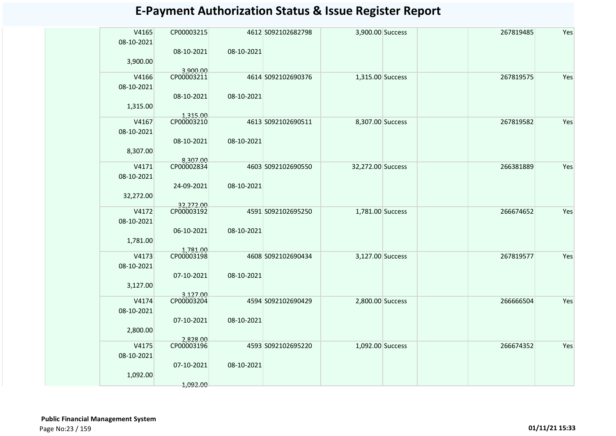| V4165<br>08-10-2021 | CP00003215<br>08-10-2021 | 08-10-2021 | 4612 S092102682798 | 3,900.00 Success  |  | 267819485 | Yes |
|---------------------|--------------------------|------------|--------------------|-------------------|--|-----------|-----|
| 3,900.00            | 3.900.00                 |            |                    |                   |  |           |     |
| V4166               | CP00003211               |            | 4614 S092102690376 | 1,315.00 Success  |  | 267819575 | Yes |
| 08-10-2021          | 08-10-2021               | 08-10-2021 |                    |                   |  |           |     |
| 1,315.00            |                          |            |                    |                   |  |           |     |
| V4167               | 1,315.00<br>CP00003210   |            | 4613 S092102690511 | 8,307.00 Success  |  | 267819582 | Yes |
| 08-10-2021          |                          |            |                    |                   |  |           |     |
|                     | 08-10-2021               | 08-10-2021 |                    |                   |  |           |     |
| 8,307.00            |                          |            |                    |                   |  |           |     |
| V4171               | 8,307.00<br>CP00002834   |            | 4603 S092102690550 | 32,272.00 Success |  | 266381889 | Yes |
| 08-10-2021          |                          |            |                    |                   |  |           |     |
|                     | 24-09-2021               | 08-10-2021 |                    |                   |  |           |     |
| 32,272.00           |                          |            |                    |                   |  |           |     |
| V4172               | 32,272.00<br>CP00003192  |            | 4591 S092102695250 | 1,781.00 Success  |  | 266674652 | Yes |
| 08-10-2021          |                          |            |                    |                   |  |           |     |
|                     | 06-10-2021               | 08-10-2021 |                    |                   |  |           |     |
| 1,781.00            |                          |            |                    |                   |  |           |     |
| V4173               | 1,781.00<br>CP00003198   |            | 4608 S092102690434 |                   |  | 267819577 | Yes |
| 08-10-2021          |                          |            |                    | 3,127.00 Success  |  |           |     |
|                     | 07-10-2021               | 08-10-2021 |                    |                   |  |           |     |
| 3,127.00            |                          |            |                    |                   |  |           |     |
|                     | 3,127.00<br>CP00003204   |            |                    |                   |  |           |     |
| V4174<br>08-10-2021 |                          |            | 4594 S092102690429 | 2,800.00 Success  |  | 266666504 | Yes |
|                     | 07-10-2021               | 08-10-2021 |                    |                   |  |           |     |
| 2,800.00            |                          |            |                    |                   |  |           |     |
|                     | 2.828.00                 |            |                    |                   |  |           |     |
| V4175               | CP00003196               |            | 4593 S092102695220 | 1,092.00 Success  |  | 266674352 | Yes |
| 08-10-2021          | 07-10-2021               | 08-10-2021 |                    |                   |  |           |     |
| 1,092.00            |                          |            |                    |                   |  |           |     |
|                     | 1,092.00                 |            |                    |                   |  |           |     |
|                     |                          |            |                    |                   |  |           |     |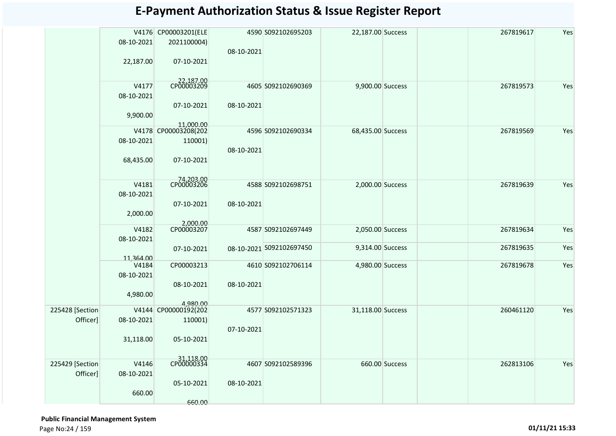|                 |                    | V4176 CP00003201(ELE             |            | 4590 S092102695203       | 22,187.00 Success |                | 267819617 | Yes |
|-----------------|--------------------|----------------------------------|------------|--------------------------|-------------------|----------------|-----------|-----|
|                 | 08-10-2021         | 2021100004)                      |            |                          |                   |                |           |     |
|                 |                    |                                  | 08-10-2021 |                          |                   |                |           |     |
|                 | 22,187.00          | 07-10-2021                       |            |                          |                   |                |           |     |
|                 |                    |                                  |            |                          |                   |                |           |     |
|                 |                    |                                  |            |                          |                   |                |           |     |
|                 | V4177              | 22,187.00<br>CP00003209          |            | 4605 S092102690369       | 9,900.00 Success  |                | 267819573 | Yes |
|                 | 08-10-2021         |                                  |            |                          |                   |                |           |     |
|                 |                    | 07-10-2021                       | 08-10-2021 |                          |                   |                |           |     |
|                 | 9,900.00           |                                  |            |                          |                   |                |           |     |
|                 |                    | 11,000.00                        |            |                          |                   |                |           |     |
|                 |                    | V4178 CP00003208(202             |            | 4596 S092102690334       | 68,435.00 Success |                | 267819569 | Yes |
|                 | 08-10-2021         | 110001)                          |            |                          |                   |                |           |     |
|                 |                    |                                  | 08-10-2021 |                          |                   |                |           |     |
|                 | 68,435.00          | 07-10-2021                       |            |                          |                   |                |           |     |
|                 |                    |                                  |            |                          |                   |                |           |     |
|                 |                    |                                  |            |                          |                   |                |           |     |
|                 | V4181              | 74,203.00<br>CP00003206          |            | 4588 S092102698751       | 2,000.00 Success  |                | 267819639 | Yes |
|                 | 08-10-2021         |                                  |            |                          |                   |                |           |     |
|                 |                    |                                  | 08-10-2021 |                          |                   |                |           |     |
|                 |                    | 07-10-2021                       |            |                          |                   |                |           |     |
|                 | 2,000.00           |                                  |            |                          |                   |                |           |     |
|                 | V4182              | 2,000.00<br>CP00003207           |            | 4587 S092102697449       | 2,050.00 Success  |                | 267819634 | Yes |
|                 | 08-10-2021         |                                  |            |                          |                   |                |           |     |
|                 |                    |                                  |            | 08-10-2021 5092102697450 | 9,314.00 Success  |                | 267819635 | Yes |
|                 |                    | 07-10-2021                       |            |                          |                   |                |           |     |
|                 | 11,364.00<br>V4184 | CP00003213                       |            | 4610 S092102706114       | 4,980.00 Success  |                | 267819678 | Yes |
|                 | 08-10-2021         |                                  |            |                          |                   |                |           |     |
|                 |                    |                                  |            |                          |                   |                |           |     |
|                 |                    | 08-10-2021                       | 08-10-2021 |                          |                   |                |           |     |
|                 | 4,980.00           |                                  |            |                          |                   |                |           |     |
| 225428 [Section |                    | 4,980.00<br>V4144 CP00000192(202 |            | 4577 S092102571323       | 31,118.00 Success |                | 260461120 | Yes |
| Officer]        | 08-10-2021         |                                  |            |                          |                   |                |           |     |
|                 |                    | 110001)                          |            |                          |                   |                |           |     |
|                 |                    |                                  | 07-10-2021 |                          |                   |                |           |     |
|                 | 31,118.00          | 05-10-2021                       |            |                          |                   |                |           |     |
|                 |                    |                                  |            |                          |                   |                |           |     |
|                 |                    | 31,118.00<br>CP00000334          |            |                          |                   | 660.00 Success | 262813106 | Yes |
| 225429 [Section | V4146              |                                  |            | 4607 S092102589396       |                   |                |           |     |
| Officer]        | 08-10-2021         |                                  |            |                          |                   |                |           |     |
|                 |                    | 05-10-2021                       | 08-10-2021 |                          |                   |                |           |     |
|                 | 660.00             |                                  |            |                          |                   |                |           |     |
|                 |                    | 660.00                           |            |                          |                   |                |           |     |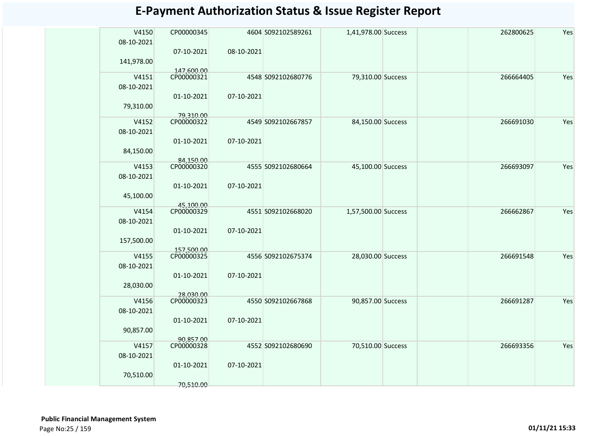| V4150<br>08-10-2021 | CP00000345               |            | 4604 S092102589261 | 1,41,978.00 Success |  | 262800625 | Yes |
|---------------------|--------------------------|------------|--------------------|---------------------|--|-----------|-----|
|                     | 07-10-2021               | 08-10-2021 |                    |                     |  |           |     |
| 141,978.00          | 147,600.00               |            |                    |                     |  |           |     |
| V4151               | CP00000321               |            | 4548 S092102680776 | 79,310.00 Success   |  | 266664405 | Yes |
| 08-10-2021          |                          |            |                    |                     |  |           |     |
|                     | 01-10-2021               | 07-10-2021 |                    |                     |  |           |     |
| 79,310.00           |                          |            |                    |                     |  |           |     |
| V4152               | 79.310.00<br>CP00000322  |            | 4549 S092102667857 | 84,150.00 Success   |  | 266691030 | Yes |
| 08-10-2021          |                          |            |                    |                     |  |           |     |
|                     | 01-10-2021               | 07-10-2021 |                    |                     |  |           |     |
| 84,150.00           |                          |            |                    |                     |  |           |     |
| V4153               | 84,150.00<br>CP00000320  |            | 4555 S092102680664 | 45,100.00 Success   |  | 266693097 | Yes |
| 08-10-2021          |                          |            |                    |                     |  |           |     |
|                     | 01-10-2021               | 07-10-2021 |                    |                     |  |           |     |
| 45,100.00           |                          |            |                    |                     |  |           |     |
| V4154               | 45,100.00<br>CP00000329  |            | 4551 S092102668020 | 1,57,500.00 Success |  | 266662867 | Yes |
| 08-10-2021          |                          |            |                    |                     |  |           |     |
|                     | 01-10-2021               | 07-10-2021 |                    |                     |  |           |     |
| 157,500.00          |                          |            |                    |                     |  |           |     |
| V4155               | 157,500.00<br>CP00000325 |            | 4556 S092102675374 | 28,030.00 Success   |  | 266691548 | Yes |
| 08-10-2021          |                          |            |                    |                     |  |           |     |
|                     | 01-10-2021               | 07-10-2021 |                    |                     |  |           |     |
| 28,030.00           |                          |            |                    |                     |  |           |     |
| V4156               | 28,030.00<br>CP00000323  |            | 4550 S092102667868 | 90,857.00 Success   |  | 266691287 | Yes |
| 08-10-2021          |                          |            |                    |                     |  |           |     |
|                     | 01-10-2021               | 07-10-2021 |                    |                     |  |           |     |
| 90,857.00           |                          |            |                    |                     |  |           |     |
| V4157               | 90.857.00<br>CP00000328  |            | 4552 S092102680690 | 70,510.00 Success   |  | 266693356 | Yes |
| 08-10-2021          |                          |            |                    |                     |  |           |     |
|                     | 01-10-2021               | 07-10-2021 |                    |                     |  |           |     |
| 70,510.00           |                          |            |                    |                     |  |           |     |
|                     | 70,510.00                |            |                    |                     |  |           |     |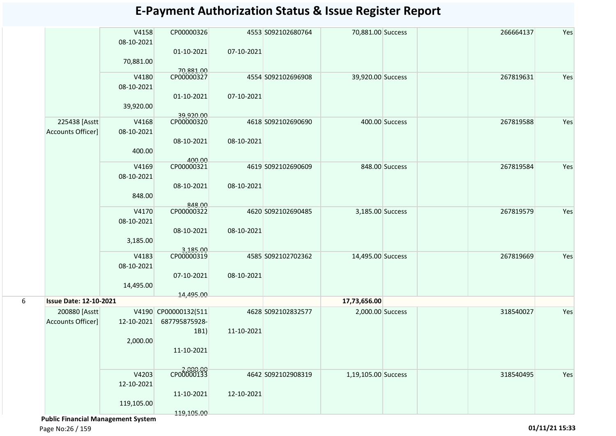| <b>E-Payment Authorization Status &amp; Issue Register Report</b> |  |  |
|-------------------------------------------------------------------|--|--|
|-------------------------------------------------------------------|--|--|

|   |                               | V4158<br>08-10-2021 | CP00000326              |            | 4553 S092102680764 | 70,881.00 Success   |                | 266664137 | Yes |
|---|-------------------------------|---------------------|-------------------------|------------|--------------------|---------------------|----------------|-----------|-----|
|   |                               | 70,881.00           | 01-10-2021              | 07-10-2021 |                    |                     |                |           |     |
|   |                               | V4180<br>08-10-2021 | 70,881.00<br>CP00000327 |            | 4554 S092102696908 | 39,920.00 Success   |                | 267819631 | Yes |
|   |                               | 39,920.00           | 01-10-2021<br>39,920.00 | 07-10-2021 |                    |                     |                |           |     |
|   | 225438 [Asstt                 | V4168               | CP00000320              |            | 4618 S092102690690 |                     | 400.00 Success | 267819588 | Yes |
|   | Accounts Officer]             | 08-10-2021          | 08-10-2021              | 08-10-2021 |                    |                     |                |           |     |
|   |                               | 400.00              | 400.00                  |            |                    |                     |                |           |     |
|   |                               | V4169               | CP00000321              |            | 4619 S092102690609 |                     | 848.00 Success | 267819584 | Yes |
|   |                               | 08-10-2021          |                         |            |                    |                     |                |           |     |
|   |                               |                     | 08-10-2021              | 08-10-2021 |                    |                     |                |           |     |
|   |                               | 848.00              |                         |            |                    |                     |                |           |     |
|   |                               | V4170               | 848.00<br>CP00000322    |            | 4620 S092102690485 | 3,185.00 Success    |                | 267819579 | Yes |
|   |                               | 08-10-2021          |                         |            |                    |                     |                |           |     |
|   |                               |                     | 08-10-2021              | 08-10-2021 |                    |                     |                |           |     |
|   |                               | 3,185.00            |                         |            |                    |                     |                |           |     |
|   |                               | V4183               | 3,185.00<br>CP00000319  |            |                    |                     |                |           | Yes |
|   |                               | 08-10-2021          |                         |            | 4585 S092102702362 | 14,495.00 Success   |                | 267819669 |     |
|   |                               |                     | 07-10-2021              | 08-10-2021 |                    |                     |                |           |     |
|   |                               | 14,495.00           |                         |            |                    |                     |                |           |     |
|   |                               |                     | 14,495.00               |            |                    |                     |                |           |     |
| 6 | <b>Issue Date: 12-10-2021</b> |                     |                         |            |                    | 17,73,656.00        |                |           |     |
|   | 200880 [Asstt]                |                     | V4190 CP00000132(511    |            | 4628 S092102832577 | 2,000.00 Success    |                | 318540027 | Yes |
|   | Accounts Officer]             | 12-10-2021          | 687795875928-           |            |                    |                     |                |           |     |
|   |                               | 2,000.00            | 1B1)                    | 11-10-2021 |                    |                     |                |           |     |
|   |                               |                     | 11-10-2021              |            |                    |                     |                |           |     |
|   |                               |                     |                         |            |                    |                     |                |           |     |
|   |                               | V4203               | CP00000133              |            | 4642 S092102908319 | 1,19,105.00 Success |                | 318540495 | Yes |
|   |                               | 12-10-2021          |                         |            |                    |                     |                |           |     |
|   |                               |                     | 11-10-2021              | 12-10-2021 |                    |                     |                |           |     |
|   |                               | 119,105.00          |                         |            |                    |                     |                |           |     |
|   |                               |                     | 119,105.00              |            |                    |                     |                |           |     |

 **Public Financial Management System**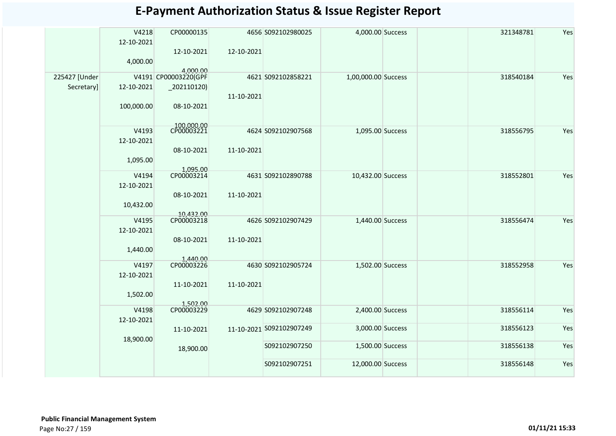|               | V4218      | CP00000135               |            | 4656 S092102980025       | 4,000.00 Success    | 321348781 | Yes |
|---------------|------------|--------------------------|------------|--------------------------|---------------------|-----------|-----|
|               | 12-10-2021 |                          |            |                          |                     |           |     |
|               |            | 12-10-2021               | 12-10-2021 |                          |                     |           |     |
|               | 4,000.00   | 4.000.00                 |            |                          |                     |           |     |
| 225427 [Under |            | V4191 CP00003220(GPF     |            | 4621 S092102858221       | 1,00,000.00 Success | 318540184 | Yes |
| Secretary]    | 12-10-2021 | $-202110120$             |            |                          |                     |           |     |
|               | 100,000.00 | 08-10-2021               | 11-10-2021 |                          |                     |           |     |
|               |            |                          |            |                          |                     |           |     |
|               | V4193      | 100,000.00<br>CP00003221 |            | 4624 S092102907568       | 1,095.00 Success    | 318556795 | Yes |
|               | 12-10-2021 |                          |            |                          |                     |           |     |
|               |            | 08-10-2021               | 11-10-2021 |                          |                     |           |     |
|               | 1,095.00   |                          |            |                          |                     |           |     |
|               | V4194      | 1,095.00<br>CP00003214   |            | 4631 S092102890788       | 10,432.00 Success   | 318552801 | Yes |
|               | 12-10-2021 |                          |            |                          |                     |           |     |
|               |            | 08-10-2021               | 11-10-2021 |                          |                     |           |     |
|               | 10,432.00  | 10,432.00                |            |                          |                     |           |     |
|               | V4195      | CP00003218               |            | 4626 S092102907429       | 1,440.00 Success    | 318556474 | Yes |
|               | 12-10-2021 |                          |            |                          |                     |           |     |
|               | 1,440.00   | 08-10-2021               | 11-10-2021 |                          |                     |           |     |
|               |            | 1,440.00                 |            |                          |                     |           |     |
|               | V4197      | CP00003226               |            | 4630 S092102905724       | 1,502.00 Success    | 318552958 | Yes |
|               | 12-10-2021 | 11-10-2021               | 11-10-2021 |                          |                     |           |     |
|               | 1,502.00   |                          |            |                          |                     |           |     |
|               | V4198      | 1,502.00<br>CP00003229   |            |                          |                     |           |     |
|               | 12-10-2021 |                          |            | 4629 S092102907248       | 2,400.00 Success    | 318556114 | Yes |
|               |            | 11-10-2021               |            | 11-10-2021 5092102907249 | 3,000.00 Success    | 318556123 | Yes |
|               | 18,900.00  |                          |            |                          |                     |           | Yes |
|               |            | 18,900.00                |            | S092102907250            | 1,500.00 Success    | 318556138 |     |
|               |            |                          |            | S092102907251            | 12,000.00 Success   | 318556148 | Yes |
|               |            |                          |            |                          |                     |           |     |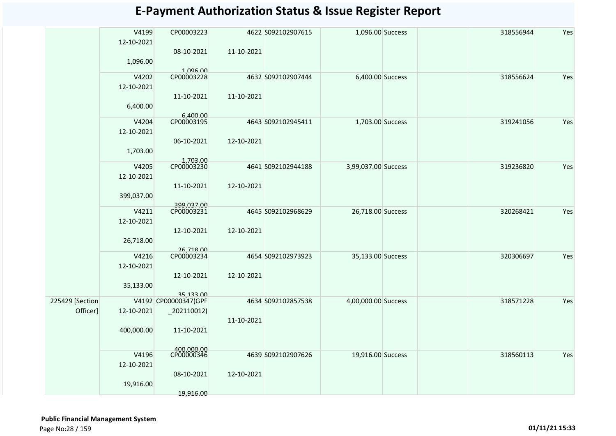|                 | V4199      | CP00003223                        |            | 4622 S092102907615 | 1,096.00 Success    | 318556944 | Yes |
|-----------------|------------|-----------------------------------|------------|--------------------|---------------------|-----------|-----|
|                 | 12-10-2021 |                                   |            |                    |                     |           |     |
|                 |            | 08-10-2021                        | 11-10-2021 |                    |                     |           |     |
|                 | 1,096.00   |                                   |            |                    |                     |           |     |
|                 |            |                                   |            |                    |                     |           |     |
|                 | V4202      | 1,096.00<br>CP00003228            |            | 4632 S092102907444 | 6,400.00 Success    | 318556624 | Yes |
|                 | 12-10-2021 |                                   |            |                    |                     |           |     |
|                 |            | 11-10-2021                        | 11-10-2021 |                    |                     |           |     |
|                 | 6,400.00   |                                   |            |                    |                     |           |     |
|                 |            |                                   |            |                    |                     |           |     |
|                 | V4204      | 6,400.00<br>CP00003195            |            | 4643 S092102945411 | 1,703.00 Success    | 319241056 | Yes |
|                 | 12-10-2021 |                                   |            |                    |                     |           |     |
|                 |            | 06-10-2021                        | 12-10-2021 |                    |                     |           |     |
|                 | 1,703.00   |                                   |            |                    |                     |           |     |
|                 |            | 1,703.00                          |            |                    |                     |           |     |
|                 | V4205      | CP00003230                        |            | 4641 S092102944188 | 3,99,037.00 Success | 319236820 | Yes |
|                 | 12-10-2021 |                                   |            |                    |                     |           |     |
|                 |            | 11-10-2021                        | 12-10-2021 |                    |                     |           |     |
|                 | 399,037.00 |                                   |            |                    |                     |           |     |
|                 |            | 399,037.00                        |            |                    |                     |           |     |
|                 | V4211      | CP00003231                        |            | 4645 S092102968629 | 26,718.00 Success   | 320268421 | Yes |
|                 | 12-10-2021 |                                   |            |                    |                     |           |     |
|                 |            | 12-10-2021                        | 12-10-2021 |                    |                     |           |     |
|                 | 26,718.00  |                                   |            |                    |                     |           |     |
|                 |            | 26,718.00<br>CP00003234           |            |                    |                     |           |     |
|                 | V4216      |                                   |            | 4654 S092102973923 | 35,133.00 Success   | 320306697 | Yes |
|                 | 12-10-2021 |                                   |            |                    |                     |           |     |
|                 |            | 12-10-2021                        | 12-10-2021 |                    |                     |           |     |
|                 | 35,133.00  |                                   |            |                    |                     |           |     |
|                 |            | 35,133.00<br>V4192 CP00000347(GPF |            |                    |                     |           |     |
| 225429 [Section |            |                                   |            | 4634 S092102857538 | 4,00,000.00 Success | 318571228 | Yes |
| Officer]        | 12-10-2021 | $_2$ 202110012)                   |            |                    |                     |           |     |
|                 |            |                                   | 11-10-2021 |                    |                     |           |     |
|                 | 400,000.00 | 11-10-2021                        |            |                    |                     |           |     |
|                 |            |                                   |            |                    |                     |           |     |
|                 | V4196      | 400,000.00<br>CP00000346          |            | 4639 S092102907626 | 19,916.00 Success   | 318560113 | Yes |
|                 | 12-10-2021 |                                   |            |                    |                     |           |     |
|                 |            |                                   |            |                    |                     |           |     |
|                 |            | 08-10-2021                        | 12-10-2021 |                    |                     |           |     |
|                 | 19,916.00  |                                   |            |                    |                     |           |     |
|                 |            | 19,916.00                         |            |                    |                     |           |     |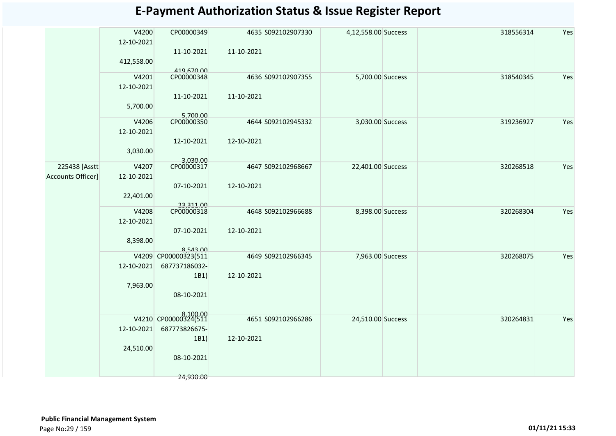| <b>E-Payment Authorization Status &amp; Issue Register Report</b> |  |  |
|-------------------------------------------------------------------|--|--|
|-------------------------------------------------------------------|--|--|

|                          | V4200      | CP00000349                       |            | 4635 S092102907330 | 4,12,558.00 Success |  | 318556314 | Yes |
|--------------------------|------------|----------------------------------|------------|--------------------|---------------------|--|-----------|-----|
|                          | 12-10-2021 |                                  |            |                    |                     |  |           |     |
|                          |            | 11-10-2021                       | 11-10-2021 |                    |                     |  |           |     |
|                          | 412,558.00 |                                  |            |                    |                     |  |           |     |
|                          | V4201      | 419,670.00<br>CP00000348         |            | 4636 S092102907355 | 5,700.00 Success    |  | 318540345 | Yes |
|                          | 12-10-2021 |                                  |            |                    |                     |  |           |     |
|                          |            | 11-10-2021                       | 11-10-2021 |                    |                     |  |           |     |
|                          | 5,700.00   |                                  |            |                    |                     |  |           |     |
|                          |            | 5,700.00<br>CP00000350           |            |                    |                     |  |           |     |
|                          | V4206      |                                  |            | 4644 S092102945332 | 3,030.00 Success    |  | 319236927 | Yes |
|                          | 12-10-2021 |                                  |            |                    |                     |  |           |     |
|                          |            | 12-10-2021                       | 12-10-2021 |                    |                     |  |           |     |
|                          | 3,030.00   |                                  |            |                    |                     |  |           |     |
| 225438 [Asstt            | V4207      | 3,030.00<br>CP00000317           |            | 4647 S092102968667 | 22,401.00 Success   |  | 320268518 | Yes |
| <b>Accounts Officer]</b> | 12-10-2021 |                                  |            |                    |                     |  |           |     |
|                          |            | 07-10-2021                       | 12-10-2021 |                    |                     |  |           |     |
|                          | 22,401.00  |                                  |            |                    |                     |  |           |     |
|                          |            | 23,311.00<br>CP00000318          |            |                    |                     |  |           |     |
|                          | V4208      |                                  |            | 4648 S092102966688 | 8,398.00 Success    |  | 320268304 | Yes |
|                          | 12-10-2021 |                                  |            |                    |                     |  |           |     |
|                          |            | 07-10-2021                       | 12-10-2021 |                    |                     |  |           |     |
|                          | 8,398.00   |                                  |            |                    |                     |  |           |     |
|                          |            | 8,543.00<br>V4209 CP00000323(511 |            | 4649 S092102966345 | 7,963.00 Success    |  | 320268075 | Yes |
|                          | 12-10-2021 | 687737186032-                    |            |                    |                     |  |           |     |
|                          |            | 1B1)                             | 12-10-2021 |                    |                     |  |           |     |
|                          | 7,963.00   |                                  |            |                    |                     |  |           |     |
|                          |            | 08-10-2021                       |            |                    |                     |  |           |     |
|                          |            |                                  |            |                    |                     |  |           |     |
|                          |            | V4210 CP00000324(511             |            |                    |                     |  |           |     |
|                          |            |                                  |            | 4651 S092102966286 | 24,510.00 Success   |  | 320264831 | Yes |
|                          | 12-10-2021 | 687773826675-                    |            |                    |                     |  |           |     |
|                          |            | 1B1)                             | 12-10-2021 |                    |                     |  |           |     |
|                          | 24,510.00  |                                  |            |                    |                     |  |           |     |
|                          |            | 08-10-2021                       |            |                    |                     |  |           |     |
|                          |            | 24,930.00                        |            |                    |                     |  |           |     |
|                          |            |                                  |            |                    |                     |  |           |     |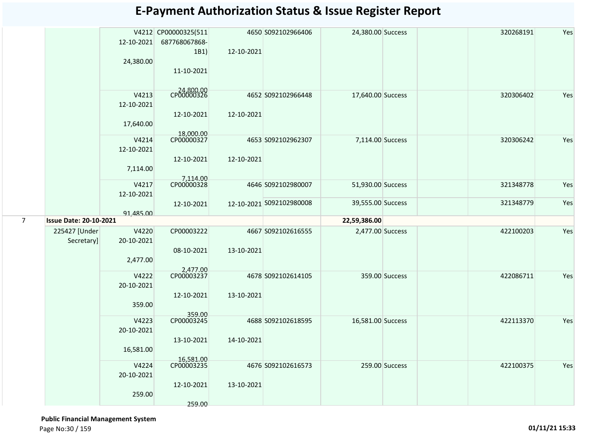|                |                               | 12-10-2021<br>24,380.00          | V4212 CP00000325(511<br>687768067868-<br>1B1)<br>11-10-2021 | 12-10-2021 | 4650 S092102966406       | 24,380.00 Success |                | 320268191 | Yes |
|----------------|-------------------------------|----------------------------------|-------------------------------------------------------------|------------|--------------------------|-------------------|----------------|-----------|-----|
|                |                               | V4213<br>12-10-2021<br>17,640.00 | CP00000326<br>12-10-2021<br>18,000.00                       | 12-10-2021 | 4652 S092102966448       | 17,640.00 Success |                | 320306402 | Yes |
|                |                               | V4214<br>12-10-2021<br>7,114.00  | CP00000327<br>12-10-2021<br>7,114.00                        | 12-10-2021 | 4653 S092102962307       | 7,114.00 Success  |                | 320306242 | Yes |
|                |                               | V4217<br>12-10-2021              | CP00000328                                                  |            | 4646 S092102980007       | 51,930.00 Success |                | 321348778 | Yes |
|                |                               | 91,485.00                        | 12-10-2021                                                  |            | 12-10-2021 S092102980008 | 39,555.00 Success |                | 321348779 | Yes |
| $\overline{7}$ | <b>Issue Date: 20-10-2021</b> |                                  |                                                             |            |                          | 22,59,386.00      |                |           |     |
|                | 225427 [Under<br>Secretary]   | V4220<br>20-10-2021<br>2,477.00  | CP00003222<br>08-10-2021                                    | 13-10-2021 | 4667 S092102616555       | 2,477.00 Success  |                | 422100203 | Yes |
|                |                               |                                  |                                                             |            |                          |                   |                |           |     |
|                |                               | V4222<br>20-10-2021<br>359.00    | 2,477.00<br>CP00003237<br>12-10-2021                        | 13-10-2021 | 4678 S092102614105       |                   | 359.00 Success | 422086711 | Yes |
|                |                               | V4223<br>20-10-2021<br>16,581.00 | 359.00<br>CP00003245<br>13-10-2021<br>16,581.00             | 14-10-2021 | 4688 S092102618595       | 16,581.00 Success |                | 422113370 | Yes |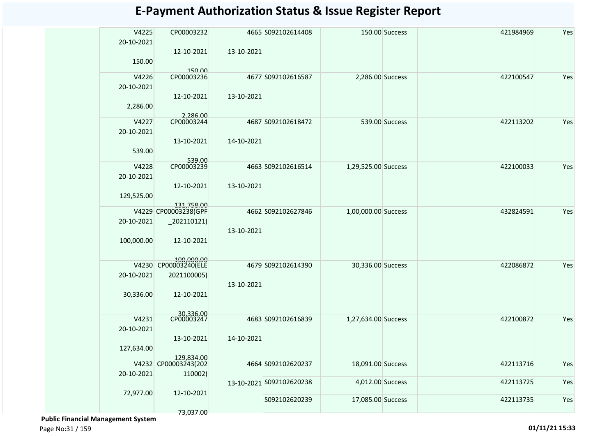| CP00003232<br>4665 S092102614408<br>150.00 Success<br>20-10-2021<br>12-10-2021<br>13-10-2021<br>150.00<br>150.00<br>CP00003236<br>V4226<br>422100547<br>Yes<br>4677 S092102616587<br>2,286.00 Success<br>20-10-2021<br>12-10-2021<br>13-10-2021<br>2,286.00<br>2,286.00<br>CP00003244<br>V4227<br>Yes<br>4687 S092102618472<br>539.00 Success<br>422113202<br>20-10-2021<br>14-10-2021<br>13-10-2021<br>539.00<br>539.00<br>CP00003239<br>V4228<br>Yes<br>4663 S092102616514<br>1,29,525.00 Success<br>422100033<br>20-10-2021<br>13-10-2021<br>12-10-2021<br>129,525.00<br>131,758.00<br>V4229 CP00003238(GPF<br>1,00,000.00 Success<br>Yes<br>4662 S092102627846<br>432824591<br>20-10-2021<br>$-202110121$<br>13-10-2021<br>100,000.00<br>12-10-2021<br>100,000.00<br>CP00003240(ELE<br>V4230<br>Yes<br>4679 S092102614390<br>30,336.00 Success<br>422086872<br>20-10-2021<br>2021100005)<br>13-10-2021<br>30,336.00<br>12-10-2021<br>30,336.00<br>CP00003247<br>V4231<br>Yes<br>4683 S092102616839<br>1,27,634.00 Success<br>422100872<br>20-10-2021<br>13-10-2021<br>14-10-2021<br>127,634.00<br>129,834.00<br>V4232 CP00003243(202<br>Yes<br>4664 S092102620237<br>18,091.00 Success<br>422113716<br>20-10-2021<br>110002)<br>Yes<br>4,012.00 Success<br>422113725<br>13-10-2021 S092102620238<br>72,977.00<br>12-10-2021<br>Yes<br>S092102620239<br>17,085.00 Success<br>422113735<br>73,037.00 | V4225 |  |  | 421984969 | Yes |
|--------------------------------------------------------------------------------------------------------------------------------------------------------------------------------------------------------------------------------------------------------------------------------------------------------------------------------------------------------------------------------------------------------------------------------------------------------------------------------------------------------------------------------------------------------------------------------------------------------------------------------------------------------------------------------------------------------------------------------------------------------------------------------------------------------------------------------------------------------------------------------------------------------------------------------------------------------------------------------------------------------------------------------------------------------------------------------------------------------------------------------------------------------------------------------------------------------------------------------------------------------------------------------------------------------------------------------------------------------------------------------------------------------|-------|--|--|-----------|-----|
|                                                                                                                                                                                                                                                                                                                                                                                                                                                                                                                                                                                                                                                                                                                                                                                                                                                                                                                                                                                                                                                                                                                                                                                                                                                                                                                                                                                                        |       |  |  |           |     |
|                                                                                                                                                                                                                                                                                                                                                                                                                                                                                                                                                                                                                                                                                                                                                                                                                                                                                                                                                                                                                                                                                                                                                                                                                                                                                                                                                                                                        |       |  |  |           |     |
|                                                                                                                                                                                                                                                                                                                                                                                                                                                                                                                                                                                                                                                                                                                                                                                                                                                                                                                                                                                                                                                                                                                                                                                                                                                                                                                                                                                                        |       |  |  |           |     |
|                                                                                                                                                                                                                                                                                                                                                                                                                                                                                                                                                                                                                                                                                                                                                                                                                                                                                                                                                                                                                                                                                                                                                                                                                                                                                                                                                                                                        |       |  |  |           |     |
|                                                                                                                                                                                                                                                                                                                                                                                                                                                                                                                                                                                                                                                                                                                                                                                                                                                                                                                                                                                                                                                                                                                                                                                                                                                                                                                                                                                                        |       |  |  |           |     |
|                                                                                                                                                                                                                                                                                                                                                                                                                                                                                                                                                                                                                                                                                                                                                                                                                                                                                                                                                                                                                                                                                                                                                                                                                                                                                                                                                                                                        |       |  |  |           |     |
|                                                                                                                                                                                                                                                                                                                                                                                                                                                                                                                                                                                                                                                                                                                                                                                                                                                                                                                                                                                                                                                                                                                                                                                                                                                                                                                                                                                                        |       |  |  |           |     |
|                                                                                                                                                                                                                                                                                                                                                                                                                                                                                                                                                                                                                                                                                                                                                                                                                                                                                                                                                                                                                                                                                                                                                                                                                                                                                                                                                                                                        |       |  |  |           |     |
|                                                                                                                                                                                                                                                                                                                                                                                                                                                                                                                                                                                                                                                                                                                                                                                                                                                                                                                                                                                                                                                                                                                                                                                                                                                                                                                                                                                                        |       |  |  |           |     |
|                                                                                                                                                                                                                                                                                                                                                                                                                                                                                                                                                                                                                                                                                                                                                                                                                                                                                                                                                                                                                                                                                                                                                                                                                                                                                                                                                                                                        |       |  |  |           |     |
|                                                                                                                                                                                                                                                                                                                                                                                                                                                                                                                                                                                                                                                                                                                                                                                                                                                                                                                                                                                                                                                                                                                                                                                                                                                                                                                                                                                                        |       |  |  |           |     |
|                                                                                                                                                                                                                                                                                                                                                                                                                                                                                                                                                                                                                                                                                                                                                                                                                                                                                                                                                                                                                                                                                                                                                                                                                                                                                                                                                                                                        |       |  |  |           |     |
|                                                                                                                                                                                                                                                                                                                                                                                                                                                                                                                                                                                                                                                                                                                                                                                                                                                                                                                                                                                                                                                                                                                                                                                                                                                                                                                                                                                                        |       |  |  |           |     |
|                                                                                                                                                                                                                                                                                                                                                                                                                                                                                                                                                                                                                                                                                                                                                                                                                                                                                                                                                                                                                                                                                                                                                                                                                                                                                                                                                                                                        |       |  |  |           |     |
|                                                                                                                                                                                                                                                                                                                                                                                                                                                                                                                                                                                                                                                                                                                                                                                                                                                                                                                                                                                                                                                                                                                                                                                                                                                                                                                                                                                                        |       |  |  |           |     |
|                                                                                                                                                                                                                                                                                                                                                                                                                                                                                                                                                                                                                                                                                                                                                                                                                                                                                                                                                                                                                                                                                                                                                                                                                                                                                                                                                                                                        |       |  |  |           |     |
|                                                                                                                                                                                                                                                                                                                                                                                                                                                                                                                                                                                                                                                                                                                                                                                                                                                                                                                                                                                                                                                                                                                                                                                                                                                                                                                                                                                                        |       |  |  |           |     |
|                                                                                                                                                                                                                                                                                                                                                                                                                                                                                                                                                                                                                                                                                                                                                                                                                                                                                                                                                                                                                                                                                                                                                                                                                                                                                                                                                                                                        |       |  |  |           |     |
|                                                                                                                                                                                                                                                                                                                                                                                                                                                                                                                                                                                                                                                                                                                                                                                                                                                                                                                                                                                                                                                                                                                                                                                                                                                                                                                                                                                                        |       |  |  |           |     |
|                                                                                                                                                                                                                                                                                                                                                                                                                                                                                                                                                                                                                                                                                                                                                                                                                                                                                                                                                                                                                                                                                                                                                                                                                                                                                                                                                                                                        |       |  |  |           |     |
|                                                                                                                                                                                                                                                                                                                                                                                                                                                                                                                                                                                                                                                                                                                                                                                                                                                                                                                                                                                                                                                                                                                                                                                                                                                                                                                                                                                                        |       |  |  |           |     |
|                                                                                                                                                                                                                                                                                                                                                                                                                                                                                                                                                                                                                                                                                                                                                                                                                                                                                                                                                                                                                                                                                                                                                                                                                                                                                                                                                                                                        |       |  |  |           |     |
|                                                                                                                                                                                                                                                                                                                                                                                                                                                                                                                                                                                                                                                                                                                                                                                                                                                                                                                                                                                                                                                                                                                                                                                                                                                                                                                                                                                                        |       |  |  |           |     |
|                                                                                                                                                                                                                                                                                                                                                                                                                                                                                                                                                                                                                                                                                                                                                                                                                                                                                                                                                                                                                                                                                                                                                                                                                                                                                                                                                                                                        |       |  |  |           |     |
|                                                                                                                                                                                                                                                                                                                                                                                                                                                                                                                                                                                                                                                                                                                                                                                                                                                                                                                                                                                                                                                                                                                                                                                                                                                                                                                                                                                                        |       |  |  |           |     |
|                                                                                                                                                                                                                                                                                                                                                                                                                                                                                                                                                                                                                                                                                                                                                                                                                                                                                                                                                                                                                                                                                                                                                                                                                                                                                                                                                                                                        |       |  |  |           |     |
|                                                                                                                                                                                                                                                                                                                                                                                                                                                                                                                                                                                                                                                                                                                                                                                                                                                                                                                                                                                                                                                                                                                                                                                                                                                                                                                                                                                                        |       |  |  |           |     |
|                                                                                                                                                                                                                                                                                                                                                                                                                                                                                                                                                                                                                                                                                                                                                                                                                                                                                                                                                                                                                                                                                                                                                                                                                                                                                                                                                                                                        |       |  |  |           |     |
|                                                                                                                                                                                                                                                                                                                                                                                                                                                                                                                                                                                                                                                                                                                                                                                                                                                                                                                                                                                                                                                                                                                                                                                                                                                                                                                                                                                                        |       |  |  |           |     |
|                                                                                                                                                                                                                                                                                                                                                                                                                                                                                                                                                                                                                                                                                                                                                                                                                                                                                                                                                                                                                                                                                                                                                                                                                                                                                                                                                                                                        |       |  |  |           |     |
|                                                                                                                                                                                                                                                                                                                                                                                                                                                                                                                                                                                                                                                                                                                                                                                                                                                                                                                                                                                                                                                                                                                                                                                                                                                                                                                                                                                                        |       |  |  |           |     |
|                                                                                                                                                                                                                                                                                                                                                                                                                                                                                                                                                                                                                                                                                                                                                                                                                                                                                                                                                                                                                                                                                                                                                                                                                                                                                                                                                                                                        |       |  |  |           |     |
|                                                                                                                                                                                                                                                                                                                                                                                                                                                                                                                                                                                                                                                                                                                                                                                                                                                                                                                                                                                                                                                                                                                                                                                                                                                                                                                                                                                                        |       |  |  |           |     |
|                                                                                                                                                                                                                                                                                                                                                                                                                                                                                                                                                                                                                                                                                                                                                                                                                                                                                                                                                                                                                                                                                                                                                                                                                                                                                                                                                                                                        |       |  |  |           |     |
|                                                                                                                                                                                                                                                                                                                                                                                                                                                                                                                                                                                                                                                                                                                                                                                                                                                                                                                                                                                                                                                                                                                                                                                                                                                                                                                                                                                                        |       |  |  |           |     |
|                                                                                                                                                                                                                                                                                                                                                                                                                                                                                                                                                                                                                                                                                                                                                                                                                                                                                                                                                                                                                                                                                                                                                                                                                                                                                                                                                                                                        |       |  |  |           |     |
|                                                                                                                                                                                                                                                                                                                                                                                                                                                                                                                                                                                                                                                                                                                                                                                                                                                                                                                                                                                                                                                                                                                                                                                                                                                                                                                                                                                                        |       |  |  |           |     |
|                                                                                                                                                                                                                                                                                                                                                                                                                                                                                                                                                                                                                                                                                                                                                                                                                                                                                                                                                                                                                                                                                                                                                                                                                                                                                                                                                                                                        |       |  |  |           |     |
|                                                                                                                                                                                                                                                                                                                                                                                                                                                                                                                                                                                                                                                                                                                                                                                                                                                                                                                                                                                                                                                                                                                                                                                                                                                                                                                                                                                                        |       |  |  |           |     |
|                                                                                                                                                                                                                                                                                                                                                                                                                                                                                                                                                                                                                                                                                                                                                                                                                                                                                                                                                                                                                                                                                                                                                                                                                                                                                                                                                                                                        |       |  |  |           |     |
|                                                                                                                                                                                                                                                                                                                                                                                                                                                                                                                                                                                                                                                                                                                                                                                                                                                                                                                                                                                                                                                                                                                                                                                                                                                                                                                                                                                                        |       |  |  |           |     |
|                                                                                                                                                                                                                                                                                                                                                                                                                                                                                                                                                                                                                                                                                                                                                                                                                                                                                                                                                                                                                                                                                                                                                                                                                                                                                                                                                                                                        |       |  |  |           |     |
|                                                                                                                                                                                                                                                                                                                                                                                                                                                                                                                                                                                                                                                                                                                                                                                                                                                                                                                                                                                                                                                                                                                                                                                                                                                                                                                                                                                                        |       |  |  |           |     |
|                                                                                                                                                                                                                                                                                                                                                                                                                                                                                                                                                                                                                                                                                                                                                                                                                                                                                                                                                                                                                                                                                                                                                                                                                                                                                                                                                                                                        |       |  |  |           |     |
|                                                                                                                                                                                                                                                                                                                                                                                                                                                                                                                                                                                                                                                                                                                                                                                                                                                                                                                                                                                                                                                                                                                                                                                                                                                                                                                                                                                                        |       |  |  |           |     |
|                                                                                                                                                                                                                                                                                                                                                                                                                                                                                                                                                                                                                                                                                                                                                                                                                                                                                                                                                                                                                                                                                                                                                                                                                                                                                                                                                                                                        |       |  |  |           |     |
|                                                                                                                                                                                                                                                                                                                                                                                                                                                                                                                                                                                                                                                                                                                                                                                                                                                                                                                                                                                                                                                                                                                                                                                                                                                                                                                                                                                                        |       |  |  |           |     |
|                                                                                                                                                                                                                                                                                                                                                                                                                                                                                                                                                                                                                                                                                                                                                                                                                                                                                                                                                                                                                                                                                                                                                                                                                                                                                                                                                                                                        |       |  |  |           |     |
|                                                                                                                                                                                                                                                                                                                                                                                                                                                                                                                                                                                                                                                                                                                                                                                                                                                                                                                                                                                                                                                                                                                                                                                                                                                                                                                                                                                                        |       |  |  |           |     |

 **Public Financial Management System** 

Page No:31 / 159 **01/11/21 15:33**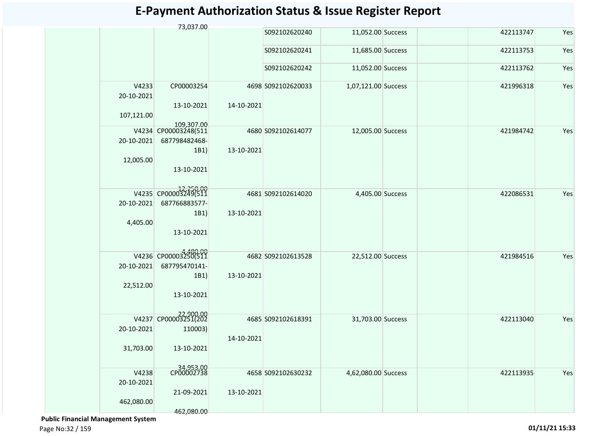|                                   | 73,037.00                                                                 |            |                    |                     |           |     |
|-----------------------------------|---------------------------------------------------------------------------|------------|--------------------|---------------------|-----------|-----|
|                                   |                                                                           |            | S092102620240      | 11,052.00 Success   | 422113747 | Yes |
|                                   |                                                                           |            | S092102620241      | 11,685.00 Success   | 422113753 | Yes |
|                                   |                                                                           |            | S092102620242      | 11,052.00 Success   | 422113762 | Yes |
| V4233<br>20-10-2021<br>107,121.00 | CP00003254<br>13-10-2021                                                  | 14-10-2021 | 4698 S092102620033 | 1,07,121.00 Success | 421996318 | Yes |
| 20-10-2021<br>12,005.00           | 109,307.00<br>V4234 CP00003248(511<br>687798482468-<br>1B1)<br>13-10-2021 | 13-10-2021 | 4680 S092102614077 | 12,005.00 Success   | 421984742 | Yes |
| 20-10-2021<br>4,405.00            | V4235 CP00003249(511<br>687766883577-<br>1B1)<br>13-10-2021               | 13-10-2021 | 4681 S092102614020 | 4,405.00 Success    | 422086531 | Yes |
| 20-10-2021<br>22,512.00           | V4236 CP00003250(511<br>687795470141-<br>1B1)<br>13-10-2021               | 13-10-2021 | 4682 S092102613528 | 22,512.00 Success   | 421984516 | Yes |
| 20-10-2021<br>31,703.00           | V4237 CP00003251(202<br>110003)<br>13-10-2021                             | 14-10-2021 | 4685 S092102618391 | 31,703.00 Success   | 422113040 | Yes |
| V4238<br>20-10-2021<br>462,080.00 | 34,953.00<br>CP00002738<br>21-09-2021<br>462,080.00                       | 13-10-2021 | 4658 S092102630232 | 4,62,080.00 Success | 422113935 | Yes |

 **Public Financial Management System**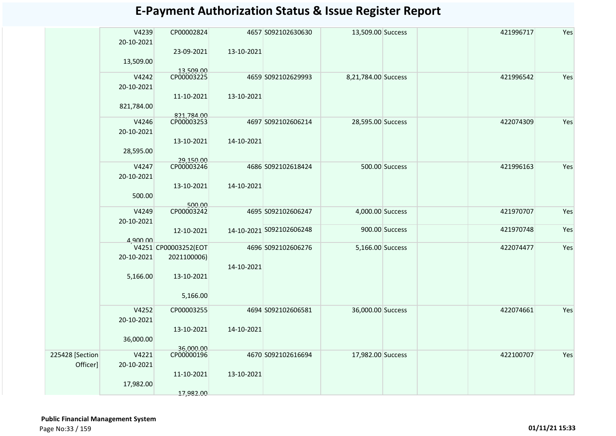|                 | V4239<br>20-10-2021 | CP00002824               | 4657 S092102630630       | 13,509.00 Success   |                | 421996717 | Yes |
|-----------------|---------------------|--------------------------|--------------------------|---------------------|----------------|-----------|-----|
|                 | 13,509.00           | 23-09-2021               | 13-10-2021               |                     |                |           |     |
|                 | V4242               | 13,509.00<br>CP00003225  | 4659 S092102629993       | 8,21,784.00 Success |                | 421996542 | Yes |
|                 | 20-10-2021          |                          |                          |                     |                |           |     |
|                 | 821,784.00          | 11-10-2021               | 13-10-2021               |                     |                |           |     |
|                 |                     | 821,784.00<br>CP00003253 |                          |                     |                |           |     |
|                 | V4246               |                          | 4697 S092102606214       | 28,595.00 Success   |                | 422074309 | Yes |
|                 | 20-10-2021          |                          |                          |                     |                |           |     |
|                 | 28,595.00           | 13-10-2021               | 14-10-2021               |                     |                |           |     |
|                 | V4247               | 29,150.00<br>CP00003246  | 4686 S092102618424       |                     | 500.00 Success | 421996163 | Yes |
|                 | 20-10-2021          |                          |                          |                     |                |           |     |
|                 |                     | 13-10-2021               | 14-10-2021               |                     |                |           |     |
|                 | 500.00              | 500.00                   |                          |                     |                |           |     |
|                 | V4249               | CP00003242               | 4695 S092102606247       | 4,000.00 Success    |                | 421970707 | Yes |
|                 | 20-10-2021          |                          |                          |                     |                |           |     |
|                 |                     | 12-10-2021               | 14-10-2021 S092102606248 |                     | 900.00 Success | 421970748 | Yes |
|                 | 4,900,00            |                          |                          |                     |                |           |     |
|                 |                     | V4251 CP00003252(EOT     | 4696 S092102606276       | 5,166.00 Success    |                | 422074477 | Yes |
|                 | 20-10-2021          | 2021100006)              |                          |                     |                |           |     |
|                 |                     |                          | 14-10-2021               |                     |                |           |     |
|                 | 5,166.00            | 13-10-2021               |                          |                     |                |           |     |
|                 |                     |                          |                          |                     |                |           |     |
|                 |                     | 5,166.00                 |                          |                     |                |           |     |
|                 | V4252               | CP00003255               | 4694 S092102606581       | 36,000.00 Success   |                | 422074661 | Yes |
|                 | 20-10-2021          |                          |                          |                     |                |           |     |
|                 |                     | 13-10-2021               | 14-10-2021               |                     |                |           |     |
|                 | 36,000.00           |                          |                          |                     |                |           |     |
|                 |                     | 36,000.00                |                          |                     |                |           |     |
| 225428 [Section | V4221               | CP00000196               | 4670 S092102616694       | 17,982.00 Success   |                | 422100707 | Yes |
| Officer]        | 20-10-2021          |                          |                          |                     |                |           |     |
|                 |                     | 11-10-2021               | 13-10-2021               |                     |                |           |     |
|                 | 17,982.00           |                          |                          |                     |                |           |     |
|                 |                     | 17,982.00                |                          |                     |                |           |     |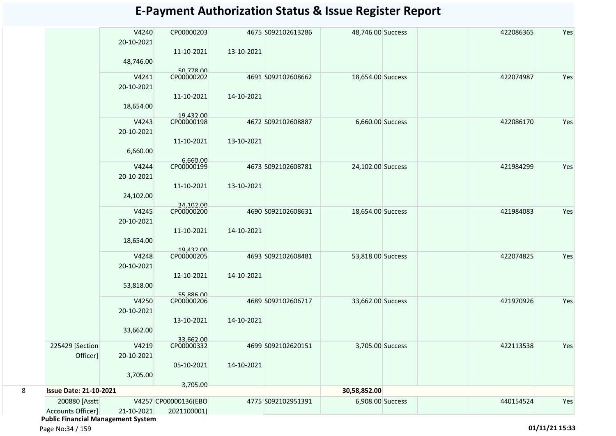|                 |                     |                         |            |                    | <b>E-Payment Authorization Status &amp; Issue Register Report</b> |           |     |
|-----------------|---------------------|-------------------------|------------|--------------------|-------------------------------------------------------------------|-----------|-----|
|                 | V4240<br>20-10-2021 | CP00000203              |            | 4675 S092102613286 | 48,746.00 Success                                                 | 422086365 | Yes |
|                 | 48,746.00           | 11-10-2021              | 13-10-2021 |                    |                                                                   |           |     |
|                 | V4241<br>20-10-2021 | 50,778.00<br>CP00000202 |            | 4691 S092102608662 | 18,654.00 Success                                                 | 422074987 | Yes |
|                 |                     | 11-10-2021              | 14-10-2021 |                    |                                                                   |           |     |
|                 | 18,654.00<br>V4243  | 19,432.00<br>CP00000198 |            | 4672 S092102608887 | 6,660.00 Success                                                  | 422086170 | Yes |
|                 | 20-10-2021          | 11-10-2021              | 13-10-2021 |                    |                                                                   |           |     |
|                 | 6,660.00            | 6,660.00                |            |                    |                                                                   |           |     |
|                 | V4244<br>20-10-2021 | CP00000199              |            | 4673 S092102608781 | 24,102.00 Success                                                 | 421984299 | Yes |
|                 | 24,102.00           | 11-10-2021              | 13-10-2021 |                    |                                                                   |           |     |
|                 |                     | 24.102.00               |            |                    |                                                                   |           |     |
|                 | V4245<br>20-10-2021 | CP00000200              |            | 4690 S092102608631 | 18,654.00 Success                                                 | 421984083 | Yes |
|                 | 18,654.00           | 11-10-2021              | 14-10-2021 |                    |                                                                   |           |     |
|                 | V4248<br>20-10-2021 | 19,432.00<br>CP00000205 |            | 4693 S092102608481 | 53,818.00 Success                                                 | 422074825 | Yes |
|                 | 53,818.00           | 12-10-2021              | 14-10-2021 |                    |                                                                   |           |     |
|                 |                     | 55,886.00               |            |                    |                                                                   |           |     |
|                 | V4250<br>20-10-2021 | CP00000206              |            | 4689 S092102606717 | 33,662.00 Success                                                 | 421970926 | Yes |
|                 | 33,662.00           | 13-10-2021              | 14-10-2021 |                    |                                                                   |           |     |
| 225429 [Section | V4219               | 33,662.00<br>CP00000332 |            | 4699 S092102620151 | 3,705.00 Success                                                  | 422113538 | Yes |

**30,58,852.00**

200880 [Asstt S092102951391 6,908.00 Success 440154524 Yes V4257 CP00000136(EBO

4775 S092102951391

14-10-2021

### Accounts Officer] 21-10-2021 2021100001)

20-10-2021

3,705.00

05-10-2021

3,705.00

 **Public Financial Management System** 

Officer]

Page No:34 / 159 **01/11/21 15:33**

8 **Issue Date: 21-10-2021**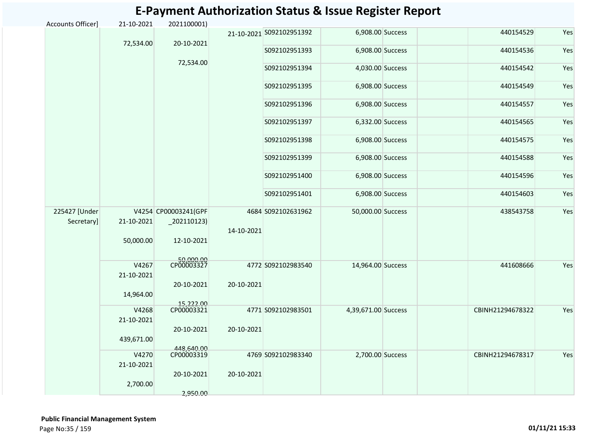|                              |                     |                                        |            |                          | <b>E-Payment Authorization Status &amp; Issue Register Report</b> |                  |     |
|------------------------------|---------------------|----------------------------------------|------------|--------------------------|-------------------------------------------------------------------|------------------|-----|
| Accounts Officer]            | 21-10-2021          | 2021100001)                            |            |                          |                                                                   |                  |     |
|                              |                     |                                        |            | 21-10-2021 S092102951392 | 6,908.00 Success                                                  | 440154529        | Yes |
|                              | 72,534.00           | 20-10-2021                             |            | S092102951393            | 6,908.00 Success                                                  | 440154536        | Yes |
|                              |                     | 72,534.00                              |            | S092102951394            | 4,030.00 Success                                                  | 440154542        | Yes |
|                              |                     |                                        |            | S092102951395            | 6,908.00 Success                                                  | 440154549        | Yes |
|                              |                     |                                        |            | S092102951396            | 6,908.00 Success                                                  | 440154557        | Yes |
|                              |                     |                                        |            | S092102951397            | 6,332.00 Success                                                  | 440154565        | Yes |
|                              |                     |                                        |            | S092102951398            | 6,908.00 Success                                                  | 440154575        | Yes |
|                              |                     |                                        |            | S092102951399            | 6,908.00 Success                                                  | 440154588        | Yes |
|                              |                     |                                        |            | S092102951400            | 6,908.00 Success                                                  | 440154596        | Yes |
|                              |                     |                                        |            | S092102951401            | 6,908.00 Success                                                  | 440154603        | Yes |
| 225427 [Under]<br>Secretary] | 21-10-2021          | V4254 CP00003241(GPF<br>$_2$ 02110123) | 14-10-2021 | 4684 S092102631962       | 50,000.00 Success                                                 | 438543758        | Yes |
|                              | 50,000.00           | 12-10-2021                             |            |                          |                                                                   |                  |     |
|                              | V4267<br>21-10-2021 | 50,000.00<br>CP00003327                |            | 4772 S092102983540       | 14,964.00 Success                                                 | 441608666        | Yes |
|                              | 14,964.00           | 20-10-2021                             | 20-10-2021 |                          |                                                                   |                  |     |
|                              | V4268<br>21-10-2021 | 15,222.00<br>CP00003321                |            | 4771 S092102983501       | 4,39,671.00 Success                                               | CBINH21294678322 | Yes |
|                              | 439,671.00          | 20-10-2021                             | 20-10-2021 |                          |                                                                   |                  |     |
|                              | V4270<br>21-10-2021 | 448,640.00<br>CP00003319               |            | 4769 S092102983340       | 2,700.00 Success                                                  | CBINH21294678317 | Yes |
|                              | 2,700.00            | 20-10-2021                             | 20-10-2021 |                          |                                                                   |                  |     |
|                              |                     | 2,950.00                               |            |                          |                                                                   |                  |     |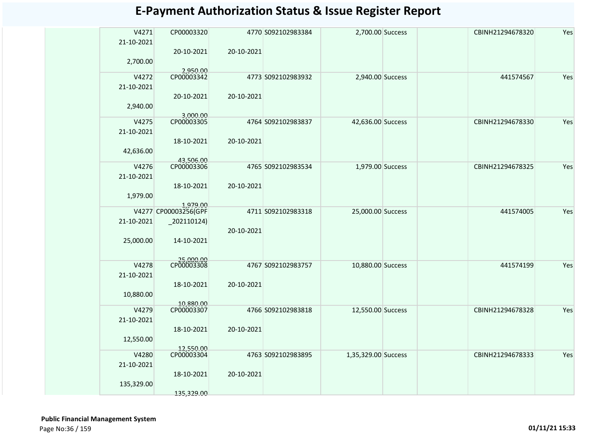| V4271      | CP00003320              |            | 4770 S092102983384 | 2,700.00 Success    | CBINH21294678320 | Yes |
|------------|-------------------------|------------|--------------------|---------------------|------------------|-----|
| 21-10-2021 |                         |            |                    |                     |                  |     |
|            | 20-10-2021              | 20-10-2021 |                    |                     |                  |     |
| 2,700.00   |                         |            |                    |                     |                  |     |
| V4272      | 2,950.00<br>CP00003342  |            | 4773 S092102983932 | 2,940.00 Success    | 441574567        | Yes |
| 21-10-2021 |                         |            |                    |                     |                  |     |
|            | 20-10-2021              | 20-10-2021 |                    |                     |                  |     |
| 2,940.00   |                         |            |                    |                     |                  |     |
|            | 3,000.00                |            |                    |                     |                  |     |
| V4275      | CP00003305              |            | 4764 S092102983837 | 42,636.00 Success   | CBINH21294678330 | Yes |
| 21-10-2021 |                         |            |                    |                     |                  |     |
|            | 18-10-2021              | 20-10-2021 |                    |                     |                  |     |
| 42,636.00  |                         |            |                    |                     |                  |     |
| V4276      | 43,506.00<br>CP00003306 |            | 4765 S092102983534 | 1,979.00 Success    | CBINH21294678325 | Yes |
| 21-10-2021 |                         |            |                    |                     |                  |     |
|            | 18-10-2021              | 20-10-2021 |                    |                     |                  |     |
| 1,979.00   |                         |            |                    |                     |                  |     |
|            | 1,979.00                |            |                    |                     |                  |     |
|            | V4277 CP00003256(GPF    |            | 4711 S092102983318 | 25,000.00 Success   | 441574005        | Yes |
| 21-10-2021 | $-202110124)$           |            |                    |                     |                  |     |
|            |                         | 20-10-2021 |                    |                     |                  |     |
| 25,000.00  | 14-10-2021              |            |                    |                     |                  |     |
|            |                         |            |                    |                     |                  |     |
| V4278      | 25,000.00<br>CP00003308 |            | 4767 S092102983757 | 10,880.00 Success   | 441574199        | Yes |
| 21-10-2021 |                         |            |                    |                     |                  |     |
|            | 18-10-2021              | 20-10-2021 |                    |                     |                  |     |
| 10,880.00  |                         |            |                    |                     |                  |     |
|            | 10,880.00               |            |                    |                     |                  |     |
| V4279      | CP00003307              |            | 4766 S092102983818 | 12,550.00 Success   | CBINH21294678328 | Yes |
| 21-10-2021 |                         | 20-10-2021 |                    |                     |                  |     |
|            | 18-10-2021              |            |                    |                     |                  |     |
| 12,550.00  | 12,550.00               |            |                    |                     |                  |     |
| V4280      | CP00003304              |            | 4763 S092102983895 | 1,35,329.00 Success | CBINH21294678333 | Yes |
| 21-10-2021 |                         |            |                    |                     |                  |     |
|            | 18-10-2021              | 20-10-2021 |                    |                     |                  |     |
| 135,329.00 |                         |            |                    |                     |                  |     |
|            | 135,329.00              |            |                    |                     |                  |     |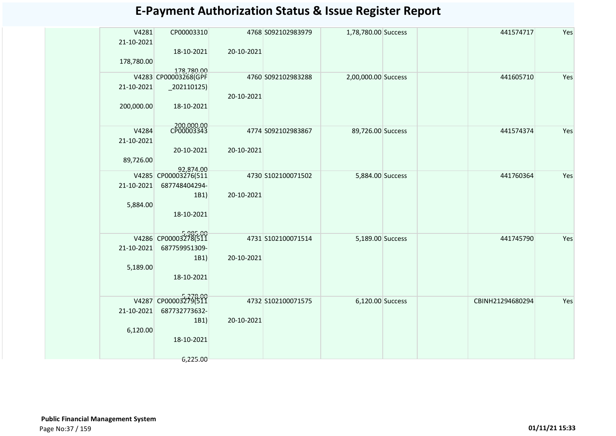| <b>E-Payment Authorization Status &amp; Issue Register Report</b> |
|-------------------------------------------------------------------|
|-------------------------------------------------------------------|

| V4281<br>21-10-2021 | CP00003310                         |            | 4768 S092102983979 | 1,78,780.00 Success |  | 441574717        | Yes |
|---------------------|------------------------------------|------------|--------------------|---------------------|--|------------------|-----|
|                     | 18-10-2021                         | 20-10-2021 |                    |                     |  |                  |     |
| 178,780.00          |                                    |            |                    |                     |  |                  |     |
|                     | 178,780.00<br>V4283 CP00003268(GPF |            |                    |                     |  |                  |     |
|                     |                                    |            | 4760 S092102983288 | 2,00,000.00 Success |  | 441605710        | Yes |
| 21-10-2021          | $_2$ 02110125)                     |            |                    |                     |  |                  |     |
|                     |                                    | 20-10-2021 |                    |                     |  |                  |     |
| 200,000.00          | 18-10-2021                         |            |                    |                     |  |                  |     |
|                     |                                    |            |                    |                     |  |                  |     |
| V4284               | 200,000.00<br>CP00003343           |            | 4774 S092102983867 | 89,726.00 Success   |  | 441574374        | Yes |
| 21-10-2021          |                                    |            |                    |                     |  |                  |     |
|                     | 20-10-2021                         | 20-10-2021 |                    |                     |  |                  |     |
| 89,726.00           |                                    |            |                    |                     |  |                  |     |
|                     | 92,874.00<br>V4285 CP00003276(511  |            | 4730 S102100071502 | 5,884.00 Success    |  | 441760364        | Yes |
| 21-10-2021          | 687748404294-                      |            |                    |                     |  |                  |     |
|                     | 1B1)                               | 20-10-2021 |                    |                     |  |                  |     |
| 5,884.00            |                                    |            |                    |                     |  |                  |     |
|                     | 18-10-2021                         |            |                    |                     |  |                  |     |
|                     |                                    |            |                    |                     |  |                  |     |
|                     | V4286 CP00003278(511               |            | 4731 S102100071514 | 5,189.00 Success    |  | 441745790        | Yes |
| 21-10-2021          | 687759951309-                      |            |                    |                     |  |                  |     |
|                     | 1B1)                               | 20-10-2021 |                    |                     |  |                  |     |
| 5,189.00            |                                    |            |                    |                     |  |                  |     |
|                     | 18-10-2021                         |            |                    |                     |  |                  |     |
|                     |                                    |            |                    |                     |  |                  |     |
|                     | V4287 CP00003279(511               |            | 4732 S102100071575 | 6,120.00 Success    |  | CBINH21294680294 | Yes |
| 21-10-2021          | 687732773632-                      |            |                    |                     |  |                  |     |
|                     | 1B1)                               | 20-10-2021 |                    |                     |  |                  |     |
| 6,120.00            |                                    |            |                    |                     |  |                  |     |
|                     | 18-10-2021                         |            |                    |                     |  |                  |     |
|                     |                                    |            |                    |                     |  |                  |     |
|                     | 6,225.00                           |            |                    |                     |  |                  |     |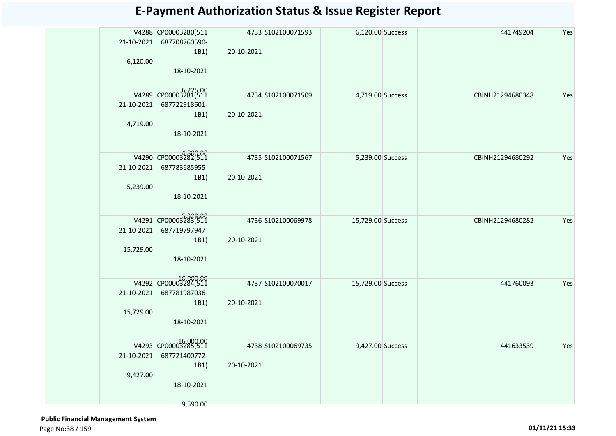| 21-10-2021<br>6,120.00 | V4288 CP00003280(511<br>687708760590-<br>1B1)      | 20-10-2021 | 4733 S102100071593  | 6,120.00 Success  |  | 441749204        | Yes |
|------------------------|----------------------------------------------------|------------|---------------------|-------------------|--|------------------|-----|
|                        | 18-10-2021                                         |            |                     |                   |  |                  |     |
|                        | V4289 CP00003281(511                               |            | 4734 S102100071509  | 4,719.00 Success  |  | CBINH21294680348 | Yes |
| 21-10-2021             | 687722918601-<br>1B1)                              | 20-10-2021 |                     |                   |  |                  |     |
| 4,719.00               |                                                    |            |                     |                   |  |                  |     |
|                        | 18-10-2021                                         |            |                     |                   |  |                  |     |
|                        | V4290 CP00003282(511                               |            | 4735 \$102100071567 | 5,239.00 Success  |  | CBINH21294680292 | Yes |
| 21-10-2021             | 687783685955-                                      |            |                     |                   |  |                  |     |
| 5,239.00               | 1B1)                                               | 20-10-2021 |                     |                   |  |                  |     |
|                        | 18-10-2021                                         |            |                     |                   |  |                  |     |
|                        |                                                    |            |                     |                   |  |                  |     |
|                        | V4291 CP00003283(511                               |            | 4736 \$102100069978 | 15,729.00 Success |  | CBINH21294680282 | Yes |
| 21-10-2021             | 687719797947-                                      |            |                     |                   |  |                  |     |
| 15,729.00              | 1B1)                                               | 20-10-2021 |                     |                   |  |                  |     |
|                        | 18-10-2021                                         |            |                     |                   |  |                  |     |
|                        |                                                    |            |                     |                   |  |                  |     |
| 21-10-2021             | 16,000.00<br>V4292 CP00003284(511<br>687781987036- |            | 4737 S102100070017  | 15,729.00 Success |  | 441760093        | Yes |
|                        | 1B1)                                               | 20-10-2021 |                     |                   |  |                  |     |
| 15,729.00              |                                                    |            |                     |                   |  |                  |     |
|                        | 18-10-2021                                         |            |                     |                   |  |                  |     |
|                        | V4293 CP00003285(511                               |            | 4738 S102100069735  | 9,427.00 Success  |  | 441633539        | Yes |
| 21-10-2021             | 687721400772-                                      |            |                     |                   |  |                  |     |
|                        | 1B1)                                               | 20-10-2021 |                     |                   |  |                  |     |
| 9,427.00               | 18-10-2021                                         |            |                     |                   |  |                  |     |
|                        |                                                    |            |                     |                   |  |                  |     |
|                        | 9,590.00                                           |            |                     |                   |  |                  |     |

 **Public Financial Management System**  Page No:38 / 159 **01/11/21 15:33**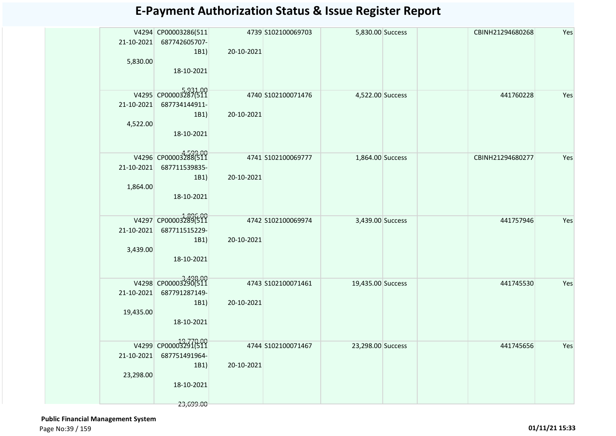| 21-10-2021<br>5,830.00  | V4294 CP00003286(511<br>687742605707-<br>1B1)<br>18-10-2021              | 20-10-2021 | 4739 S102100069703 | 5,830.00 Success  |  | CBINH21294680268 | Yes |
|-------------------------|--------------------------------------------------------------------------|------------|--------------------|-------------------|--|------------------|-----|
| 21-10-2021<br>4,522.00  | V4295 CP00003287(511<br>687734144911-<br>1B1)<br>18-10-2021              | 20-10-2021 | 4740 S102100071476 | 4,522.00 Success  |  | 441760228        | Yes |
| 21-10-2021<br>1,864.00  | V4296 CP00003288(511<br>687711539835-<br>1B1)<br>18-10-2021              | 20-10-2021 | 4741 S102100069777 | 1,864.00 Success  |  | CBINH21294680277 | Yes |
| 21-10-2021<br>3,439.00  | V4297 CP00003289(511<br>687711515229-<br>1B1)<br>18-10-2021              | 20-10-2021 | 4742 S102100069974 | 3,439.00 Success  |  | 441757946        | Yes |
| 21-10-2021<br>19,435.00 | V4298 CP00003290(511<br>687791287149-<br>1B1)<br>18-10-2021              | 20-10-2021 | 4743 S102100071461 | 19,435.00 Success |  | 441745530        | Yes |
| 21-10-2021<br>23,298.00 | V4299 CP00003291(511<br>687751491964-<br>1B1)<br>18-10-2021<br>23,699.00 | 20-10-2021 | 4744 S102100071467 | 23,298.00 Success |  | 441745656        | Yes |

 **Public Financial Management System**  Page No:39 / 159 **01/11/21 15:33**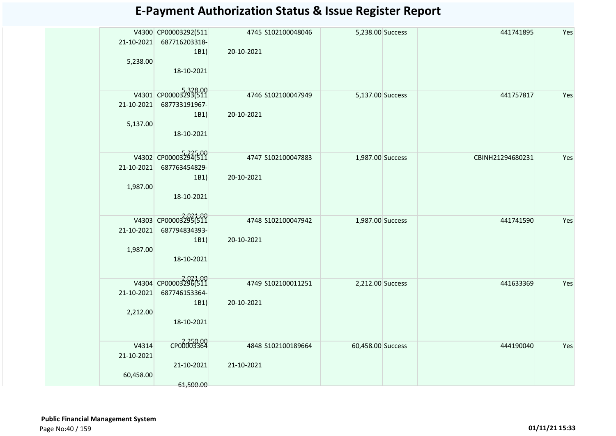| 21-10-2021<br>5,238.00           | V4300 CP00003292(511<br>687716203318-<br>1B1)<br>18-10-2021 | 20-10-2021 | 4745 S102100048046  | 5,238.00 Success  |  | 441741895        | Yes |
|----------------------------------|-------------------------------------------------------------|------------|---------------------|-------------------|--|------------------|-----|
| 21-10-2021<br>5,137.00           | V4301 CP00003293(511<br>687733191967-<br>1B1)<br>18-10-2021 | 20-10-2021 | 4746 S102100047949  | 5,137.00 Success  |  | 441757817        | Yes |
| 21-10-2021<br>1,987.00           | V4302 CP00003294(511<br>687763454829-<br>1B1)<br>18-10-2021 | 20-10-2021 | 4747 S102100047883  | 1,987.00 Success  |  | CBINH21294680231 | Yes |
| 21-10-2021<br>1,987.00           | V4303 CP00003295(511<br>687794834393-<br>1B1)<br>18-10-2021 | 20-10-2021 | 4748 \$102100047942 | 1,987.00 Success  |  | 441741590        | Yes |
| 21-10-2021<br>2,212.00           | V4304 CP00003296(511<br>687746153364-<br>1B1)<br>18-10-2021 | 20-10-2021 | 4749 S102100011251  | 2,212.00 Success  |  | 441633369        | Yes |
| V4314<br>21-10-2021<br>60,458.00 | CP00003364<br>21-10-2021<br>61,500.00                       | 21-10-2021 | 4848 \$102100189664 | 60,458.00 Success |  | 444190040        | Yes |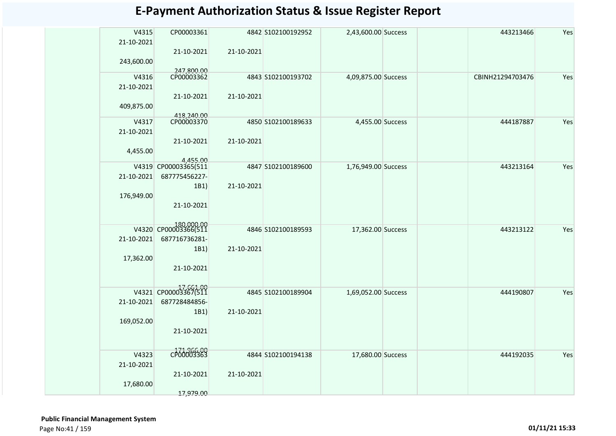| V4315      | CP00003361               |            | 4842 S102100192952 | 2,43,600.00 Success |  | 443213466        | Yes |
|------------|--------------------------|------------|--------------------|---------------------|--|------------------|-----|
| 21-10-2021 |                          |            |                    |                     |  |                  |     |
|            | 21-10-2021               | 21-10-2021 |                    |                     |  |                  |     |
| 243,600.00 |                          |            |                    |                     |  |                  |     |
| V4316      | 247,800.00<br>CP00003362 |            | 4843 S102100193702 | 4,09,875.00 Success |  | CBINH21294703476 | Yes |
| 21-10-2021 |                          |            |                    |                     |  |                  |     |
|            | 21-10-2021               | 21-10-2021 |                    |                     |  |                  |     |
| 409,875.00 |                          |            |                    |                     |  |                  |     |
|            |                          |            |                    |                     |  |                  |     |
| V4317      | 418,240.00               |            | 4850 S102100189633 | 4,455.00 Success    |  | 444187887        | Yes |
| 21-10-2021 |                          |            |                    |                     |  |                  |     |
|            | 21-10-2021               | 21-10-2021 |                    |                     |  |                  |     |
| 4,455.00   |                          |            |                    |                     |  |                  |     |
|            | 4.455.00                 |            |                    |                     |  |                  |     |
|            | V4319 CP00003365(511     |            | 4847 S102100189600 | 1,76,949.00 Success |  | 443213164        | Yes |
| 21-10-2021 | 687775456227-            |            |                    |                     |  |                  |     |
|            | 1B1)                     | 21-10-2021 |                    |                     |  |                  |     |
| 176,949.00 | 21-10-2021               |            |                    |                     |  |                  |     |
|            |                          |            |                    |                     |  |                  |     |
|            |                          |            |                    |                     |  |                  |     |
|            | V4320 CP00003366(511     |            | 4846 S102100189593 | 17,362.00 Success   |  | 443213122        | Yes |
| 21-10-2021 | 687716736281-            |            |                    |                     |  |                  |     |
|            | 1B1)                     | 21-10-2021 |                    |                     |  |                  |     |
| 17,362.00  |                          |            |                    |                     |  |                  |     |
|            | 21-10-2021               |            |                    |                     |  |                  |     |
|            |                          |            |                    |                     |  |                  |     |
|            | V4321 CP00003367(511     |            | 4845 S102100189904 | 1,69,052.00 Success |  | 444190807        | Yes |
| 21-10-2021 | 687728484856-            |            |                    |                     |  |                  |     |
|            | 1B1)                     | 21-10-2021 |                    |                     |  |                  |     |
| 169,052.00 |                          |            |                    |                     |  |                  |     |
|            | 21-10-2021               |            |                    |                     |  |                  |     |
|            |                          |            |                    |                     |  |                  |     |
| V4323      | CP00003363               |            | 4844 S102100194138 | 17,680.00 Success   |  | 444192035        | Yes |
| 21-10-2021 |                          |            |                    |                     |  |                  |     |
|            | 21-10-2021               | 21-10-2021 |                    |                     |  |                  |     |
| 17,680.00  |                          |            |                    |                     |  |                  |     |
|            | 17,979.00                |            |                    |                     |  |                  |     |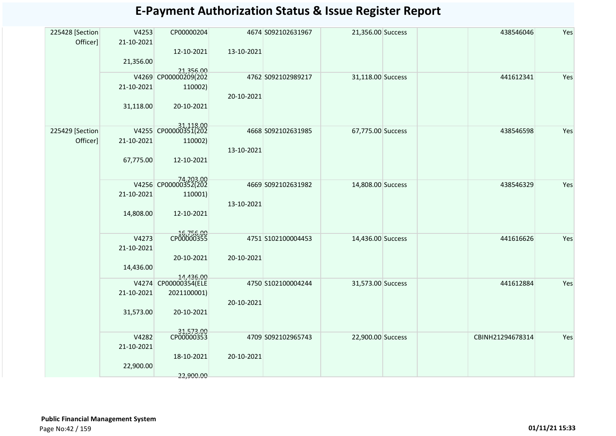| 225428 [Section | V4253               | CP00000204                        |            | 4674 S092102631967 | 21,356.00 Success |                  | 438546046 | Yes |
|-----------------|---------------------|-----------------------------------|------------|--------------------|-------------------|------------------|-----------|-----|
| Officer]        | 21-10-2021          |                                   |            |                    |                   |                  |           |     |
|                 | 21,356.00           | 12-10-2021                        | 13-10-2021 |                    |                   |                  |           |     |
|                 |                     | 21,356.00<br>V4269 CP00000209(202 |            |                    |                   |                  |           |     |
|                 |                     |                                   |            | 4762 S092102989217 | 31,118.00 Success |                  | 441612341 | Yes |
|                 | 21-10-2021          | 110002)                           | 20-10-2021 |                    |                   |                  |           |     |
|                 | 31,118.00           | 20-10-2021                        |            |                    |                   |                  |           |     |
|                 |                     |                                   |            |                    |                   |                  |           |     |
| 225429 [Section |                     | 31,118.00                         |            | 4668 S092102631985 | 67,775.00 Success |                  | 438546598 | Yes |
| Officer]        | 21-10-2021          | 110002)                           |            |                    |                   |                  |           |     |
|                 |                     |                                   | 13-10-2021 |                    |                   |                  |           |     |
|                 | 67,775.00           | 12-10-2021                        |            |                    |                   |                  |           |     |
|                 |                     |                                   |            |                    |                   |                  |           |     |
|                 |                     | 74,203.00<br>V4256 CP00000352(202 |            | 4669 S092102631982 | 14,808.00 Success |                  | 438546329 | Yes |
|                 | 21-10-2021          | 110001)                           |            |                    |                   |                  |           |     |
|                 | 14,808.00           | 12-10-2021                        | 13-10-2021 |                    |                   |                  |           |     |
|                 |                     |                                   |            |                    |                   |                  |           |     |
|                 |                     | 16,756.00<br>CP00000355           |            |                    |                   |                  |           |     |
|                 | V4273<br>21-10-2021 |                                   |            | 4751 S102100004453 | 14,436.00 Success |                  | 441616626 | Yes |
|                 |                     | 20-10-2021                        | 20-10-2021 |                    |                   |                  |           |     |
|                 | 14,436.00           |                                   |            |                    |                   |                  |           |     |
|                 |                     | 14,436.00<br>V4274 CP00000354(ELE |            | 4750 S102100004244 | 31,573.00 Success |                  | 441612884 | Yes |
|                 | 21-10-2021          | 2021100001)                       |            |                    |                   |                  |           |     |
|                 |                     |                                   | 20-10-2021 |                    |                   |                  |           |     |
|                 | 31,573.00           | 20-10-2021                        |            |                    |                   |                  |           |     |
|                 |                     |                                   |            |                    |                   |                  |           |     |
|                 | V4282               | 31,573.00<br>CP00000353           |            | 4709 S092102965743 | 22,900.00 Success | CBINH21294678314 |           | Yes |
|                 | 21-10-2021          |                                   |            |                    |                   |                  |           |     |
|                 | 22,900.00           | 18-10-2021                        | 20-10-2021 |                    |                   |                  |           |     |
|                 |                     | 22,900.00                         |            |                    |                   |                  |           |     |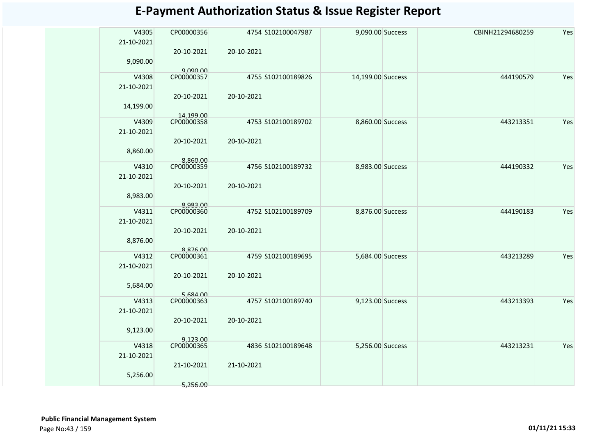| <b>E-Payment Authorization Status &amp; Issue Register Report</b> |  |  |  |  |
|-------------------------------------------------------------------|--|--|--|--|
|-------------------------------------------------------------------|--|--|--|--|

| V4305<br>21-10-2021 | CP00000356             |            | 4754 S102100047987 | 9,090.00 Success  | CBINH21294680259 | Yes |
|---------------------|------------------------|------------|--------------------|-------------------|------------------|-----|
|                     | 20-10-2021             | 20-10-2021 |                    |                   |                  |     |
| 9,090.00            |                        |            |                    |                   |                  |     |
| V4308               | 0,090.00<br>CP00000357 |            | 4755 S102100189826 | 14,199.00 Success | 444190579        | Yes |
| 21-10-2021          |                        |            |                    |                   |                  |     |
|                     | 20-10-2021             | 20-10-2021 |                    |                   |                  |     |
| 14,199.00           |                        |            |                    |                   |                  |     |
|                     | 14,199.00              |            |                    |                   |                  |     |
| V4309               | CP00000358             |            | 4753 S102100189702 | 8,860.00 Success  | 443213351        | Yes |
| 21-10-2021          | 20-10-2021             | 20-10-2021 |                    |                   |                  |     |
| 8,860.00            |                        |            |                    |                   |                  |     |
|                     | 8,860.00               |            |                    |                   |                  |     |
| V4310               | CP00000359             |            | 4756 S102100189732 | 8,983.00 Success  | 444190332        | Yes |
| 21-10-2021          |                        |            |                    |                   |                  |     |
|                     | 20-10-2021             | 20-10-2021 |                    |                   |                  |     |
| 8,983.00            |                        |            |                    |                   |                  |     |
| V4311               | 8,983.00<br>CP00000360 |            | 4752 S102100189709 | 8,876.00 Success  | 444190183        | Yes |
| 21-10-2021          |                        |            |                    |                   |                  |     |
|                     | 20-10-2021             | 20-10-2021 |                    |                   |                  |     |
| 8,876.00            |                        |            |                    |                   |                  |     |
| V4312               | 8,876.00<br>CP00000361 |            | 4759 S102100189695 | 5,684.00 Success  | 443213289        | Yes |
| 21-10-2021          |                        |            |                    |                   |                  |     |
|                     | 20-10-2021             | 20-10-2021 |                    |                   |                  |     |
| 5,684.00            |                        |            |                    |                   |                  |     |
|                     | 5,684.00<br>CP00000363 |            |                    |                   |                  |     |
| V4313               |                        |            | 4757 S102100189740 | 9,123.00 Success  | 443213393        | Yes |
| 21-10-2021          |                        | 20-10-2021 |                    |                   |                  |     |
| 9,123.00            | 20-10-2021             |            |                    |                   |                  |     |
|                     | 9,123.00               |            |                    |                   |                  |     |
| V4318               | CP00000365             |            | 4836 S102100189648 | 5,256.00 Success  | 443213231        | Yes |
| 21-10-2021          |                        |            |                    |                   |                  |     |
|                     | 21-10-2021             | 21-10-2021 |                    |                   |                  |     |
| 5,256.00            |                        |            |                    |                   |                  |     |
|                     | 5,256.00               |            |                    |                   |                  |     |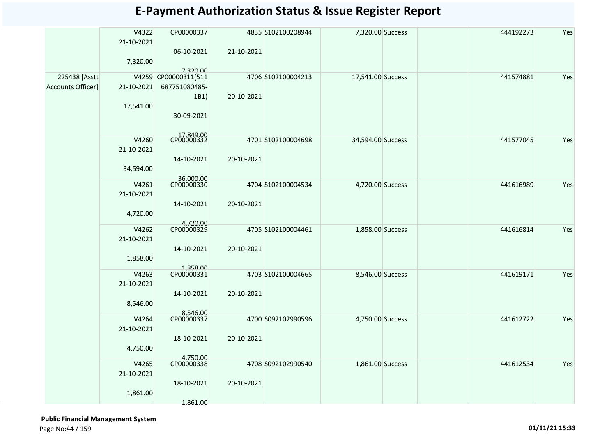| V4322<br>Yes<br>CP00000337<br>7,320.00 Success<br>444192273<br>4835 S102100208944<br>21-10-2021<br>06-10-2021<br>21-10-2021<br>7,320.00<br>7,320.00<br>225438 [Asstt]<br>V4259 CP00000311(511<br>441574881<br>Yes<br>4706 S102100004213<br>17,541.00 Success<br>Accounts Officer]<br>21-10-2021<br>687751080485-<br>1B1)<br>20-10-2021<br>17,541.00<br>30-09-2021<br>CP00000332<br>V4260<br>Yes<br>4701 S102100004698<br>441577045<br>34,594.00 Success<br>21-10-2021<br>14-10-2021<br>20-10-2021<br>34,594.00<br>36,000.00<br>CP00000330<br>Yes<br>V4261<br>4704 S102100004534<br>4,720.00 Success<br>441616989<br>21-10-2021<br>14-10-2021<br>20-10-2021<br>4,720.00<br>4,720.00<br>CP00000329<br>Yes<br>V4262<br>4705 S102100004461<br>1,858.00 Success<br>441616814<br>21-10-2021<br>14-10-2021<br>20-10-2021<br>1,858.00<br>1,858.00<br>CP00000331<br>V4263<br>4703 S102100004665<br>8,546.00 Success<br>441619171<br>Yes<br>21-10-2021<br>20-10-2021<br>14-10-2021<br>8,546.00<br>8,546.00<br>CP00000337<br>V4264<br>4700 S092102990596<br>Yes<br>4,750.00 Success<br>441612722<br>21-10-2021<br>18-10-2021<br>20-10-2021<br>4,750.00<br>4,750.00<br>CP00000338<br>441612534<br>Yes<br>V4265<br>4708 S092102990540<br>1,861.00 Success<br>21-10-2021<br>18-10-2021<br>20-10-2021<br>1,861.00 |  |          |  |  |  |
|----------------------------------------------------------------------------------------------------------------------------------------------------------------------------------------------------------------------------------------------------------------------------------------------------------------------------------------------------------------------------------------------------------------------------------------------------------------------------------------------------------------------------------------------------------------------------------------------------------------------------------------------------------------------------------------------------------------------------------------------------------------------------------------------------------------------------------------------------------------------------------------------------------------------------------------------------------------------------------------------------------------------------------------------------------------------------------------------------------------------------------------------------------------------------------------------------------------------------------------------------------------------------------------------------|--|----------|--|--|--|
|                                                                                                                                                                                                                                                                                                                                                                                                                                                                                                                                                                                                                                                                                                                                                                                                                                                                                                                                                                                                                                                                                                                                                                                                                                                                                                    |  |          |  |  |  |
|                                                                                                                                                                                                                                                                                                                                                                                                                                                                                                                                                                                                                                                                                                                                                                                                                                                                                                                                                                                                                                                                                                                                                                                                                                                                                                    |  |          |  |  |  |
|                                                                                                                                                                                                                                                                                                                                                                                                                                                                                                                                                                                                                                                                                                                                                                                                                                                                                                                                                                                                                                                                                                                                                                                                                                                                                                    |  |          |  |  |  |
|                                                                                                                                                                                                                                                                                                                                                                                                                                                                                                                                                                                                                                                                                                                                                                                                                                                                                                                                                                                                                                                                                                                                                                                                                                                                                                    |  |          |  |  |  |
|                                                                                                                                                                                                                                                                                                                                                                                                                                                                                                                                                                                                                                                                                                                                                                                                                                                                                                                                                                                                                                                                                                                                                                                                                                                                                                    |  |          |  |  |  |
|                                                                                                                                                                                                                                                                                                                                                                                                                                                                                                                                                                                                                                                                                                                                                                                                                                                                                                                                                                                                                                                                                                                                                                                                                                                                                                    |  |          |  |  |  |
|                                                                                                                                                                                                                                                                                                                                                                                                                                                                                                                                                                                                                                                                                                                                                                                                                                                                                                                                                                                                                                                                                                                                                                                                                                                                                                    |  |          |  |  |  |
|                                                                                                                                                                                                                                                                                                                                                                                                                                                                                                                                                                                                                                                                                                                                                                                                                                                                                                                                                                                                                                                                                                                                                                                                                                                                                                    |  |          |  |  |  |
|                                                                                                                                                                                                                                                                                                                                                                                                                                                                                                                                                                                                                                                                                                                                                                                                                                                                                                                                                                                                                                                                                                                                                                                                                                                                                                    |  |          |  |  |  |
|                                                                                                                                                                                                                                                                                                                                                                                                                                                                                                                                                                                                                                                                                                                                                                                                                                                                                                                                                                                                                                                                                                                                                                                                                                                                                                    |  |          |  |  |  |
|                                                                                                                                                                                                                                                                                                                                                                                                                                                                                                                                                                                                                                                                                                                                                                                                                                                                                                                                                                                                                                                                                                                                                                                                                                                                                                    |  |          |  |  |  |
|                                                                                                                                                                                                                                                                                                                                                                                                                                                                                                                                                                                                                                                                                                                                                                                                                                                                                                                                                                                                                                                                                                                                                                                                                                                                                                    |  |          |  |  |  |
|                                                                                                                                                                                                                                                                                                                                                                                                                                                                                                                                                                                                                                                                                                                                                                                                                                                                                                                                                                                                                                                                                                                                                                                                                                                                                                    |  |          |  |  |  |
|                                                                                                                                                                                                                                                                                                                                                                                                                                                                                                                                                                                                                                                                                                                                                                                                                                                                                                                                                                                                                                                                                                                                                                                                                                                                                                    |  |          |  |  |  |
|                                                                                                                                                                                                                                                                                                                                                                                                                                                                                                                                                                                                                                                                                                                                                                                                                                                                                                                                                                                                                                                                                                                                                                                                                                                                                                    |  |          |  |  |  |
|                                                                                                                                                                                                                                                                                                                                                                                                                                                                                                                                                                                                                                                                                                                                                                                                                                                                                                                                                                                                                                                                                                                                                                                                                                                                                                    |  |          |  |  |  |
|                                                                                                                                                                                                                                                                                                                                                                                                                                                                                                                                                                                                                                                                                                                                                                                                                                                                                                                                                                                                                                                                                                                                                                                                                                                                                                    |  |          |  |  |  |
|                                                                                                                                                                                                                                                                                                                                                                                                                                                                                                                                                                                                                                                                                                                                                                                                                                                                                                                                                                                                                                                                                                                                                                                                                                                                                                    |  |          |  |  |  |
|                                                                                                                                                                                                                                                                                                                                                                                                                                                                                                                                                                                                                                                                                                                                                                                                                                                                                                                                                                                                                                                                                                                                                                                                                                                                                                    |  |          |  |  |  |
|                                                                                                                                                                                                                                                                                                                                                                                                                                                                                                                                                                                                                                                                                                                                                                                                                                                                                                                                                                                                                                                                                                                                                                                                                                                                                                    |  |          |  |  |  |
|                                                                                                                                                                                                                                                                                                                                                                                                                                                                                                                                                                                                                                                                                                                                                                                                                                                                                                                                                                                                                                                                                                                                                                                                                                                                                                    |  |          |  |  |  |
|                                                                                                                                                                                                                                                                                                                                                                                                                                                                                                                                                                                                                                                                                                                                                                                                                                                                                                                                                                                                                                                                                                                                                                                                                                                                                                    |  |          |  |  |  |
|                                                                                                                                                                                                                                                                                                                                                                                                                                                                                                                                                                                                                                                                                                                                                                                                                                                                                                                                                                                                                                                                                                                                                                                                                                                                                                    |  |          |  |  |  |
|                                                                                                                                                                                                                                                                                                                                                                                                                                                                                                                                                                                                                                                                                                                                                                                                                                                                                                                                                                                                                                                                                                                                                                                                                                                                                                    |  |          |  |  |  |
|                                                                                                                                                                                                                                                                                                                                                                                                                                                                                                                                                                                                                                                                                                                                                                                                                                                                                                                                                                                                                                                                                                                                                                                                                                                                                                    |  |          |  |  |  |
|                                                                                                                                                                                                                                                                                                                                                                                                                                                                                                                                                                                                                                                                                                                                                                                                                                                                                                                                                                                                                                                                                                                                                                                                                                                                                                    |  |          |  |  |  |
|                                                                                                                                                                                                                                                                                                                                                                                                                                                                                                                                                                                                                                                                                                                                                                                                                                                                                                                                                                                                                                                                                                                                                                                                                                                                                                    |  |          |  |  |  |
|                                                                                                                                                                                                                                                                                                                                                                                                                                                                                                                                                                                                                                                                                                                                                                                                                                                                                                                                                                                                                                                                                                                                                                                                                                                                                                    |  |          |  |  |  |
|                                                                                                                                                                                                                                                                                                                                                                                                                                                                                                                                                                                                                                                                                                                                                                                                                                                                                                                                                                                                                                                                                                                                                                                                                                                                                                    |  |          |  |  |  |
|                                                                                                                                                                                                                                                                                                                                                                                                                                                                                                                                                                                                                                                                                                                                                                                                                                                                                                                                                                                                                                                                                                                                                                                                                                                                                                    |  |          |  |  |  |
|                                                                                                                                                                                                                                                                                                                                                                                                                                                                                                                                                                                                                                                                                                                                                                                                                                                                                                                                                                                                                                                                                                                                                                                                                                                                                                    |  |          |  |  |  |
|                                                                                                                                                                                                                                                                                                                                                                                                                                                                                                                                                                                                                                                                                                                                                                                                                                                                                                                                                                                                                                                                                                                                                                                                                                                                                                    |  |          |  |  |  |
|                                                                                                                                                                                                                                                                                                                                                                                                                                                                                                                                                                                                                                                                                                                                                                                                                                                                                                                                                                                                                                                                                                                                                                                                                                                                                                    |  |          |  |  |  |
|                                                                                                                                                                                                                                                                                                                                                                                                                                                                                                                                                                                                                                                                                                                                                                                                                                                                                                                                                                                                                                                                                                                                                                                                                                                                                                    |  |          |  |  |  |
|                                                                                                                                                                                                                                                                                                                                                                                                                                                                                                                                                                                                                                                                                                                                                                                                                                                                                                                                                                                                                                                                                                                                                                                                                                                                                                    |  |          |  |  |  |
|                                                                                                                                                                                                                                                                                                                                                                                                                                                                                                                                                                                                                                                                                                                                                                                                                                                                                                                                                                                                                                                                                                                                                                                                                                                                                                    |  |          |  |  |  |
|                                                                                                                                                                                                                                                                                                                                                                                                                                                                                                                                                                                                                                                                                                                                                                                                                                                                                                                                                                                                                                                                                                                                                                                                                                                                                                    |  | 1,861.00 |  |  |  |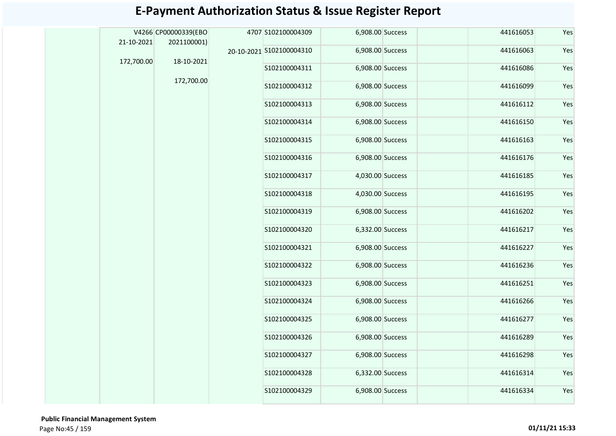| 21-10-2021 | V4266 CP00000339(EBO<br>2021100001) | 4707 S102100004309       | 6,908.00 Success | 441616053 | Yes |
|------------|-------------------------------------|--------------------------|------------------|-----------|-----|
|            |                                     | 20-10-2021 S102100004310 | 6,908.00 Success | 441616063 | Yes |
| 172,700.00 | 18-10-2021                          | S102100004311            | 6,908.00 Success | 441616086 | Yes |
|            | 172,700.00                          | S102100004312            | 6,908.00 Success | 441616099 | Yes |
|            |                                     |                          |                  |           |     |
|            |                                     | S102100004313            | 6,908.00 Success | 441616112 | Yes |
|            |                                     | S102100004314            | 6,908.00 Success | 441616150 | Yes |
|            |                                     | S102100004315            | 6,908.00 Success | 441616163 | Yes |
|            |                                     | S102100004316            | 6,908.00 Success | 441616176 | Yes |
|            |                                     | S102100004317            | 4,030.00 Success | 441616185 | Yes |
|            |                                     | S102100004318            | 4,030.00 Success | 441616195 | Yes |
|            |                                     | S102100004319            | 6,908.00 Success | 441616202 | Yes |
|            |                                     | S102100004320            | 6,332.00 Success | 441616217 | Yes |
|            |                                     | S102100004321            | 6,908.00 Success | 441616227 | Yes |
|            |                                     | S102100004322            | 6,908.00 Success | 441616236 | Yes |
|            |                                     | S102100004323            | 6,908.00 Success | 441616251 | Yes |
|            |                                     | S102100004324            | 6,908.00 Success | 441616266 | Yes |
|            |                                     | S102100004325            | 6,908.00 Success | 441616277 | Yes |
|            |                                     | S102100004326            | 6,908.00 Success | 441616289 | Yes |
|            |                                     | S102100004327            | 6,908.00 Success | 441616298 | Yes |
|            |                                     | S102100004328            | 6,332.00 Success | 441616314 | Yes |
|            |                                     | S102100004329            | 6,908.00 Success | 441616334 | Yes |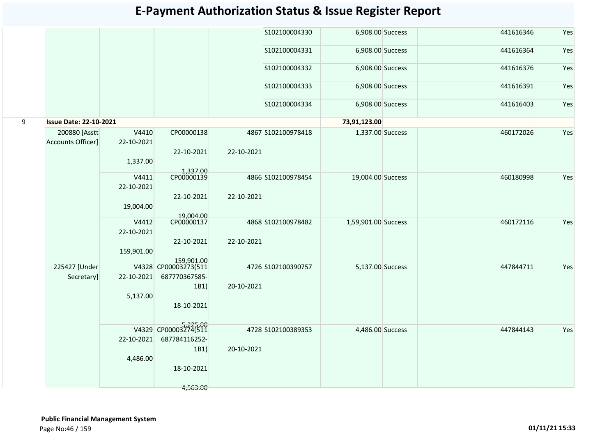|   |                                     |                     |                                                     |            | S102100004330      | 6,908.00 Success    | 441616346 | Yes |
|---|-------------------------------------|---------------------|-----------------------------------------------------|------------|--------------------|---------------------|-----------|-----|
|   |                                     |                     |                                                     |            | S102100004331      | 6,908.00 Success    | 441616364 | Yes |
|   |                                     |                     |                                                     |            | S102100004332      | 6,908.00 Success    | 441616376 | Yes |
|   |                                     |                     |                                                     |            | S102100004333      | 6,908.00 Success    | 441616391 | Yes |
|   |                                     |                     |                                                     |            | S102100004334      | 6,908.00 Success    | 441616403 | Yes |
| 9 | <b>Issue Date: 22-10-2021</b>       |                     |                                                     |            |                    | 73,91,123.00        |           |     |
|   | 200880 [Asstt]<br>Accounts Officer] | V4410<br>22-10-2021 | CP00000138                                          |            | 4867 S102100978418 | 1,337.00 Success    | 460172026 | Yes |
|   |                                     | 1,337.00            | 22-10-2021                                          | 22-10-2021 |                    |                     |           |     |
|   |                                     | V4411<br>22-10-2021 | 1,337.00<br>CP00000139                              |            | 4866 S102100978454 | 19,004.00 Success   | 460180998 | Yes |
|   |                                     | 19,004.00           | 22-10-2021                                          | 22-10-2021 |                    |                     |           |     |
|   |                                     | V4412<br>22-10-2021 | 19,004.00<br>CP00000137                             |            | 4868 S102100978482 | 1,59,901.00 Success | 460172116 | Yes |
|   |                                     | 159,901.00          | 22-10-2021                                          | 22-10-2021 |                    |                     |           |     |
|   | 225427 [Under<br>Secretary]         | 22-10-2021          | 159,901.00<br>V4328 CP00003273(511<br>687770367585- |            | 4726 S102100390757 | 5,137.00 Success    | 447844711 | Yes |
|   |                                     | 5,137.00            | 1B1)<br>18-10-2021                                  | 20-10-2021 |                    |                     |           |     |
|   |                                     | 22-10-2021          | V4329 CP00003274(511<br>687784116252-<br>1B1)       | 20-10-2021 | 4728 S102100389353 | 4,486.00 Success    | 447844143 | Yes |
|   |                                     | 4,486.00            | 18-10-2021                                          |            |                    |                     |           |     |
|   |                                     |                     | 4,563.00                                            |            |                    |                     |           |     |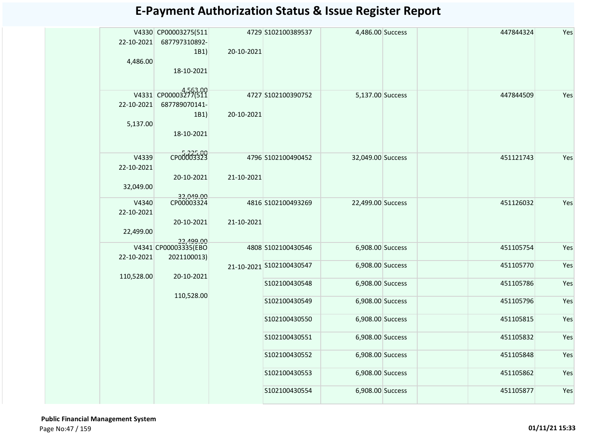| 22-10-2021<br>4,486.00           | V4330 CP00003275(511<br>687797310892-<br>1B1)<br>18-10-2021 | 20-10-2021 | 4729 S102100389537       | 4,486.00 Success  | 447844324 | Yes |
|----------------------------------|-------------------------------------------------------------|------------|--------------------------|-------------------|-----------|-----|
| 22-10-2021<br>5,137.00           | V4331 CP00003277(511<br>687789070141-<br>1B1)<br>18-10-2021 | 20-10-2021 | 4727 S102100390752       | 5,137.00 Success  | 447844509 | Yes |
| V4339<br>22-10-2021<br>32,049.00 | CP00003323<br>20-10-2021                                    | 21-10-2021 | 4796 S102100490452       | 32,049.00 Success | 451121743 | Yes |
| V4340<br>22-10-2021<br>22,499.00 | 32,049.00<br>CP00003324<br>20-10-2021<br>22.499.00          | 21-10-2021 | 4816 S102100493269       | 22,499.00 Success | 451126032 | Yes |
| 22-10-2021                       | V4341 CP00003335(EBO<br>2021100013)                         |            | 4808 S102100430546       | 6,908.00 Success  | 451105754 | Yes |
| 110,528.00                       | 20-10-2021                                                  |            | 21-10-2021 S102100430547 | 6,908.00 Success  | 451105770 | Yes |
|                                  | 110,528.00                                                  |            | S102100430548            | 6,908.00 Success  | 451105786 | Yes |
|                                  |                                                             |            | S102100430549            | 6,908.00 Success  | 451105796 | Yes |
|                                  |                                                             |            | S102100430550            | 6,908.00 Success  | 451105815 | Yes |
|                                  |                                                             |            | S102100430551            | 6,908.00 Success  | 451105832 | Yes |
|                                  |                                                             |            | S102100430552            | 6,908.00 Success  | 451105848 | Yes |
|                                  |                                                             |            | S102100430553            | 6,908.00 Success  | 451105862 | Yes |
|                                  |                                                             |            | S102100430554            | 6,908.00 Success  | 451105877 | Yes |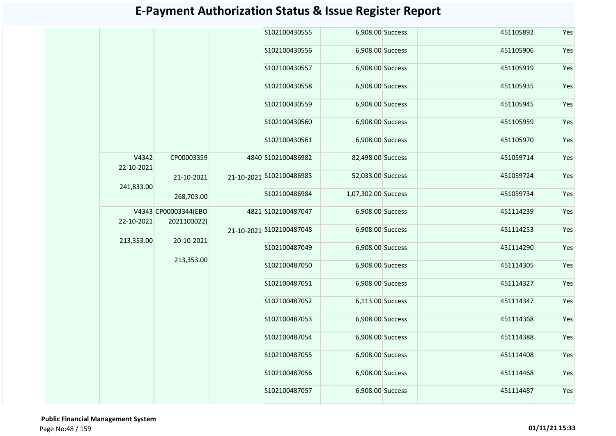|                     |                                     |  | S102100430555            | 6,908.00 Success         |                     | 451105892 | Yes       |     |
|---------------------|-------------------------------------|--|--------------------------|--------------------------|---------------------|-----------|-----------|-----|
|                     |                                     |  | S102100430556            | 6,908.00 Success         |                     | 451105906 | Yes       |     |
|                     |                                     |  | S102100430557            | 6,908.00 Success         |                     | 451105919 | Yes       |     |
|                     |                                     |  | S102100430558            | 6,908.00 Success         |                     | 451105935 | Yes       |     |
|                     |                                     |  | S102100430559            | 6,908.00 Success         |                     | 451105945 | Yes       |     |
|                     |                                     |  | S102100430560            | 6,908.00 Success         |                     | 451105959 | Yes       |     |
|                     |                                     |  | S102100430561            | 6,908.00 Success         |                     | 451105970 | Yes       |     |
| V4342<br>22-10-2021 | CP00003359                          |  | 4840 S102100486982       | 82,498.00 Success        |                     | 451059714 | Yes       |     |
| 241,833.00          | 21-10-2021<br>268,703.00            |  |                          | 21-10-2021 S102100486983 | 52,033.00 Success   |           | 451059724 | Yes |
|                     |                                     |  |                          | S102100486984            | 1,07,302.00 Success |           | 451059734 | Yes |
| 22-10-2021          | V4343 CP00003344(EBO<br>2021100022) |  | 4821 S102100487047       | 6,908.00 Success         |                     | 451114239 | Yes       |     |
| 213,353.00          | 20-10-2021                          |  | 21-10-2021 S102100487048 | 6,908.00 Success         |                     | 451114253 | Yes       |     |
|                     | 213,353.00                          |  | S102100487049            | 6,908.00 Success         |                     | 451114290 | Yes       |     |
|                     |                                     |  | S102100487050            | 6,908.00 Success         |                     | 451114305 | Yes       |     |
|                     |                                     |  | S102100487051            | 6,908.00 Success         |                     | 451114327 | Yes       |     |
|                     |                                     |  | S102100487052            | 6,113.00 Success         |                     | 451114347 | Yes       |     |
|                     |                                     |  | S102100487053            | 6,908.00 Success         |                     | 451114368 | Yes       |     |
|                     |                                     |  | S102100487054            | 6,908.00 Success         |                     | 451114388 | Yes       |     |
|                     |                                     |  | S102100487055            | 6,908.00 Success         |                     | 451114408 | Yes       |     |
|                     |                                     |  | S102100487056            | 6,908.00 Success         |                     | 451114468 | Yes       |     |
|                     |                                     |  | S102100487057            | 6,908.00 Success         |                     | 451114487 | Yes       |     |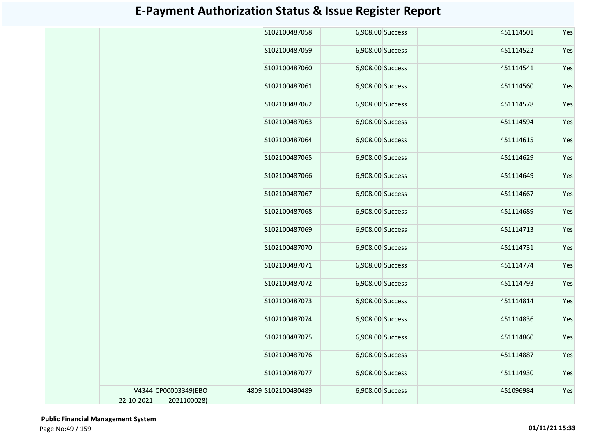|            |                      | S102100487058      | 6,908.00 Success | 451114501 | Yes |
|------------|----------------------|--------------------|------------------|-----------|-----|
|            |                      | S102100487059      | 6,908.00 Success | 451114522 | Yes |
|            |                      | S102100487060      | 6,908.00 Success | 451114541 | Yes |
|            |                      | S102100487061      | 6,908.00 Success | 451114560 | Yes |
|            |                      | S102100487062      | 6,908.00 Success | 451114578 | Yes |
|            |                      | S102100487063      | 6,908.00 Success | 451114594 | Yes |
|            |                      | S102100487064      | 6,908.00 Success | 451114615 | Yes |
|            |                      | S102100487065      | 6,908.00 Success | 451114629 | Yes |
|            |                      | S102100487066      | 6,908.00 Success | 451114649 | Yes |
|            |                      | S102100487067      | 6,908.00 Success | 451114667 | Yes |
|            |                      | S102100487068      | 6,908.00 Success | 451114689 | Yes |
|            |                      | S102100487069      | 6,908.00 Success | 451114713 | Yes |
|            |                      | S102100487070      | 6,908.00 Success | 451114731 | Yes |
|            |                      | S102100487071      | 6,908.00 Success | 451114774 | Yes |
|            |                      | S102100487072      | 6,908.00 Success | 451114793 | Yes |
|            |                      | S102100487073      | 6,908.00 Success | 451114814 | Yes |
|            |                      | S102100487074      | 6,908.00 Success | 451114836 | Yes |
|            |                      | S102100487075      | 6,908.00 Success | 451114860 | Yes |
|            |                      | S102100487076      | 6,908.00 Success | 451114887 | Yes |
|            |                      | S102100487077      | 6,908.00 Success | 451114930 | Yes |
|            | V4344 CP00003349(EBO | 4809 S102100430489 | 6,908.00 Success | 451096984 | Yes |
| 22-10-2021 | 2021100028)          |                    |                  |           |     |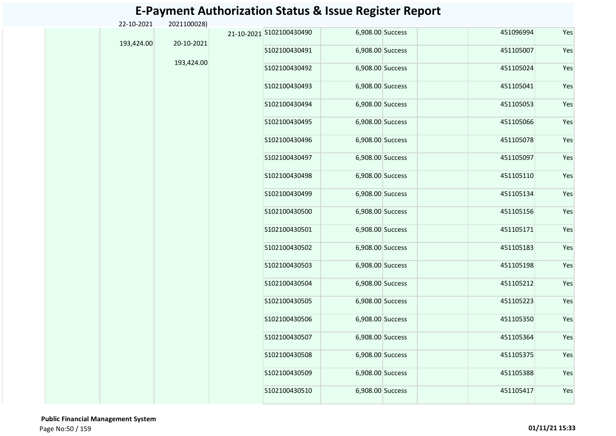| 22-10-2021 | 2021100028) |                          |                  |  |           |     |
|------------|-------------|--------------------------|------------------|--|-----------|-----|
| 193,424.00 | 20-10-2021  | 21-10-2021 S102100430490 | 6,908.00 Success |  | 451096994 | Yes |
|            |             | S102100430491            | 6,908.00 Success |  | 451105007 | Yes |
|            | 193,424.00  | S102100430492            | 6,908.00 Success |  | 451105024 | Yes |
|            |             | S102100430493            | 6,908.00 Success |  | 451105041 | Yes |
|            |             | S102100430494            | 6,908.00 Success |  | 451105053 | Yes |
|            |             | S102100430495            | 6,908.00 Success |  | 451105066 | Yes |
|            |             | S102100430496            | 6,908.00 Success |  | 451105078 | Yes |
|            |             | S102100430497            | 6,908.00 Success |  | 451105097 | Yes |
|            |             | S102100430498            | 6,908.00 Success |  | 451105110 | Yes |
|            |             | S102100430499            | 6,908.00 Success |  | 451105134 | Yes |
|            |             | S102100430500            | 6,908.00 Success |  | 451105156 | Yes |
|            |             | S102100430501            | 6,908.00 Success |  | 451105171 | Yes |
|            |             | S102100430502            | 6,908.00 Success |  | 451105183 | Yes |
|            |             | S102100430503            | 6,908.00 Success |  | 451105198 | Yes |
|            |             | S102100430504            | 6,908.00 Success |  | 451105212 | Yes |
|            |             | S102100430505            | 6,908.00 Success |  | 451105223 | Yes |
|            |             | S102100430506            | 6,908.00 Success |  | 451105350 | Yes |
|            |             | S102100430507            | 6,908.00 Success |  | 451105364 | Yes |
|            |             | S102100430508            | 6,908.00 Success |  | 451105375 | Yes |
|            |             | S102100430509            | 6,908.00 Success |  | 451105388 | Yes |
|            |             | S102100430510            | 6,908.00 Success |  | 451105417 | Yes |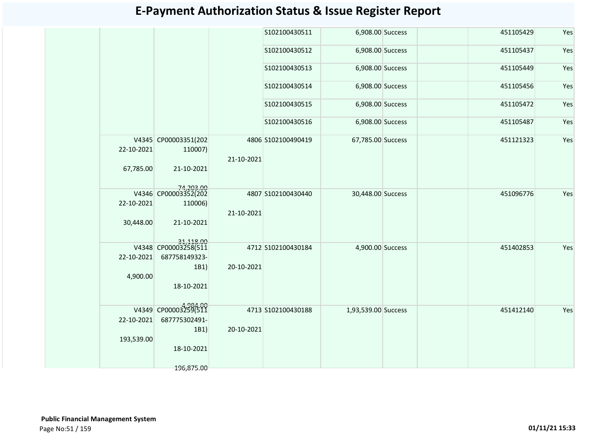|            |                                   |            | S102100430511      | 6,908.00 Success    |  | 451105429 | Yes |
|------------|-----------------------------------|------------|--------------------|---------------------|--|-----------|-----|
|            |                                   |            | S102100430512      | 6,908.00 Success    |  | 451105437 | Yes |
|            |                                   |            | S102100430513      | 6,908.00 Success    |  | 451105449 | Yes |
|            |                                   |            | S102100430514      | 6,908.00 Success    |  | 451105456 | Yes |
|            |                                   |            | S102100430515      | 6,908.00 Success    |  | 451105472 | Yes |
|            |                                   |            | S102100430516      | 6,908.00 Success    |  | 451105487 | Yes |
|            | V4345 CP00003351(202              |            | 4806 S102100490419 | 67,785.00 Success   |  | 451121323 | Yes |
| 22-10-2021 | 110007)                           | 21-10-2021 |                    |                     |  |           |     |
| 67,785.00  | 21-10-2021                        |            |                    |                     |  |           |     |
|            | 74,203.00<br>V4346 CP00003352(202 |            | 4807 S102100430440 | 30,448.00 Success   |  | 451096776 | Yes |
| 22-10-2021 | 110006)                           | 21-10-2021 |                    |                     |  |           |     |
| 30,448.00  | 21-10-2021                        |            |                    |                     |  |           |     |
|            | 31,118.00                         |            | 4712 S102100430184 | 4,900.00 Success    |  | 451402853 | Yes |
| 22-10-2021 | 687758149323-                     |            |                    |                     |  |           |     |
|            | 1B1)                              | 20-10-2021 |                    |                     |  |           |     |
| 4,900.00   | 18-10-2021                        |            |                    |                     |  |           |     |
|            | V4349 CP00003259(511              |            | 4713 S102100430188 | 1,93,539.00 Success |  | 451412140 | Yes |
| 22-10-2021 | 687775302491-                     |            |                    |                     |  |           |     |
| 193,539.00 | 1B1)                              | 20-10-2021 |                    |                     |  |           |     |
|            | 18-10-2021                        |            |                    |                     |  |           |     |
|            | 196,875.00                        |            |                    |                     |  |           |     |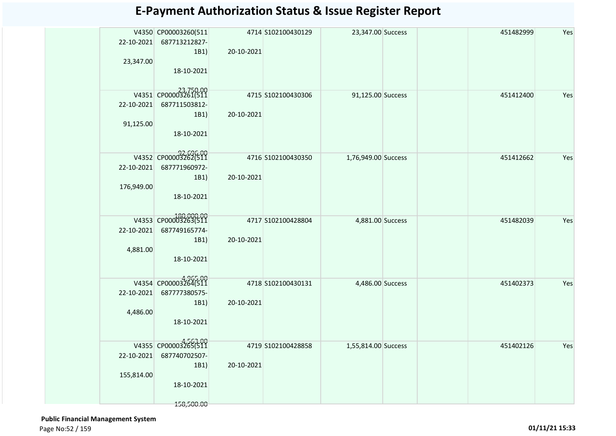| 22-10-2021<br>23,347.00 | V4350 CP00003260(511<br>687713212827-<br>1B1)<br>18-10-2021 | 20-10-2021 | 4714 S102100430129 | 23,347.00 Success   |  | 451482999 | Yes |
|-------------------------|-------------------------------------------------------------|------------|--------------------|---------------------|--|-----------|-----|
|                         | V4351 CP00003261(511                                        |            |                    |                     |  |           |     |
| 22-10-2021              | 687711503812-                                               |            | 4715 S102100430306 | 91,125.00 Success   |  | 451412400 | Yes |
|                         | 1B1)                                                        | 20-10-2021 |                    |                     |  |           |     |
| 91,125.00               |                                                             |            |                    |                     |  |           |     |
|                         | 18-10-2021                                                  |            |                    |                     |  |           |     |
|                         | 92.696.00<br>V4352 CP00003262(511                           |            |                    |                     |  |           |     |
| 22-10-2021              | 687771960972-                                               |            | 4716 S102100430350 | 1,76,949.00 Success |  | 451412662 | Yes |
|                         | 1B1)                                                        | 20-10-2021 |                    |                     |  |           |     |
| 176,949.00              |                                                             |            |                    |                     |  |           |     |
|                         | 18-10-2021                                                  |            |                    |                     |  |           |     |
|                         |                                                             |            |                    |                     |  |           |     |
|                         | V4353 CP00003263(511                                        |            | 4717 S102100428804 | 4,881.00 Success    |  | 451482039 | Yes |
| 22-10-2021              | 687749165774-                                               | 20-10-2021 |                    |                     |  |           |     |
| 4,881.00                | 1B1)                                                        |            |                    |                     |  |           |     |
|                         | 18-10-2021                                                  |            |                    |                     |  |           |     |
|                         |                                                             |            |                    |                     |  |           |     |
|                         | V4354 CP00003264(511                                        |            | 4718 S102100430131 | 4,486.00 Success    |  | 451402373 | Yes |
| 22-10-2021              | 687777380575-                                               |            |                    |                     |  |           |     |
|                         | 1B1)                                                        | 20-10-2021 |                    |                     |  |           |     |
| 4,486.00                |                                                             |            |                    |                     |  |           |     |
|                         | 18-10-2021                                                  |            |                    |                     |  |           |     |
|                         | V4355 CP00003265(511                                        |            |                    |                     |  |           |     |
| 22-10-2021              | 687740702507-                                               |            | 4719 S102100428858 | 1,55,814.00 Success |  | 451402126 | Yes |
|                         | 1B1)                                                        | 20-10-2021 |                    |                     |  |           |     |
| 155,814.00              |                                                             |            |                    |                     |  |           |     |
|                         | 18-10-2021                                                  |            |                    |                     |  |           |     |
|                         |                                                             |            |                    |                     |  |           |     |
|                         | 158,500.00                                                  |            |                    |                     |  |           |     |

 **Public Financial Management System**  Page No:52 / 159 **01/11/21 15:33**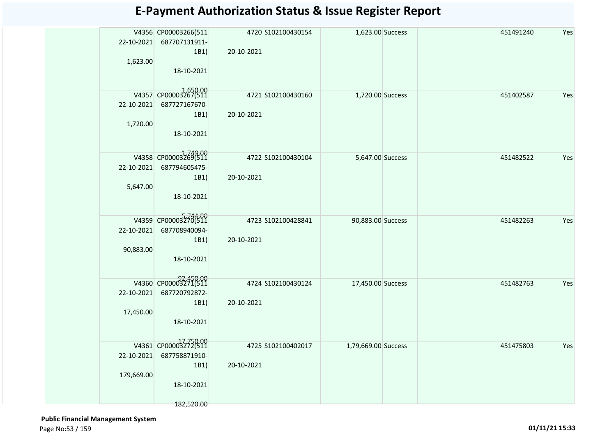| 22-10-2021<br>1,623.00   | V4356 CP00003266(511<br>687707131911-<br>1B1)<br>18-10-2021               | 20-10-2021 | 4720 S102100430154 | 1,623.00 Success    |  | 451491240 | Yes |
|--------------------------|---------------------------------------------------------------------------|------------|--------------------|---------------------|--|-----------|-----|
| 22-10-2021<br>1,720.00   | V4357 CP00003267(511<br>687727167670-<br>1B1)<br>18-10-2021               | 20-10-2021 | 4721 S102100430160 | 1,720.00 Success    |  | 451402587 | Yes |
| 22-10-2021<br>5,647.00   | V4358 CP00003269(511<br>687794605475-<br>1B1)<br>18-10-2021               | 20-10-2021 | 4722 S102100430104 | 5,647.00 Success    |  | 451482522 | Yes |
| 22-10-2021<br>90,883.00  | V4359 CP00003270(511<br>687708940094-<br>1B1)<br>18-10-2021               | 20-10-2021 | 4723 S102100428841 | 90,883.00 Success   |  | 451482263 | Yes |
| 22-10-2021<br>17,450.00  | V4360 CP00003271(511<br>687720792872-<br>1B1)<br>18-10-2021               | 20-10-2021 | 4724 S102100430124 | 17,450.00 Success   |  | 451482763 | Yes |
| 22-10-2021<br>179,669.00 | V4361 CP00003272(511<br>687758871910-<br>1B1)<br>18-10-2021<br>182,520.00 | 20-10-2021 | 4725 S102100402017 | 1,79,669.00 Success |  | 451475803 | Yes |

 **Public Financial Management System**  Page No:53 / 159 **01/11/21 15:33**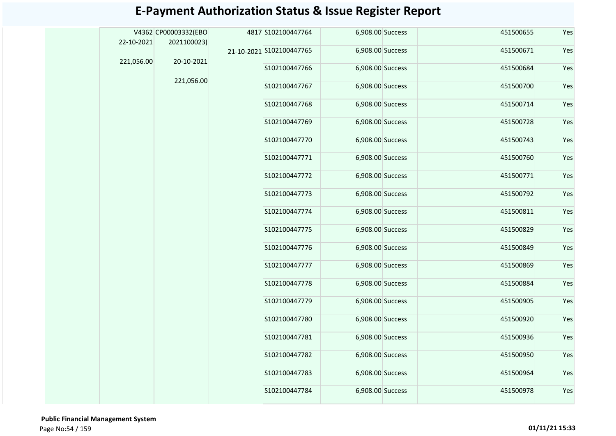|            | V4362 CP00003332(EBO | 4817 S102100447764       | 6,908.00 Success |  | 451500655 | Yes |
|------------|----------------------|--------------------------|------------------|--|-----------|-----|
| 22-10-2021 | 2021100023)          |                          | 6,908.00 Success |  | 451500671 | Yes |
| 221,056.00 | 20-10-2021           | 21-10-2021 S102100447765 |                  |  |           |     |
|            |                      | S102100447766            | 6,908.00 Success |  | 451500684 | Yes |
|            | 221,056.00           | S102100447767            | 6,908.00 Success |  | 451500700 | Yes |
|            |                      | S102100447768            | 6,908.00 Success |  | 451500714 | Yes |
|            |                      | S102100447769            | 6,908.00 Success |  | 451500728 | Yes |
|            |                      | S102100447770            | 6,908.00 Success |  | 451500743 | Yes |
|            |                      | S102100447771            | 6,908.00 Success |  | 451500760 | Yes |
|            |                      | S102100447772            | 6,908.00 Success |  | 451500771 | Yes |
|            |                      | S102100447773            | 6,908.00 Success |  | 451500792 | Yes |
|            |                      | S102100447774            | 6,908.00 Success |  | 451500811 | Yes |
|            |                      | S102100447775            | 6,908.00 Success |  | 451500829 | Yes |
|            |                      | S102100447776            | 6,908.00 Success |  | 451500849 | Yes |
|            |                      | S102100447777            | 6,908.00 Success |  | 451500869 | Yes |
|            |                      | S102100447778            | 6,908.00 Success |  | 451500884 | Yes |
|            |                      | S102100447779            | 6,908.00 Success |  | 451500905 | Yes |
|            |                      | S102100447780            | 6,908.00 Success |  | 451500920 | Yes |
|            |                      | S102100447781            | 6,908.00 Success |  | 451500936 | Yes |
|            |                      | S102100447782            | 6,908.00 Success |  | 451500950 | Yes |
|            |                      | S102100447783            | 6,908.00 Success |  | 451500964 | Yes |
|            |                      | S102100447784            | 6,908.00 Success |  | 451500978 | Yes |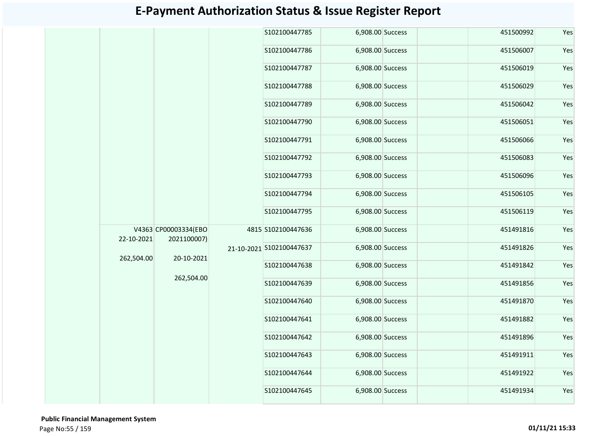|            |                      |                                         | S102100447785            | 6,908.00 Success |  | 451500992 | Yes |
|------------|----------------------|-----------------------------------------|--------------------------|------------------|--|-----------|-----|
|            |                      |                                         | S102100447786            | 6,908.00 Success |  | 451506007 | Yes |
|            |                      |                                         | S102100447787            | 6,908.00 Success |  | 451506019 | Yes |
|            |                      |                                         | S102100447788            | 6,908.00 Success |  | 451506029 | Yes |
|            |                      |                                         | S102100447789            | 6,908.00 Success |  | 451506042 | Yes |
|            |                      |                                         | S102100447790            | 6,908.00 Success |  | 451506051 | Yes |
|            |                      |                                         | S102100447791            | 6,908.00 Success |  | 451506066 | Yes |
|            |                      |                                         | S102100447792            | 6,908.00 Success |  | 451506083 | Yes |
|            |                      |                                         | S102100447793            | 6,908.00 Success |  | 451506096 | Yes |
|            |                      |                                         | S102100447794            | 6,908.00 Success |  | 451506105 | Yes |
|            |                      |                                         | S102100447795            | 6,908.00 Success |  | 451506119 | Yes |
| 22-10-2021 | V4363 CP00003334(EBO | 2021100007)<br>20-10-2021<br>262,504.00 | 4815 S102100447636       | 6,908.00 Success |  | 451491816 | Yes |
| 262,504.00 |                      |                                         | 21-10-2021 S102100447637 | 6,908.00 Success |  | 451491826 | Yes |
|            |                      |                                         | S102100447638            | 6,908.00 Success |  | 451491842 | Yes |
|            |                      |                                         | S102100447639            | 6,908.00 Success |  | 451491856 | Yes |
|            |                      |                                         | S102100447640            | 6,908.00 Success |  | 451491870 | Yes |
|            |                      |                                         | S102100447641            | 6,908.00 Success |  | 451491882 | Yes |
|            |                      |                                         | S102100447642            | 6,908.00 Success |  | 451491896 | Yes |
|            |                      |                                         | S102100447643            | 6,908.00 Success |  | 451491911 | Yes |
|            |                      |                                         | S102100447644            | 6,908.00 Success |  | 451491922 | Yes |
|            |                      |                                         | S102100447645            | 6,908.00 Success |  | 451491934 | Yes |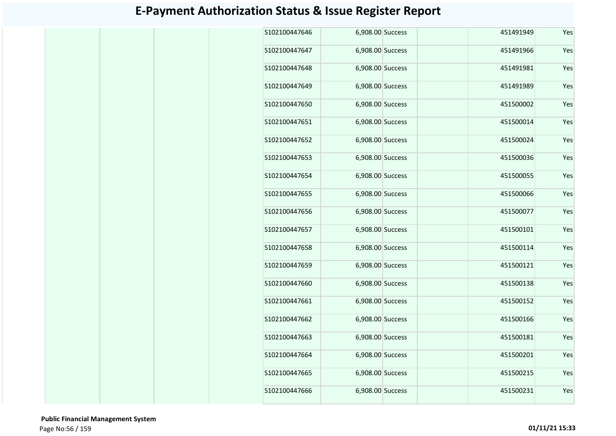| S102100447646 | 6,908.00 Success | 451491949 | Yes |
|---------------|------------------|-----------|-----|
| S102100447647 | 6,908.00 Success | 451491966 | Yes |
| S102100447648 | 6,908.00 Success | 451491981 | Yes |
| S102100447649 | 6,908.00 Success | 451491989 | Yes |
| S102100447650 | 6,908.00 Success | 451500002 | Yes |
| S102100447651 | 6,908.00 Success | 451500014 | Yes |
| S102100447652 | 6,908.00 Success | 451500024 | Yes |
| S102100447653 | 6,908.00 Success | 451500036 | Yes |
| S102100447654 | 6,908.00 Success | 451500055 | Yes |
| S102100447655 | 6,908.00 Success | 451500066 | Yes |
| S102100447656 | 6,908.00 Success | 451500077 | Yes |
| S102100447657 | 6,908.00 Success | 451500101 | Yes |
| S102100447658 | 6,908.00 Success | 451500114 | Yes |
| S102100447659 | 6,908.00 Success | 451500121 | Yes |
| S102100447660 | 6,908.00 Success | 451500138 | Yes |
| S102100447661 | 6,908.00 Success | 451500152 | Yes |
| S102100447662 | 6,908.00 Success | 451500166 | Yes |
| S102100447663 | 6,908.00 Success | 451500181 | Yes |
| S102100447664 | 6,908.00 Success | 451500201 | Yes |
| S102100447665 | 6,908.00 Success | 451500215 | Yes |
| S102100447666 | 6,908.00 Success | 451500231 | Yes |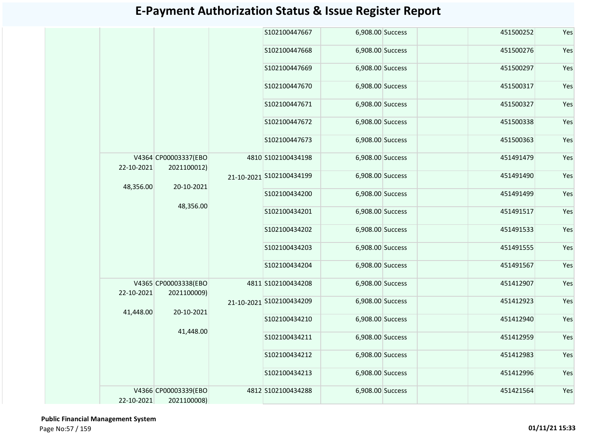|  |            |                                     |  | S102100447667            | 6,908.00 Success |  | 451500252 | Yes |
|--|------------|-------------------------------------|--|--------------------------|------------------|--|-----------|-----|
|  |            |                                     |  | S102100447668            | 6,908.00 Success |  | 451500276 | Yes |
|  |            |                                     |  | S102100447669            | 6,908.00 Success |  | 451500297 | Yes |
|  |            |                                     |  | S102100447670            | 6,908.00 Success |  | 451500317 | Yes |
|  |            |                                     |  | S102100447671            | 6,908.00 Success |  | 451500327 | Yes |
|  |            |                                     |  | S102100447672            | 6,908.00 Success |  | 451500338 | Yes |
|  |            |                                     |  | S102100447673            | 6,908.00 Success |  | 451500363 | Yes |
|  | 22-10-2021 | V4364 CP00003337(EBO<br>2021100012) |  | 4810 S102100434198       | 6,908.00 Success |  | 451491479 | Yes |
|  |            |                                     |  | 21-10-2021 S102100434199 | 6,908.00 Success |  | 451491490 | Yes |
|  | 48,356.00  | 20-10-2021                          |  | S102100434200            | 6,908.00 Success |  | 451491499 | Yes |
|  |            | 48,356.00                           |  | S102100434201            | 6,908.00 Success |  | 451491517 | Yes |
|  |            |                                     |  | S102100434202            | 6,908.00 Success |  | 451491533 | Yes |
|  |            |                                     |  | S102100434203            | 6,908.00 Success |  | 451491555 | Yes |
|  |            |                                     |  | S102100434204            | 6,908.00 Success |  | 451491567 | Yes |
|  | 22-10-2021 | V4365 CP00003338(EBO<br>2021100009) |  | 4811 S102100434208       | 6,908.00 Success |  | 451412907 | Yes |
|  |            | 20-10-2021                          |  | 21-10-2021 S102100434209 | 6,908.00 Success |  | 451412923 | Yes |
|  | 41,448.00  |                                     |  | S102100434210            | 6,908.00 Success |  | 451412940 | Yes |
|  |            | 41,448.00                           |  | S102100434211            | 6,908.00 Success |  | 451412959 | Yes |
|  |            |                                     |  | S102100434212            | 6,908.00 Success |  | 451412983 | Yes |
|  |            |                                     |  | S102100434213            | 6,908.00 Success |  | 451412996 | Yes |
|  | 22-10-2021 | V4366 CP00003339(EBO<br>2021100008) |  | 4812 S102100434288       | 6,908.00 Success |  | 451421564 | Yes |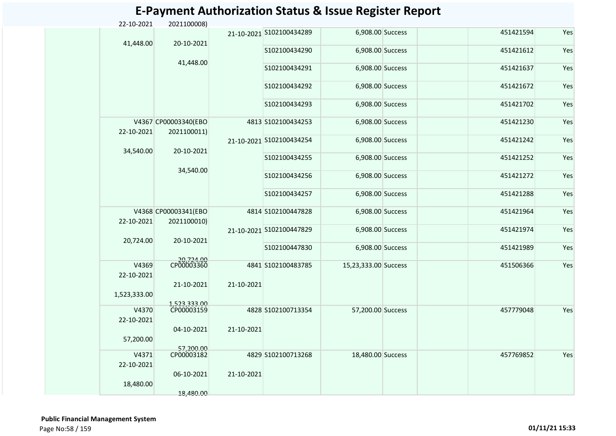| 22-10-2021          | 2021100008)                         |            |                          |                      |           |     |
|---------------------|-------------------------------------|------------|--------------------------|----------------------|-----------|-----|
|                     |                                     |            | 21-10-2021 S102100434289 | 6,908.00 Success     | 451421594 | Yes |
| 41,448.00           | 20-10-2021                          |            | S102100434290            | 6,908.00 Success     | 451421612 | Yes |
|                     | 41,448.00                           |            |                          |                      |           |     |
|                     |                                     |            | S102100434291            | 6,908.00 Success     | 451421637 | Yes |
|                     |                                     |            | S102100434292            | 6,908.00 Success     | 451421672 | Yes |
|                     |                                     |            | S102100434293            | 6,908.00 Success     | 451421702 | Yes |
| 22-10-2021          | V4367 CP00003340(EBO<br>2021100011) |            | 4813 S102100434253       | 6,908.00 Success     | 451421230 | Yes |
|                     |                                     |            | 21-10-2021 S102100434254 | 6,908.00 Success     | 451421242 | Yes |
| 34,540.00           | 20-10-2021                          |            | S102100434255            | 6,908.00 Success     | 451421252 | Yes |
|                     | 34,540.00                           |            | S102100434256            | 6,908.00 Success     | 451421272 | Yes |
|                     |                                     |            | S102100434257            | 6,908.00 Success     | 451421288 | Yes |
|                     | V4368 CP00003341(EBO                |            | 4814 S102100447828       | 6,908.00 Success     | 451421964 | Yes |
| 22-10-2021          | 2021100010)                         |            | 21-10-2021 S102100447829 | 6,908.00 Success     | 451421974 | Yes |
| 20,724.00           | 20-10-2021                          |            | S102100447830            | 6,908.00 Success     | 451421989 | Yes |
|                     |                                     |            |                          |                      |           |     |
| V4369<br>22-10-2021 | 20,724.00<br>CP00003360             |            | 4841 S102100483785       | 15,23,333.00 Success | 451506366 | Yes |
| 1,523,333.00        | 21-10-2021                          | 21-10-2021 |                          |                      |           |     |
|                     | 1,523,333.00<br>CP00003159          |            |                          |                      |           |     |
| V4370<br>22-10-2021 |                                     |            | 4828 S102100713354       | 57,200.00 Success    | 457779048 | Yes |
|                     | 04-10-2021                          | 21-10-2021 |                          |                      |           |     |
| 57,200.00           | 57,200.00                           |            |                          |                      |           |     |
| V4371               | CP00003182                          |            | 4829 S102100713268       | 18,480.00 Success    | 457769852 | Yes |
| 22-10-2021          |                                     |            |                          |                      |           |     |
|                     | 06-10-2021                          | 21-10-2021 |                          |                      |           |     |
| 18,480.00           |                                     |            |                          |                      |           |     |

 **Public Financial Management System**  Page No:58 / 159 **01/11/21 15:33**

18,480.00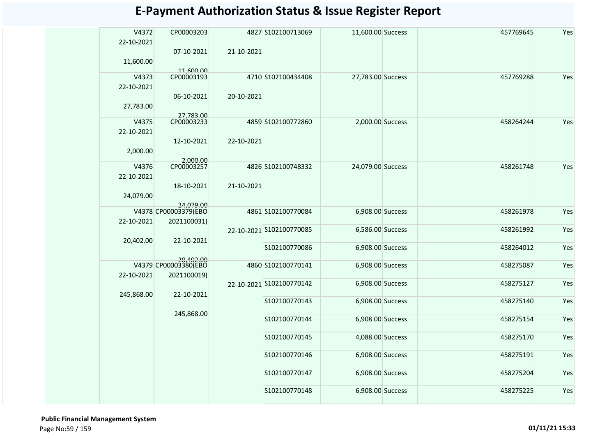| V4372<br>22-10-2021 | CP00003203<br>07-10-2021          | 21-10-2021 | 4827 S102100713069       | 11,600.00 Success |  | 457769645 | Yes |
|---------------------|-----------------------------------|------------|--------------------------|-------------------|--|-----------|-----|
| 11,600.00           | 11,600.00<br>CP00003193           |            |                          |                   |  |           |     |
| V4373<br>22-10-2021 |                                   |            | 4710 S102100434408       | 27,783.00 Success |  | 457769288 | Yes |
| 27,783.00           | 06-10-2021                        | 20-10-2021 |                          |                   |  |           |     |
|                     | 27,783.00<br>CP00003233           |            | 4859 S102100772860       |                   |  | 458264244 | Yes |
| V4375<br>22-10-2021 |                                   |            |                          | 2,000.00 Success  |  |           |     |
| 2,000.00            | 12-10-2021                        | 22-10-2021 |                          |                   |  |           |     |
| V4376               | 2,000.00<br>CP00003257            |            | 4826 S102100748332       | 24,079.00 Success |  | 458261748 | Yes |
|                     |                                   |            |                          |                   |  |           |     |
| 22-10-2021          | 18-10-2021                        | 21-10-2021 |                          |                   |  |           |     |
| 24,079.00           | 24,079.00                         |            |                          |                   |  |           |     |
|                     | V4378 CP00003379(EBO              |            | 4861 S102100770084       | 6,908.00 Success  |  | 458261978 | Yes |
|                     |                                   |            |                          |                   |  |           |     |
| 22-10-2021          | 2021100031)                       |            |                          |                   |  |           |     |
| 20,402.00           | 22-10-2021                        |            | 22-10-2021 S102100770085 | 6,586.00 Success  |  | 458261992 | Yes |
|                     |                                   |            | S102100770086            | 6,908.00 Success  |  | 458264012 | Yes |
|                     | 20,402.00<br>V4379 CP00003380(EBO |            | 4860 S102100770141       | 6,908.00 Success  |  | 458275087 | Yes |
| 22-10-2021          | 2021100019)                       |            |                          |                   |  |           |     |
|                     |                                   |            | 22-10-2021 S102100770142 | 6,908.00 Success  |  | 458275127 | Yes |
| 245,868.00          | 22-10-2021                        |            |                          |                   |  |           |     |
|                     |                                   |            | S102100770143            | 6,908.00 Success  |  | 458275140 | Yes |
|                     | 245,868.00                        |            | S102100770144            | 6,908.00 Success  |  | 458275154 | Yes |
|                     |                                   |            |                          |                   |  |           |     |
|                     |                                   |            | S102100770145            | 4,088.00 Success  |  | 458275170 | Yes |
|                     |                                   |            | S102100770146            | 6,908.00 Success  |  | 458275191 | Yes |
|                     |                                   |            | S102100770147            | 6,908.00 Success  |  | 458275204 | Yes |
|                     |                                   |            | S102100770148            | 6,908.00 Success  |  | 458275225 | Yes |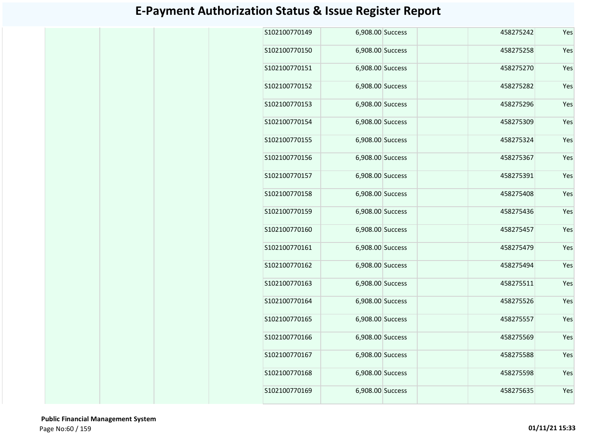| S102100770149 | 6,908.00 Success | 458275242 | Yes |
|---------------|------------------|-----------|-----|
| S102100770150 | 6,908.00 Success | 458275258 | Yes |
| S102100770151 | 6,908.00 Success | 458275270 | Yes |
| S102100770152 | 6,908.00 Success | 458275282 | Yes |
| S102100770153 | 6,908.00 Success | 458275296 | Yes |
| S102100770154 | 6,908.00 Success | 458275309 | Yes |
| S102100770155 | 6,908.00 Success | 458275324 | Yes |
| S102100770156 | 6,908.00 Success | 458275367 | Yes |
| S102100770157 | 6,908.00 Success | 458275391 | Yes |
| S102100770158 | 6,908.00 Success | 458275408 | Yes |
| S102100770159 | 6,908.00 Success | 458275436 | Yes |
| S102100770160 | 6,908.00 Success | 458275457 | Yes |
| S102100770161 | 6,908.00 Success | 458275479 | Yes |
| S102100770162 | 6,908.00 Success | 458275494 | Yes |
| S102100770163 | 6,908.00 Success | 458275511 | Yes |
| S102100770164 | 6,908.00 Success | 458275526 | Yes |
| S102100770165 | 6,908.00 Success | 458275557 | Yes |
| S102100770166 | 6,908.00 Success | 458275569 | Yes |
| S102100770167 | 6,908.00 Success | 458275588 | Yes |
| S102100770168 | 6,908.00 Success | 458275598 | Yes |
| S102100770169 | 6,908.00 Success | 458275635 | Yes |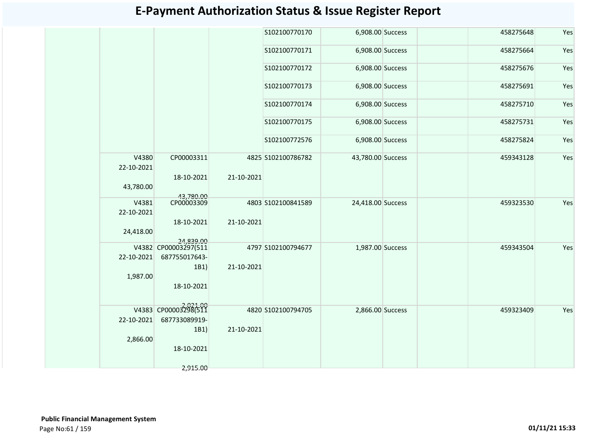|            |                                   |            | S102100770170      | 6,908.00 Success  |  | 458275648 | Yes |
|------------|-----------------------------------|------------|--------------------|-------------------|--|-----------|-----|
|            |                                   |            | S102100770171      | 6,908.00 Success  |  | 458275664 | Yes |
|            |                                   |            | S102100770172      | 6,908.00 Success  |  | 458275676 | Yes |
|            |                                   |            | S102100770173      | 6,908.00 Success  |  | 458275691 | Yes |
|            |                                   |            | S102100770174      | 6,908.00 Success  |  | 458275710 | Yes |
|            |                                   |            | S102100770175      | 6,908.00 Success  |  | 458275731 | Yes |
|            |                                   |            | S102100772576      | 6,908.00 Success  |  | 458275824 | Yes |
| 22-10-2021 | V4380<br>CP00003311               |            | 4825 S102100786782 | 43,780.00 Success |  | 459343128 | Yes |
|            | 18-10-2021                        | 21-10-2021 |                    |                   |  |           |     |
| 43,780.00  |                                   |            |                    |                   |  |           |     |
|            | 43,780.00<br>CP00003309<br>V4381  |            | 4803 S102100841589 | 24,418.00 Success |  | 459323530 | Yes |
| 22-10-2021 |                                   |            |                    |                   |  |           |     |
|            | 18-10-2021                        | 21-10-2021 |                    |                   |  |           |     |
| 24,418.00  |                                   |            |                    |                   |  |           |     |
|            | 24.839.00<br>V4382 CP00003297(511 |            | 4797 S102100794677 | 1,987.00 Success  |  | 459343504 | Yes |
| 22-10-2021 | 687755017643-                     |            |                    |                   |  |           |     |
|            | 1B1)                              | 21-10-2021 |                    |                   |  |           |     |
| 1,987.00   |                                   |            |                    |                   |  |           |     |
|            | 18-10-2021                        |            |                    |                   |  |           |     |
|            | V4383 CP00003298(511              |            | 4820 S102100794705 |                   |  | 459323409 | Yes |
| 22-10-2021 | 687733089919-                     |            |                    | 2,866.00 Success  |  |           |     |
|            | 1B1)                              | 21-10-2021 |                    |                   |  |           |     |
| 2,866.00   |                                   |            |                    |                   |  |           |     |
|            | 18-10-2021                        |            |                    |                   |  |           |     |
|            |                                   |            |                    |                   |  |           |     |
|            | 2,915.00                          |            |                    |                   |  |           |     |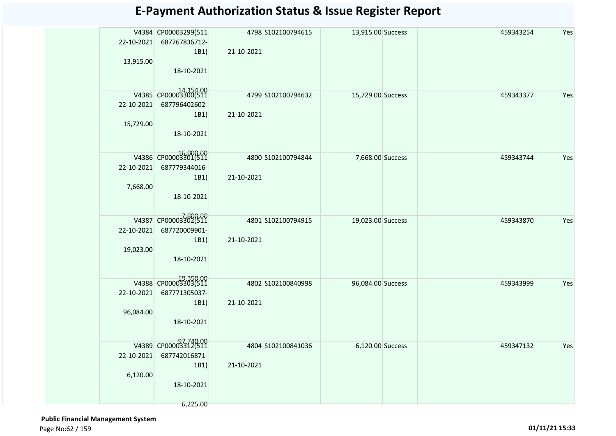| 22-10-2021<br>13,915.00 | V4384 CP00003299(511<br>687767836712-<br>1B1) | 21-10-2021 | 4798 S102100794615 | 13,915.00 Success |  | 459343254 | Yes |
|-------------------------|-----------------------------------------------|------------|--------------------|-------------------|--|-----------|-----|
|                         | 18-10-2021                                    |            |                    |                   |  |           |     |
|                         | V4385 CP00003300(511                          |            | 4799 S102100794632 | 15,729.00 Success |  | 459343377 | Yes |
| 22-10-2021              | 687796402602-                                 |            |                    |                   |  |           |     |
| 15,729.00               | 1B1)                                          | 21-10-2021 |                    |                   |  |           |     |
|                         | 18-10-2021                                    |            |                    |                   |  |           |     |
|                         | V4386 CP00003301(511                          |            | 4800 S102100794844 | 7,668.00 Success  |  | 459343744 | Yes |
| 22-10-2021              | 687779344016-                                 |            |                    |                   |  |           |     |
| 7,668.00                | 1B1)                                          | 21-10-2021 |                    |                   |  |           |     |
|                         | 18-10-2021                                    |            |                    |                   |  |           |     |
|                         | V4387 CP00003302(511                          |            | 4801 S102100794915 | 19,023.00 Success |  | 459343870 | Yes |
| 22-10-2021              | 687720009901-                                 |            |                    |                   |  |           |     |
|                         | 1B1)                                          | 21-10-2021 |                    |                   |  |           |     |
| 19,023.00               |                                               |            |                    |                   |  |           |     |
|                         | 18-10-2021                                    |            |                    |                   |  |           |     |
|                         | V4388 CP00003303(511                          |            | 4802 S102100840998 | 96,084.00 Success |  | 459343999 | Yes |
| 22-10-2021              | 687771305037-                                 |            |                    |                   |  |           |     |
|                         | 1B1)                                          | 21-10-2021 |                    |                   |  |           |     |
| 96,084.00               | 18-10-2021                                    |            |                    |                   |  |           |     |
|                         |                                               |            |                    |                   |  |           |     |
|                         | V4389 CP00003312(511                          |            | 4804 S102100841036 | 6,120.00 Success  |  | 459347132 | Yes |
| 22-10-2021              | 687742016871-                                 |            |                    |                   |  |           |     |
|                         | 1B1)                                          | 21-10-2021 |                    |                   |  |           |     |
| 6,120.00                |                                               |            |                    |                   |  |           |     |
|                         | 18-10-2021                                    |            |                    |                   |  |           |     |
|                         | 6,225.00                                      |            |                    |                   |  |           |     |

 **Public Financial Management System**  Page No:62 / 159 **01/11/21 15:33**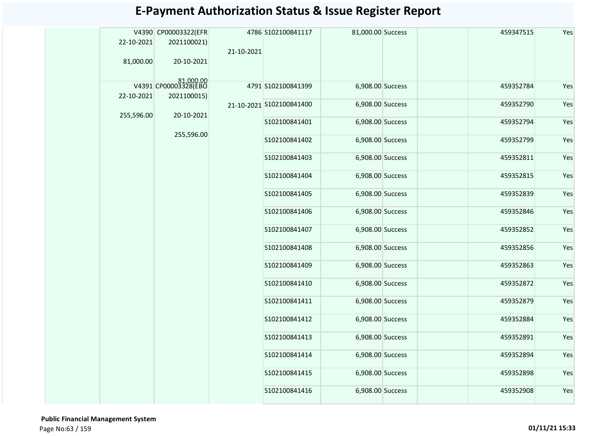|            | V4390 CP00003322(EFR              |            | 4786 S102100841117       | 81,000.00 Success |  | 459347515 | Yes |
|------------|-----------------------------------|------------|--------------------------|-------------------|--|-----------|-----|
| 22-10-2021 | 2021100021)                       | 21-10-2021 |                          |                   |  |           |     |
| 81,000.00  | 20-10-2021                        |            |                          |                   |  |           |     |
|            |                                   |            |                          |                   |  |           |     |
|            | 81,000.00<br>V4391 CP00003328(EBO |            | 4791 S102100841399       | 6,908.00 Success  |  | 459352784 | Yes |
| 22-10-2021 | 2021100015)                       |            | 21-10-2021 S102100841400 | 6,908.00 Success  |  | 459352790 | Yes |
| 255,596.00 | 20-10-2021                        |            |                          |                   |  |           |     |
|            | 255,596.00                        |            | S102100841401            | 6,908.00 Success  |  | 459352794 | Yes |
|            |                                   |            | S102100841402            | 6,908.00 Success  |  | 459352799 | Yes |
|            |                                   |            | S102100841403            | 6,908.00 Success  |  | 459352811 | Yes |
|            |                                   |            | S102100841404            | 6,908.00 Success  |  | 459352815 | Yes |
|            |                                   |            | S102100841405            | 6,908.00 Success  |  | 459352839 | Yes |
|            |                                   |            | S102100841406            | 6,908.00 Success  |  | 459352846 | Yes |
|            |                                   |            | S102100841407            | 6,908.00 Success  |  | 459352852 | Yes |
|            |                                   |            | S102100841408            | 6,908.00 Success  |  | 459352856 | Yes |
|            |                                   |            | S102100841409            | 6,908.00 Success  |  | 459352863 | Yes |
|            |                                   |            | S102100841410            | 6,908.00 Success  |  | 459352872 | Yes |
|            |                                   |            | S102100841411            | 6,908.00 Success  |  | 459352879 | Yes |
|            |                                   |            | S102100841412            | 6,908.00 Success  |  | 459352884 | Yes |
|            |                                   |            | S102100841413            | 6,908.00 Success  |  | 459352891 | Yes |
|            |                                   |            | S102100841414            | 6,908.00 Success  |  | 459352894 | Yes |
|            |                                   |            | S102100841415            | 6,908.00 Success  |  | 459352898 | Yes |
|            |                                   |            | S102100841416            | 6,908.00 Success  |  | 459352908 | Yes |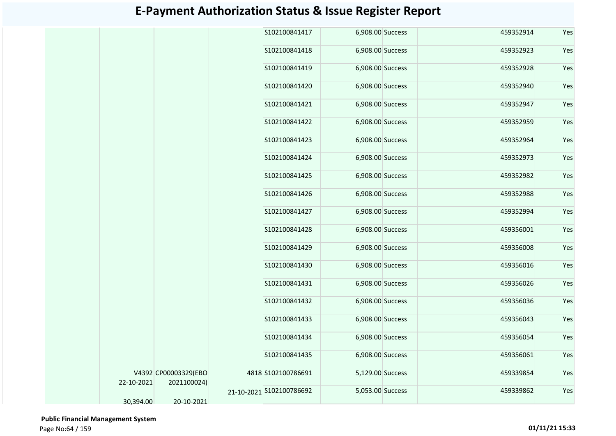|            |                      | S102100841417            | 6,908.00 Success | 459352914 | Yes |
|------------|----------------------|--------------------------|------------------|-----------|-----|
|            |                      | S102100841418            | 6,908.00 Success | 459352923 | Yes |
|            |                      | S102100841419            | 6,908.00 Success | 459352928 | Yes |
|            |                      | S102100841420            | 6,908.00 Success | 459352940 | Yes |
|            |                      | S102100841421            | 6,908.00 Success | 459352947 | Yes |
|            |                      | S102100841422            | 6,908.00 Success | 459352959 | Yes |
|            |                      | S102100841423            | 6,908.00 Success | 459352964 | Yes |
|            |                      | S102100841424            | 6,908.00 Success | 459352973 | Yes |
|            |                      | S102100841425            | 6,908.00 Success | 459352982 | Yes |
|            |                      | S102100841426            | 6,908.00 Success | 459352988 | Yes |
|            |                      | S102100841427            | 6,908.00 Success | 459352994 | Yes |
|            |                      | S102100841428            | 6,908.00 Success | 459356001 | Yes |
|            |                      | S102100841429            | 6,908.00 Success | 459356008 | Yes |
|            |                      | S102100841430            | 6,908.00 Success | 459356016 | Yes |
|            |                      | S102100841431            | 6,908.00 Success | 459356026 | Yes |
|            |                      | S102100841432            | 6,908.00 Success | 459356036 | Yes |
|            |                      | S102100841433            | 6,908.00 Success | 459356043 | Yes |
|            |                      | S102100841434            | 6,908.00 Success | 459356054 | Yes |
|            |                      | S102100841435            | 6,908.00 Success | 459356061 | Yes |
|            | V4392 CP00003329(EBO | 4818 S102100786691       | 5,129.00 Success | 459339854 | Yes |
| 22-10-2021 | 2021100024)          | 21-10-2021 S102100786692 | 5,053.00 Success | 459339862 | Yes |
| 30,394.00  | 20-10-2021           |                          |                  |           |     |

 **Public Financial Management System**  Page No:64 / 159 **01/11/21 15:33**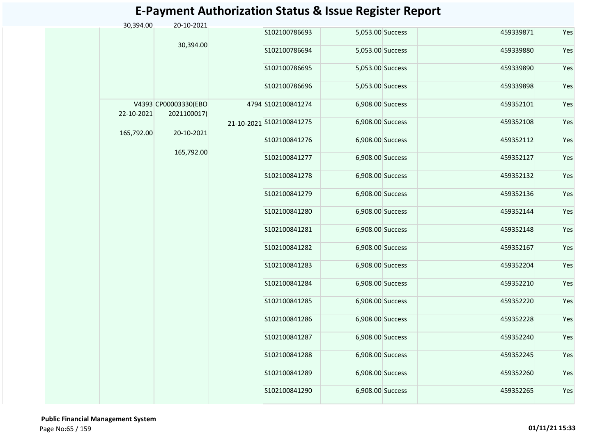| 30,394.00  | 20-10-2021                          |            |                          |                  |           |     |
|------------|-------------------------------------|------------|--------------------------|------------------|-----------|-----|
|            |                                     |            | S102100786693            | 5,053.00 Success | 459339871 | Yes |
|            | 30,394.00                           |            | S102100786694            | 5,053.00 Success | 459339880 | Yes |
|            |                                     |            | S102100786695            | 5,053.00 Success | 459339890 | Yes |
|            |                                     |            | S102100786696            | 5,053.00 Success | 459339898 | Yes |
| 22-10-2021 | V4393 CP00003330(EBO<br>2021100017) |            | 4794 S102100841274       | 6,908.00 Success | 459352101 | Yes |
|            |                                     |            | 21-10-2021 S102100841275 | 6,908.00 Success | 459352108 | Yes |
| 165,792.00 | 20-10-2021                          | 165,792.00 | S102100841276            | 6,908.00 Success | 459352112 | Yes |
|            |                                     |            | S102100841277            | 6,908.00 Success | 459352127 | Yes |
|            |                                     |            | S102100841278            | 6,908.00 Success | 459352132 | Yes |
|            |                                     |            | S102100841279            | 6,908.00 Success | 459352136 | Yes |
|            |                                     |            | S102100841280            | 6,908.00 Success | 459352144 | Yes |
|            |                                     |            | S102100841281            | 6,908.00 Success | 459352148 | Yes |
|            |                                     |            | S102100841282            | 6,908.00 Success | 459352167 | Yes |
|            |                                     |            | S102100841283            | 6,908.00 Success | 459352204 | Yes |
|            |                                     |            | S102100841284            | 6,908.00 Success | 459352210 | Yes |
|            |                                     |            | S102100841285            | 6,908.00 Success | 459352220 | Yes |
|            |                                     |            | S102100841286            | 6,908.00 Success | 459352228 | Yes |
|            |                                     |            | S102100841287            | 6,908.00 Success | 459352240 | Yes |
|            |                                     |            | S102100841288            | 6,908.00 Success | 459352245 | Yes |
|            |                                     |            | S102100841289            | 6,908.00 Success | 459352260 | Yes |
|            |                                     |            | S102100841290            | 6,908.00 Success | 459352265 | Yes |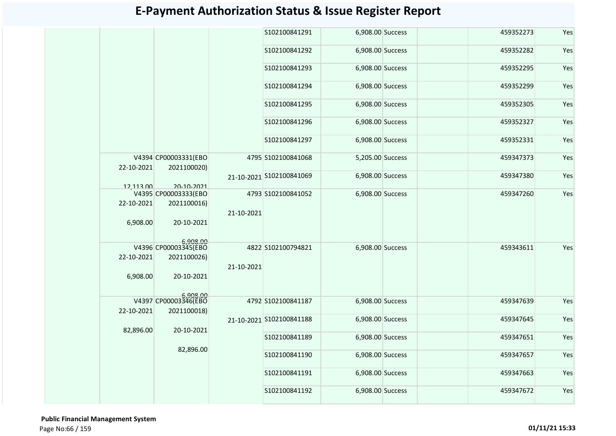|            |                                                 |            | S102100841291            | 6,908.00 Success |  | 459352273 | Yes |
|------------|-------------------------------------------------|------------|--------------------------|------------------|--|-----------|-----|
|            |                                                 |            | S102100841292            | 6,908.00 Success |  | 459352282 | Yes |
|            |                                                 |            | S102100841293            | 6,908.00 Success |  | 459352295 | Yes |
|            |                                                 |            | S102100841294            | 6,908.00 Success |  | 459352299 | Yes |
|            |                                                 |            | S102100841295            | 6,908.00 Success |  | 459352305 | Yes |
|            |                                                 |            | S102100841296            | 6,908.00 Success |  | 459352327 | Yes |
|            |                                                 |            | S102100841297            | 6,908.00 Success |  | 459352331 | Yes |
| 22-10-2021 | V4394 CP00003331(EBO<br>2021100020)             |            | 4795 S102100841068       | 5,205.00 Success |  | 459347373 | Yes |
| 12,113.00  | 20-10-2021                                      |            | 21-10-2021 S102100841069 | 6,908.00 Success |  | 459347380 | Yes |
|            | V4395 CP00003333(EBO                            |            | 4793 S102100841052       | 6,908.00 Success |  | 459347260 | Yes |
| 22-10-2021 | 2021100016)                                     |            |                          |                  |  |           |     |
| 6,908.00   | 20-10-2021                                      | 21-10-2021 |                          |                  |  |           |     |
|            | 008.00<br>V4396 CP00003345(EBO                  |            | 4822 S102100794821       | 6,908.00 Success |  | 459343611 | Yes |
| 22-10-2021 | 2021100026)                                     |            |                          |                  |  |           |     |
| 6,908.00   | 20-10-2021                                      | 21-10-2021 |                          |                  |  |           |     |
| 22-10-2021 | 6,908.00<br>V4397 CP00003346(EBO<br>2021100018) |            | 4792 S102100841187       | 6,908.00 Success |  | 459347639 | Yes |
| 82,896.00  | 20-10-2021                                      |            | 21-10-2021 S102100841188 | 6,908.00 Success |  | 459347645 | Yes |
|            |                                                 |            | S102100841189            | 6,908.00 Success |  | 459347651 | Yes |
|            | 82,896.00                                       |            | S102100841190            | 6,908.00 Success |  | 459347657 | Yes |
|            |                                                 |            | S102100841191            | 6,908.00 Success |  | 459347663 | Yes |
|            |                                                 |            | S102100841192            | 6,908.00 Success |  | 459347672 | Yes |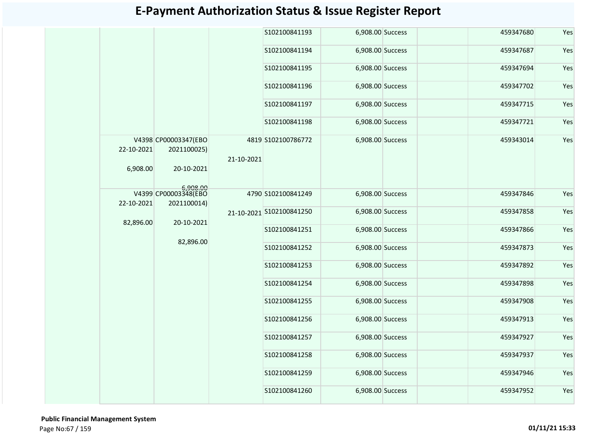|                        |                                                   |            | S102100841193            | 6,908.00 Success | 459347680 | Yes |
|------------------------|---------------------------------------------------|------------|--------------------------|------------------|-----------|-----|
|                        |                                                   |            | S102100841194            | 6,908.00 Success | 459347687 | Yes |
|                        |                                                   |            | S102100841195            | 6,908.00 Success | 459347694 | Yes |
|                        |                                                   |            | S102100841196            | 6,908.00 Success | 459347702 | Yes |
|                        |                                                   |            | S102100841197            | 6,908.00 Success | 459347715 | Yes |
|                        |                                                   |            | S102100841198            | 6,908.00 Success | 459347721 | Yes |
| 22-10-2021<br>6,908.00 | V4398 CP00003347(EBO<br>2021100025)<br>20-10-2021 | 21-10-2021 | 4819 S102100786772       | 6,908.00 Success | 459343014 | Yes |
| 22-10-2021             | 6,908.00<br>V4399 CP00003348(EBO<br>2021100014)   |            | 4790 S102100841249       | 6,908.00 Success | 459347846 | Yes |
|                        | 20-10-2021                                        |            | 21-10-2021 S102100841250 | 6,908.00 Success | 459347858 | Yes |
| 82,896.00              |                                                   | 82,896.00  | S102100841251            | 6,908.00 Success | 459347866 | Yes |
|                        |                                                   |            | S102100841252            | 6,908.00 Success | 459347873 | Yes |
|                        |                                                   |            | S102100841253            | 6,908.00 Success | 459347892 | Yes |
|                        |                                                   |            | S102100841254            | 6,908.00 Success | 459347898 | Yes |
|                        |                                                   |            | S102100841255            | 6,908.00 Success | 459347908 | Yes |
|                        |                                                   |            | S102100841256            | 6,908.00 Success | 459347913 | Yes |
|                        |                                                   |            | S102100841257            | 6,908.00 Success | 459347927 | Yes |
|                        |                                                   |            | S102100841258            | 6,908.00 Success | 459347937 | Yes |
|                        |                                                   |            | S102100841259            | 6,908.00 Success | 459347946 | Yes |
|                        |                                                   |            | S102100841260            | 6,908.00 Success | 459347952 | Yes |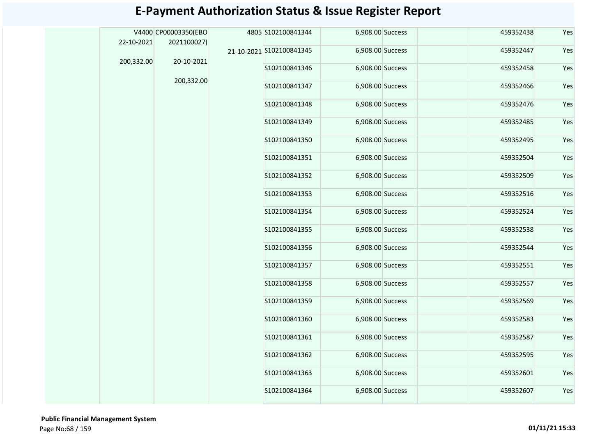|            | V4400 CP00003350(EBO | 4805 S102100841344       | 6,908.00 Success |  | 459352438 | Yes |
|------------|----------------------|--------------------------|------------------|--|-----------|-----|
| 22-10-2021 | 2021100027)          | 21-10-2021 S102100841345 | 6,908.00 Success |  | 459352447 | Yes |
| 200,332.00 | 20-10-2021           |                          |                  |  |           |     |
|            |                      | S102100841346            | 6,908.00 Success |  | 459352458 | Yes |
|            | 200,332.00           | S102100841347            | 6,908.00 Success |  | 459352466 | Yes |
|            |                      | S102100841348            | 6,908.00 Success |  | 459352476 | Yes |
|            |                      | S102100841349            | 6,908.00 Success |  | 459352485 | Yes |
|            |                      | S102100841350            | 6,908.00 Success |  | 459352495 | Yes |
|            |                      | S102100841351            | 6,908.00 Success |  | 459352504 | Yes |
|            |                      | S102100841352            | 6,908.00 Success |  | 459352509 | Yes |
|            |                      | S102100841353            | 6,908.00 Success |  | 459352516 | Yes |
|            |                      | S102100841354            | 6,908.00 Success |  | 459352524 | Yes |
|            |                      | S102100841355            | 6,908.00 Success |  | 459352538 | Yes |
|            |                      | S102100841356            | 6,908.00 Success |  | 459352544 | Yes |
|            |                      | S102100841357            | 6,908.00 Success |  | 459352551 | Yes |
|            |                      | S102100841358            | 6,908.00 Success |  | 459352557 | Yes |
|            |                      | S102100841359            | 6,908.00 Success |  | 459352569 | Yes |
|            |                      | S102100841360            | 6,908.00 Success |  | 459352583 | Yes |
|            |                      | S102100841361            | 6,908.00 Success |  | 459352587 | Yes |
|            |                      | S102100841362            | 6,908.00 Success |  | 459352595 | Yes |
|            |                      | S102100841363            | 6,908.00 Success |  | 459352601 | Yes |
|            |                      | S102100841364            | 6,908.00 Success |  | 459352607 | Yes |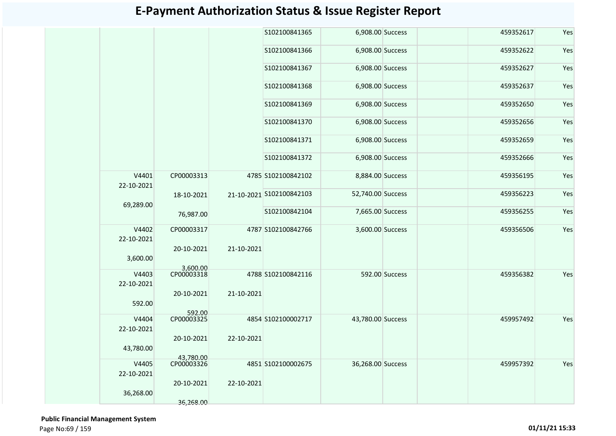|                     |                         |            | S102100841365            | 6,908.00 Success  |                | 459352617 | Yes |
|---------------------|-------------------------|------------|--------------------------|-------------------|----------------|-----------|-----|
|                     |                         |            | S102100841366            | 6,908.00 Success  |                | 459352622 | Yes |
|                     |                         |            | S102100841367            | 6,908.00 Success  |                | 459352627 | Yes |
|                     |                         |            | S102100841368            | 6,908.00 Success  |                | 459352637 | Yes |
|                     |                         |            | S102100841369            | 6,908.00 Success  |                | 459352650 | Yes |
|                     |                         |            | S102100841370            | 6,908.00 Success  |                | 459352656 | Yes |
|                     |                         |            | S102100841371            | 6,908.00 Success  |                | 459352659 | Yes |
|                     |                         |            | S102100841372            | 6,908.00 Success  |                | 459352666 | Yes |
| V4401<br>22-10-2021 | CP00003313              |            | 4785 S102100842102       | 8,884.00 Success  |                | 459356195 | Yes |
| 69,289.00           | 18-10-2021              |            | 21-10-2021 S102100842103 | 52,740.00 Success |                | 459356223 | Yes |
|                     | 76,987.00               |            | S102100842104            | 7,665.00 Success  |                | 459356255 | Yes |
| V4402<br>22-10-2021 | CP00003317              |            | 4787 S102100842766       | 3,600.00 Success  |                | 459356506 | Yes |
| 3,600.00            | 20-10-2021              | 21-10-2021 |                          |                   |                |           |     |
| V4403<br>22-10-2021 | 3,600.00<br>CP00003318  |            | 4788 S102100842116       |                   | 592.00 Success | 459356382 | Yes |
| 592.00              | 20-10-2021              | 21-10-2021 |                          |                   |                |           |     |
| V4404<br>22-10-2021 | 592.00<br>CP00003325    |            | 4854 S102100002717       | 43,780.00 Success |                | 459957492 | Yes |
| 43,780.00           | 20-10-2021              | 22-10-2021 |                          |                   |                |           |     |
| V4405               | 43.780.00<br>CP00003326 |            | 4851 S102100002675       | 36,268.00 Success |                | 459957392 | Yes |
| 22-10-2021          |                         |            |                          |                   |                |           |     |
| 36,268.00           | 20-10-2021              | 22-10-2021 |                          |                   |                |           |     |
|                     | 36,268.00               |            |                          |                   |                |           |     |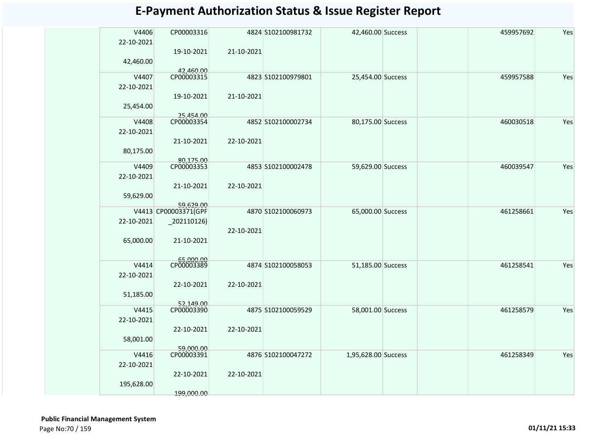| <b>E-Payment Authorization Status &amp; Issue Register Report</b> |                                                 |            |                    |                   |  |  |           |     |  |  |  |  |
|-------------------------------------------------------------------|-------------------------------------------------|------------|--------------------|-------------------|--|--|-----------|-----|--|--|--|--|
| V4406<br>22-10-2021                                               | CP00003316                                      |            | 4824 S102100981732 | 42,460.00 Success |  |  | 459957692 | Yes |  |  |  |  |
| 42,460.00                                                         | 19-10-2021                                      | 21-10-2021 |                    |                   |  |  |           |     |  |  |  |  |
| V4407<br>22-10-2021                                               | 42,460.00<br>CP00003315                         |            | 4823 S102100979801 | 25,454.00 Success |  |  | 459957588 | Yes |  |  |  |  |
| 25,454.00                                                         | 19-10-2021                                      | 21-10-2021 |                    |                   |  |  |           |     |  |  |  |  |
| V4408<br>22-10-2021                                               | 25.454.00<br>CP00003354                         |            | 4852 S102100002734 | 80,175.00 Success |  |  | 460030518 | Yes |  |  |  |  |
| 80,175.00                                                         | 21-10-2021                                      | 22-10-2021 |                    |                   |  |  |           |     |  |  |  |  |
| V4409<br>22-10-2021                                               | 80.175.00<br>CP00003353                         |            | 4853 S102100002478 | 59,629.00 Success |  |  | 460039547 | Yes |  |  |  |  |
| 59,629.00                                                         | 21-10-2021                                      | 22-10-2021 |                    |                   |  |  |           |     |  |  |  |  |
| 22-10-2021                                                        | 59.629.00<br>V4413 CP00003371(GPF<br>202110126) |            | 4870 S102100060973 | 65,000.00 Success |  |  | 461258661 | Yes |  |  |  |  |

4874 S102100058053

4875 S102100059529

4876 S102100047272

22-10-2021

22-10-2021

22-10-2021

22-10-2021

 **Public Financial Management System**  Page No:70 / 159 **01/11/21 15:33**

65,000.00

51,185.00

58,001.00

195,628.00

V4416 22-10-2021

V4415 22-10-2021

V4414 22-10-2021

21-10-2021

65,000.00 CP00003389

22-10-2021

52,149.00

CP00003390

22-10-2021

59,000.00

CP00003391

22-10-2021

199,000.00

S102100058053 51,185.00 Success 461258541 Yes

S102100059529 58,001.00 Success 461258579 Yes

1,95,628.00 Success 461258349 Yes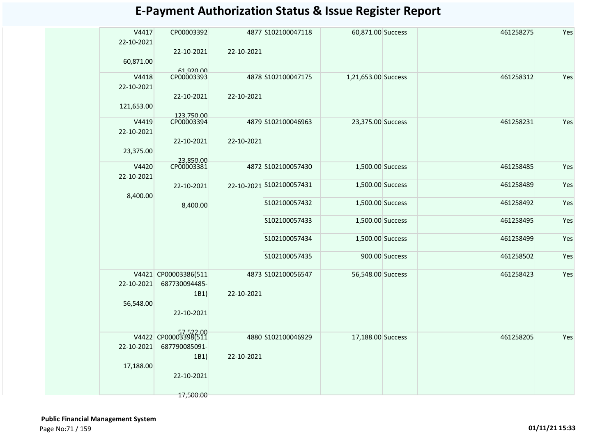| V4417<br>22-10-2021 | CP00003392               |            | 4877 S102100047118       | 60,871.00 Success   |                | 461258275 | Yes |
|---------------------|--------------------------|------------|--------------------------|---------------------|----------------|-----------|-----|
| 60,871.00           | 22-10-2021               | 22-10-2021 |                          |                     |                |           |     |
| V4418               | 61,920.00<br>CP00003393  |            | 4878 S102100047175       | 1,21,653.00 Success |                | 461258312 | Yes |
| 22-10-2021          |                          |            |                          |                     |                |           |     |
|                     | 22-10-2021               | 22-10-2021 |                          |                     |                |           |     |
| 121,653.00          |                          |            |                          |                     |                |           |     |
| V4419               | 123,750.00<br>CP00003394 |            | 4879 S102100046963       | 23,375.00 Success   |                | 461258231 | Yes |
| 22-10-2021          |                          |            |                          |                     |                |           |     |
| 23,375.00           | 22-10-2021               | 22-10-2021 |                          |                     |                |           |     |
|                     |                          |            |                          |                     |                |           |     |
| V4420               | 23,850.00<br>CP00003381  |            | 4872 S102100057430       | 1,500.00 Success    |                | 461258485 | Yes |
| 22-10-2021          |                          |            |                          |                     |                |           |     |
|                     | 22-10-2021               |            | 22-10-2021 S102100057431 | 1,500.00 Success    |                | 461258489 | Yes |
| 8,400.00            |                          |            |                          |                     |                |           |     |
|                     | 8,400.00                 |            | S102100057432            | 1,500.00 Success    |                | 461258492 | Yes |
|                     |                          |            | S102100057433            | 1,500.00 Success    |                | 461258495 | Yes |
|                     |                          |            | S102100057434            | 1,500.00 Success    |                | 461258499 | Yes |
|                     |                          |            | S102100057435            |                     | 900.00 Success | 461258502 | Yes |
|                     |                          |            |                          |                     |                |           |     |
|                     | V4421 CP00003386(511     |            | 4873 S102100056547       | 56,548.00 Success   |                | 461258423 | Yes |
| 22-10-2021          | 687730094485-            |            |                          |                     |                |           |     |
|                     | 1B1)                     | 22-10-2021 |                          |                     |                |           |     |
| 56,548.00           |                          |            |                          |                     |                |           |     |
|                     | 22-10-2021               |            |                          |                     |                |           |     |
|                     |                          |            |                          |                     |                |           |     |
|                     | V4422 CP00003398(511     |            | 4880 S102100046929       | 17,188.00 Success   |                | 461258205 | Yes |
| 22-10-2021          | 687790085091-            |            |                          |                     |                |           |     |
|                     | 1B1)                     | 22-10-2021 |                          |                     |                |           |     |
| 17,188.00           |                          |            |                          |                     |                |           |     |
|                     | 22-10-2021               |            |                          |                     |                |           |     |
|                     |                          |            |                          |                     |                |           |     |
|                     | 17,500.00                |            |                          |                     |                |           |     |
|                     |                          |            |                          |                     |                |           |     |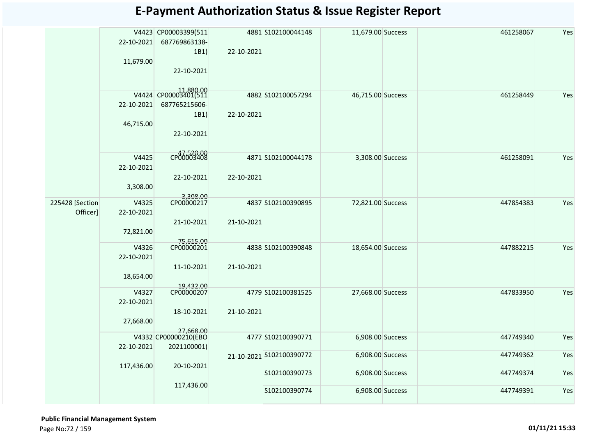|                             |                     | V4423 CP00003399(511    |            | 4881 S102100044148       | 11,679.00 Success | 461258067 | Yes |
|-----------------------------|---------------------|-------------------------|------------|--------------------------|-------------------|-----------|-----|
|                             | 22-10-2021          | 687769863138-           |            |                          |                   |           |     |
|                             |                     | 1B1                     | 22-10-2021 |                          |                   |           |     |
|                             | 11,679.00           |                         |            |                          |                   |           |     |
|                             |                     | 22-10-2021              |            |                          |                   |           |     |
|                             |                     |                         |            |                          |                   |           |     |
|                             |                     | V4424 CP00003401(511    |            | 4882 S102100057294       | 46,715.00 Success | 461258449 | Yes |
|                             | 22-10-2021          | 687765215606-           |            |                          |                   |           |     |
|                             |                     | 1B1)                    | 22-10-2021 |                          |                   |           |     |
|                             | 46,715.00           |                         |            |                          |                   |           |     |
|                             |                     | 22-10-2021              |            |                          |                   |           |     |
|                             |                     |                         |            |                          |                   |           |     |
|                             | V4425               | CP00003408              |            | 4871 S102100044178       | 3,308.00 Success  | 461258091 | Yes |
|                             | 22-10-2021          |                         |            |                          |                   |           |     |
|                             |                     | 22-10-2021              | 22-10-2021 |                          |                   |           |     |
|                             | 3,308.00            |                         |            |                          |                   |           |     |
|                             |                     | 3,308.00<br>CP00000217  |            |                          |                   |           |     |
| 225428 [Section<br>Officer] | V4325<br>22-10-2021 |                         |            | 4837 S102100390895       | 72,821.00 Success | 447854383 | Yes |
|                             |                     | 21-10-2021              | 21-10-2021 |                          |                   |           |     |
|                             | 72,821.00           |                         |            |                          |                   |           |     |
|                             |                     |                         |            |                          |                   |           |     |
|                             | V4326               | 75,615.00<br>CP00000201 |            | 4838 S102100390848       | 18,654.00 Success | 447882215 | Yes |
|                             | 22-10-2021          |                         |            |                          |                   |           |     |
|                             |                     | 11-10-2021              | 21-10-2021 |                          |                   |           |     |
|                             | 18,654.00           |                         |            |                          |                   |           |     |
|                             | V4327               | 19,432.00<br>CP00000207 |            | 4779 S102100381525       | 27,668.00 Success | 447833950 | Yes |
|                             | 22-10-2021          |                         |            |                          |                   |           |     |
|                             |                     | 18-10-2021              | 21-10-2021 |                          |                   |           |     |
|                             | 27,668.00           |                         |            |                          |                   |           |     |
|                             |                     | 27,668.00               |            |                          |                   |           |     |
|                             |                     | V4332 CP00000210(EBO    |            | 4777 S102100390771       | 6,908.00 Success  | 447749340 | Yes |
|                             | 22-10-2021          | 2021100001)             |            | 21-10-2021 S102100390772 | 6,908.00 Success  | 447749362 | Yes |
|                             | 117,436.00          | 20-10-2021              |            |                          |                   |           |     |
|                             |                     |                         |            | S102100390773            | 6,908.00 Success  | 447749374 | Yes |
|                             |                     | 117,436.00              |            |                          |                   |           |     |
|                             |                     |                         |            | S102100390774            | 6,908.00 Success  | 447749391 | Yes |
|                             |                     |                         |            |                          |                   |           |     |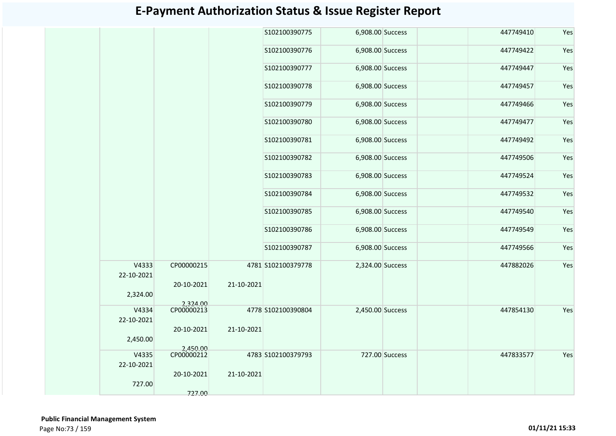|                     |                        |            | S102100390775      | 6,908.00 Success |                | 447749410 | Yes |
|---------------------|------------------------|------------|--------------------|------------------|----------------|-----------|-----|
|                     |                        |            | S102100390776      | 6,908.00 Success |                | 447749422 | Yes |
|                     |                        |            | S102100390777      | 6,908.00 Success |                | 447749447 | Yes |
|                     |                        |            | S102100390778      | 6,908.00 Success |                | 447749457 | Yes |
|                     |                        |            | S102100390779      | 6,908.00 Success |                | 447749466 | Yes |
|                     |                        |            | S102100390780      | 6,908.00 Success |                | 447749477 | Yes |
|                     |                        |            | S102100390781      | 6,908.00 Success |                | 447749492 | Yes |
|                     |                        |            | S102100390782      | 6,908.00 Success |                | 447749506 | Yes |
|                     |                        |            | S102100390783      | 6,908.00 Success |                | 447749524 | Yes |
|                     |                        |            | S102100390784      | 6,908.00 Success |                | 447749532 | Yes |
|                     |                        |            | S102100390785      | 6,908.00 Success |                | 447749540 | Yes |
|                     |                        |            | S102100390786      | 6,908.00 Success |                | 447749549 | Yes |
|                     |                        |            | S102100390787      | 6,908.00 Success |                | 447749566 | Yes |
| V4333<br>22-10-2021 | CP00000215             |            | 4781 S102100379778 | 2,324.00 Success |                | 447882026 | Yes |
| 2,324.00            | 20-10-2021             | 21-10-2021 |                    |                  |                |           |     |
| V4334<br>22-10-2021 | 2,324.00<br>CP00000213 |            | 4778 S102100390804 | 2,450.00 Success |                | 447854130 | Yes |
|                     | 20-10-2021             | 21-10-2021 |                    |                  |                |           |     |
| 2,450.00            | 2,450.00               |            |                    |                  |                |           |     |
| V4335<br>22-10-2021 | CP00000212             |            | 4783 S102100379793 |                  | 727.00 Success | 447833577 | Yes |
| 727.00              | 20-10-2021             | 21-10-2021 |                    |                  |                |           |     |
|                     | 727.00                 |            |                    |                  |                |           |     |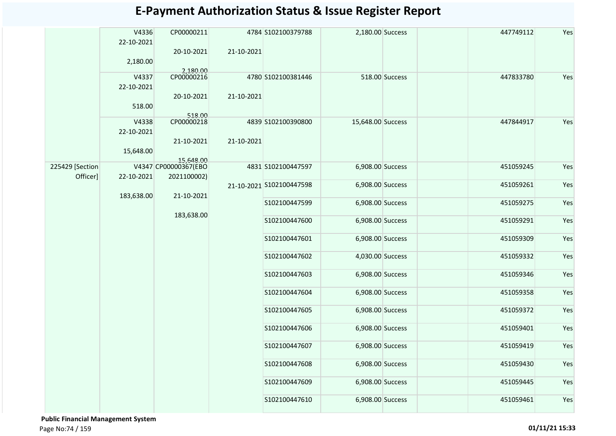|                  | V4336<br>22-10-2021 | CP00000211             |            | 4784 S102100379788       | 2,180.00 Success  |                | 447749112 | Yes |
|------------------|---------------------|------------------------|------------|--------------------------|-------------------|----------------|-----------|-----|
|                  | 2,180.00            | 20-10-2021             | 21-10-2021 |                          |                   |                |           |     |
|                  | V4337<br>22-10-2021 | 2,180.00<br>CP00000216 |            | 4780 S102100381446       |                   | 518.00 Success | 447833780 | Yes |
|                  | 518.00              | 20-10-2021             | 21-10-2021 |                          |                   |                |           |     |
|                  | V4338               | 518.00<br>CP00000218   |            | 4839 S102100390800       | 15,648.00 Success |                | 447844917 | Yes |
|                  | 22-10-2021          | 21-10-2021             | 21-10-2021 |                          |                   |                |           |     |
|                  | 15,648.00           | 15,648.00              |            |                          |                   |                |           |     |
| 225429 [Section] |                     | V4347 CP00000367(EBO   |            | 4831 S102100447597       | 6,908.00 Success  |                | 451059245 | Yes |
| Officer]         | 22-10-2021          | 2021100002)            |            | 21-10-2021 S102100447598 | 6,908.00 Success  |                | 451059261 | Yes |
|                  | 183,638.00          | 21-10-2021             |            | S102100447599            | 6,908.00 Success  |                | 451059275 | Yes |
|                  |                     | 183,638.00             |            | S102100447600            | 6,908.00 Success  |                | 451059291 | Yes |
|                  |                     |                        |            | S102100447601            | 6,908.00 Success  |                | 451059309 | Yes |
|                  |                     |                        |            | S102100447602            | 4,030.00 Success  |                | 451059332 | Yes |
|                  |                     |                        |            | S102100447603            | 6,908.00 Success  |                | 451059346 | Yes |
|                  |                     |                        |            | S102100447604            | 6,908.00 Success  |                | 451059358 | Yes |
|                  |                     |                        |            | S102100447605            | 6,908.00 Success  |                | 451059372 | Yes |
|                  |                     |                        |            | S102100447606            | 6,908.00 Success  |                | 451059401 | Yes |
|                  |                     |                        |            | S102100447607            | 6,908.00 Success  |                | 451059419 | Yes |
|                  |                     |                        |            | S102100447608            | 6,908.00 Success  |                | 451059430 | Yes |
|                  |                     |                        |            | S102100447609            | 6,908.00 Success  |                | 451059445 | Yes |
|                  |                     |                        |            | S102100447610            | 6,908.00 Success  |                | 451059461 | Yes |

 **Public Financial Management System**  Page No:74 / 159 **01/11/21 15:33**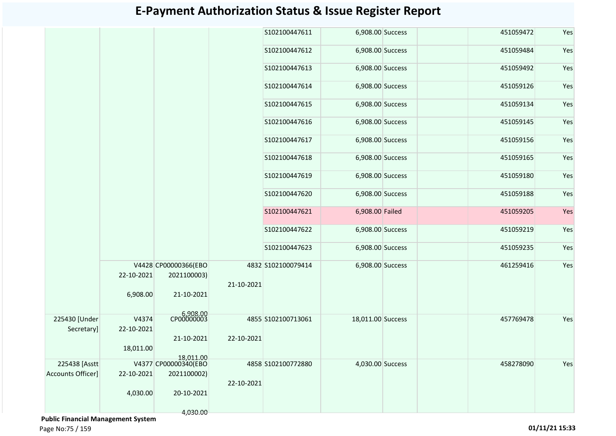|                             |            |                                     |            | S102100447611      | 6,908.00 Success  |  | 451059472 | Yes |
|-----------------------------|------------|-------------------------------------|------------|--------------------|-------------------|--|-----------|-----|
|                             |            |                                     |            | S102100447612      | 6,908.00 Success  |  | 451059484 | Yes |
|                             |            |                                     |            | S102100447613      | 6,908.00 Success  |  | 451059492 | Yes |
|                             |            |                                     |            | S102100447614      | 6,908.00 Success  |  | 451059126 | Yes |
|                             |            |                                     |            | S102100447615      | 6,908.00 Success  |  | 451059134 | Yes |
|                             |            |                                     |            | S102100447616      | 6,908.00 Success  |  | 451059145 | Yes |
|                             |            |                                     |            | S102100447617      | 6,908.00 Success  |  | 451059156 | Yes |
|                             |            |                                     |            | S102100447618      | 6,908.00 Success  |  | 451059165 | Yes |
|                             |            |                                     |            | S102100447619      | 6,908.00 Success  |  | 451059180 | Yes |
|                             |            |                                     |            | S102100447620      | 6,908.00 Success  |  | 451059188 | Yes |
|                             |            |                                     |            | S102100447621      | 6,908.00 Failed   |  | 451059205 | Yes |
|                             |            |                                     |            | S102100447622      | 6,908.00 Success  |  | 451059219 | Yes |
|                             |            |                                     |            | S102100447623      | 6,908.00 Success  |  | 451059235 | Yes |
|                             | 22-10-2021 | V4428 CP00000366(EBO<br>2021100003) |            | 4832 S102100079414 | 6,908.00 Success  |  | 461259416 | Yes |
|                             |            |                                     | 21-10-2021 |                    |                   |  |           |     |
|                             | 6,908.00   | 21-10-2021                          |            |                    |                   |  |           |     |
|                             | V4374      | CP00000003                          |            |                    |                   |  |           | Yes |
| 225430 [Under<br>Secretary] |            |                                     |            | 4855 S102100713061 | 18,011.00 Success |  | 457769478 |     |
|                             | 22-10-2021 |                                     |            |                    |                   |  |           |     |
|                             |            | 21-10-2021                          | 22-10-2021 |                    |                   |  |           |     |
|                             | 18,011.00  |                                     |            |                    |                   |  |           |     |
| 225438 [Asstt]              |            | 18,011.00<br>V4377 CP00000340(EBO   |            | 4858 S102100772880 | 4,030.00 Success  |  | 458278090 | Yes |
| <b>Accounts Officer]</b>    | 22-10-2021 | 2021100002)                         |            |                    |                   |  |           |     |
|                             |            |                                     | 22-10-2021 |                    |                   |  |           |     |
|                             | 4,030.00   | 20-10-2021                          |            |                    |                   |  |           |     |
|                             |            | 4,030.00                            |            |                    |                   |  |           |     |

 **Public Financial Management System**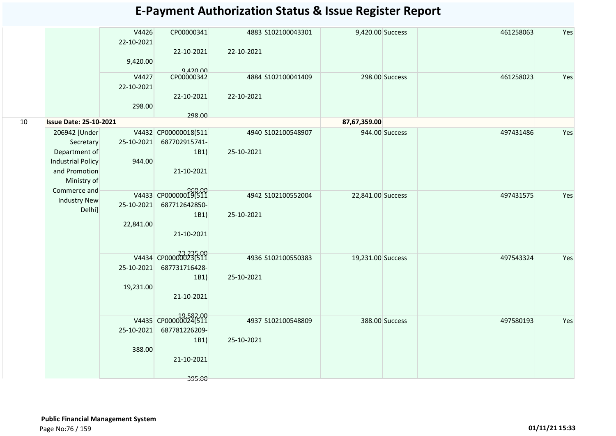|    |                                           | V4426<br>22-10-2021 | CP00000341             |            | 4883 S102100043301 | 9,420.00 Success  |                | 461258063 | Yes |
|----|-------------------------------------------|---------------------|------------------------|------------|--------------------|-------------------|----------------|-----------|-----|
|    |                                           | 9,420.00            | 22-10-2021             | 22-10-2021 |                    |                   |                |           |     |
|    |                                           | V4427               | 9,420.00<br>CP00000342 |            | 4884 S102100041409 |                   | 298.00 Success | 461258023 | Yes |
|    |                                           | 22-10-2021          |                        |            |                    |                   |                |           |     |
|    |                                           |                     | 22-10-2021             | 22-10-2021 |                    |                   |                |           |     |
|    |                                           | 298.00              |                        |            |                    |                   |                |           |     |
|    |                                           |                     | 298.00                 |            |                    |                   |                |           |     |
| 10 | <b>Issue Date: 25-10-2021</b>             |                     |                        |            |                    | 87,67,359.00      |                |           |     |
|    | 206942 [Under                             |                     | V4432 CP00000018(511   |            | 4940 S102100548907 |                   | 944.00 Success | 497431486 | Yes |
|    | Secretary                                 | 25-10-2021          | 687702915741-          |            |                    |                   |                |           |     |
|    | Department of<br><b>Industrial Policy</b> | 944.00              | 1B1                    | 25-10-2021 |                    |                   |                |           |     |
|    | and Promotion                             |                     | 21-10-2021             |            |                    |                   |                |           |     |
|    | Ministry of                               |                     |                        |            |                    |                   |                |           |     |
|    | Commerce and                              |                     |                        |            |                    |                   |                |           |     |
|    | <b>Industry New</b>                       |                     | V4433 CP00000019(511   |            | 4942 S102100552004 | 22,841.00 Success |                | 497431575 | Yes |
|    | Delhi]                                    | 25-10-2021          | 687712642850-          |            |                    |                   |                |           |     |
|    |                                           | 22,841.00           | 1B1)                   | 25-10-2021 |                    |                   |                |           |     |
|    |                                           |                     | 21-10-2021             |            |                    |                   |                |           |     |
|    |                                           |                     |                        |            |                    |                   |                |           |     |
|    |                                           |                     |                        |            |                    |                   |                |           |     |
|    |                                           |                     | V4434 CP000000236510   |            | 4936 S102100550383 | 19,231.00 Success |                | 497543324 | Yes |
|    |                                           | 25-10-2021          | 687731716428-          |            |                    |                   |                |           |     |
|    |                                           | 19,231.00           | 1B1                    | 25-10-2021 |                    |                   |                |           |     |
|    |                                           |                     | 21-10-2021             |            |                    |                   |                |           |     |
|    |                                           |                     |                        |            |                    |                   |                |           |     |
|    |                                           |                     |                        |            |                    |                   |                |           |     |
|    |                                           |                     | V4435 CP00000024(511   |            | 4937 S102100548809 |                   | 388.00 Success | 497580193 | Yes |
|    |                                           | 25-10-2021          | 687781226209-          |            |                    |                   |                |           |     |
|    |                                           | 388.00              | 1B1                    | 25-10-2021 |                    |                   |                |           |     |
|    |                                           |                     | 21-10-2021             |            |                    |                   |                |           |     |
|    |                                           |                     |                        |            |                    |                   |                |           |     |
|    |                                           |                     | 395.00                 |            |                    |                   |                |           |     |
|    |                                           |                     |                        |            |                    |                   |                |           |     |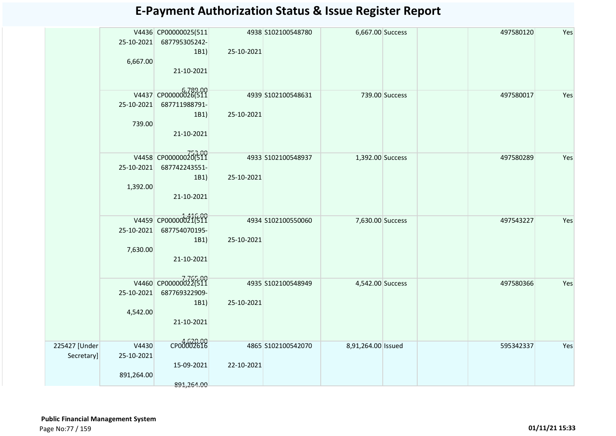|               |            |                      |            | 4938 S102100548780 |                    |                | 497580120 | Yes |
|---------------|------------|----------------------|------------|--------------------|--------------------|----------------|-----------|-----|
|               |            | V4436 CP00000025(511 |            |                    | 6,667.00 Success   |                |           |     |
|               | 25-10-2021 | 687795305242-        |            |                    |                    |                |           |     |
|               |            | 1B1)                 | 25-10-2021 |                    |                    |                |           |     |
|               | 6,667.00   |                      |            |                    |                    |                |           |     |
|               |            | 21-10-2021           |            |                    |                    |                |           |     |
|               |            |                      |            |                    |                    |                |           |     |
|               |            |                      |            |                    |                    |                |           |     |
|               |            | V4437 CP00000026(511 |            | 4939 S102100548631 |                    | 739.00 Success | 497580017 | Yes |
|               | 25-10-2021 | 687711988791-        |            |                    |                    |                |           |     |
|               |            | 1B1)                 | 25-10-2021 |                    |                    |                |           |     |
|               | 739.00     |                      |            |                    |                    |                |           |     |
|               |            | 21-10-2021           |            |                    |                    |                |           |     |
|               |            |                      |            |                    |                    |                |           |     |
|               |            |                      |            |                    |                    |                |           |     |
|               |            | V4458 CP00000020(511 |            | 4933 S102100548937 | 1,392.00 Success   |                | 497580289 | Yes |
|               | 25-10-2021 | 687742243551-        |            |                    |                    |                |           |     |
|               |            | 1B1)                 | 25-10-2021 |                    |                    |                |           |     |
|               | 1,392.00   |                      |            |                    |                    |                |           |     |
|               |            | 21-10-2021           |            |                    |                    |                |           |     |
|               |            |                      |            |                    |                    |                |           |     |
|               |            |                      |            |                    |                    |                |           |     |
|               |            | V4459 CP00000021(511 |            | 4934 S102100550060 | 7,630.00 Success   |                | 497543227 | Yes |
|               | 25-10-2021 | 687754070195-        |            |                    |                    |                |           |     |
|               |            | 1B1)                 | 25-10-2021 |                    |                    |                |           |     |
|               | 7,630.00   |                      |            |                    |                    |                |           |     |
|               |            |                      |            |                    |                    |                |           |     |
|               |            | 21-10-2021           |            |                    |                    |                |           |     |
|               |            |                      |            |                    |                    |                |           |     |
|               |            | V4460 CP00000022(511 |            | 4935 S102100548949 | 4,542.00 Success   |                | 497580366 | Yes |
|               | 25-10-2021 | 687769322909-        |            |                    |                    |                |           |     |
|               |            | 1B1)                 | 25-10-2021 |                    |                    |                |           |     |
|               |            |                      |            |                    |                    |                |           |     |
|               | 4,542.00   |                      |            |                    |                    |                |           |     |
|               |            | 21-10-2021           |            |                    |                    |                |           |     |
|               |            |                      |            |                    |                    |                |           |     |
| 225427 [Under | V4430      | CP00002616           |            | 4865 S102100542070 | 8,91,264.00 Issued |                | 595342337 | Yes |
|               |            |                      |            |                    |                    |                |           |     |
| Secretary]    | 25-10-2021 |                      |            |                    |                    |                |           |     |
|               |            | 15-09-2021           | 22-10-2021 |                    |                    |                |           |     |
|               | 891,264.00 |                      |            |                    |                    |                |           |     |
|               |            | 891,264.00           |            |                    |                    |                |           |     |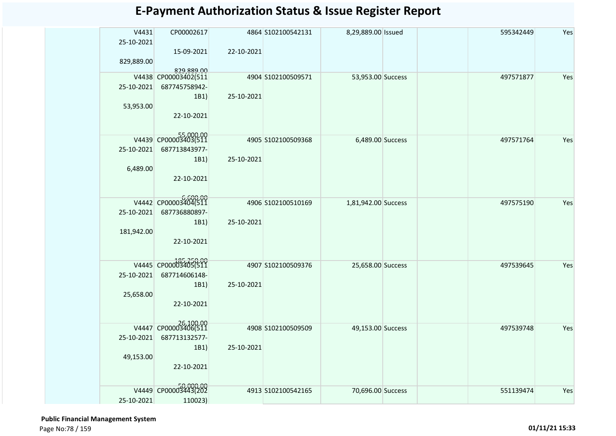| V4431      | CP00002617                            |            | 4864 S102100542131 | 8,29,889.00 Issued  |  | 595342449 | Yes |
|------------|---------------------------------------|------------|--------------------|---------------------|--|-----------|-----|
| 25-10-2021 | 15-09-2021                            | 22-10-2021 |                    |                     |  |           |     |
| 829,889.00 |                                       |            |                    |                     |  |           |     |
|            | 829,889.00<br>V4438 CP00003402(511    |            | 4904 S102100509571 | 53,953.00 Success   |  | 497571877 | Yes |
| 25-10-2021 | 687745758942-                         |            |                    |                     |  |           |     |
|            | 1B1)                                  | 25-10-2021 |                    |                     |  |           |     |
| 53,953.00  |                                       |            |                    |                     |  |           |     |
|            | 22-10-2021                            |            |                    |                     |  |           |     |
|            |                                       |            |                    |                     |  |           |     |
| 25-10-2021 | V4439 CP00003403(511<br>687713843977- |            | 4905 S102100509368 | 6,489.00 Success    |  | 497571764 | Yes |
|            | 1B1)                                  | 25-10-2021 |                    |                     |  |           |     |
| 6,489.00   |                                       |            |                    |                     |  |           |     |
|            | 22-10-2021                            |            |                    |                     |  |           |     |
|            |                                       |            |                    |                     |  |           |     |
|            | V4442 CP00003404(511                  |            | 4906 S102100510169 | 1,81,942.00 Success |  | 497575190 | Yes |
| 25-10-2021 | 687736880897-                         | 25-10-2021 |                    |                     |  |           |     |
| 181,942.00 | 1B1)                                  |            |                    |                     |  |           |     |
|            | 22-10-2021                            |            |                    |                     |  |           |     |
|            |                                       |            |                    |                     |  |           |     |
|            | V4445 CP00003405(511                  |            | 4907 S102100509376 | 25,658.00 Success   |  | 497539645 | Yes |
| 25-10-2021 | 687714606148-                         |            |                    |                     |  |           |     |
| 25,658.00  | 1B1)                                  | 25-10-2021 |                    |                     |  |           |     |
|            | 22-10-2021                            |            |                    |                     |  |           |     |
|            |                                       |            |                    |                     |  |           |     |
|            | V4447 CP00003406(511                  |            | 4908 S102100509509 | 49,153.00 Success   |  | 497539748 | Yes |
| 25-10-2021 | 687713132577-                         |            |                    |                     |  |           |     |
|            | 1B1)                                  | 25-10-2021 |                    |                     |  |           |     |
| 49,153.00  | 22-10-2021                            |            |                    |                     |  |           |     |
|            |                                       |            |                    |                     |  |           |     |
| V4449      | CP00003443(202                        |            | 4913 S102100542165 | 70,696.00 Success   |  | 551139474 | Yes |
| 25-10-2021 | 110023)                               |            |                    |                     |  |           |     |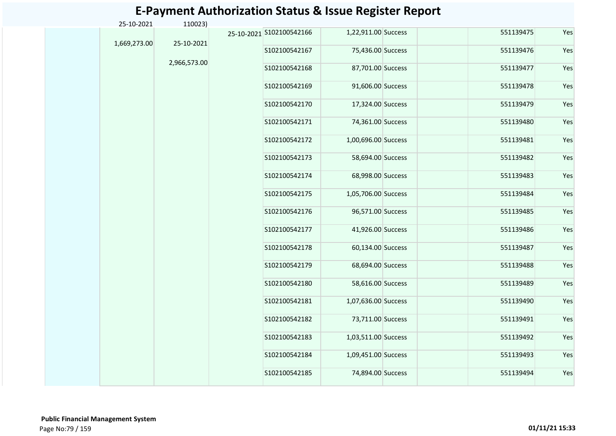| 25-10-2021   | 110023)      |                          |                     |           |     |
|--------------|--------------|--------------------------|---------------------|-----------|-----|
| 1,669,273.00 | 25-10-2021   | 25-10-2021 S102100542166 | 1,22,911.00 Success | 551139475 | Yes |
|              |              | S102100542167            | 75,436.00 Success   | 551139476 | Yes |
|              | 2,966,573.00 | S102100542168            | 87,701.00 Success   | 551139477 | Yes |
|              |              | S102100542169            | 91,606.00 Success   | 551139478 | Yes |
|              |              | S102100542170            | 17,324.00 Success   | 551139479 | Yes |
|              |              | S102100542171            | 74,361.00 Success   | 551139480 | Yes |
|              |              | S102100542172            | 1,00,696.00 Success | 551139481 | Yes |
|              |              | S102100542173            | 58,694.00 Success   | 551139482 | Yes |
|              |              | S102100542174            | 68,998.00 Success   | 551139483 | Yes |
|              |              | S102100542175            | 1,05,706.00 Success | 551139484 | Yes |
|              |              | S102100542176            | 96,571.00 Success   | 551139485 | Yes |
|              |              | S102100542177            | 41,926.00 Success   | 551139486 | Yes |
|              |              | S102100542178            | 60,134.00 Success   | 551139487 | Yes |
|              |              | S102100542179            | 68,694.00 Success   | 551139488 | Yes |
|              |              | S102100542180            | 58,616.00 Success   | 551139489 | Yes |
|              |              | S102100542181            | 1,07,636.00 Success | 551139490 | Yes |
|              |              | S102100542182            | 73,711.00 Success   | 551139491 | Yes |
|              |              | S102100542183            | 1,03,511.00 Success | 551139492 | Yes |
|              |              | S102100542184            | 1,09,451.00 Success | 551139493 | Yes |
|              |              | S102100542185            | 74,894.00 Success   | 551139494 | Yes |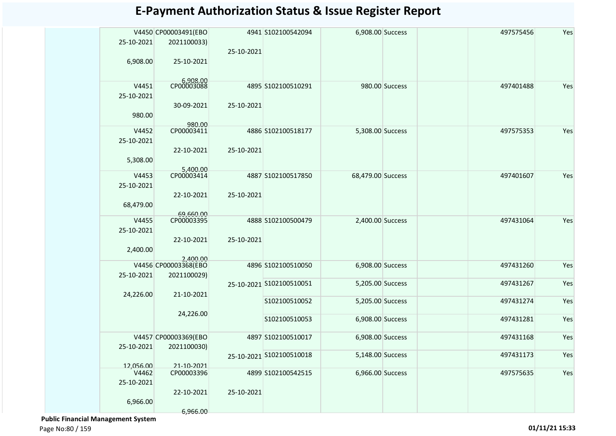| 25-10-2021         | V4450 CP00003491(EBO<br>2021100033) |            | 4941 S102100542094       | 6,908.00 Success  |                | 497575456 | Yes |
|--------------------|-------------------------------------|------------|--------------------------|-------------------|----------------|-----------|-----|
|                    |                                     | 25-10-2021 |                          |                   |                |           |     |
| 6,908.00           | 25-10-2021                          |            |                          |                   |                |           |     |
|                    |                                     |            |                          |                   |                |           |     |
| V4451              | CP00003088                          |            | 4895 S102100510291       |                   | 980.00 Success | 497401488 | Yes |
| 25-10-2021         |                                     |            |                          |                   |                |           |     |
|                    | 30-09-2021                          | 25-10-2021 |                          |                   |                |           |     |
| 980.00             |                                     |            |                          |                   |                |           |     |
|                    | 980.00                              |            |                          |                   |                |           |     |
| V4452              | CP00003411                          |            | 4886 S102100518177       | 5,308.00 Success  |                | 497575353 | Yes |
| 25-10-2021         | 22-10-2021                          | 25-10-2021 |                          |                   |                |           |     |
| 5,308.00           |                                     |            |                          |                   |                |           |     |
|                    |                                     |            |                          |                   |                |           |     |
| V4453              | 5,400.00<br>CP00003414              |            | 4887 S102100517850       | 68,479.00 Success |                | 497401607 | Yes |
| 25-10-2021         |                                     |            |                          |                   |                |           |     |
|                    | 22-10-2021                          | 25-10-2021 |                          |                   |                |           |     |
| 68,479.00          | 69,660.00                           |            |                          |                   |                |           |     |
| V4455              | CP00003395                          |            | 4888 S102100500479       | 2,400.00 Success  |                | 497431064 | Yes |
| 25-10-2021         |                                     |            |                          |                   |                |           |     |
|                    | 22-10-2021                          | 25-10-2021 |                          |                   |                |           |     |
| 2,400.00           |                                     |            |                          |                   |                |           |     |
|                    | 2,400.00<br>V4456 CP00003368(EBO    |            | 4896 S102100510050       | 6,908.00 Success  |                | 497431260 | Yes |
| 25-10-2021         | 2021100029)                         |            |                          |                   |                |           |     |
|                    |                                     |            | 25-10-2021 S102100510051 | 5,205.00 Success  |                | 497431267 | Yes |
| 24,226.00          | 21-10-2021                          |            |                          |                   |                |           |     |
|                    |                                     |            | S102100510052            | 5,205.00 Success  |                | 497431274 | Yes |
|                    | 24,226.00                           |            | S102100510053            | 6,908.00 Success  |                | 497431281 | Yes |
|                    |                                     |            |                          |                   |                |           |     |
|                    | V4457 CP00003369(EBO                |            | 4897 S102100510017       | 6,908.00 Success  |                | 497431168 | Yes |
| 25-10-2021         | 2021100030)                         |            |                          |                   |                |           |     |
|                    |                                     |            | 25-10-2021 S102100510018 | 5,148.00 Success  |                | 497431173 | Yes |
| 12,056.00<br>V4462 | 21-10-2021<br>CP00003396            |            | 4899 S102100542515       | 6,966.00 Success  |                | 497575635 | Yes |
| 25-10-2021         |                                     |            |                          |                   |                |           |     |
|                    | 22-10-2021                          | 25-10-2021 |                          |                   |                |           |     |
| 6,966.00           |                                     |            |                          |                   |                |           |     |
|                    | 6.966.00                            |            |                          |                   |                |           |     |

 **Public Financial Management System**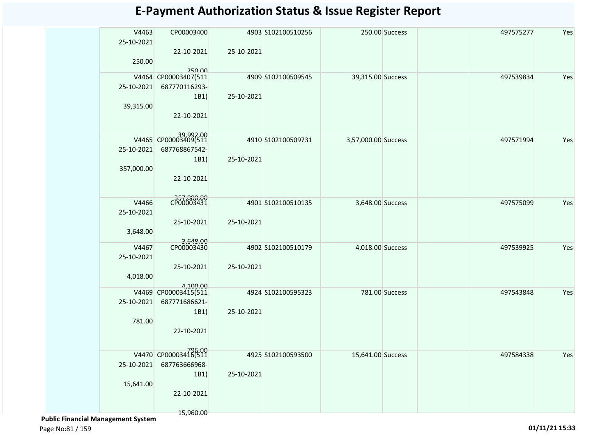| V4463<br>25-10-2021 | CP00003400                        |            | 4903 S102100510256 |                     | 250.00 Success | 497575277 | Yes |
|---------------------|-----------------------------------|------------|--------------------|---------------------|----------------|-----------|-----|
| 250.00              | 22-10-2021                        | 25-10-2021 |                    |                     |                |           |     |
|                     | 250.00<br>V4464 CP00003407(511    |            | 4909 S102100509545 | 39,315.00 Success   |                | 497539834 | Yes |
| 25-10-2021          | 687770116293-                     |            |                    |                     |                |           |     |
|                     | 1B1)                              | 25-10-2021 |                    |                     |                |           |     |
| 39,315.00           | 22-10-2021                        |            |                    |                     |                |           |     |
|                     | 39 992.00<br>V4465 CP00003409(511 |            | 4910 S102100509731 | 3,57,000.00 Success |                | 497571994 | Yes |
| 25-10-2021          | 687768867542-                     |            |                    |                     |                |           |     |
|                     | 1B1)                              | 25-10-2021 |                    |                     |                |           |     |
| 357,000.00          |                                   |            |                    |                     |                |           |     |
|                     | 22-10-2021                        |            |                    |                     |                |           |     |
| V4466               | CP00003431                        |            | 4901 S102100510135 | 3,648.00 Success    |                | 497575099 | Yes |
| 25-10-2021          |                                   |            |                    |                     |                |           |     |
|                     | 25-10-2021                        | 25-10-2021 |                    |                     |                |           |     |
| 3,648.00            |                                   |            |                    |                     |                |           |     |
| V4467               | 3,648.00<br>CP00003430            |            | 4902 S102100510179 | 4,018.00 Success    |                | 497539925 | Yes |
| 25-10-2021          |                                   |            |                    |                     |                |           |     |
|                     | 25-10-2021                        | 25-10-2021 |                    |                     |                |           |     |
| 4,018.00            |                                   |            |                    |                     |                |           |     |
|                     | 4,100.00<br>V4469 CP00003415(511  |            | 4924 S102100595323 |                     | 781.00 Success | 497543848 | Yes |
| 25-10-2021          | 687771686621-                     |            |                    |                     |                |           |     |
|                     | 1B1)                              | 25-10-2021 |                    |                     |                |           |     |
| 781.00              |                                   |            |                    |                     |                |           |     |
|                     | 22-10-2021                        |            |                    |                     |                |           |     |
|                     |                                   |            |                    |                     |                |           |     |
|                     | V4470 CP00003418(511              |            | 4925 S102100593500 | 15,641.00 Success   |                | 497584338 | Yes |
| 25-10-2021          | 687763666968-<br>1B1)             | 25-10-2021 |                    |                     |                |           |     |
| 15,641.00           |                                   |            |                    |                     |                |           |     |
|                     | 22-10-2021                        |            |                    |                     |                |           |     |
|                     |                                   |            |                    |                     |                |           |     |
|                     | 15,960.00                         |            |                    |                     |                |           |     |

 **Public Financial Management System**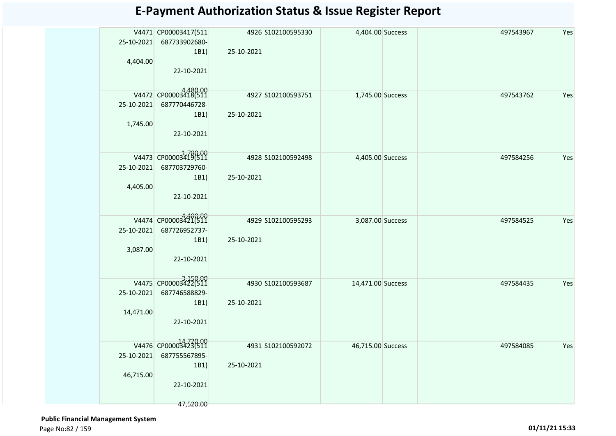|            | V4471 CP00003417(511 |            | 4926 S102100595330 | 4,404.00 Success  | 497543967 | Yes |
|------------|----------------------|------------|--------------------|-------------------|-----------|-----|
| 25-10-2021 | 687733902680-        |            |                    |                   |           |     |
|            | 1B1)                 | 25-10-2021 |                    |                   |           |     |
| 4,404.00   |                      |            |                    |                   |           |     |
|            | 22-10-2021           |            |                    |                   |           |     |
|            |                      |            |                    |                   |           |     |
|            | V4472 CP00003418(511 |            | 4927 S102100593751 | 1,745.00 Success  | 497543762 | Yes |
| 25-10-2021 | 687770446728-        |            |                    |                   |           |     |
|            | 1B1)                 | 25-10-2021 |                    |                   |           |     |
| 1,745.00   |                      |            |                    |                   |           |     |
|            | 22-10-2021           |            |                    |                   |           |     |
|            |                      |            |                    |                   |           |     |
|            | V4473 CP00003419(511 |            | 4928 S102100592498 | 4,405.00 Success  | 497584256 | Yes |
| 25-10-2021 | 687703729760-        |            |                    |                   |           |     |
|            | 1B1)                 | 25-10-2021 |                    |                   |           |     |
| 4,405.00   |                      |            |                    |                   |           |     |
|            | 22-10-2021           |            |                    |                   |           |     |
|            |                      |            |                    |                   |           |     |
|            | V4474 CP00003421(511 |            | 4929 S102100595293 | 3,087.00 Success  | 497584525 | Yes |
| 25-10-2021 | 687726952737-        |            |                    |                   |           |     |
|            | 1B1)                 | 25-10-2021 |                    |                   |           |     |
| 3,087.00   |                      |            |                    |                   |           |     |
|            | 22-10-2021           |            |                    |                   |           |     |
|            |                      |            |                    |                   |           |     |
|            | V4475 CP00003422(511 |            | 4930 S102100593687 | 14,471.00 Success | 497584435 | Yes |
| 25-10-2021 | 687746588829-        |            |                    |                   |           |     |
|            | 1B1)                 | 25-10-2021 |                    |                   |           |     |
| 14,471.00  |                      |            |                    |                   |           |     |
|            | 22-10-2021           |            |                    |                   |           |     |
|            |                      |            |                    |                   |           |     |
|            | V4476 CP00003423(511 |            | 4931 S102100592072 | 46,715.00 Success | 497584085 | Yes |
| 25-10-2021 | 687755567895-        |            |                    |                   |           |     |
|            | 1B1)                 | 25-10-2021 |                    |                   |           |     |
| 46,715.00  |                      |            |                    |                   |           |     |
|            | 22-10-2021           |            |                    |                   |           |     |
|            |                      |            |                    |                   |           |     |
|            | 47,520.00            |            |                    |                   |           |     |

 **Public Financial Management System**  Page No:82 / 159 **01/11/21 15:33**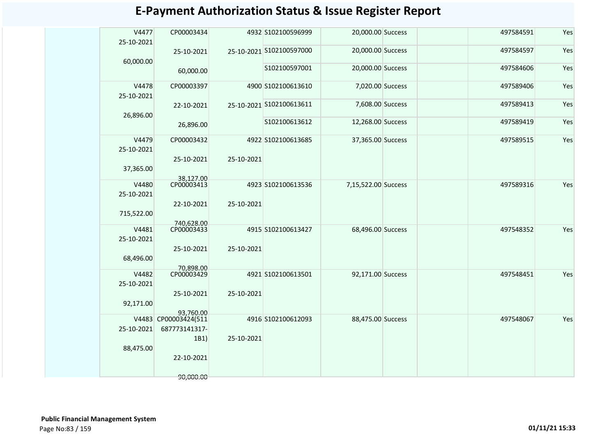| V4477<br>25-10-2021 | CP00003434                        |            | 4932 S102100596999       | 20,000.00 Success   |  | 497584591 | Yes |
|---------------------|-----------------------------------|------------|--------------------------|---------------------|--|-----------|-----|
| 60,000.00           | 25-10-2021                        |            | 25-10-2021 S102100597000 | 20,000.00 Success   |  | 497584597 | Yes |
|                     | 60,000.00                         |            | S102100597001            | 20,000.00 Success   |  | 497584606 | Yes |
| V4478<br>25-10-2021 | CP00003397                        |            | 4900 S102100613610       | 7,020.00 Success    |  | 497589406 | Yes |
|                     | 22-10-2021                        |            | 25-10-2021 S102100613611 | 7,608.00 Success    |  | 497589413 | Yes |
| 26,896.00           | 26,896.00                         |            | S102100613612            | 12,268.00 Success   |  | 497589419 | Yes |
| V4479<br>25-10-2021 | CP00003432                        |            | 4922 S102100613685       | 37,365.00 Success   |  | 497589515 | Yes |
| 37,365.00           | 25-10-2021<br>38,127.00           | 25-10-2021 |                          |                     |  |           |     |
| V4480<br>25-10-2021 | CP00003413                        |            | 4923 S102100613536       | 7,15,522.00 Success |  | 497589316 | Yes |
| 715,522.00          | 22-10-2021<br>740.628.00          | 25-10-2021 |                          |                     |  |           |     |
| V4481<br>25-10-2021 | CP00003433                        |            | 4915 S102100613427       | 68,496.00 Success   |  | 497548352 | Yes |
| 68,496.00           | 25-10-2021                        | 25-10-2021 |                          |                     |  |           |     |
| V4482<br>25-10-2021 | 70.898.00<br>CP00003429           |            | 4921 S102100613501       | 92,171.00 Success   |  | 497548451 | Yes |
| 92,171.00           | 25-10-2021                        | 25-10-2021 |                          |                     |  |           |     |
|                     | 93.760.00<br>V4483 CP00003424(511 |            | 4916 S102100612093       | 88,475.00 Success   |  | 497548067 | Yes |
| 25-10-2021          | 687773141317-<br>1B1)             | 25-10-2021 |                          |                     |  |           |     |
| 88,475.00           | 22-10-2021                        |            |                          |                     |  |           |     |
|                     | 90,000.00                         |            |                          |                     |  |           |     |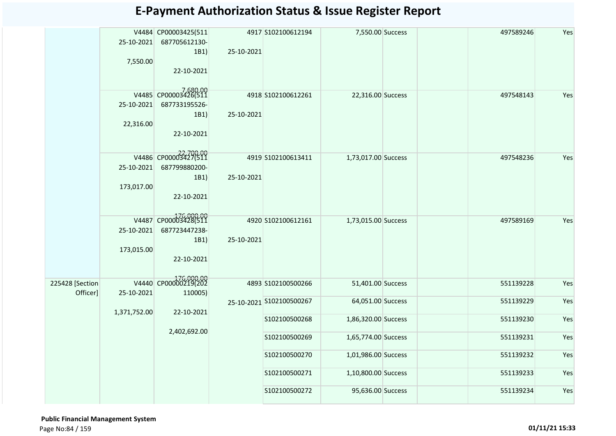|                 | 25-10-2021   | V4484 CP00003425(511<br>687705612130- |            | 4917 S102100612194       | 7,550.00 Success    | 497589246 | Yes |
|-----------------|--------------|---------------------------------------|------------|--------------------------|---------------------|-----------|-----|
|                 |              | 1B1)                                  | 25-10-2021 |                          |                     |           |     |
|                 | 7,550.00     |                                       |            |                          |                     |           |     |
|                 |              | 22-10-2021                            |            |                          |                     |           |     |
|                 |              | V4485 CP00003426(511                  |            | 4918 S102100612261       | 22,316.00 Success   | 497548143 | Yes |
|                 | 25-10-2021   | 687733195526-                         |            |                          |                     |           |     |
|                 |              | 1B1)                                  | 25-10-2021 |                          |                     |           |     |
|                 | 22,316.00    | 22-10-2021                            |            |                          |                     |           |     |
|                 |              | V4486 CP00003427(511                  |            | 4919 S102100613411       |                     | 497548236 | Yes |
|                 | 25-10-2021   | 687799880200-                         |            |                          | 1,73,017.00 Success |           |     |
|                 |              | 1B1)                                  | 25-10-2021 |                          |                     |           |     |
|                 | 173,017.00   | 22-10-2021                            |            |                          |                     |           |     |
|                 |              |                                       |            |                          |                     |           |     |
|                 |              | V4487 CP00003428(511                  |            | 4920 S102100612161       | 1,73,015.00 Success | 497589169 | Yes |
|                 | 25-10-2021   | 687723447238-                         |            |                          |                     |           |     |
|                 |              | 1B1)                                  | 25-10-2021 |                          |                     |           |     |
|                 | 173,015.00   | 22-10-2021                            |            |                          |                     |           |     |
|                 |              |                                       |            |                          |                     |           |     |
| 225428 [Section |              | V4440 CP00000219(202                  |            | 4893 S102100500266       | 51,401.00 Success   | 551139228 | Yes |
| Officer]        | 25-10-2021   | 110005)                               |            | 25-10-2021 S102100500267 | 64,051.00 Success   | 551139229 | Yes |
|                 | 1,371,752.00 | 22-10-2021                            |            |                          |                     |           |     |
|                 |              |                                       |            | S102100500268            | 1,86,320.00 Success | 551139230 | Yes |
|                 |              | 2,402,692.00                          |            | S102100500269            | 1,65,774.00 Success | 551139231 | Yes |
|                 |              |                                       |            | S102100500270            | 1,01,986.00 Success | 551139232 | Yes |
|                 |              |                                       |            | S102100500271            | 1,10,800.00 Success | 551139233 | Yes |
|                 |              |                                       |            | S102100500272            | 95,636.00 Success   | 551139234 | Yes |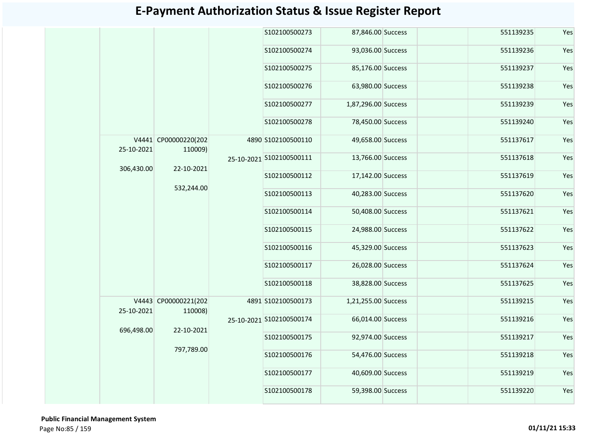|  |            |                                 |  | S102100500273            | 87,846.00 Success   | 551139235         | Yes       |     |
|--|------------|---------------------------------|--|--------------------------|---------------------|-------------------|-----------|-----|
|  |            |                                 |  | S102100500274            | 93,036.00 Success   | 551139236         | Yes       |     |
|  |            |                                 |  | S102100500275            | 85,176.00 Success   | 551139237         | Yes       |     |
|  |            |                                 |  | S102100500276            | 63,980.00 Success   | 551139238         | Yes       |     |
|  |            |                                 |  | S102100500277            | 1,87,296.00 Success | 551139239         | Yes       |     |
|  |            |                                 |  | S102100500278            | 78,450.00 Success   | 551139240         | Yes       |     |
|  | 25-10-2021 | V4441 CP00000220(202<br>110009) |  | 4890 S102100500110       | 49,658.00 Success   | 551137617         | Yes       |     |
|  | 306,430.00 | 22-10-2021<br>532,244.00        |  | 25-10-2021 S102100500111 | 13,766.00 Success   | 551137618         | Yes       |     |
|  |            |                                 |  |                          | S102100500112       | 17,142.00 Success | 551137619 | Yes |
|  |            |                                 |  | S102100500113            | 40,283.00 Success   | 551137620         | Yes       |     |
|  |            |                                 |  | S102100500114            | 50,408.00 Success   | 551137621         | Yes       |     |
|  |            |                                 |  | S102100500115            | 24,988.00 Success   | 551137622         | Yes       |     |
|  |            |                                 |  | S102100500116            | 45,329.00 Success   | 551137623         | Yes       |     |
|  |            |                                 |  | S102100500117            | 26,028.00 Success   | 551137624         | Yes       |     |
|  |            |                                 |  | S102100500118            | 38,828.00 Success   | 551137625         | Yes       |     |
|  | 25-10-2021 | V4443 CP00000221(202<br>110008) |  | 4891 S102100500173       | 1,21,255.00 Success | 551139215         | Yes       |     |
|  | 696,498.00 | 22-10-2021                      |  | 25-10-2021 S102100500174 | 66,014.00 Success   | 551139216         | Yes       |     |
|  |            | 797,789.00                      |  | S102100500175            | 92,974.00 Success   | 551139217         | Yes       |     |
|  |            |                                 |  | S102100500176            | 54,476.00 Success   | 551139218         | Yes       |     |
|  |            |                                 |  | S102100500177            | 40,609.00 Success   | 551139219         | Yes       |     |
|  |            |                                 |  | S102100500178            | 59,398.00 Success   | 551139220         | Yes       |     |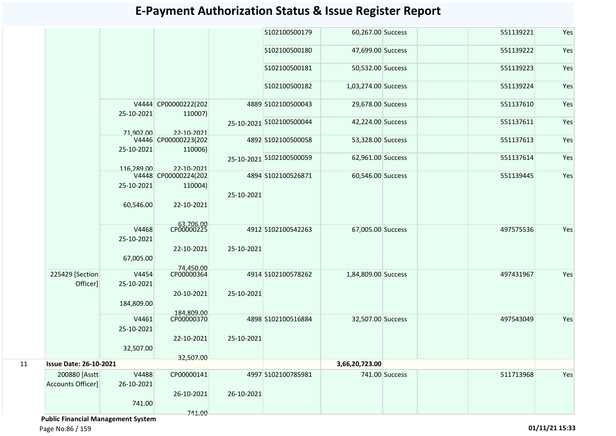|                   |            |                                                                                                                                                              |                                                                                                                                                                                                                    | S102100500179                          |                                                                                                                                                                                                                                                                   | 551139221                                                                                                                                                                                                                                                                                        | Yes                                              |
|-------------------|------------|--------------------------------------------------------------------------------------------------------------------------------------------------------------|--------------------------------------------------------------------------------------------------------------------------------------------------------------------------------------------------------------------|----------------------------------------|-------------------------------------------------------------------------------------------------------------------------------------------------------------------------------------------------------------------------------------------------------------------|--------------------------------------------------------------------------------------------------------------------------------------------------------------------------------------------------------------------------------------------------------------------------------------------------|--------------------------------------------------|
|                   |            |                                                                                                                                                              |                                                                                                                                                                                                                    |                                        |                                                                                                                                                                                                                                                                   | 551139222                                                                                                                                                                                                                                                                                        | Yes                                              |
|                   |            |                                                                                                                                                              |                                                                                                                                                                                                                    |                                        |                                                                                                                                                                                                                                                                   | 551139223                                                                                                                                                                                                                                                                                        | Yes                                              |
|                   |            |                                                                                                                                                              |                                                                                                                                                                                                                    |                                        |                                                                                                                                                                                                                                                                   | 551139224                                                                                                                                                                                                                                                                                        | Yes                                              |
|                   |            |                                                                                                                                                              |                                                                                                                                                                                                                    |                                        |                                                                                                                                                                                                                                                                   | 551137610                                                                                                                                                                                                                                                                                        | Yes                                              |
|                   |            |                                                                                                                                                              |                                                                                                                                                                                                                    |                                        |                                                                                                                                                                                                                                                                   | 551137611                                                                                                                                                                                                                                                                                        | Yes                                              |
|                   |            |                                                                                                                                                              |                                                                                                                                                                                                                    |                                        |                                                                                                                                                                                                                                                                   |                                                                                                                                                                                                                                                                                                  | Yes                                              |
|                   |            |                                                                                                                                                              |                                                                                                                                                                                                                    |                                        |                                                                                                                                                                                                                                                                   |                                                                                                                                                                                                                                                                                                  |                                                  |
|                   |            |                                                                                                                                                              |                                                                                                                                                                                                                    |                                        |                                                                                                                                                                                                                                                                   | 551137614                                                                                                                                                                                                                                                                                        | Yes                                              |
|                   | 116,289.00 | 22-10-2021                                                                                                                                                   |                                                                                                                                                                                                                    |                                        |                                                                                                                                                                                                                                                                   |                                                                                                                                                                                                                                                                                                  |                                                  |
|                   |            |                                                                                                                                                              |                                                                                                                                                                                                                    |                                        |                                                                                                                                                                                                                                                                   |                                                                                                                                                                                                                                                                                                  | Yes                                              |
|                   |            |                                                                                                                                                              |                                                                                                                                                                                                                    |                                        |                                                                                                                                                                                                                                                                   |                                                                                                                                                                                                                                                                                                  |                                                  |
|                   |            |                                                                                                                                                              |                                                                                                                                                                                                                    |                                        |                                                                                                                                                                                                                                                                   |                                                                                                                                                                                                                                                                                                  |                                                  |
|                   | 60,546.00  | 22-10-2021                                                                                                                                                   |                                                                                                                                                                                                                    |                                        |                                                                                                                                                                                                                                                                   |                                                                                                                                                                                                                                                                                                  |                                                  |
|                   |            |                                                                                                                                                              |                                                                                                                                                                                                                    |                                        |                                                                                                                                                                                                                                                                   |                                                                                                                                                                                                                                                                                                  |                                                  |
|                   |            |                                                                                                                                                              |                                                                                                                                                                                                                    |                                        |                                                                                                                                                                                                                                                                   |                                                                                                                                                                                                                                                                                                  | Yes                                              |
|                   |            |                                                                                                                                                              |                                                                                                                                                                                                                    |                                        |                                                                                                                                                                                                                                                                   |                                                                                                                                                                                                                                                                                                  |                                                  |
|                   |            |                                                                                                                                                              |                                                                                                                                                                                                                    |                                        |                                                                                                                                                                                                                                                                   |                                                                                                                                                                                                                                                                                                  |                                                  |
|                   |            |                                                                                                                                                              |                                                                                                                                                                                                                    |                                        |                                                                                                                                                                                                                                                                   |                                                                                                                                                                                                                                                                                                  |                                                  |
|                   |            |                                                                                                                                                              |                                                                                                                                                                                                                    |                                        |                                                                                                                                                                                                                                                                   |                                                                                                                                                                                                                                                                                                  |                                                  |
| 225429 [Section]  | V4454      | CP00000364                                                                                                                                                   |                                                                                                                                                                                                                    |                                        |                                                                                                                                                                                                                                                                   | 497431967                                                                                                                                                                                                                                                                                        | Yes                                              |
| Officer]          | 25-10-2021 |                                                                                                                                                              |                                                                                                                                                                                                                    |                                        |                                                                                                                                                                                                                                                                   |                                                                                                                                                                                                                                                                                                  |                                                  |
|                   |            | 20-10-2021                                                                                                                                                   | 25-10-2021                                                                                                                                                                                                         |                                        |                                                                                                                                                                                                                                                                   |                                                                                                                                                                                                                                                                                                  |                                                  |
|                   | 184,809.00 |                                                                                                                                                              |                                                                                                                                                                                                                    |                                        |                                                                                                                                                                                                                                                                   |                                                                                                                                                                                                                                                                                                  |                                                  |
|                   |            | 184,809,00                                                                                                                                                   |                                                                                                                                                                                                                    |                                        |                                                                                                                                                                                                                                                                   |                                                                                                                                                                                                                                                                                                  |                                                  |
|                   |            |                                                                                                                                                              |                                                                                                                                                                                                                    |                                        |                                                                                                                                                                                                                                                                   |                                                                                                                                                                                                                                                                                                  | Yes                                              |
|                   |            |                                                                                                                                                              |                                                                                                                                                                                                                    |                                        |                                                                                                                                                                                                                                                                   |                                                                                                                                                                                                                                                                                                  |                                                  |
|                   |            |                                                                                                                                                              |                                                                                                                                                                                                                    |                                        |                                                                                                                                                                                                                                                                   |                                                                                                                                                                                                                                                                                                  |                                                  |
|                   |            |                                                                                                                                                              |                                                                                                                                                                                                                    |                                        |                                                                                                                                                                                                                                                                   |                                                                                                                                                                                                                                                                                                  |                                                  |
|                   |            |                                                                                                                                                              |                                                                                                                                                                                                                    |                                        |                                                                                                                                                                                                                                                                   |                                                                                                                                                                                                                                                                                                  |                                                  |
| 200880 [Asstt]    | V4488      | CP00000141                                                                                                                                                   |                                                                                                                                                                                                                    |                                        |                                                                                                                                                                                                                                                                   | 511713968                                                                                                                                                                                                                                                                                        | Yes                                              |
| Accounts Officer] | 26-10-2021 |                                                                                                                                                              |                                                                                                                                                                                                                    |                                        |                                                                                                                                                                                                                                                                   |                                                                                                                                                                                                                                                                                                  |                                                  |
|                   |            | 26-10-2021                                                                                                                                                   | 26-10-2021                                                                                                                                                                                                         |                                        |                                                                                                                                                                                                                                                                   |                                                                                                                                                                                                                                                                                                  |                                                  |
|                   | 741.00     |                                                                                                                                                              |                                                                                                                                                                                                                    |                                        |                                                                                                                                                                                                                                                                   |                                                                                                                                                                                                                                                                                                  |                                                  |
|                   |            | 741.00                                                                                                                                                       |                                                                                                                                                                                                                    |                                        |                                                                                                                                                                                                                                                                   |                                                                                                                                                                                                                                                                                                  |                                                  |
|                   |            | 25-10-2021<br>71,902.00<br>25-10-2021<br>25-10-2021<br>V4468<br>25-10-2021<br>67,005.00<br>V4461<br>25-10-2021<br>32,507.00<br><b>Issue Date: 26-10-2021</b> | V4444 CP00000222(202<br>110007)<br>22-10-2021<br>V4446 CP00000223(202<br>110006)<br>V4448 CP00000224(202<br>110004)<br>63,706.00<br>CP00000225<br>22-10-2021<br>74,450.00<br>CP00000370<br>22-10-2021<br>32,507.00 | 25-10-2021<br>25-10-2021<br>25-10-2021 | S102100500180<br>S102100500181<br>S102100500182<br>4889 S102100500043<br>25-10-2021 S102100500044<br>4892 S102100500058<br>25-10-2021 S102100500059<br>4894 S102100526871<br>4912 S102100542263<br>4914 S102100578262<br>4898 S102100516884<br>4997 S102100785981 | 60,267.00 Success<br>47,699.00 Success<br>50,532.00 Success<br>1,03,274.00 Success<br>29,678.00 Success<br>42,224.00 Success<br>53,328.00 Success<br>62,961.00 Success<br>60,546.00 Success<br>67,005.00 Success<br>1,84,809.00 Success<br>32,507.00 Success<br>3,66,20,723.00<br>741.00 Success | 551137613<br>551139445<br>497575536<br>497543049 |

 **Public Financial Management System**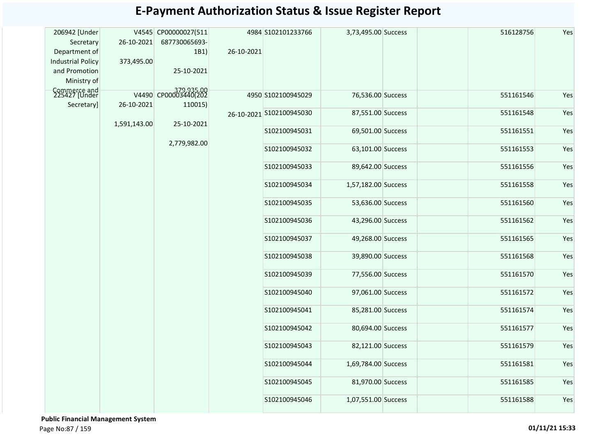| 206942 [Under                 |              | V4545 CP00000027(511 |            | 4984 S102101233766       | 3,73,495.00 Success | 516128756 | Yes |
|-------------------------------|--------------|----------------------|------------|--------------------------|---------------------|-----------|-----|
| Secretary                     | 26-10-2021   | 687730065693-        |            |                          |                     |           |     |
| Department of                 |              | 1B1)                 | 26-10-2021 |                          |                     |           |     |
| <b>Industrial Policy</b>      | 373,495.00   |                      |            |                          |                     |           |     |
| and Promotion                 |              | 25-10-2021           |            |                          |                     |           |     |
| Ministry of                   |              |                      |            |                          |                     |           |     |
|                               |              |                      |            |                          |                     |           |     |
| Commerce and<br>225427 [Under |              | V4490 CP00003440(202 |            | 4950 S102100945029       | 76,536.00 Success   | 551161546 | Yes |
| Secretary]                    | 26-10-2021   | 110015)              |            |                          |                     |           |     |
|                               |              |                      |            | 26-10-2021 S102100945030 | 87,551.00 Success   | 551161548 | Yes |
|                               | 1,591,143.00 | 25-10-2021           |            | S102100945031            | 69,501.00 Success   | 551161551 | Yes |
|                               |              |                      |            |                          |                     |           |     |
|                               |              | 2,779,982.00         |            | S102100945032            | 63,101.00 Success   | 551161553 | Yes |
|                               |              |                      |            |                          |                     |           |     |
|                               |              |                      |            | S102100945033            | 89,642.00 Success   | 551161556 | Yes |
|                               |              |                      |            |                          |                     |           |     |
|                               |              |                      |            | S102100945034            | 1,57,182.00 Success | 551161558 | Yes |
|                               |              |                      |            |                          |                     |           |     |
|                               |              |                      |            | S102100945035            | 53,636.00 Success   | 551161560 | Yes |
|                               |              |                      |            |                          |                     |           |     |
|                               |              |                      |            | S102100945036            | 43,296.00 Success   | 551161562 | Yes |
|                               |              |                      |            |                          |                     |           |     |
|                               |              |                      |            | S102100945037            | 49,268.00 Success   | 551161565 | Yes |
|                               |              |                      |            | S102100945038            | 39,890.00 Success   | 551161568 | Yes |
|                               |              |                      |            |                          |                     |           |     |
|                               |              |                      |            | S102100945039            | 77,556.00 Success   | 551161570 | Yes |
|                               |              |                      |            |                          |                     |           |     |
|                               |              |                      |            | S102100945040            | 97,061.00 Success   | 551161572 | Yes |
|                               |              |                      |            |                          |                     |           |     |
|                               |              |                      |            | S102100945041            | 85,281.00 Success   | 551161574 | Yes |
|                               |              |                      |            |                          |                     |           |     |
|                               |              |                      |            | S102100945042            | 80,694.00 Success   | 551161577 | Yes |
|                               |              |                      |            |                          |                     |           |     |
|                               |              |                      |            | S102100945043            | 82,121.00 Success   | 551161579 | Yes |
|                               |              |                      |            |                          |                     |           |     |
|                               |              |                      |            | S102100945044            | 1,69,784.00 Success | 551161581 | Yes |
|                               |              |                      |            |                          |                     |           |     |
|                               |              |                      |            | S102100945045            | 81,970.00 Success   | 551161585 | Yes |
|                               |              |                      |            | S102100945046            | 1,07,551.00 Success | 551161588 | Yes |
|                               |              |                      |            |                          |                     |           |     |
|                               |              |                      |            |                          |                     |           |     |

 **Public Financial Management System**  Page No:87 / 159 **01/11/21 15:33**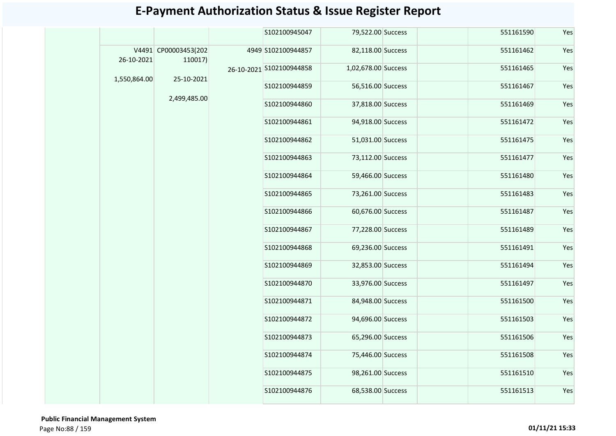|              |                                 |  | S102100945047            | 79,522.00 Success   | 551161590         | Yes               |               |                   |           |     |  |  |  |  |  |  |  |  |  |  |  |  |  |               |                   |           |     |
|--------------|---------------------------------|--|--------------------------|---------------------|-------------------|-------------------|---------------|-------------------|-----------|-----|--|--|--|--|--|--|--|--|--|--|--|--|--|---------------|-------------------|-----------|-----|
| 26-10-2021   | V4491 CP00003453(202<br>110017) |  | 4949 S102100944857       | 82,118.00 Success   | 551161462         | Yes               |               |                   |           |     |  |  |  |  |  |  |  |  |  |  |  |  |  |               |                   |           |     |
| 1,550,864.00 | 25-10-2021                      |  | 26-10-2021 S102100944858 | 1,02,678.00 Success | 551161465         | Yes               |               |                   |           |     |  |  |  |  |  |  |  |  |  |  |  |  |  |               |                   |           |     |
|              |                                 |  | S102100944859            | 56,516.00 Success   | 551161467         | Yes               |               |                   |           |     |  |  |  |  |  |  |  |  |  |  |  |  |  |               |                   |           |     |
|              | 2,499,485.00                    |  | S102100944860            | 37,818.00 Success   | 551161469         | Yes               |               |                   |           |     |  |  |  |  |  |  |  |  |  |  |  |  |  |               |                   |           |     |
|              |                                 |  | S102100944861            | 94,918.00 Success   | 551161472         | Yes               |               |                   |           |     |  |  |  |  |  |  |  |  |  |  |  |  |  |               |                   |           |     |
|              |                                 |  | S102100944862            | 51,031.00 Success   | 551161475         | Yes               |               |                   |           |     |  |  |  |  |  |  |  |  |  |  |  |  |  |               |                   |           |     |
|              |                                 |  | S102100944863            | 73,112.00 Success   | 551161477         | Yes               |               |                   |           |     |  |  |  |  |  |  |  |  |  |  |  |  |  |               |                   |           |     |
|              |                                 |  |                          | S102100944864       | 59,466.00 Success | 551161480         | Yes           |                   |           |     |  |  |  |  |  |  |  |  |  |  |  |  |  |               |                   |           |     |
|              |                                 |  |                          |                     |                   |                   | S102100944865 | 73,261.00 Success | 551161483 | Yes |  |  |  |  |  |  |  |  |  |  |  |  |  |               |                   |           |     |
|              |                                 |  |                          |                     | S102100944866     | 60,676.00 Success | 551161487     | Yes               |           |     |  |  |  |  |  |  |  |  |  |  |  |  |  |               |                   |           |     |
|              |                                 |  | S102100944867            | 77,228.00 Success   | 551161489         | Yes               |               |                   |           |     |  |  |  |  |  |  |  |  |  |  |  |  |  |               |                   |           |     |
|              |                                 |  | S102100944868            | 69,236.00 Success   | 551161491         | Yes               |               |                   |           |     |  |  |  |  |  |  |  |  |  |  |  |  |  |               |                   |           |     |
|              |                                 |  | S102100944869            | 32,853.00 Success   | 551161494         | Yes               |               |                   |           |     |  |  |  |  |  |  |  |  |  |  |  |  |  |               |                   |           |     |
|              |                                 |  | S102100944870            | 33,976.00 Success   | 551161497         | Yes               |               |                   |           |     |  |  |  |  |  |  |  |  |  |  |  |  |  |               |                   |           |     |
|              |                                 |  |                          |                     |                   |                   |               |                   |           |     |  |  |  |  |  |  |  |  |  |  |  |  |  | S102100944871 | 84,948.00 Success | 551161500 | Yes |
|              |                                 |  | S102100944872            | 94,696.00 Success   | 551161503         | Yes               |               |                   |           |     |  |  |  |  |  |  |  |  |  |  |  |  |  |               |                   |           |     |
|              |                                 |  | S102100944873            | 65,296.00 Success   | 551161506         | Yes               |               |                   |           |     |  |  |  |  |  |  |  |  |  |  |  |  |  |               |                   |           |     |
|              |                                 |  | S102100944874            | 75,446.00 Success   | 551161508         | Yes               |               |                   |           |     |  |  |  |  |  |  |  |  |  |  |  |  |  |               |                   |           |     |
|              |                                 |  | S102100944875            | 98,261.00 Success   | 551161510         | Yes               |               |                   |           |     |  |  |  |  |  |  |  |  |  |  |  |  |  |               |                   |           |     |
|              |                                 |  | S102100944876            | 68,538.00 Success   | 551161513         | Yes               |               |                   |           |     |  |  |  |  |  |  |  |  |  |  |  |  |  |               |                   |           |     |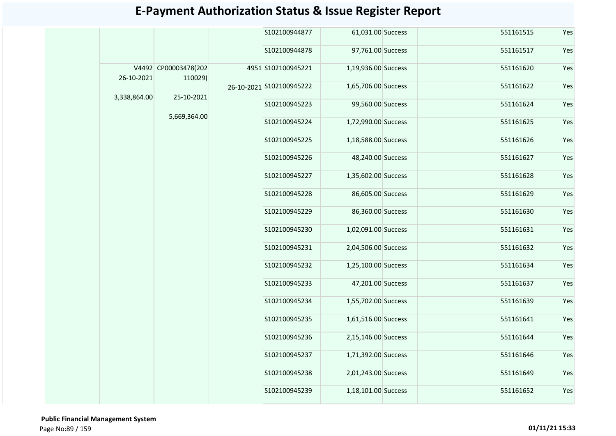|  |              |                                 |  | S102100944877            | 61,031.00 Success   | 551161515 | Yes           |                     |           |     |  |  |  |  |  |  |  |  |  |  |  |  |  |  |               |                     |               |                     |           |     |  |               |                     |
|--|--------------|---------------------------------|--|--------------------------|---------------------|-----------|---------------|---------------------|-----------|-----|--|--|--|--|--|--|--|--|--|--|--|--|--|--|---------------|---------------------|---------------|---------------------|-----------|-----|--|---------------|---------------------|
|  |              |                                 |  | S102100944878            | 97,761.00 Success   | 551161517 | Yes           |                     |           |     |  |  |  |  |  |  |  |  |  |  |  |  |  |  |               |                     |               |                     |           |     |  |               |                     |
|  | 26-10-2021   | V4492 CP00003478(202<br>110029) |  | 4951 S102100945221       | 1,19,936.00 Success | 551161620 | Yes           |                     |           |     |  |  |  |  |  |  |  |  |  |  |  |  |  |  |               |                     |               |                     |           |     |  |               |                     |
|  |              | 25-10-2021                      |  | 26-10-2021 S102100945222 | 1,65,706.00 Success | 551161622 | Yes           |                     |           |     |  |  |  |  |  |  |  |  |  |  |  |  |  |  |               |                     |               |                     |           |     |  |               |                     |
|  | 3,338,864.00 |                                 |  | S102100945223            | 99,560.00 Success   | 551161624 | Yes           |                     |           |     |  |  |  |  |  |  |  |  |  |  |  |  |  |  |               |                     |               |                     |           |     |  |               |                     |
|  |              | 5,669,364.00                    |  | S102100945224            | 1,72,990.00 Success | 551161625 | Yes           |                     |           |     |  |  |  |  |  |  |  |  |  |  |  |  |  |  |               |                     |               |                     |           |     |  |               |                     |
|  |              |                                 |  | S102100945225            | 1,18,588.00 Success | 551161626 | Yes           |                     |           |     |  |  |  |  |  |  |  |  |  |  |  |  |  |  |               |                     |               |                     |           |     |  |               |                     |
|  |              |                                 |  | S102100945226            | 48,240.00 Success   | 551161627 | Yes           |                     |           |     |  |  |  |  |  |  |  |  |  |  |  |  |  |  |               |                     |               |                     |           |     |  |               |                     |
|  |              |                                 |  | S102100945227            | 1,35,602.00 Success | 551161628 | Yes           |                     |           |     |  |  |  |  |  |  |  |  |  |  |  |  |  |  |               |                     |               |                     |           |     |  |               |                     |
|  |              |                                 |  | S102100945228            | 86,605.00 Success   | 551161629 | Yes           |                     |           |     |  |  |  |  |  |  |  |  |  |  |  |  |  |  |               |                     |               |                     |           |     |  |               |                     |
|  |              |                                 |  | S102100945229            | 86,360.00 Success   | 551161630 | Yes           |                     |           |     |  |  |  |  |  |  |  |  |  |  |  |  |  |  |               |                     |               |                     |           |     |  |               |                     |
|  |              |                                 |  | S102100945230            | 1,02,091.00 Success | 551161631 | Yes           |                     |           |     |  |  |  |  |  |  |  |  |  |  |  |  |  |  |               |                     |               |                     |           |     |  |               |                     |
|  |              |                                 |  | S102100945231            | 2,04,506.00 Success | 551161632 | Yes           |                     |           |     |  |  |  |  |  |  |  |  |  |  |  |  |  |  |               |                     |               |                     |           |     |  |               |                     |
|  |              |                                 |  | S102100945232            | 1,25,100.00 Success | 551161634 | Yes           |                     |           |     |  |  |  |  |  |  |  |  |  |  |  |  |  |  |               |                     |               |                     |           |     |  |               |                     |
|  |              |                                 |  | S102100945233            | 47,201.00 Success   | 551161637 | Yes           |                     |           |     |  |  |  |  |  |  |  |  |  |  |  |  |  |  |               |                     |               |                     |           |     |  |               |                     |
|  |              |                                 |  |                          |                     |           |               |                     |           |     |  |  |  |  |  |  |  |  |  |  |  |  |  |  |               |                     | S102100945234 | 1,55,702.00 Success | 551161639 | Yes |  |               |                     |
|  |              |                                 |  |                          |                     |           |               |                     |           |     |  |  |  |  |  |  |  |  |  |  |  |  |  |  | S102100945235 | 1,61,516.00 Success | 551161641     | Yes                 |           |     |  |               |                     |
|  |              |                                 |  | S102100945236            | 2,15,146.00 Success | 551161644 | Yes           |                     |           |     |  |  |  |  |  |  |  |  |  |  |  |  |  |  |               |                     |               |                     |           |     |  |               |                     |
|  |              |                                 |  |                          |                     |           |               |                     |           |     |  |  |  |  |  |  |  |  |  |  |  |  |  |  |               |                     |               |                     |           |     |  | S102100945237 | 1,71,392.00 Success |
|  |              |                                 |  |                          |                     |           | S102100945238 | 2,01,243.00 Success | 551161649 | Yes |  |  |  |  |  |  |  |  |  |  |  |  |  |  |               |                     |               |                     |           |     |  |               |                     |
|  |              |                                 |  |                          |                     |           | S102100945239 | 1,18,101.00 Success | 551161652 | Yes |  |  |  |  |  |  |  |  |  |  |  |  |  |  |               |                     |               |                     |           |     |  |               |                     |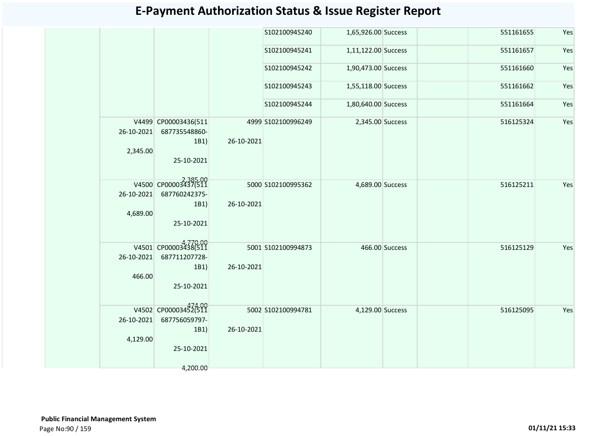| V4499 CP00003436(511<br>26-10-2021<br>687735548860-<br>1B1)<br>2,345.00<br>25-10-2021<br>V4500 CP00003437(511<br>26-10-2021<br>687760242375-<br>1B1)<br>4,689.00<br>25-10-2021<br>V4501 CP00003438(511<br>26-10-2021<br>687711207728-<br>1B1)<br>466.00<br>25-10-2021 |            | S102100945240<br>S102100945241<br>S102100945242 | 1,65,926.00 Success<br>1,11,122.00 Success<br>1,90,473.00 Success |                | 551161655<br>551161657 | Yes<br>Yes |
|-----------------------------------------------------------------------------------------------------------------------------------------------------------------------------------------------------------------------------------------------------------------------|------------|-------------------------------------------------|-------------------------------------------------------------------|----------------|------------------------|------------|
|                                                                                                                                                                                                                                                                       |            |                                                 |                                                                   |                |                        |            |
|                                                                                                                                                                                                                                                                       |            |                                                 |                                                                   |                |                        |            |
|                                                                                                                                                                                                                                                                       |            |                                                 |                                                                   |                | 551161660              | Yes        |
|                                                                                                                                                                                                                                                                       |            | S102100945243                                   | 1,55,118.00 Success                                               |                | 551161662              | Yes        |
|                                                                                                                                                                                                                                                                       |            | S102100945244                                   | 1,80,640.00 Success                                               |                | 551161664              | Yes        |
|                                                                                                                                                                                                                                                                       | 26-10-2021 | 4999 S102100996249                              | 2,345.00 Success                                                  |                | 516125324              | Yes        |
|                                                                                                                                                                                                                                                                       | 26-10-2021 | 5000 S102100995362                              | 4,689.00 Success                                                  |                | 516125211              | Yes        |
|                                                                                                                                                                                                                                                                       | 26-10-2021 | 5001 S102100994873                              |                                                                   | 466.00 Success | 516125129              | Yes        |
| V4502 CP00003452(511<br>687756059797-<br>26-10-2021<br>1B1)<br>4,129.00<br>25-10-2021<br>4,200.00                                                                                                                                                                     | 26-10-2021 | 5002 S102100994781                              | 4,129.00 Success                                                  |                | 516125095              | Yes        |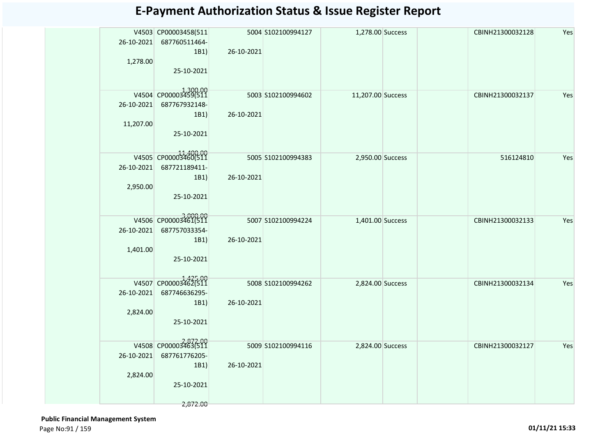| 26-10-2021 | V4503 CP00003458(511<br>687760511464-<br>1B1) | 26-10-2021 | 5004 S102100994127  | 1,278.00 Success  |  | CBINH21300032128 | Yes |
|------------|-----------------------------------------------|------------|---------------------|-------------------|--|------------------|-----|
| 1,278.00   | 25-10-2021                                    |            |                     |                   |  |                  |     |
|            | V4504 CP00003459(511                          |            | 5003 S102100994602  | 11,207.00 Success |  | CBINH21300032137 | Yes |
| 26-10-2021 | 687767932148-                                 |            |                     |                   |  |                  |     |
|            | 1B1)                                          | 26-10-2021 |                     |                   |  |                  |     |
| 11,207.00  |                                               |            |                     |                   |  |                  |     |
|            | 25-10-2021                                    |            |                     |                   |  |                  |     |
|            | V4505 CP00003460(511                          |            | 5005 \$102100994383 | 2,950.00 Success  |  | 516124810        | Yes |
| 26-10-2021 | 687721189411-                                 |            |                     |                   |  |                  |     |
|            | 1B1)                                          | 26-10-2021 |                     |                   |  |                  |     |
| 2,950.00   |                                               |            |                     |                   |  |                  |     |
|            | 25-10-2021                                    |            |                     |                   |  |                  |     |
|            | V4506 CP00003461(511                          |            | 5007 S102100994224  | 1,401.00 Success  |  | CBINH21300032133 | Yes |
| 26-10-2021 | 687757033354-                                 |            |                     |                   |  |                  |     |
|            | 1B1)                                          | 26-10-2021 |                     |                   |  |                  |     |
| 1,401.00   |                                               |            |                     |                   |  |                  |     |
|            | 25-10-2021                                    |            |                     |                   |  |                  |     |
|            | V4507 CP000034625500                          |            | 5008 \$102100994262 | 2,824.00 Success  |  | CBINH21300032134 | Yes |
| 26-10-2021 | 687746636295-                                 |            |                     |                   |  |                  |     |
|            | 1B1)                                          | 26-10-2021 |                     |                   |  |                  |     |
| 2,824.00   |                                               |            |                     |                   |  |                  |     |
|            | 25-10-2021                                    |            |                     |                   |  |                  |     |
|            | V4508 CP00003463(511                          |            | 5009 S102100994116  | 2,824.00 Success  |  | CBINH21300032127 | Yes |
| 26-10-2021 | 687761776205-                                 |            |                     |                   |  |                  |     |
|            | 1B1)                                          | 26-10-2021 |                     |                   |  |                  |     |
| 2,824.00   |                                               |            |                     |                   |  |                  |     |
|            | 25-10-2021                                    |            |                     |                   |  |                  |     |
|            | 2,872.00                                      |            |                     |                   |  |                  |     |

 **Public Financial Management System**  Page No:91 / 159 **01/11/21 15:33**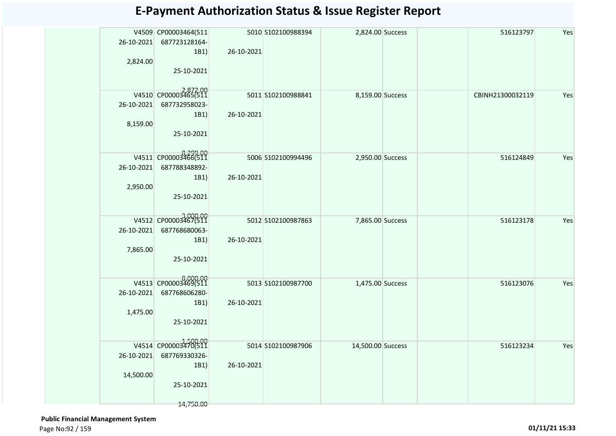| 26-10-2021 | V4509 CP00003464(511<br>687723128164-<br>1B1) | 26-10-2021 | 5010 S102100988394 | 2,824.00 Success  |  | 516123797        | Yes |
|------------|-----------------------------------------------|------------|--------------------|-------------------|--|------------------|-----|
| 2,824.00   | 25-10-2021                                    |            |                    |                   |  |                  |     |
|            | V4510 CP00003465(511                          |            | 5011 S102100988841 | 8,159.00 Success  |  | CBINH21300032119 | Yes |
| 26-10-2021 | 687732958023-                                 |            |                    |                   |  |                  |     |
|            | 1B1)                                          | 26-10-2021 |                    |                   |  |                  |     |
| 8,159.00   |                                               |            |                    |                   |  |                  |     |
|            | 25-10-2021                                    |            |                    |                   |  |                  |     |
|            | V4511 CP00003466(511                          |            | 5006 S102100994496 | 2,950.00 Success  |  | 516124849        | Yes |
| 26-10-2021 | 687788348892-                                 |            |                    |                   |  |                  |     |
|            | 1B1)                                          | 26-10-2021 |                    |                   |  |                  |     |
| 2,950.00   |                                               |            |                    |                   |  |                  |     |
|            | 25-10-2021                                    |            |                    |                   |  |                  |     |
|            |                                               |            |                    |                   |  |                  |     |
|            | V4512 CP00003467(511                          |            | 5012 S102100987863 | 7,865.00 Success  |  | 516123178        | Yes |
| 26-10-2021 | 687768680063-                                 |            |                    |                   |  |                  |     |
| 7,865.00   | 1B1)                                          | 26-10-2021 |                    |                   |  |                  |     |
|            | 25-10-2021                                    |            |                    |                   |  |                  |     |
|            |                                               |            |                    |                   |  |                  |     |
|            | V4513 CP00003469(511                          |            | 5013 S102100987700 | 1,475.00 Success  |  | 516123076        | Yes |
| 26-10-2021 | 687768606280-                                 |            |                    |                   |  |                  |     |
|            | 1B1)                                          | 26-10-2021 |                    |                   |  |                  |     |
| 1,475.00   |                                               |            |                    |                   |  |                  |     |
|            | 25-10-2021                                    |            |                    |                   |  |                  |     |
|            |                                               |            |                    |                   |  |                  |     |
|            | V4514 CP00003470(511                          |            | 5014 S102100987906 | 14,500.00 Success |  | 516123234        | Yes |
| 26-10-2021 | 687769330326-<br>1B1)                         | 26-10-2021 |                    |                   |  |                  |     |
| 14,500.00  |                                               |            |                    |                   |  |                  |     |
|            | 25-10-2021                                    |            |                    |                   |  |                  |     |
|            |                                               |            |                    |                   |  |                  |     |
|            | 14,750.00                                     |            |                    |                   |  |                  |     |

 **Public Financial Management System**  Page No:92 / 159 **01/11/21 15:33**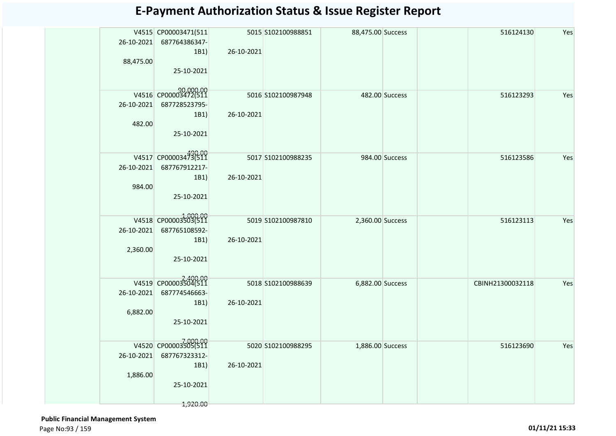| 26-10-2021<br>88,475.00 | V4515 CP00003471(511<br>687764386347-<br>1B1) | 26-10-2021 | 5015 \$102100988851 | 88,475.00 Success |                | 516124130        | Yes |
|-------------------------|-----------------------------------------------|------------|---------------------|-------------------|----------------|------------------|-----|
|                         | 25-10-2021                                    |            |                     |                   |                |                  |     |
|                         | 90,000.00<br>V4516 CP00003472(511             |            | 5016 S102100987948  |                   | 482.00 Success | 516123293        | Yes |
| 26-10-2021              | 687728523795-                                 |            |                     |                   |                |                  |     |
|                         | 1B1)                                          | 26-10-2021 |                     |                   |                |                  |     |
| 482.00                  | 25-10-2021                                    |            |                     |                   |                |                  |     |
|                         |                                               |            |                     |                   |                |                  |     |
|                         | V4517 CP00003473(511                          |            | 5017 \$102100988235 |                   | 984.00 Success | 516123586        | Yes |
| 26-10-2021              | 687767912217-                                 |            |                     |                   |                |                  |     |
|                         | 1B1)                                          | 26-10-2021 |                     |                   |                |                  |     |
| 984.00                  |                                               |            |                     |                   |                |                  |     |
|                         | 25-10-2021                                    |            |                     |                   |                |                  |     |
|                         | V4518 CP00003503(511                          |            |                     |                   |                |                  |     |
| 26-10-2021              | 687765108592-                                 |            | 5019 S102100987810  | 2,360.00 Success  |                | 516123113        | Yes |
|                         | 1B1)                                          | 26-10-2021 |                     |                   |                |                  |     |
| 2,360.00                |                                               |            |                     |                   |                |                  |     |
|                         | 25-10-2021                                    |            |                     |                   |                |                  |     |
|                         |                                               |            |                     |                   |                |                  |     |
|                         | V4519 CP00003504(511                          |            | 5018 \$102100988639 | 6,882.00 Success  |                | CBINH21300032118 | Yes |
| 26-10-2021              | 687774546663-                                 |            |                     |                   |                |                  |     |
|                         | 1B1)                                          | 26-10-2021 |                     |                   |                |                  |     |
| 6,882.00                |                                               |            |                     |                   |                |                  |     |
|                         | 25-10-2021                                    |            |                     |                   |                |                  |     |
|                         | V4520 CP00003505(511                          |            |                     |                   |                |                  |     |
| 26-10-2021              |                                               |            | 5020 S102100988295  | 1,886.00 Success  |                | 516123690        | Yes |
|                         | 687767323312-<br>1B1)                         | 26-10-2021 |                     |                   |                |                  |     |
| 1,886.00                |                                               |            |                     |                   |                |                  |     |
|                         | 25-10-2021                                    |            |                     |                   |                |                  |     |
|                         |                                               |            |                     |                   |                |                  |     |
|                         | 1,920.00                                      |            |                     |                   |                |                  |     |

 **Public Financial Management System**  Page No:93 / 159 **01/11/21 15:33**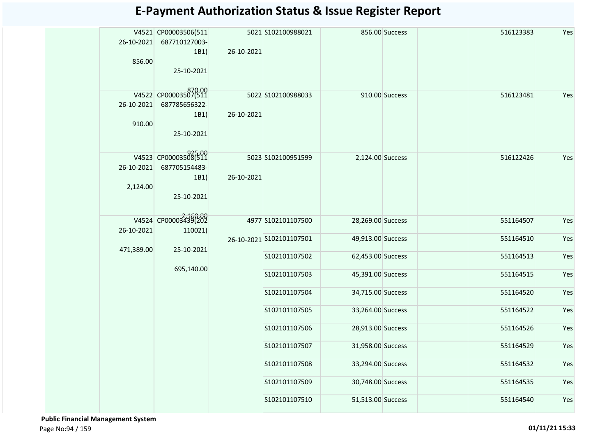| 26-10-2021<br>856.00   | V4521 CP00003506(511<br>687710127003-<br>1B1)<br>25-10-2021 | 26-10-2021 | 5021 S102100988021       |                   | 856.00 Success | 516123383 | Yes |
|------------------------|-------------------------------------------------------------|------------|--------------------------|-------------------|----------------|-----------|-----|
| 26-10-2021<br>910.00   | V4522 CP00003507(511<br>687785656322-<br>1B1)<br>25-10-2021 | 26-10-2021 | 5022 S102100988033       |                   | 910.00 Success | 516123481 | Yes |
| 26-10-2021<br>2,124.00 | V4523 CP00003508(511<br>687705154483-<br>1B1)<br>25-10-2021 | 26-10-2021 | 5023 S102100951599       | 2,124.00 Success  |                | 516122426 | Yes |
| 26-10-2021             | V4524 CP00003439(202<br>110021)                             |            | 4977 S102101107500       | 28,269.00 Success |                | 551164507 | Yes |
| 471,389.00             | 25-10-2021                                                  |            | 26-10-2021 S102101107501 | 49,913.00 Success |                | 551164510 | Yes |
|                        |                                                             |            | S102101107502            | 62,453.00 Success |                | 551164513 | Yes |
|                        | 695,140.00                                                  |            | S102101107503            | 45,391.00 Success |                | 551164515 | Yes |
|                        |                                                             |            | S102101107504            | 34,715.00 Success |                | 551164520 | Yes |
|                        |                                                             |            | S102101107505            | 33,264.00 Success |                | 551164522 | Yes |
|                        |                                                             |            | S102101107506            | 28,913.00 Success |                | 551164526 | Yes |
|                        |                                                             |            | S102101107507            | 31,958.00 Success |                | 551164529 | Yes |
|                        |                                                             |            | S102101107508            | 33,294.00 Success |                | 551164532 | Yes |
|                        |                                                             |            | S102101107509            | 30,748.00 Success |                | 551164535 | Yes |
|                        |                                                             |            | S102101107510            | 51,513.00 Success |                | 551164540 | Yes |

 **Public Financial Management System**  Page No:94 / 159 **01/11/21 15:33**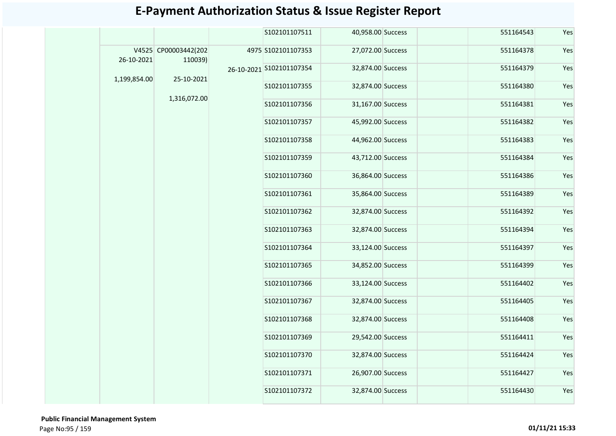|              |                                 | S102101107511            | 40,958.00 Success | 551164543 | Yes |
|--------------|---------------------------------|--------------------------|-------------------|-----------|-----|
| 26-10-2021   | V4525 CP00003442(202<br>110039) | 4975 S102101107353       | 27,072.00 Success | 551164378 | Yes |
| 1,199,854.00 | 25-10-2021                      | 26-10-2021 S102101107354 | 32,874.00 Success | 551164379 | Yes |
|              |                                 | S102101107355            | 32,874.00 Success | 551164380 | Yes |
|              | 1,316,072.00                    | S102101107356            | 31,167.00 Success | 551164381 | Yes |
|              |                                 | S102101107357            | 45,992.00 Success | 551164382 | Yes |
|              |                                 | S102101107358            | 44,962.00 Success | 551164383 | Yes |
|              |                                 | S102101107359            | 43,712.00 Success | 551164384 | Yes |
|              |                                 | S102101107360            | 36,864.00 Success | 551164386 | Yes |
|              |                                 | S102101107361            | 35,864.00 Success | 551164389 | Yes |
|              |                                 | S102101107362            | 32,874.00 Success | 551164392 | Yes |
|              |                                 | S102101107363            | 32,874.00 Success | 551164394 | Yes |
|              |                                 | S102101107364            | 33,124.00 Success | 551164397 | Yes |
|              |                                 | S102101107365            | 34,852.00 Success | 551164399 | Yes |
|              |                                 | S102101107366            | 33,124.00 Success | 551164402 | Yes |
|              |                                 | S102101107367            | 32,874.00 Success | 551164405 | Yes |
|              |                                 | S102101107368            | 32,874.00 Success | 551164408 | Yes |
|              |                                 | S102101107369            | 29,542.00 Success | 551164411 | Yes |
|              |                                 | S102101107370            | 32,874.00 Success | 551164424 | Yes |
|              |                                 | S102101107371            | 26,907.00 Success | 551164427 | Yes |
|              |                                 | S102101107372            | 32,874.00 Success | 551164430 | Yes |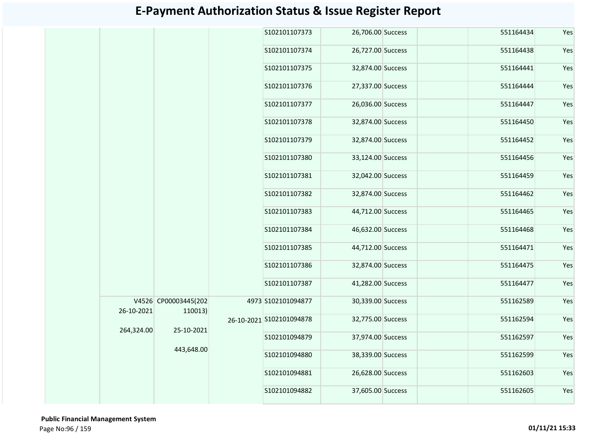|            |                      | S102101107373            | 26,706.00 Success |  | 551164434 | Yes |
|------------|----------------------|--------------------------|-------------------|--|-----------|-----|
|            |                      | S102101107374            | 26,727.00 Success |  | 551164438 | Yes |
|            |                      | S102101107375            | 32,874.00 Success |  | 551164441 | Yes |
|            |                      | S102101107376            | 27,337.00 Success |  | 551164444 | Yes |
|            |                      | S102101107377            | 26,036.00 Success |  | 551164447 | Yes |
|            |                      | S102101107378            | 32,874.00 Success |  | 551164450 | Yes |
|            |                      | S102101107379            | 32,874.00 Success |  | 551164452 | Yes |
|            |                      | S102101107380            | 33,124.00 Success |  | 551164456 | Yes |
|            |                      | S102101107381            | 32,042.00 Success |  | 551164459 | Yes |
|            |                      | S102101107382            | 32,874.00 Success |  | 551164462 | Yes |
|            |                      | S102101107383            | 44,712.00 Success |  | 551164465 | Yes |
|            |                      | S102101107384            | 46,632.00 Success |  | 551164468 | Yes |
|            |                      | S102101107385            | 44,712.00 Success |  | 551164471 | Yes |
|            |                      | S102101107386            | 32,874.00 Success |  | 551164475 | Yes |
|            |                      | S102101107387            | 41,282.00 Success |  | 551164477 | Yes |
|            | V4526 CP00003445(202 | 4973 S102101094877       | 30,339.00 Success |  | 551162589 | Yes |
| 26-10-2021 | 110013)              | 26-10-2021 S102101094878 | 32,775.00 Success |  | 551162594 | Yes |
| 264,324.00 | 25-10-2021           | S102101094879            | 37,974.00 Success |  | 551162597 | Yes |
|            | 443,648.00           | S102101094880            | 38,339.00 Success |  | 551162599 | Yes |
|            |                      | S102101094881            | 26,628.00 Success |  | 551162603 | Yes |
|            |                      | S102101094882            | 37,605.00 Success |  | 551162605 | Yes |
|            |                      |                          |                   |  |           |     |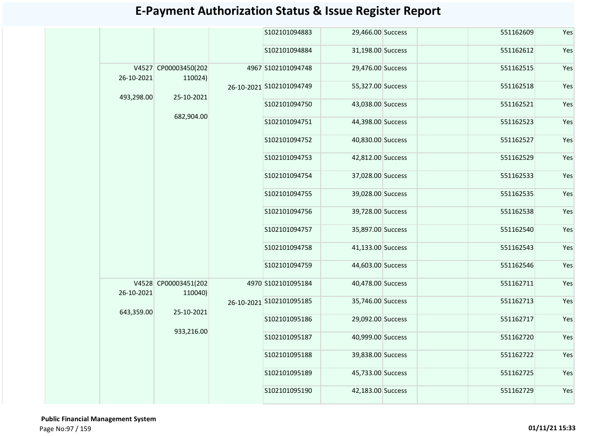|            |                                 |  | S102101094883            | 29,466.00 Success | 551162609         | Yes       |     |
|------------|---------------------------------|--|--------------------------|-------------------|-------------------|-----------|-----|
|            |                                 |  | S102101094884            | 31,198.00 Success | 551162612         | Yes       |     |
| 26-10-2021 | V4527 CP00003450(202<br>110024) |  | 4967 S102101094748       | 29,476.00 Success | 551162515         | Yes       |     |
| 493,298.00 | 25-10-2021                      |  | 26-10-2021 S102101094749 | 55,327.00 Success | 551162518         | Yes       |     |
|            | 682,904.00                      |  | S102101094750            | 43,038.00 Success | 551162521         | Yes       |     |
|            |                                 |  | S102101094751            | 44,398.00 Success | 551162523         | Yes       |     |
|            |                                 |  | S102101094752            | 40,830.00 Success | 551162527         | Yes       |     |
|            |                                 |  | S102101094753            | 42,812.00 Success | 551162529         | Yes       |     |
|            |                                 |  | S102101094754            | 37,028.00 Success | 551162533         | Yes       |     |
|            |                                 |  |                          | S102101094755     | 39,028.00 Success | 551162535 | Yes |
|            |                                 |  | S102101094756            | 39,728.00 Success | 551162538         | Yes       |     |
|            |                                 |  | S102101094757            | 35,897.00 Success | 551162540         | Yes       |     |
|            |                                 |  | S102101094758            | 41,133.00 Success | 551162543         | Yes       |     |
|            |                                 |  | S102101094759            | 44,603.00 Success | 551162546         | Yes       |     |
| 26-10-2021 | V4528 CP00003451(202<br>110040) |  | 4970 S102101095184       | 40,478.00 Success | 551162711         | Yes       |     |
| 643,359.00 | 25-10-2021                      |  | 26-10-2021 S102101095185 | 35,746.00 Success | 551162713         | Yes       |     |
|            | 933,216.00                      |  | S102101095186            | 29,092.00 Success | 551162717         | Yes       |     |
|            |                                 |  | S102101095187            | 40,999.00 Success | 551162720         | Yes       |     |
|            |                                 |  | S102101095188            | 39,838.00 Success | 551162722         | Yes       |     |
|            |                                 |  | S102101095189            | 45,733.00 Success | 551162725         | Yes       |     |
|            |                                 |  | S102101095190            | 42,183.00 Success | 551162729         | Yes       |     |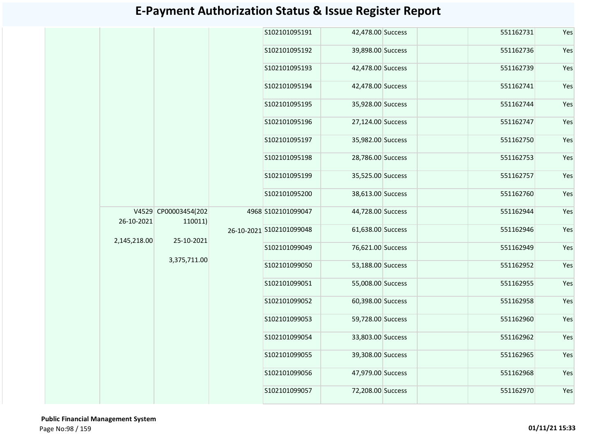|                      |                                       | S102101095191 |                                                | 551162731                                                                                                                                                                                                                                                                                                                                                                                                                        | Yes |
|----------------------|---------------------------------------|---------------|------------------------------------------------|----------------------------------------------------------------------------------------------------------------------------------------------------------------------------------------------------------------------------------------------------------------------------------------------------------------------------------------------------------------------------------------------------------------------------------|-----|
|                      |                                       | S102101095192 |                                                | 551162736                                                                                                                                                                                                                                                                                                                                                                                                                        | Yes |
|                      |                                       | S102101095193 |                                                | 551162739                                                                                                                                                                                                                                                                                                                                                                                                                        | Yes |
|                      |                                       | S102101095194 |                                                | 551162741                                                                                                                                                                                                                                                                                                                                                                                                                        | Yes |
|                      |                                       | S102101095195 |                                                | 551162744                                                                                                                                                                                                                                                                                                                                                                                                                        | Yes |
|                      |                                       | S102101095196 |                                                | 551162747                                                                                                                                                                                                                                                                                                                                                                                                                        | Yes |
|                      |                                       | S102101095197 |                                                | 551162750                                                                                                                                                                                                                                                                                                                                                                                                                        | Yes |
|                      |                                       | S102101095198 |                                                | 551162753                                                                                                                                                                                                                                                                                                                                                                                                                        | Yes |
|                      |                                       | S102101095199 |                                                | 551162757                                                                                                                                                                                                                                                                                                                                                                                                                        | Yes |
|                      |                                       | S102101095200 |                                                | 551162760                                                                                                                                                                                                                                                                                                                                                                                                                        | Yes |
| V4529 CP00003454(202 |                                       |               |                                                | 551162944                                                                                                                                                                                                                                                                                                                                                                                                                        | Yes |
|                      |                                       |               |                                                | 551162946                                                                                                                                                                                                                                                                                                                                                                                                                        | Yes |
|                      |                                       | S102101099049 |                                                | 551162949                                                                                                                                                                                                                                                                                                                                                                                                                        | Yes |
|                      |                                       | S102101099050 |                                                | 551162952                                                                                                                                                                                                                                                                                                                                                                                                                        | Yes |
|                      |                                       | S102101099051 |                                                | 551162955                                                                                                                                                                                                                                                                                                                                                                                                                        | Yes |
|                      |                                       | S102101099052 |                                                | 551162958                                                                                                                                                                                                                                                                                                                                                                                                                        | Yes |
|                      |                                       | S102101099053 |                                                | 551162960                                                                                                                                                                                                                                                                                                                                                                                                                        | Yes |
|                      |                                       | S102101099054 |                                                | 551162962                                                                                                                                                                                                                                                                                                                                                                                                                        | Yes |
|                      |                                       | S102101099055 |                                                | 551162965                                                                                                                                                                                                                                                                                                                                                                                                                        | Yes |
|                      |                                       | S102101099056 |                                                | 551162968                                                                                                                                                                                                                                                                                                                                                                                                                        | Yes |
|                      |                                       |               |                                                |                                                                                                                                                                                                                                                                                                                                                                                                                                  |     |
| 2,145,218.00         | 110011)<br>25-10-2021<br>3,375,711.00 |               | 4968 S102101099047<br>26-10-2021 S102101099048 | 42,478.00 Success<br>39,898.00 Success<br>42,478.00 Success<br>42,478.00 Success<br>35,928.00 Success<br>27,124.00 Success<br>35,982.00 Success<br>28,786.00 Success<br>35,525.00 Success<br>38,613.00 Success<br>44,728.00 Success<br>61,638.00 Success<br>76,621.00 Success<br>53,188.00 Success<br>55,008.00 Success<br>60,398.00 Success<br>59,728.00 Success<br>33,803.00 Success<br>39,308.00 Success<br>47,979.00 Success |     |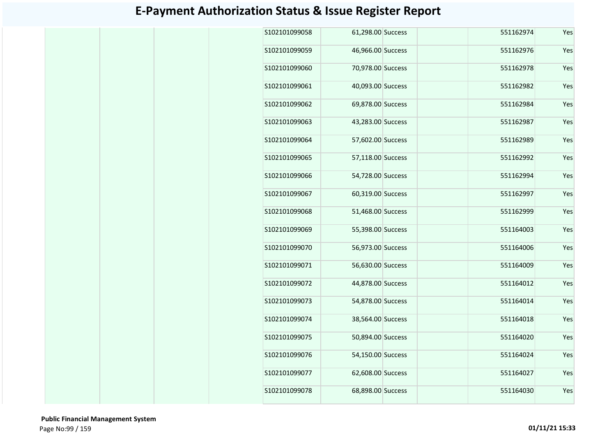| S102101099058 | 61,298.00 Success | 551162974 | Yes |
|---------------|-------------------|-----------|-----|
| S102101099059 | 46,966.00 Success | 551162976 | Yes |
| S102101099060 | 70,978.00 Success | 551162978 | Yes |
| S102101099061 | 40,093.00 Success | 551162982 | Yes |
| S102101099062 | 69,878.00 Success | 551162984 | Yes |
| S102101099063 | 43,283.00 Success | 551162987 | Yes |
| S102101099064 | 57,602.00 Success | 551162989 | Yes |
| S102101099065 | 57,118.00 Success | 551162992 | Yes |
| S102101099066 | 54,728.00 Success | 551162994 | Yes |
| S102101099067 | 60,319.00 Success | 551162997 | Yes |
| S102101099068 | 51,468.00 Success | 551162999 | Yes |
| S102101099069 | 55,398.00 Success | 551164003 | Yes |
| S102101099070 | 56,973.00 Success | 551164006 | Yes |
| S102101099071 | 56,630.00 Success | 551164009 | Yes |
| S102101099072 | 44,878.00 Success | 551164012 | Yes |
| S102101099073 | 54,878.00 Success | 551164014 | Yes |
| S102101099074 | 38,564.00 Success | 551164018 | Yes |
| S102101099075 | 50,894.00 Success | 551164020 | Yes |
| S102101099076 | 54,150.00 Success | 551164024 | Yes |
| S102101099077 | 62,608.00 Success | 551164027 | Yes |
| S102101099078 | 68,898.00 Success | 551164030 | Yes |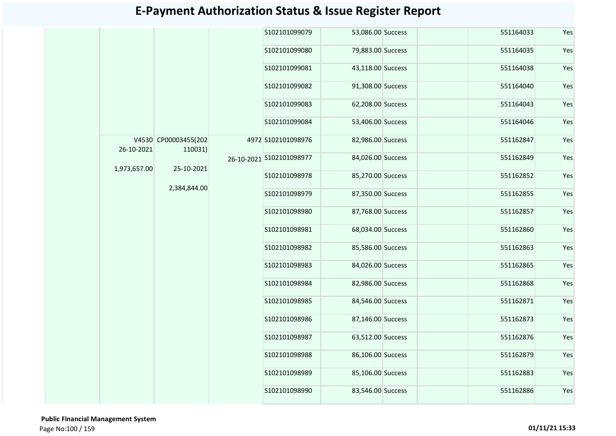|              |                                 |  | S102101099079            | 53,086.00 Success |               | 551164033         | Yes |           |     |
|--------------|---------------------------------|--|--------------------------|-------------------|---------------|-------------------|-----|-----------|-----|
|              |                                 |  | S102101099080            | 79,883.00 Success |               | 551164035         | Yes |           |     |
|              |                                 |  | S102101099081            | 43,118.00 Success |               | 551164038         | Yes |           |     |
|              |                                 |  | S102101099082            | 91,308.00 Success |               | 551164040         | Yes |           |     |
|              |                                 |  | S102101099083            | 62,208.00 Success |               | 551164043         | Yes |           |     |
|              |                                 |  | S102101099084            | 53,406.00 Success |               | 551164046         | Yes |           |     |
| 26-10-2021   | V4530 CP00003455(202<br>110031) |  | 4972 S102101098976       | 82,986.00 Success |               | 551162847         | Yes |           |     |
| 1,973,657.00 | 25-10-2021                      |  | 26-10-2021 S102101098977 | 84,026.00 Success |               | 551162849         | Yes |           |     |
|              |                                 |  | S102101098978            | 85,270.00 Success |               | 551162852         | Yes |           |     |
|              | 2,384,844.00                    |  | S102101098979            | 87,350.00 Success |               | 551162855         | Yes |           |     |
|              |                                 |  |                          |                   | S102101098980 | 87,768.00 Success |     | 551162857 | Yes |
|              |                                 |  | S102101098981            | 68,034.00 Success |               | 551162860         | Yes |           |     |
|              |                                 |  | S102101098982            | 85,586.00 Success |               | 551162863         | Yes |           |     |
|              |                                 |  | S102101098983            | 84,026.00 Success |               | 551162865         | Yes |           |     |
|              |                                 |  | S102101098984            | 82,986.00 Success |               | 551162868         | Yes |           |     |
|              |                                 |  | S102101098985            | 84,546.00 Success |               | 551162871         | Yes |           |     |
|              |                                 |  | S102101098986            | 87,146.00 Success |               | 551162873         | Yes |           |     |
|              |                                 |  | S102101098987            | 63,512.00 Success |               | 551162876         | Yes |           |     |
|              |                                 |  | S102101098988            | 86,106.00 Success |               | 551162879         | Yes |           |     |
|              |                                 |  | S102101098989            | 85,106.00 Success |               | 551162883         | Yes |           |     |
|              |                                 |  | S102101098990            | 83,546.00 Success |               | 551162886         | Yes |           |     |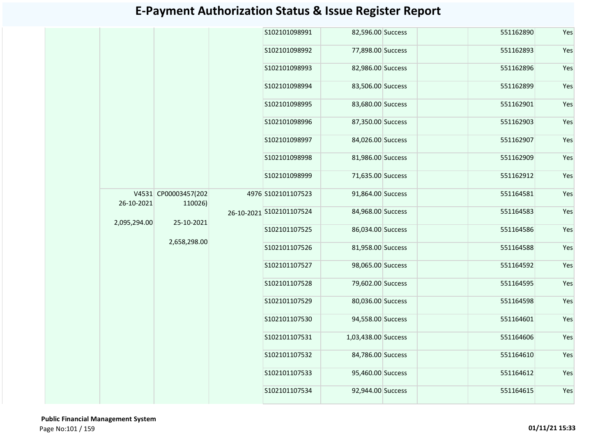|              |                                 | S102101098991            | 82,596.00 Success   | 551162890 | Yes |
|--------------|---------------------------------|--------------------------|---------------------|-----------|-----|
|              |                                 | S102101098992            | 77,898.00 Success   | 551162893 | Yes |
|              |                                 | S102101098993            | 82,986.00 Success   | 551162896 | Yes |
|              |                                 | S102101098994            | 83,506.00 Success   | 551162899 | Yes |
|              |                                 | S102101098995            | 83,680.00 Success   | 551162901 | Yes |
|              |                                 | S102101098996            | 87,350.00 Success   | 551162903 | Yes |
|              |                                 | S102101098997            | 84,026.00 Success   | 551162907 | Yes |
|              |                                 | S102101098998            | 81,986.00 Success   | 551162909 | Yes |
|              |                                 | S102101098999            | 71,635.00 Success   | 551162912 | Yes |
| 26-10-2021   | V4531 CP00003457(202<br>110026) | 4976 S102101107523       | 91,864.00 Success   | 551164581 | Yes |
| 2,095,294.00 | 25-10-2021                      | 26-10-2021 S102101107524 | 84,968.00 Success   | 551164583 | Yes |
|              |                                 | S102101107525            | 86,034.00 Success   | 551164586 | Yes |
|              | 2,658,298.00                    | S102101107526            | 81,958.00 Success   | 551164588 | Yes |
|              |                                 | S102101107527            | 98,065.00 Success   | 551164592 | Yes |
|              |                                 | S102101107528            | 79,602.00 Success   | 551164595 | Yes |
|              |                                 | S102101107529            | 80,036.00 Success   | 551164598 | Yes |
|              |                                 | S102101107530            | 94,558.00 Success   | 551164601 | Yes |
|              |                                 | S102101107531            | 1,03,438.00 Success | 551164606 | Yes |
|              |                                 | S102101107532            | 84,786.00 Success   | 551164610 | Yes |
|              |                                 | S102101107533            | 95,460.00 Success   | 551164612 | Yes |
|              |                                 | S102101107534            | 92,944.00 Success   | 551164615 | Yes |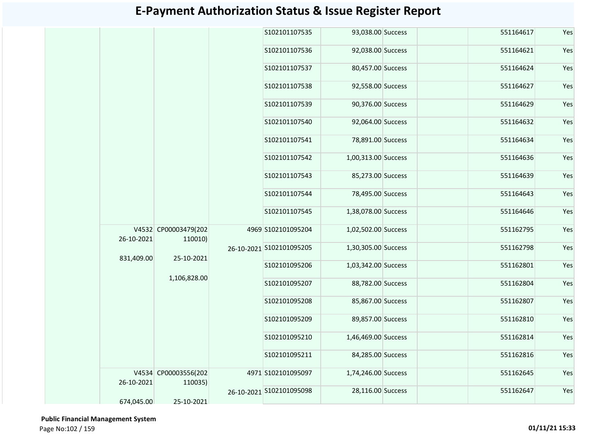|            |                                 | S102101107535            | 93,038.00 Success   |  | 551164617 | Yes |
|------------|---------------------------------|--------------------------|---------------------|--|-----------|-----|
|            |                                 | S102101107536            | 92,038.00 Success   |  | 551164621 | Yes |
|            |                                 | S102101107537            | 80,457.00 Success   |  | 551164624 | Yes |
|            |                                 | S102101107538            | 92,558.00 Success   |  | 551164627 | Yes |
|            |                                 | S102101107539            | 90,376.00 Success   |  | 551164629 | Yes |
|            |                                 | S102101107540            | 92,064.00 Success   |  | 551164632 | Yes |
|            |                                 | S102101107541            | 78,891.00 Success   |  | 551164634 | Yes |
|            |                                 | S102101107542            | 1,00,313.00 Success |  | 551164636 | Yes |
|            |                                 | S102101107543            | 85,273.00 Success   |  | 551164639 | Yes |
|            |                                 | S102101107544            | 78,495.00 Success   |  | 551164643 | Yes |
|            |                                 | S102101107545            | 1,38,078.00 Success |  | 551164646 | Yes |
| 26-10-2021 | V4532 CP00003479(202<br>110010) | 4969 S102101095204       | 1,02,502.00 Success |  | 551162795 | Yes |
| 831,409.00 | 25-10-2021                      | 26-10-2021 S102101095205 | 1,30,305.00 Success |  | 551162798 | Yes |
|            | 1,106,828.00                    | S102101095206            | 1,03,342.00 Success |  | 551162801 | Yes |
|            |                                 | S102101095207            | 88,782.00 Success   |  | 551162804 | Yes |
|            |                                 | S102101095208            | 85,867.00 Success   |  | 551162807 | Yes |
|            |                                 | S102101095209            | 89,857.00 Success   |  | 551162810 | Yes |
|            |                                 | S102101095210            | 1,46,469.00 Success |  | 551162814 | Yes |
|            |                                 | S102101095211            | 84,285.00 Success   |  | 551162816 | Yes |
| 26-10-2021 | V4534 CP00003556(202<br>110035) | 4971 S102101095097       | 1,74,246.00 Success |  | 551162645 | Yes |
| 674,045.00 | 25-10-2021                      | 26-10-2021 S102101095098 | 28,116.00 Success   |  | 551162647 | Yes |
|            |                                 |                          |                     |  |           |     |

 **Public Financial Management System**  Page No:102 / 159 **01/11/21 15:33**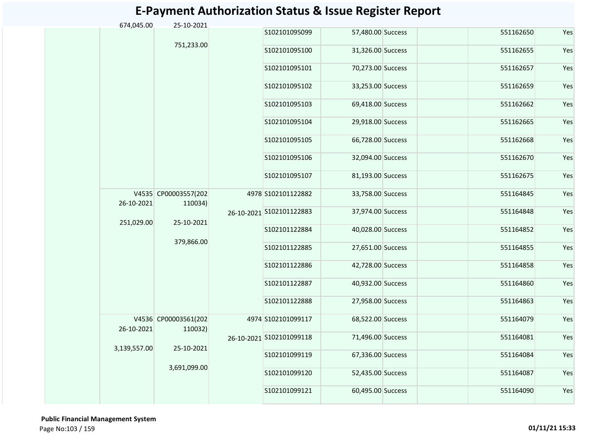| 674,045.00   | 25-10-2021                      |                          |                          |                   |           |     |
|--------------|---------------------------------|--------------------------|--------------------------|-------------------|-----------|-----|
|              |                                 |                          | S102101095099            | 57,480.00 Success | 551162650 | Yes |
|              | 751,233.00                      |                          | S102101095100            | 31,326.00 Success | 551162655 | Yes |
|              |                                 |                          | S102101095101            | 70,273.00 Success | 551162657 | Yes |
|              |                                 |                          | S102101095102            | 33,253.00 Success | 551162659 | Yes |
|              |                                 |                          | S102101095103            | 69,418.00 Success | 551162662 | Yes |
|              |                                 |                          | S102101095104            | 29,918.00 Success | 551162665 | Yes |
|              |                                 |                          | S102101095105            | 66,728.00 Success | 551162668 | Yes |
|              |                                 |                          | S102101095106            | 32,094.00 Success | 551162670 | Yes |
|              |                                 |                          | S102101095107            | 81,193.00 Success | 551162675 | Yes |
| 26-10-2021   | V4535 CP00003557(202<br>110034) |                          | 4978 S102101122882       | 33,758.00 Success | 551164845 | Yes |
| 251,029.00   | 25-10-2021                      | 26-10-2021 S102101122883 | 37,974.00 Success        | 551164848         | Yes       |     |
|              |                                 |                          | S102101122884            | 40,028.00 Success | 551164852 | Yes |
|              | 379,866.00                      |                          | S102101122885            | 27,651.00 Success | 551164855 | Yes |
|              |                                 |                          | S102101122886            | 42,728.00 Success | 551164858 | Yes |
|              |                                 |                          | S102101122887            | 40,932.00 Success | 551164860 | Yes |
|              |                                 |                          | S102101122888            | 27,958.00 Success | 551164863 | Yes |
| 26-10-2021   | V4536 CP00003561(202<br>110032) |                          | 4974 S102101099117       | 68,522.00 Success | 551164079 | Yes |
| 3,139,557.00 | 25-10-2021                      |                          | 26-10-2021 S102101099118 | 71,496.00 Success | 551164081 | Yes |
|              |                                 |                          | S102101099119            | 67,336.00 Success | 551164084 | Yes |
|              | 3,691,099.00                    | S102101099120            | 52,435.00 Success        | 551164087         | Yes       |     |
|              |                                 |                          | S102101099121            | 60,495.00 Success | 551164090 | Yes |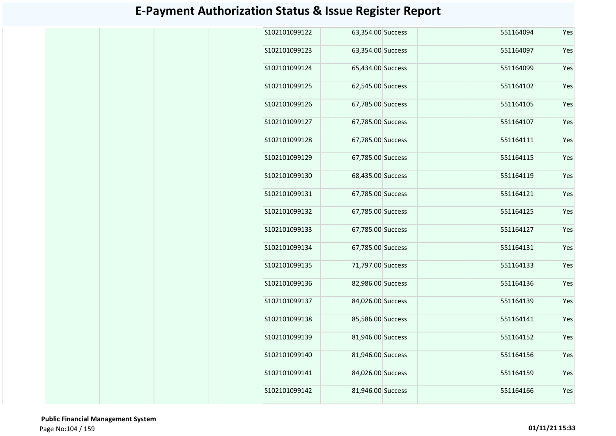| S102101099122  | 63,354.00 Success | 551164094 | Yes |
|----------------|-------------------|-----------|-----|
| S102101099123  | 63,354.00 Success | 551164097 | Yes |
| S102101099124  | 65,434.00 Success | 551164099 | Yes |
| S102101099125  | 62,545.00 Success | 551164102 | Yes |
| S102101099126  | 67,785.00 Success | 551164105 | Yes |
| S102101099127  | 67,785.00 Success | 551164107 | Yes |
| \$102101099128 | 67,785.00 Success | 551164111 | Yes |
| S102101099129  | 67,785.00 Success | 551164115 | Yes |
| S102101099130  | 68,435.00 Success | 551164119 | Yes |
| S102101099131  | 67,785.00 Success | 551164121 | Yes |
| S102101099132  | 67,785.00 Success | 551164125 | Yes |
| S102101099133  | 67,785.00 Success | 551164127 | Yes |
| S102101099134  | 67,785.00 Success | 551164131 | Yes |
| S102101099135  | 71,797.00 Success | 551164133 | Yes |
| S102101099136  | 82,986.00 Success | 551164136 | Yes |
| S102101099137  | 84,026.00 Success | 551164139 | Yes |
| S102101099138  | 85,586.00 Success | 551164141 | Yes |
| S102101099139  | 81,946.00 Success | 551164152 | Yes |
| S102101099140  | 81,946.00 Success | 551164156 | Yes |
| S102101099141  | 84,026.00 Success | 551164159 | Yes |
| S102101099142  | 81,946.00 Success | 551164166 | Yes |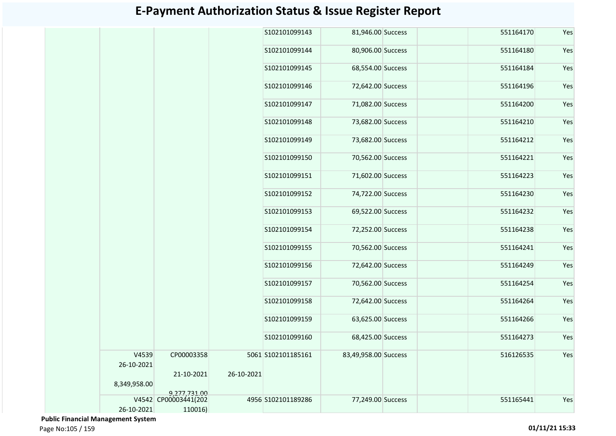|                     |                      |            | S102101099143      | 81,946.00 Success    |  | 551164170 | Yes |
|---------------------|----------------------|------------|--------------------|----------------------|--|-----------|-----|
|                     |                      |            | S102101099144      | 80,906.00 Success    |  | 551164180 | Yes |
|                     |                      |            | S102101099145      | 68,554.00 Success    |  | 551164184 | Yes |
|                     |                      |            | S102101099146      | 72,642.00 Success    |  | 551164196 | Yes |
|                     |                      |            | S102101099147      | 71,082.00 Success    |  | 551164200 | Yes |
|                     |                      |            | S102101099148      | 73,682.00 Success    |  | 551164210 | Yes |
|                     |                      |            | S102101099149      | 73,682.00 Success    |  | 551164212 | Yes |
|                     |                      |            | S102101099150      | 70,562.00 Success    |  | 551164221 | Yes |
|                     |                      |            | S102101099151      | 71,602.00 Success    |  | 551164223 | Yes |
|                     |                      |            | S102101099152      | 74,722.00 Success    |  | 551164230 | Yes |
|                     |                      |            | S102101099153      | 69,522.00 Success    |  | 551164232 | Yes |
|                     |                      |            | S102101099154      | 72,252.00 Success    |  | 551164238 | Yes |
|                     |                      |            | S102101099155      | 70,562.00 Success    |  | 551164241 | Yes |
|                     |                      |            | S102101099156      | 72,642.00 Success    |  | 551164249 | Yes |
|                     |                      |            | S102101099157      | 70,562.00 Success    |  | 551164254 | Yes |
|                     |                      |            | S102101099158      | 72,642.00 Success    |  | 551164264 | Yes |
|                     |                      |            | S102101099159      | 63,625.00 Success    |  | 551164266 | Yes |
|                     |                      |            | S102101099160      | 68,425.00 Success    |  | 551164273 | Yes |
|                     |                      |            |                    |                      |  |           |     |
| V4539<br>26-10-2021 | CP00003358           |            | 5061 S102101185161 | 83,49,958.00 Success |  | 516126535 | Yes |
| 8,349,958.00        | 21-10-2021           | 26-10-2021 |                    |                      |  |           |     |
|                     | 9,277,731.00         |            |                    |                      |  |           |     |
|                     | V4542 CP00003441(202 |            | 4956 S102101189286 | 77,249.00 Success    |  | 551165441 | Yes |
| 26-10-2021          | 110016)              |            |                    |                      |  |           |     |

 **Public Financial Management System**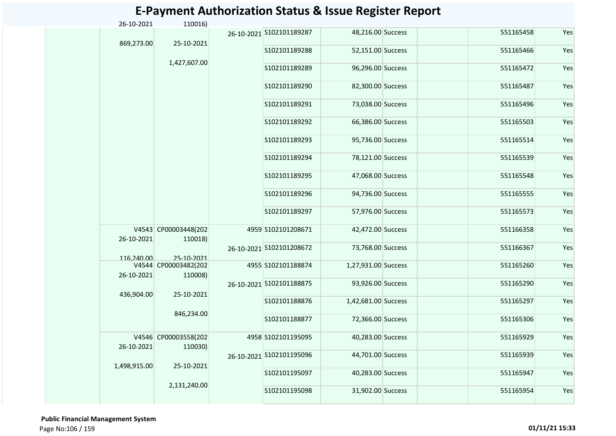| 26-10-2021   | 110016)                         |                          |                     |  |           |     |
|--------------|---------------------------------|--------------------------|---------------------|--|-----------|-----|
| 869,273.00   | 25-10-2021                      | 26-10-2021 S102101189287 | 48,216.00 Success   |  | 551165458 | Yes |
|              |                                 | S102101189288            | 52,151.00 Success   |  | 551165466 | Yes |
|              | 1,427,607.00                    | S102101189289            | 96,296.00 Success   |  | 551165472 | Yes |
|              |                                 | S102101189290            | 82,300.00 Success   |  | 551165487 | Yes |
|              |                                 | S102101189291            | 73,038.00 Success   |  | 551165496 | Yes |
|              |                                 | S102101189292            | 66,386.00 Success   |  | 551165503 | Yes |
|              |                                 | S102101189293            | 95,736.00 Success   |  | 551165514 | Yes |
|              |                                 | S102101189294            | 78,121.00 Success   |  | 551165539 | Yes |
|              |                                 | S102101189295            | 47,068.00 Success   |  | 551165548 | Yes |
|              |                                 | S102101189296            | 94,736.00 Success   |  | 551165555 | Yes |
|              |                                 | S102101189297            | 57,976.00 Success   |  | 551165573 | Yes |
| 26-10-2021   | V4543 CP00003448(202<br>110018) | 4959 S102101208671       | 42,472.00 Success   |  | 551166358 | Yes |
| 116,240.00   | 25-10-2021                      | 26-10-2021 S102101208672 | 73,768.00 Success   |  | 551166367 | Yes |
| 26-10-2021   | V4544 CP00003482(202<br>110008) | 4955 S102101188874       | 1,27,931.00 Success |  | 551165260 | Yes |
| 436,904.00   | 25-10-2021                      | 26-10-2021 S102101188875 | 93,926.00 Success   |  | 551165290 | Yes |
|              | 846,234.00                      | S102101188876            | 1,42,681.00 Success |  | 551165297 | Yes |
|              |                                 | S102101188877            | 72,366.00 Success   |  | 551165306 | Yes |
| 26-10-2021   | V4546 CP00003558(202<br>110030) | 4958 S102101195095       | 40,283.00 Success   |  | 551165929 | Yes |
| 1,498,915.00 | 25-10-2021                      | 26-10-2021 S102101195096 | 44,701.00 Success   |  | 551165939 | Yes |
|              | 2,131,240.00                    | S102101195097            | 40,283.00 Success   |  | 551165947 | Yes |
|              |                                 | S102101195098            | 31,902.00 Success   |  | 551165954 | Yes |

 **Public Financial Management System**  Page No:106 / 159 **01/11/21 15:33**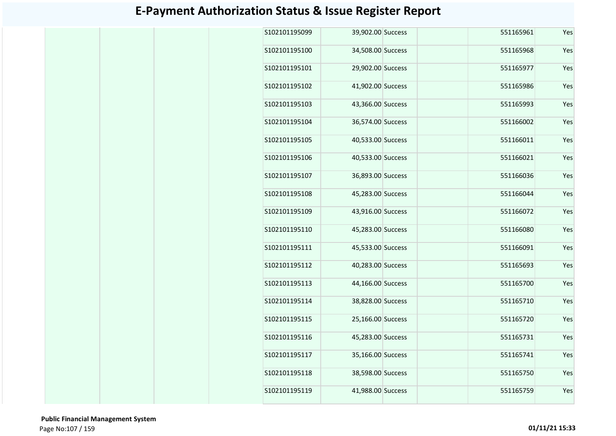| S102101195099  | 39,902.00 Success | 551165961 | Yes |
|----------------|-------------------|-----------|-----|
| S102101195100  | 34,508.00 Success | 551165968 | Yes |
| S102101195101  | 29,902.00 Success | 551165977 | Yes |
| S102101195102  | 41,902.00 Success | 551165986 | Yes |
| S102101195103  | 43,366.00 Success | 551165993 | Yes |
| S102101195104  | 36,574.00 Success | 551166002 | Yes |
| S102101195105  | 40,533.00 Success | 551166011 | Yes |
| S102101195106  | 40,533.00 Success | 551166021 | Yes |
| S102101195107  | 36,893.00 Success | 551166036 | Yes |
| S102101195108  | 45,283.00 Success | 551166044 | Yes |
| S102101195109  | 43,916.00 Success | 551166072 | Yes |
| S102101195110  | 45,283.00 Success | 551166080 | Yes |
| S102101195111  | 45,533.00 Success | 551166091 | Yes |
| S102101195112  | 40,283.00 Success | 551165693 | Yes |
| S102101195113  | 44,166.00 Success | 551165700 | Yes |
| S102101195114  | 38,828.00 Success | 551165710 | Yes |
| S102101195115  | 25,166.00 Success | 551165720 | Yes |
| \$102101195116 | 45,283.00 Success | 551165731 | Yes |
| S102101195117  | 35,166.00 Success | 551165741 | Yes |
| S102101195118  | 38,598.00 Success | 551165750 | Yes |
| S102101195119  | 41,988.00 Success | 551165759 | Yes |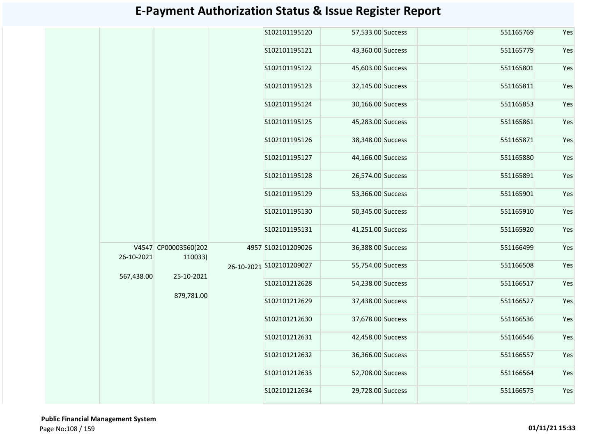|            |                                     |  | S102101195120        |                                                |                                                                                                                                                                                                                                                                                                                                                                                                                                                       | 551165769 | Yes |
|------------|-------------------------------------|--|----------------------|------------------------------------------------|-------------------------------------------------------------------------------------------------------------------------------------------------------------------------------------------------------------------------------------------------------------------------------------------------------------------------------------------------------------------------------------------------------------------------------------------------------|-----------|-----|
|            |                                     |  | S102101195121        |                                                |                                                                                                                                                                                                                                                                                                                                                                                                                                                       | 551165779 | Yes |
|            |                                     |  | S102101195122        |                                                |                                                                                                                                                                                                                                                                                                                                                                                                                                                       | 551165801 | Yes |
|            |                                     |  | S102101195123        |                                                |                                                                                                                                                                                                                                                                                                                                                                                                                                                       | 551165811 | Yes |
|            |                                     |  | S102101195124        |                                                |                                                                                                                                                                                                                                                                                                                                                                                                                                                       | 551165853 | Yes |
|            |                                     |  | S102101195125        |                                                |                                                                                                                                                                                                                                                                                                                                                                                                                                                       | 551165861 | Yes |
|            |                                     |  | S102101195126        |                                                |                                                                                                                                                                                                                                                                                                                                                                                                                                                       | 551165871 | Yes |
|            |                                     |  | S102101195127        |                                                |                                                                                                                                                                                                                                                                                                                                                                                                                                                       | 551165880 | Yes |
|            |                                     |  | S102101195128        |                                                |                                                                                                                                                                                                                                                                                                                                                                                                                                                       | 551165891 | Yes |
|            |                                     |  | S102101195129        |                                                |                                                                                                                                                                                                                                                                                                                                                                                                                                                       | 551165901 | Yes |
|            |                                     |  | S102101195130        |                                                |                                                                                                                                                                                                                                                                                                                                                                                                                                                       | 551165910 | Yes |
|            |                                     |  | S102101195131        |                                                |                                                                                                                                                                                                                                                                                                                                                                                                                                                       | 551165920 | Yes |
| 26-10-2021 | 110033)<br>25-10-2021<br>879,781.00 |  |                      |                                                |                                                                                                                                                                                                                                                                                                                                                                                                                                                       | 551166499 | Yes |
| 567,438.00 |                                     |  |                      |                                                |                                                                                                                                                                                                                                                                                                                                                                                                                                                       | 551166508 | Yes |
|            |                                     |  | S102101212628        |                                                |                                                                                                                                                                                                                                                                                                                                                                                                                                                       | 551166517 | Yes |
|            |                                     |  | S102101212629        |                                                |                                                                                                                                                                                                                                                                                                                                                                                                                                                       | 551166527 | Yes |
|            |                                     |  | S102101212630        |                                                |                                                                                                                                                                                                                                                                                                                                                                                                                                                       | 551166536 | Yes |
|            |                                     |  | S102101212631        |                                                |                                                                                                                                                                                                                                                                                                                                                                                                                                                       | 551166546 | Yes |
|            |                                     |  | S102101212632        |                                                |                                                                                                                                                                                                                                                                                                                                                                                                                                                       | 551166557 | Yes |
|            |                                     |  | S102101212633        |                                                |                                                                                                                                                                                                                                                                                                                                                                                                                                                       | 551166564 | Yes |
|            |                                     |  | S102101212634        |                                                |                                                                                                                                                                                                                                                                                                                                                                                                                                                       | 551166575 | Yes |
|            |                                     |  | V4547 CP00003560(202 | 4957 S102101209026<br>26-10-2021 S102101209027 | 57,533.00 Success<br>43,360.00 Success<br>45,603.00 Success<br>32,145.00 Success<br>30,166.00 Success<br>45,283.00 Success<br>38,348.00 Success<br>44,166.00 Success<br>26,574.00 Success<br>53,366.00 Success<br>50,345.00 Success<br>41,251.00 Success<br>36,388.00 Success<br>55,754.00 Success<br>54,238.00 Success<br>37,438.00 Success<br>37,678.00 Success<br>42,458.00 Success<br>36,366.00 Success<br>52,708.00 Success<br>29,728.00 Success |           |     |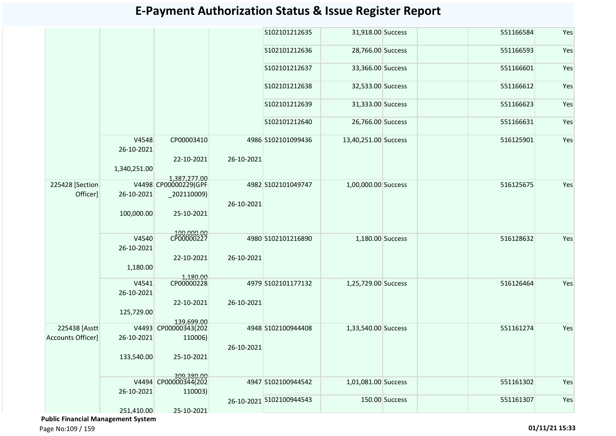|                   |                     |                                    |            | S102101212635            | 31,918.00 Success    |                | 551166584 | Yes |
|-------------------|---------------------|------------------------------------|------------|--------------------------|----------------------|----------------|-----------|-----|
|                   |                     |                                    |            | S102101212636            | 28,766.00 Success    |                | 551166593 | Yes |
|                   |                     |                                    |            | S102101212637            | 33,366.00 Success    |                | 551166601 | Yes |
|                   |                     |                                    |            | S102101212638            | 32,533.00 Success    |                | 551166612 | Yes |
|                   |                     |                                    |            | S102101212639            | 31,333.00 Success    |                | 551166623 | Yes |
|                   |                     |                                    |            | S102101212640            | 26,766.00 Success    |                | 551166631 | Yes |
|                   | V4548<br>26-10-2021 | CP00003410<br>22-10-2021           | 26-10-2021 | 4986 S102101099436       | 13,40,251.00 Success |                | 516125901 | Yes |
|                   | 1,340,251.00        | 1,387,277.00                       |            |                          |                      |                |           |     |
| 225428 [Section]  |                     | V4498 CP00000229(GPF               |            | 4982 S102101049747       | 1,00,000.00 Success  |                | 516125675 | Yes |
| Officer]          | 26-10-2021          | $-202110009$                       |            |                          |                      |                |           |     |
|                   |                     |                                    |            |                          |                      |                |           |     |
|                   |                     |                                    | 26-10-2021 |                          |                      |                |           |     |
|                   | 100,000.00          | 25-10-2021                         |            |                          |                      |                |           |     |
|                   | V4540               | 100,000.00<br>CP00000227           |            | 4980 S102101216890       | 1,180.00 Success     |                | 516128632 | Yes |
|                   |                     |                                    |            |                          |                      |                |           |     |
|                   | 26-10-2021          |                                    |            |                          |                      |                |           |     |
|                   |                     | 22-10-2021                         | 26-10-2021 |                          |                      |                |           |     |
|                   | 1,180.00            |                                    |            |                          |                      |                |           |     |
|                   |                     | 1,180.00                           |            |                          |                      |                |           |     |
|                   | V4541               |                                    |            | 4979 S102101177132       | 1,25,729.00 Success  |                | 516126464 | Yes |
|                   | 26-10-2021          |                                    |            |                          |                      |                |           |     |
|                   |                     | 22-10-2021                         | 26-10-2021 |                          |                      |                |           |     |
|                   |                     |                                    |            |                          |                      |                |           |     |
|                   | 125,729.00          |                                    |            |                          |                      |                |           |     |
| 225438 [Asstt]    |                     | 139.699.00<br>V4493 CP00000343(202 |            | 4948 S102100944408       | 1,33,540.00 Success  |                | 551161274 | Yes |
|                   |                     |                                    |            |                          |                      |                |           |     |
| Accounts Officer] | 26-10-2021          | 110006)                            |            |                          |                      |                |           |     |
|                   |                     |                                    | 26-10-2021 |                          |                      |                |           |     |
|                   | 133,540.00          | 25-10-2021                         |            |                          |                      |                |           |     |
|                   |                     | 309,380.00<br>V4494 CP00000344(202 |            | 4947 S102100944542       | 1,01,081.00 Success  |                | 551161302 | Yes |
|                   | 26-10-2021          |                                    |            |                          |                      |                |           |     |
|                   |                     | 110003)                            |            |                          |                      |                |           |     |
|                   |                     |                                    |            | 26-10-2021 S102100944543 |                      | 150.00 Success | 551161307 | Yes |
|                   | 251,410.00          | 25-10-2021                         |            |                          |                      |                |           |     |

 **Public Financial Management System**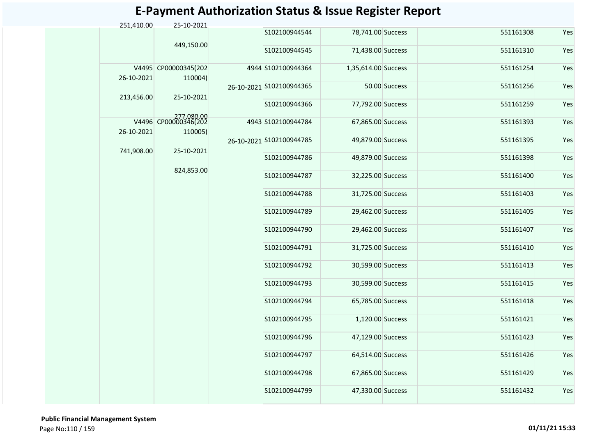| 251,410.00 | 25-10-2021                         |                          |                     |               |           |     |
|------------|------------------------------------|--------------------------|---------------------|---------------|-----------|-----|
|            | 449,150.00                         | S102100944544            | 78,741.00 Success   |               | 551161308 | Yes |
|            |                                    | S102100944545            | 71,438.00 Success   |               | 551161310 | Yes |
| 26-10-2021 | V4495 CP00000345(202<br>110004)    | 4944 S102100944364       | 1,35,614.00 Success |               | 551161254 | Yes |
|            |                                    | 26-10-2021 S102100944365 |                     | 50.00 Success | 551161256 | Yes |
| 213,456.00 | 25-10-2021                         | S102100944366            | 77,792.00 Success   |               | 551161259 | Yes |
|            | 277.080.00<br>V4496 CP00000346(202 | 4943 S102100944784       | 67,865.00 Success   |               | 551161393 | Yes |
| 26-10-2021 | 110005)                            |                          |                     |               |           |     |
| 741,908.00 | 25-10-2021                         | 26-10-2021 S102100944785 | 49,879.00 Success   |               | 551161395 | Yes |
|            |                                    | S102100944786            | 49,879.00 Success   |               | 551161398 | Yes |
|            | 824,853.00                         | S102100944787            | 32,225.00 Success   |               | 551161400 | Yes |
|            |                                    | S102100944788            | 31,725.00 Success   |               | 551161403 | Yes |
|            |                                    | S102100944789            | 29,462.00 Success   |               | 551161405 | Yes |
|            |                                    | S102100944790            | 29,462.00 Success   |               | 551161407 | Yes |
|            |                                    | S102100944791            | 31,725.00 Success   |               | 551161410 | Yes |
|            |                                    | S102100944792            | 30,599.00 Success   |               | 551161413 | Yes |
|            |                                    | S102100944793            | 30,599.00 Success   |               | 551161415 | Yes |
|            |                                    | S102100944794            | 65,785.00 Success   |               | 551161418 | Yes |
|            |                                    | S102100944795            | 1,120.00 Success    |               | 551161421 | Yes |
|            |                                    | S102100944796            | 47,129.00 Success   |               | 551161423 | Yes |
|            |                                    | S102100944797            | 64,514.00 Success   |               | 551161426 | Yes |
|            |                                    | S102100944798            | 67,865.00 Success   |               | 551161429 | Yes |
|            |                                    | S102100944799            | 47,330.00 Success   |               | 551161432 | Yes |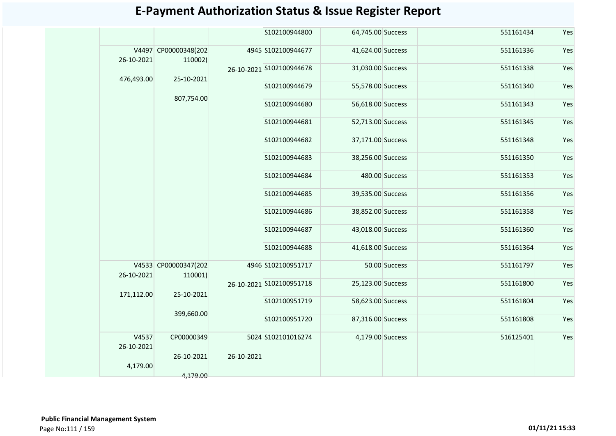|                     |                                 |            | S102100944800            | 64,745.00 Success |                | 551161434 | Yes |
|---------------------|---------------------------------|------------|--------------------------|-------------------|----------------|-----------|-----|
| 26-10-2021          | V4497 CP00000348(202<br>110002) |            | 4945 S102100944677       | 41,624.00 Success |                | 551161336 | Yes |
| 476,493.00          | 25-10-2021                      |            | 26-10-2021 S102100944678 | 31,030.00 Success |                | 551161338 | Yes |
|                     |                                 |            | S102100944679            | 55,578.00 Success |                | 551161340 | Yes |
|                     | 807,754.00                      |            | S102100944680            | 56,618.00 Success |                | 551161343 | Yes |
|                     |                                 |            | S102100944681            | 52,713.00 Success |                | 551161345 | Yes |
|                     |                                 |            | S102100944682            | 37,171.00 Success |                | 551161348 | Yes |
|                     |                                 |            | S102100944683            | 38,256.00 Success |                | 551161350 | Yes |
|                     |                                 |            | S102100944684            |                   | 480.00 Success | 551161353 | Yes |
|                     |                                 |            | S102100944685            | 39,535.00 Success |                | 551161356 | Yes |
|                     |                                 |            | S102100944686            | 38,852.00 Success |                | 551161358 | Yes |
|                     |                                 |            | S102100944687            | 43,018.00 Success |                | 551161360 | Yes |
|                     |                                 |            | S102100944688            | 41,618.00 Success |                | 551161364 | Yes |
| 26-10-2021          | V4533 CP00000347(202<br>110001) |            | 4946 S102100951717       |                   | 50.00 Success  | 551161797 | Yes |
| 171,112.00          | 25-10-2021                      |            | 26-10-2021 S102100951718 | 25,123.00 Success |                | 551161800 | Yes |
|                     |                                 |            | S102100951719            | 58,623.00 Success |                | 551161804 | Yes |
|                     | 399,660.00                      |            | S102100951720            | 87,316.00 Success |                | 551161808 | Yes |
| V4537<br>26-10-2021 | CP00000349                      |            | 5024 S102101016274       | 4,179.00 Success  |                | 516125401 | Yes |
|                     | 26-10-2021                      | 26-10-2021 |                          |                   |                |           |     |
| 4,179.00            | 4,179.00                        |            |                          |                   |                |           |     |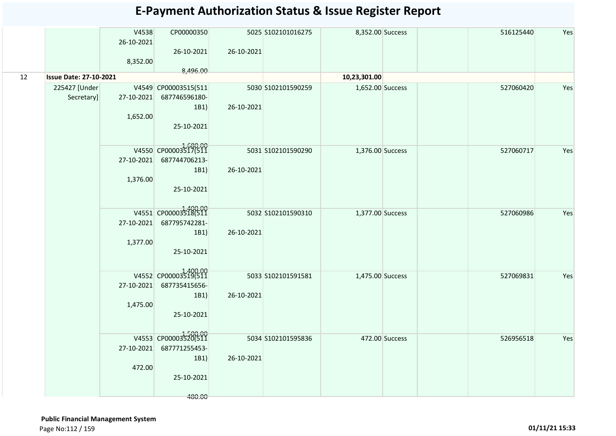|    |                               | V4538<br>26-10-2021<br>8,352.00 | CP00000350<br>26-10-2021                                                         | 26-10-2021 | 5025 S102101016275 | 8,352.00 Success |                | 516125440 | Yes |
|----|-------------------------------|---------------------------------|----------------------------------------------------------------------------------|------------|--------------------|------------------|----------------|-----------|-----|
| 12 | <b>Issue Date: 27-10-2021</b> |                                 | 8,496.00                                                                         |            |                    | 10,23,301.00     |                |           |     |
|    | 225427 [Under<br>Secretary]   | 1,652.00                        | V4549 CP00003515(511<br>27-10-2021 687746596180-<br>1B1<br>25-10-2021            | 26-10-2021 | 5030 S102101590259 | 1,652.00 Success |                | 527060420 | Yes |
|    |                               | 1,376.00                        | V4550 CP00003517(511<br>27-10-2021 687744706213-<br>1B1<br>25-10-2021            | 26-10-2021 | 5031 S102101590290 | 1,376.00 Success |                | 527060717 | Yes |
|    |                               | 1,377.00                        | V4551 CP00003518(511<br>27-10-2021 687795742281-<br>1B1<br>25-10-2021            | 26-10-2021 | 5032 S102101590310 | 1,377.00 Success |                | 527060986 | Yes |
|    |                               | 1,475.00                        | V4552 CP00003519(511<br>27-10-2021 687735415656-<br>1B1<br>25-10-2021            | 26-10-2021 | 5033 S102101591581 | 1,475.00 Success |                | 527069831 | Yes |
|    |                               | 472.00                          | V4553 CP00003520(511<br>27-10-2021 687771255453-<br>1B1)<br>25-10-2021<br>480.00 | 26-10-2021 | 5034 S102101595836 |                  | 472.00 Success | 526956518 | Yes |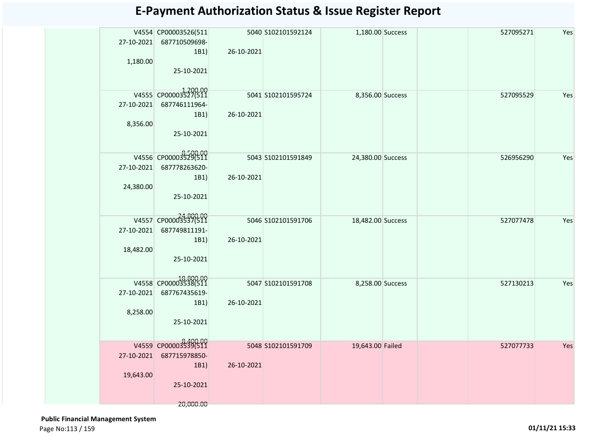| 27-10-2021<br>1,180.00 | V4554 CP00003526(511<br>687710509698-<br>1B1)<br>25-10-2021 | 5040 S102101592124<br>26-10-2021 | 1,180.00 Success  | 527095271 | Yes |
|------------------------|-------------------------------------------------------------|----------------------------------|-------------------|-----------|-----|
|                        | V4555 CP00003527(511                                        | 5041 S102101595724               | 8,356.00 Success  | 527095529 | Yes |
| 27-10-2021             | 687746111964-<br>1B1)                                       | 26-10-2021                       |                   |           |     |
| 8,356.00               | 25-10-2021                                                  |                                  |                   |           |     |
|                        |                                                             |                                  |                   |           |     |
|                        | V4556 CP00003529(511                                        | 5043 \$102101591849              | 24,380.00 Success | 526956290 | Yes |
| 27-10-2021             | 687778263620-<br>1B1)                                       | 26-10-2021                       |                   |           |     |
| 24,380.00              |                                                             |                                  |                   |           |     |
|                        | 25-10-2021                                                  |                                  |                   |           |     |
|                        | V4557 CP00003537(511                                        | 5046 S102101591706               | 18,482.00 Success | 527077478 | Yes |
| 27-10-2021             | 687749811191-                                               |                                  |                   |           |     |
|                        | 1B1)                                                        | 26-10-2021                       |                   |           |     |
| 18,482.00              | 25-10-2021                                                  |                                  |                   |           |     |
|                        |                                                             |                                  |                   |           |     |
|                        | V4558 CP00003538(511                                        | 5047 S102101591708               | 8,258.00 Success  | 527130213 | Yes |
| 27-10-2021             | 687767435619-                                               |                                  |                   |           |     |
| 8,258.00               | 1B1)                                                        | 26-10-2021                       |                   |           |     |
|                        | 25-10-2021                                                  |                                  |                   |           |     |
|                        |                                                             |                                  |                   |           |     |
|                        | V4559 CP00003539(511                                        | 5048 S102101591709               | 19,643.00 Failed  | 527077733 | Yes |
|                        | 27-10-2021 687715978850-<br>1B1)                            | 26-10-2021                       |                   |           |     |
| 19,643.00              |                                                             |                                  |                   |           |     |
|                        | 25-10-2021                                                  |                                  |                   |           |     |
|                        | 20,000.00                                                   |                                  |                   |           |     |

 **Public Financial Management System**  Page No:113 / 159 **01/11/21 15:33**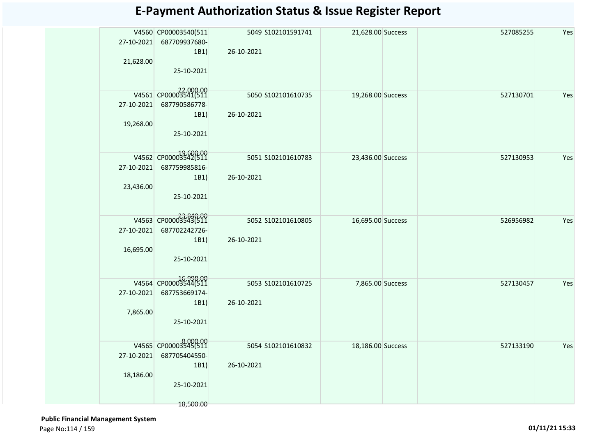| 27-10-2021<br>21,628.00 | V4560 CP00003540(511<br>687709937680-<br>1B1)<br>25-10-2021              | 26-10-2021 | 5049 S102101591741  | 21,628.00 Success |  | 527085255 | Yes |
|-------------------------|--------------------------------------------------------------------------|------------|---------------------|-------------------|--|-----------|-----|
| 27-10-2021<br>19,268.00 | V4561 CP00003541(511<br>687790586778-<br>1B1)<br>25-10-2021              | 26-10-2021 | 5050 \$102101610735 | 19,268.00 Success |  | 527130701 | Yes |
| 27-10-2021<br>23,436.00 | V4562 CP00003542(511<br>687759985816-<br>1B1)<br>25-10-2021              | 26-10-2021 | 5051 S102101610783  | 23,436.00 Success |  | 527130953 | Yes |
| 27-10-2021<br>16,695.00 | V4563 CP00003343(511<br>687702242726-<br>1B1)<br>25-10-2021              | 26-10-2021 | 5052 S102101610805  | 16,695.00 Success |  | 526956982 | Yes |
| 27-10-2021<br>7,865.00  | V4564 CP00003544(511<br>687753669174-<br>1B1)<br>25-10-2021              | 26-10-2021 | 5053 S102101610725  | 7,865.00 Success  |  | 527130457 | Yes |
| 27-10-2021<br>18,186.00 | V4565 CP00003545(511<br>687705404550-<br>1B1)<br>25-10-2021<br>18,500.00 | 26-10-2021 | 5054 S102101610832  | 18,186.00 Success |  | 527133190 | Yes |

 **Public Financial Management System**  Page No:114 / 159 **01/11/21 15:33**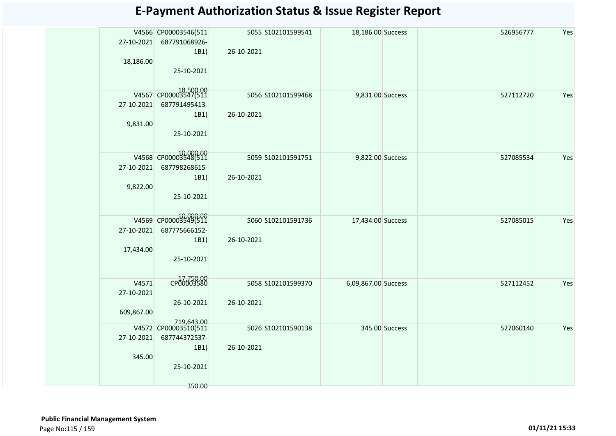| <b>E-Payment Authorization Status &amp; Issue Register Report</b> |  |  |  |
|-------------------------------------------------------------------|--|--|--|
|-------------------------------------------------------------------|--|--|--|

| 27-10-2021                        | V4566 CP00003546(511<br>687791068926-<br>1B1)                         | 26-10-2021 | 5055 S102101599541 | 18,186.00 Success   |                | 526956777 | Yes |
|-----------------------------------|-----------------------------------------------------------------------|------------|--------------------|---------------------|----------------|-----------|-----|
| 18,186.00                         | 25-10-2021                                                            |            |                    |                     |                |           |     |
| 27-10-2021<br>9,831.00            | V4567 CP00003547(511<br>687791495413-<br>1B1)<br>25-10-2021           | 26-10-2021 | 5056 S102101599468 | 9,831.00 Success    |                | 527112720 | Yes |
| 27-10-2021<br>9,822.00            | V4568 CP00003548(511<br>687798268615-<br>1B1)<br>25-10-2021           | 26-10-2021 | 5059 S102101591751 | 9,822.00 Success    |                | 527085534 | Yes |
| 27-10-2021<br>17,434.00           | 000.00<br>V4569 CP00003549(511<br>687775666152-<br>1B1)<br>25-10-2021 | 26-10-2021 | 5060 S102101591736 | 17,434.00 Success   |                | 527085015 | Yes |
| V4571<br>27-10-2021<br>609,867.00 | CP00003580<br>26-10-2021<br>719,643.00                                | 26-10-2021 | 5058 S102101599370 | 6,09,867.00 Success |                | 527112452 | Yes |
| 27-10-2021<br>345.00              | V4572 CP00003510(511<br>687744372537-<br>1B1)<br>25-10-2021           | 26-10-2021 | 5026 S102101590138 |                     | 345.00 Success | 527060140 | Yes |
|                                   | 350.00                                                                |            |                    |                     |                |           |     |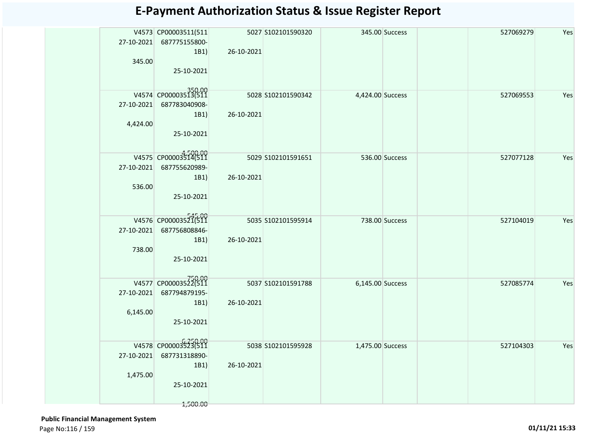| 27-10-2021<br>345.00   | V4573 CP00003511(511<br>687775155800-<br>1B1<br>25-10-2021              | 26-10-2021 | 5027 S102101590320  |                  | 345.00 Success | 527069279 | Yes |
|------------------------|-------------------------------------------------------------------------|------------|---------------------|------------------|----------------|-----------|-----|
| 4,424.00               | V4574 CP00003513(511<br>27-10-2021 687783040908-<br>1B1)<br>25-10-2021  | 26-10-2021 | 5028 \$102101590342 | 4,424.00 Success |                | 527069553 | Yes |
| 27-10-2021<br>536.00   | V4575 CP00003514(511<br>687755620989-<br>1B1<br>25-10-2021              | 26-10-2021 | 5029 \$102101591651 |                  | 536.00 Success | 527077128 | Yes |
| 27-10-2021<br>738.00   | V4576 CP00003521(511<br>687756808846-<br>1B1<br>25-10-2021              | 26-10-2021 | 5035 \$102101595914 |                  | 738.00 Success | 527104019 | Yes |
| 27-10-2021<br>6,145.00 | V4577 CP00003522(511<br>687794879195-<br>1B1<br>25-10-2021              | 26-10-2021 | 5037 5102101591788  | 6,145.00 Success |                | 527085774 | Yes |
| 27-10-2021<br>1,475.00 | V4578 CP00003523(511<br>687731318890-<br>1B1)<br>25-10-2021<br>1,500.00 | 26-10-2021 | 5038 S102101595928  | 1,475.00 Success |                | 527104303 | Yes |

 **Public Financial Management System**  Page No:116 / 159 **01/11/21 15:33**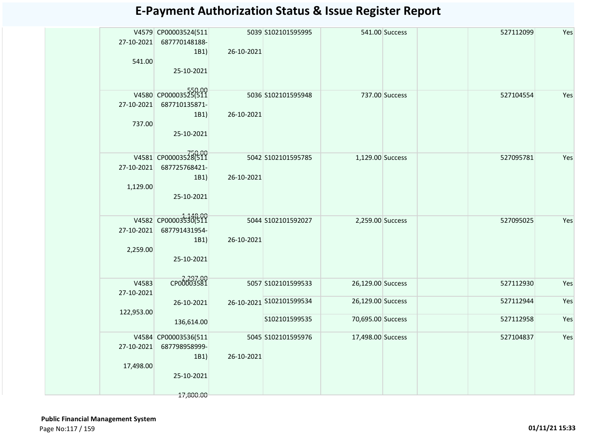| Yes<br>V4579 CP00003524(511<br>5039 S102101595995<br>541.00 Success<br>527112099<br>27-10-2021<br>687770148188-<br>1B1<br>26-10-2021<br>541.00<br>25-10-2021<br>V4580 CP00003525(511<br>5036 S102101595948<br>737.00 Success<br>527104554<br>Yes<br>27-10-2021<br>687710135871-<br>1B1)<br>26-10-2021<br>737.00<br>25-10-2021<br>V4581 CP00003528(511<br>5042 S102101595785<br>1,129.00 Success<br>527095781<br>Yes<br>687725768421-<br>27-10-2021<br>26-10-2021<br>1B1)<br>1,129.00<br>25-10-2021<br>V4582 CP00003530(511<br>5044 S102101592027<br>Yes<br>2,259.00 Success<br>527095025<br>27-10-2021<br>687791431954-<br>26-10-2021<br>1B1)<br>2,259.00<br>25-10-2021<br>CP00003581<br>V4583<br>5057 S102101599533<br>Yes<br>26,129.00 Success<br>527112930<br>27-10-2021<br>Yes<br>26-10-2021 S102101599534<br>26,129.00 Success<br>527112944<br>26-10-2021<br>122,953.00<br>Yes<br>70,695.00 Success<br>527112958<br>S102101599535<br>136,614.00<br>V4584 CP00003536(511<br>Yes<br>5045 S102101595976<br>17,498.00 Success<br>527104837<br>27-10-2021<br>687798958999-<br>26-10-2021<br>1B1)<br>17,498.00<br>25-10-2021 |  |           |  |  |  |
|-----------------------------------------------------------------------------------------------------------------------------------------------------------------------------------------------------------------------------------------------------------------------------------------------------------------------------------------------------------------------------------------------------------------------------------------------------------------------------------------------------------------------------------------------------------------------------------------------------------------------------------------------------------------------------------------------------------------------------------------------------------------------------------------------------------------------------------------------------------------------------------------------------------------------------------------------------------------------------------------------------------------------------------------------------------------------------------------------------------------------------|--|-----------|--|--|--|
|                                                                                                                                                                                                                                                                                                                                                                                                                                                                                                                                                                                                                                                                                                                                                                                                                                                                                                                                                                                                                                                                                                                             |  |           |  |  |  |
|                                                                                                                                                                                                                                                                                                                                                                                                                                                                                                                                                                                                                                                                                                                                                                                                                                                                                                                                                                                                                                                                                                                             |  |           |  |  |  |
|                                                                                                                                                                                                                                                                                                                                                                                                                                                                                                                                                                                                                                                                                                                                                                                                                                                                                                                                                                                                                                                                                                                             |  |           |  |  |  |
|                                                                                                                                                                                                                                                                                                                                                                                                                                                                                                                                                                                                                                                                                                                                                                                                                                                                                                                                                                                                                                                                                                                             |  |           |  |  |  |
|                                                                                                                                                                                                                                                                                                                                                                                                                                                                                                                                                                                                                                                                                                                                                                                                                                                                                                                                                                                                                                                                                                                             |  |           |  |  |  |
|                                                                                                                                                                                                                                                                                                                                                                                                                                                                                                                                                                                                                                                                                                                                                                                                                                                                                                                                                                                                                                                                                                                             |  |           |  |  |  |
|                                                                                                                                                                                                                                                                                                                                                                                                                                                                                                                                                                                                                                                                                                                                                                                                                                                                                                                                                                                                                                                                                                                             |  | 17,800.00 |  |  |  |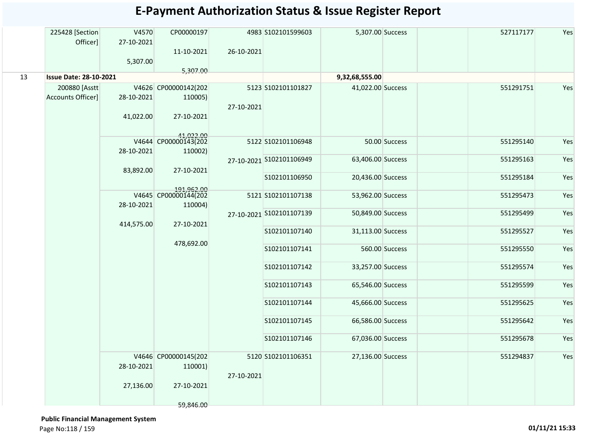|    | 225428 [Section<br>Officer]               | V4570<br>27-10-2021     | CP00000197                                                 |            | 4983 S102101599603       | 5,307.00 Success  |                | 527117177 | Yes |
|----|-------------------------------------------|-------------------------|------------------------------------------------------------|------------|--------------------------|-------------------|----------------|-----------|-----|
|    |                                           | 5,307.00                | 11-10-2021                                                 | 26-10-2021 |                          |                   |                |           |     |
| 13 | <b>Issue Date: 28-10-2021</b>             |                         | 5,307.00                                                   |            |                          | 9,32,68,555.00    |                |           |     |
|    | 200880 [Asstt<br><b>Accounts Officer]</b> | 28-10-2021<br>41,022.00 | V4626 CP00000142(202<br>110005)<br>27-10-2021              | 27-10-2021 | 5123 S102101101827       | 41,022.00 Success |                | 551291751 | Yes |
|    |                                           |                         | V4644 CP00000143(202                                       |            | 5122 S102101106948       |                   | 50.00 Success  | 551295140 | Yes |
|    |                                           | 28-10-2021<br>83,892.00 | 110002)<br>27-10-2021                                      |            | 27-10-2021 S102101106949 | 63,406.00 Success |                | 551295163 | Yes |
|    |                                           |                         |                                                            |            | S102101106950            | 20,436.00 Success |                | 551295184 | Yes |
|    |                                           | 28-10-2021              | 191,962.00<br>V4645 CP00000144(202<br>110004)              |            | 5121 S102101107138       | 53,962.00 Success |                | 551295473 | Yes |
|    |                                           | 414,575.00              | 27-10-2021                                                 |            | 27-10-2021 S102101107139 | 50,849.00 Success |                | 551295499 | Yes |
|    |                                           |                         |                                                            |            | S102101107140            | 31,113.00 Success |                | 551295527 | Yes |
|    |                                           |                         | 478,692.00                                                 |            | S102101107141            |                   | 560.00 Success | 551295550 | Yes |
|    |                                           |                         |                                                            |            | S102101107142            | 33,257.00 Success |                | 551295574 | Yes |
|    |                                           |                         |                                                            |            | S102101107143            | 65,546.00 Success |                | 551295599 | Yes |
|    |                                           |                         |                                                            |            | S102101107144            | 45,666.00 Success |                | 551295625 | Yes |
|    |                                           |                         |                                                            |            | S102101107145            | 66,586.00 Success |                | 551295642 | Yes |
|    |                                           |                         |                                                            |            | S102101107146            | 67,036.00 Success |                | 551295678 | Yes |
|    |                                           | 28-10-2021<br>27,136.00 | V4646 CP00000145(202<br>110001)<br>27-10-2021<br>59,846.00 | 27-10-2021 | 5120 S102101106351       | 27,136.00 Success |                | 551294837 | Yes |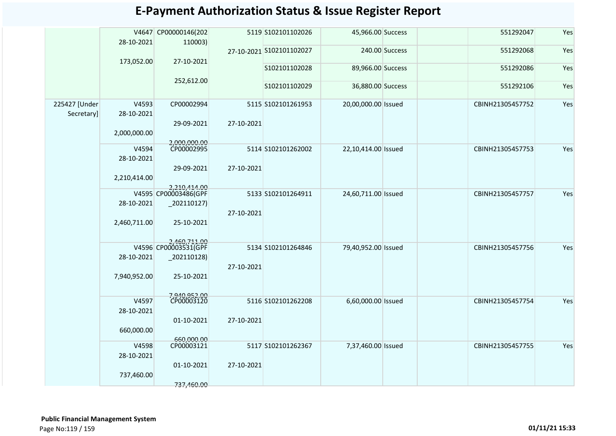|               | 28-10-2021          | V4647 CP00000146(202<br>110003)    |            | 5119 S102101102026       | 45,966.00 Success   |                | 551292047        | Yes |
|---------------|---------------------|------------------------------------|------------|--------------------------|---------------------|----------------|------------------|-----|
|               |                     |                                    |            | 27-10-2021 S102101102027 |                     | 240.00 Success | 551292068        | Yes |
|               | 173,052.00          | 27-10-2021                         |            | S102101102028            | 89,966.00 Success   |                | 551292086        | Yes |
|               |                     | 252,612.00                         |            |                          |                     |                |                  |     |
|               |                     |                                    |            | S102101102029            | 36,880.00 Success   |                | 551292106        | Yes |
| 225427 [Under | V4593               | CP00002994                         |            | 5115 S102101261953       | 20,00,000.00 Issued |                | CBINH21305457752 | Yes |
| Secretary]    | 28-10-2021          |                                    |            |                          |                     |                |                  |     |
|               | 2,000,000.00        | 29-09-2021                         | 27-10-2021 |                          |                     |                |                  |     |
|               |                     | 2,000,000.00<br>CP00002995         |            |                          |                     |                |                  |     |
|               | V4594               |                                    |            | 5114 S102101262002       | 22,10,414.00 Issued |                | CBINH21305457753 | Yes |
|               | 28-10-2021          | 29-09-2021                         | 27-10-2021 |                          |                     |                |                  |     |
|               | 2,210,414.00        |                                    |            |                          |                     |                |                  |     |
|               |                     | 2,210,414.00                       |            |                          |                     |                |                  |     |
|               | 28-10-2021          | V4595 CP00003486(GPF<br> 202110127 |            | 5133 S102101264911       | 24,60,711.00 Issued |                | CBINH21305457757 | Yes |
|               |                     |                                    | 27-10-2021 |                          |                     |                |                  |     |
|               | 2,460,711.00        | 25-10-2021                         |            |                          |                     |                |                  |     |
|               |                     |                                    |            |                          |                     |                |                  |     |
|               |                     | 2,460,711.00                       |            | 5134 S102101264846       | 79,40,952.00 Issued |                | CBINH21305457756 | Yes |
|               | 28-10-2021          | $-202110128$                       |            |                          |                     |                |                  |     |
|               |                     |                                    | 27-10-2021 |                          |                     |                |                  |     |
|               | 7,940,952.00        | 25-10-2021                         |            |                          |                     |                |                  |     |
|               |                     | 7,940,952.00<br>CP00003120         |            |                          |                     |                |                  |     |
|               | V4597<br>28-10-2021 |                                    |            | 5116 S102101262208       | 6,60,000.00 Issued  |                | CBINH21305457754 | Yes |
|               |                     | 01-10-2021                         | 27-10-2021 |                          |                     |                |                  |     |
|               | 660,000.00          |                                    |            |                          |                     |                |                  |     |
|               | V4598               | 660,000,00<br>CP00003121           |            |                          |                     |                |                  | Yes |
|               | 28-10-2021          |                                    |            | 5117 S102101262367       | 7,37,460.00 Issued  |                | CBINH21305457755 |     |
|               |                     | 01-10-2021                         | 27-10-2021 |                          |                     |                |                  |     |
|               | 737,460.00          |                                    |            |                          |                     |                |                  |     |
|               |                     | 737.460.00                         |            |                          |                     |                |                  |     |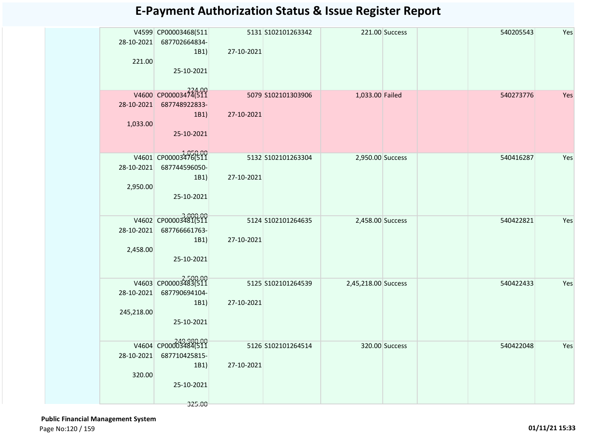| 28-10-2021<br>221.00 | V4599 CP00003468(511<br>687702664834-<br>1B1)<br>25-10-2021 | 27-10-2021          | 5131 S102101263342  | 221.00 Success      |  | 540205543 | Yes |
|----------------------|-------------------------------------------------------------|---------------------|---------------------|---------------------|--|-----------|-----|
|                      | V4600 CP00003474(511                                        | 5079 \$102101303906 |                     | 1,033.00 Failed     |  | 540273776 | Yes |
|                      | 28-10-2021 687748922833-                                    |                     |                     |                     |  |           |     |
|                      | 1B1)                                                        | 27-10-2021          |                     |                     |  |           |     |
| 1,033.00             |                                                             |                     |                     |                     |  |           |     |
|                      | 25-10-2021                                                  |                     |                     |                     |  |           |     |
|                      |                                                             |                     |                     |                     |  |           |     |
|                      | V4601 CP00003476(511                                        |                     | 5132 \$102101263304 | 2,950.00 Success    |  | 540416287 | Yes |
| 28-10-2021           | 687744596050-<br>1B1)                                       | 27-10-2021          |                     |                     |  |           |     |
| 2,950.00             |                                                             |                     |                     |                     |  |           |     |
|                      | 25-10-2021                                                  |                     |                     |                     |  |           |     |
|                      |                                                             |                     |                     |                     |  |           |     |
|                      | V4602 CP00003481(511                                        | 5124 S102101264635  |                     | 2,458.00 Success    |  | 540422821 | Yes |
| 28-10-2021           | 687766661763-                                               |                     |                     |                     |  |           |     |
|                      | 1B1)                                                        | 27-10-2021          |                     |                     |  |           |     |
| 2,458.00             |                                                             |                     |                     |                     |  |           |     |
|                      | 25-10-2021                                                  |                     |                     |                     |  |           |     |
|                      |                                                             |                     |                     |                     |  |           |     |
|                      | V4603 CP00003483(511                                        |                     | 5125 \$102101264539 | 2,45,218.00 Success |  | 540422433 | Yes |
| 28-10-2021           | 687790694104-<br>1B1)                                       | 27-10-2021          |                     |                     |  |           |     |
| 245,218.00           |                                                             |                     |                     |                     |  |           |     |
|                      | 25-10-2021                                                  |                     |                     |                     |  |           |     |
|                      |                                                             |                     |                     |                     |  |           |     |
|                      | 249,980.00<br>V4604 CP00003484(511                          |                     | 5126 S102101264514  | 320.00 Success      |  | 540422048 | Yes |
| 28-10-2021           | 687710425815-                                               |                     |                     |                     |  |           |     |
|                      | 1B1)                                                        | 27-10-2021          |                     |                     |  |           |     |
| 320.00               |                                                             |                     |                     |                     |  |           |     |
|                      | 25-10-2021                                                  |                     |                     |                     |  |           |     |
|                      | 325.00                                                      |                     |                     |                     |  |           |     |

 **Public Financial Management System**  Page No:120 / 159 **01/11/21 15:33**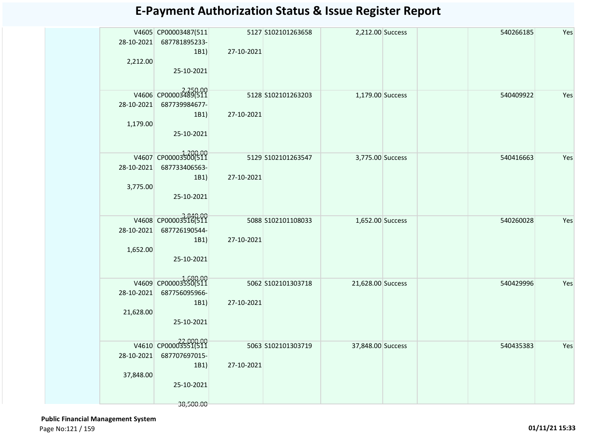| 28-10-2021<br>2,212.00  | V4605 CP00003487(511<br>687781895233-<br>1B1)<br>25-10-2021              | 27-10-2021 | 5127 S102101263658 | 2,212.00 Success  | 540266185 | Yes |
|-------------------------|--------------------------------------------------------------------------|------------|--------------------|-------------------|-----------|-----|
| 28-10-2021<br>1,179.00  | V4606 CP00003489(511<br>687739984677-<br>1B1)<br>25-10-2021              | 27-10-2021 | 5128 5102101263203 | 1,179.00 Success  | 540409922 | Yes |
| 28-10-2021<br>3,775.00  | V4607 CP00003500(511<br>687733406563-<br>1B1)<br>25-10-2021              | 27-10-2021 | 5129 S102101263547 | 3,775.00 Success  | 540416663 | Yes |
| 28-10-2021<br>1,652.00  | V4608 CP00003516(511<br>687726190544-<br>1B1)<br>25-10-2021              | 27-10-2021 | 5088 S102101108033 | 1,652.00 Success  | 540260028 | Yes |
| 28-10-2021<br>21,628.00 | V4609 CP00003550(511<br>687756095966-<br>1B1)<br>25-10-2021              | 27-10-2021 | 5062 S102101303718 | 21,628.00 Success | 540429996 | Yes |
| 28-10-2021<br>37,848.00 | V4610 CP00003551(511<br>687707697015-<br>1B1)<br>25-10-2021<br>38,500.00 | 27-10-2021 | 5063 S102101303719 | 37,848.00 Success | 540435383 | Yes |

 **Public Financial Management System**  Page No:121 / 159 **01/11/21 15:33**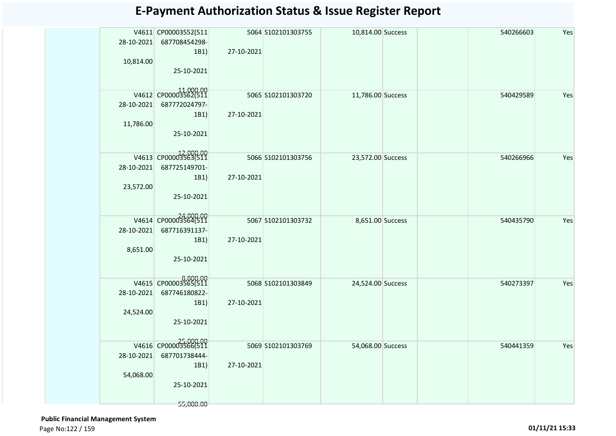|            | V4611 CP00003552(511 |            | 5064 S102101303755 | 10,814.00 Success | 540266603 | Yes |
|------------|----------------------|------------|--------------------|-------------------|-----------|-----|
| 28-10-2021 | 687708454298-        |            |                    |                   |           |     |
|            | 1B1)                 | 27-10-2021 |                    |                   |           |     |
| 10,814.00  |                      |            |                    |                   |           |     |
|            | 25-10-2021           |            |                    |                   |           |     |
|            |                      |            |                    |                   |           |     |
|            |                      |            |                    |                   |           |     |
|            | V4612 CP00003562(511 |            | 5065 S102101303720 | 11,786.00 Success | 540429589 | Yes |
| 28-10-2021 | 687772024797-        |            |                    |                   |           |     |
|            | 1B1)                 | 27-10-2021 |                    |                   |           |     |
| 11,786.00  |                      |            |                    |                   |           |     |
|            | 25-10-2021           |            |                    |                   |           |     |
|            |                      |            |                    |                   |           |     |
|            |                      |            |                    |                   |           |     |
|            | V4613 CP00003563(511 |            | 5066 S102101303756 | 23,572.00 Success | 540266966 | Yes |
| 28-10-2021 | 687725149701-        |            |                    |                   |           |     |
|            | 1B1)                 | 27-10-2021 |                    |                   |           |     |
| 23,572.00  |                      |            |                    |                   |           |     |
|            | 25-10-2021           |            |                    |                   |           |     |
|            |                      |            |                    |                   |           |     |
|            | V4614 CP00003364(511 |            |                    |                   |           |     |
|            |                      |            | 5067 S102101303732 | 8,651.00 Success  | 540435790 | Yes |
| 28-10-2021 | 687716391137-        |            |                    |                   |           |     |
|            | 1B1)                 | 27-10-2021 |                    |                   |           |     |
| 8,651.00   |                      |            |                    |                   |           |     |
|            | 25-10-2021           |            |                    |                   |           |     |
|            |                      |            |                    |                   |           |     |
|            | V4615 CP00003565(511 |            | 5068 S102101303849 | 24,524.00 Success | 540273397 | Yes |
| 28-10-2021 | 687746180822-        |            |                    |                   |           |     |
|            | 1B1)                 | 27-10-2021 |                    |                   |           |     |
|            |                      |            |                    |                   |           |     |
| 24,524.00  |                      |            |                    |                   |           |     |
|            | 25-10-2021           |            |                    |                   |           |     |
|            |                      |            |                    |                   |           |     |
|            | V4616 CP00003566(511 |            | 5069 S102101303769 | 54,068.00 Success | 540441359 | Yes |
| 28-10-2021 | 687701738444-        |            |                    |                   |           |     |
|            | 1B1)                 | 27-10-2021 |                    |                   |           |     |
| 54,068.00  |                      |            |                    |                   |           |     |
|            | 25-10-2021           |            |                    |                   |           |     |
|            |                      |            |                    |                   |           |     |
|            | 55,000.00            |            |                    |                   |           |     |
|            |                      |            |                    |                   |           |     |

 **Public Financial Management System**  Page No:122 / 159 **01/11/21 15:33**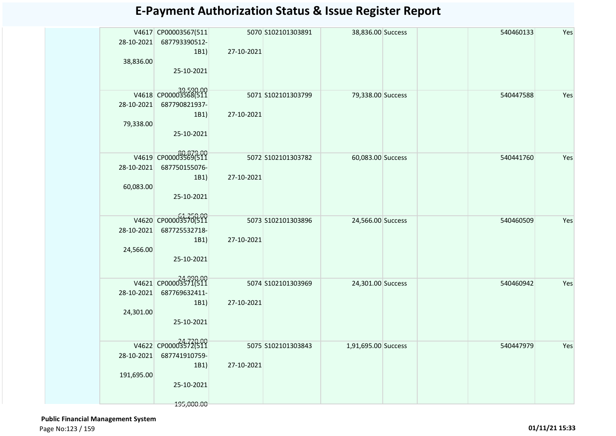|            | V4617 CP00003567(511              |            | 5070 S102101303891 | 38,836.00 Success   |  | 540460133 | Yes |
|------------|-----------------------------------|------------|--------------------|---------------------|--|-----------|-----|
| 28-10-2021 | 687793390512-                     |            |                    |                     |  |           |     |
|            | 1B1)                              | 27-10-2021 |                    |                     |  |           |     |
| 38,836.00  |                                   |            |                    |                     |  |           |     |
|            | 25-10-2021                        |            |                    |                     |  |           |     |
|            |                                   |            |                    |                     |  |           |     |
|            |                                   |            |                    |                     |  |           |     |
|            | V4618 CP00003568(511              |            | 5071 S102101303799 | 79,338.00 Success   |  | 540447588 | Yes |
| 28-10-2021 | 687790821937-                     |            |                    |                     |  |           |     |
|            | 1B1)                              | 27-10-2021 |                    |                     |  |           |     |
| 79,338.00  |                                   |            |                    |                     |  |           |     |
|            | 25-10-2021                        |            |                    |                     |  |           |     |
|            |                                   |            |                    |                     |  |           |     |
|            |                                   |            |                    |                     |  |           |     |
|            | 80,879.00<br>V4619 CP00003569(511 |            | 5072 S102101303782 | 60,083.00 Success   |  | 540441760 | Yes |
| 28-10-2021 | 687750155076-                     |            |                    |                     |  |           |     |
|            | 1B1)                              | 27-10-2021 |                    |                     |  |           |     |
| 60,083.00  |                                   |            |                    |                     |  |           |     |
|            | 25-10-2021                        |            |                    |                     |  |           |     |
|            |                                   |            |                    |                     |  |           |     |
|            |                                   |            |                    |                     |  |           |     |
|            | V4620 CP00003570(511              |            | 5073 S102101303896 | 24,566.00 Success   |  | 540460509 | Yes |
| 28-10-2021 | 687725532718-                     |            |                    |                     |  |           |     |
|            | 1B1)                              | 27-10-2021 |                    |                     |  |           |     |
| 24,566.00  |                                   |            |                    |                     |  |           |     |
|            | 25-10-2021                        |            |                    |                     |  |           |     |
|            |                                   |            |                    |                     |  |           |     |
|            | V4621 CP00003571(511              |            |                    |                     |  | 540460942 | Yes |
|            |                                   |            | 5074 S102101303969 | 24,301.00 Success   |  |           |     |
| 28-10-2021 | 687769632411-                     |            |                    |                     |  |           |     |
|            | 1B1)                              | 27-10-2021 |                    |                     |  |           |     |
| 24,301.00  |                                   |            |                    |                     |  |           |     |
|            | 25-10-2021                        |            |                    |                     |  |           |     |
|            |                                   |            |                    |                     |  |           |     |
|            | V4622 CP00003572(511              |            | 5075 S102101303843 | 1,91,695.00 Success |  | 540447979 | Yes |
| 28-10-2021 | 687741910759-                     |            |                    |                     |  |           |     |
|            | 1B1)                              | 27-10-2021 |                    |                     |  |           |     |
| 191,695.00 |                                   |            |                    |                     |  |           |     |
|            | 25-10-2021                        |            |                    |                     |  |           |     |
|            |                                   |            |                    |                     |  |           |     |
|            |                                   |            |                    |                     |  |           |     |
|            | 195,000.00                        |            |                    |                     |  |           |     |

 **Public Financial Management System**  Page No:123 / 159 **01/11/21 15:33**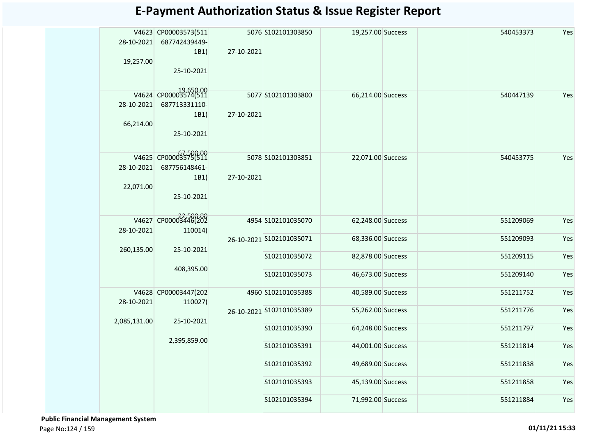| 28-10-2021<br>19,257.00 | V4623 CP00003573(511<br>687742439449-<br>1B1)<br>25-10-2021 | 27-10-2021 | 5076 S102101303850       | 19,257.00 Success |  | 540453373 | Yes |
|-------------------------|-------------------------------------------------------------|------------|--------------------------|-------------------|--|-----------|-----|
| 28-10-2021<br>66,214.00 | V4624 CP00003574(511<br>687713331110-<br>1B1)<br>25-10-2021 | 27-10-2021 | 5077 S102101303800       | 66,214.00 Success |  | 540447139 | Yes |
| 28-10-2021<br>22,071.00 | V4625 CP00003575(511<br>687756148461-<br>1B1)<br>25-10-2021 | 27-10-2021 | 5078 S102101303851       | 22,071.00 Success |  | 540453775 | Yes |
| 28-10-2021              | V4627 CP00003446(202<br>110014)                             |            | 4954 S102101035070       | 62,248.00 Success |  | 551209069 | Yes |
|                         |                                                             |            | 26-10-2021 S102101035071 | 68,336.00 Success |  | 551209093 | Yes |
| 260,135.00              | 25-10-2021                                                  |            | S102101035072            | 82,878.00 Success |  | 551209115 | Yes |
|                         | 408,395.00                                                  |            | S102101035073            | 46,673.00 Success |  | 551209140 | Yes |
| 28-10-2021              | V4628 CP00003447(202<br>110027)                             |            | 4960 S102101035388       | 40,589.00 Success |  | 551211752 | Yes |
|                         |                                                             |            | 26-10-2021 S102101035389 | 55,262.00 Success |  | 551211776 | Yes |
| 2,085,131.00            | 25-10-2021                                                  |            | S102101035390            | 64,248.00 Success |  | 551211797 | Yes |
|                         | 2,395,859.00                                                |            | S102101035391            | 44,001.00 Success |  | 551211814 | Yes |
|                         |                                                             |            | S102101035392            | 49,689.00 Success |  | 551211838 | Yes |
|                         |                                                             |            | S102101035393            | 45,139.00 Success |  | 551211858 | Yes |
|                         |                                                             |            | S102101035394            | 71,992.00 Success |  | 551211884 | Yes |

 **Public Financial Management System**  Page No:124 / 159 **01/11/21 15:33**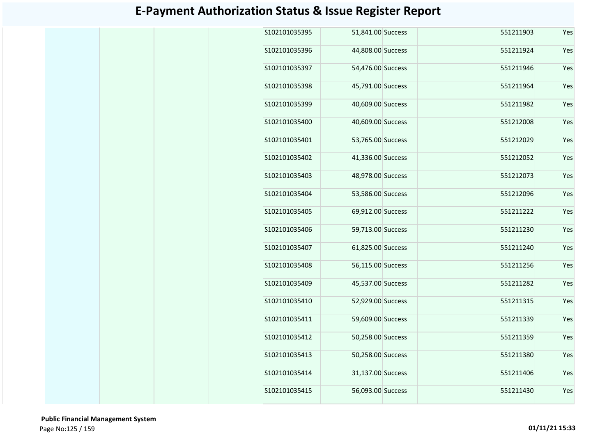| \$102101035395 | 51,841.00 Success | 551211903 | Yes |
|----------------|-------------------|-----------|-----|
| S102101035396  | 44,808.00 Success | 551211924 | Yes |
| S102101035397  | 54,476.00 Success | 551211946 | Yes |
| \$102101035398 | 45,791.00 Success | 551211964 | Yes |
| S102101035399  | 40,609.00 Success | 551211982 | Yes |
| S102101035400  | 40,609.00 Success | 551212008 | Yes |
| S102101035401  | 53,765.00 Success | 551212029 | Yes |
| S102101035402  | 41,336.00 Success | 551212052 | Yes |
| S102101035403  | 48,978.00 Success | 551212073 | Yes |
| S102101035404  | 53,586.00 Success | 551212096 | Yes |
| S102101035405  | 69,912.00 Success | 551211222 | Yes |
| S102101035406  | 59,713.00 Success | 551211230 | Yes |
| S102101035407  | 61,825.00 Success | 551211240 | Yes |
| S102101035408  | 56,115.00 Success | 551211256 | Yes |
| S102101035409  | 45,537.00 Success | 551211282 | Yes |
| S102101035410  | 52,929.00 Success | 551211315 | Yes |
| S102101035411  | 59,609.00 Success | 551211339 | Yes |
| S102101035412  | 50,258.00 Success | 551211359 | Yes |
| S102101035413  | 50,258.00 Success | 551211380 | Yes |
| S102101035414  | 31,137.00 Success | 551211406 | Yes |
| S102101035415  | 56,093.00 Success | 551211430 | Yes |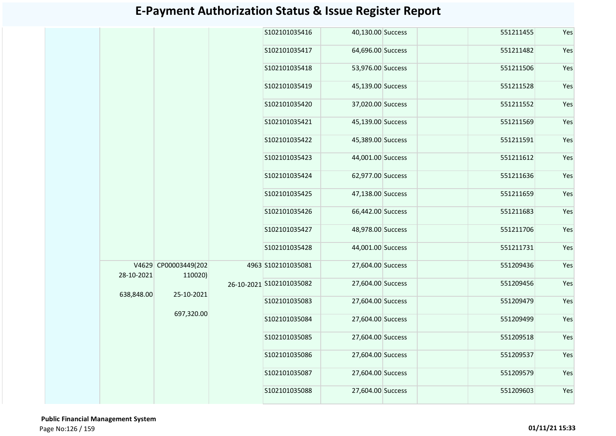|            |                      |         | S102101035416            | 40,130.00 Success |  | 551211455 | Yes |
|------------|----------------------|---------|--------------------------|-------------------|--|-----------|-----|
|            |                      |         | S102101035417            | 64,696.00 Success |  | 551211482 | Yes |
|            |                      |         | S102101035418            | 53,976.00 Success |  | 551211506 | Yes |
|            |                      |         | S102101035419            | 45,139.00 Success |  | 551211528 | Yes |
|            |                      |         | S102101035420            | 37,020.00 Success |  | 551211552 | Yes |
|            |                      |         | S102101035421            | 45,139.00 Success |  | 551211569 | Yes |
|            |                      |         | S102101035422            | 45,389.00 Success |  | 551211591 | Yes |
|            |                      |         | S102101035423            | 44,001.00 Success |  | 551211612 | Yes |
|            |                      |         | S102101035424            | 62,977.00 Success |  | 551211636 | Yes |
|            |                      |         | S102101035425            | 47,138.00 Success |  | 551211659 | Yes |
|            |                      |         | S102101035426            | 66,442.00 Success |  | 551211683 | Yes |
|            |                      |         | S102101035427            | 48,978.00 Success |  | 551211706 | Yes |
|            |                      |         | S102101035428            | 44,001.00 Success |  | 551211731 | Yes |
| 28-10-2021 | V4629 CP00003449(202 | 110020) | 4963 S102101035081       | 27,604.00 Success |  | 551209436 | Yes |
| 638,848.00 | 25-10-2021           |         | 26-10-2021 S102101035082 | 27,604.00 Success |  | 551209456 | Yes |
|            |                      |         | S102101035083            | 27,604.00 Success |  | 551209479 | Yes |
|            | 697,320.00           |         | S102101035084            | 27,604.00 Success |  | 551209499 | Yes |
|            |                      |         | S102101035085            | 27,604.00 Success |  | 551209518 | Yes |
|            |                      |         | S102101035086            | 27,604.00 Success |  | 551209537 | Yes |
|            |                      |         | S102101035087            | 27,604.00 Success |  | 551209579 | Yes |
|            |                      |         | S102101035088            | 27,604.00 Success |  | 551209603 | Yes |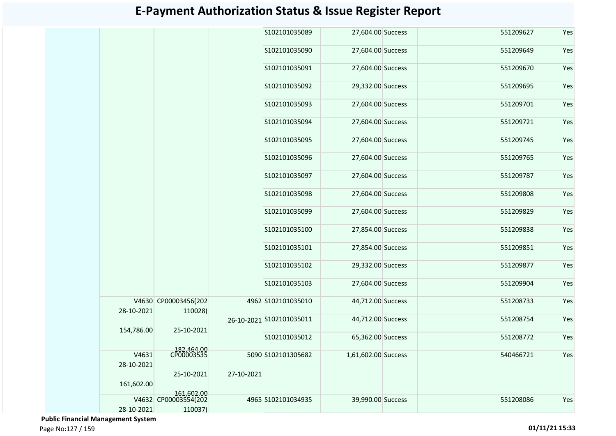|                     |                                 |            | S102101035089            | 27,604.00 Success   | 551209627 | Yes |
|---------------------|---------------------------------|------------|--------------------------|---------------------|-----------|-----|
|                     |                                 |            | S102101035090            | 27,604.00 Success   | 551209649 | Yes |
|                     |                                 |            | S102101035091            | 27,604.00 Success   | 551209670 | Yes |
|                     |                                 |            | S102101035092            | 29,332.00 Success   | 551209695 | Yes |
|                     |                                 |            | S102101035093            | 27,604.00 Success   | 551209701 | Yes |
|                     |                                 |            | S102101035094            | 27,604.00 Success   | 551209721 | Yes |
|                     |                                 |            | S102101035095            | 27,604.00 Success   | 551209745 | Yes |
|                     |                                 |            | S102101035096            | 27,604.00 Success   | 551209765 | Yes |
|                     |                                 |            | S102101035097            | 27,604.00 Success   | 551209787 | Yes |
|                     |                                 |            | S102101035098            | 27,604.00 Success   | 551209808 | Yes |
|                     |                                 |            | S102101035099            | 27,604.00 Success   | 551209829 | Yes |
|                     |                                 |            | S102101035100            | 27,854.00 Success   | 551209838 | Yes |
|                     |                                 |            | S102101035101            | 27,854.00 Success   | 551209851 | Yes |
|                     |                                 |            | S102101035102            | 29,332.00 Success   | 551209877 | Yes |
|                     |                                 |            | S102101035103            | 27,604.00 Success   | 551209904 | Yes |
| 28-10-2021          | V4630 CP00003456(202<br>110028) |            | 4962 S102101035010       | 44,712.00 Success   | 551208733 | Yes |
|                     |                                 |            | 26-10-2021 S102101035011 | 44,712.00 Success   | 551208754 | Yes |
| 154,786.00          | 25-10-2021                      |            | S102101035012            | 65,362.00 Success   | 551208772 | Yes |
| V4631<br>28-10-2021 | 182,464.00<br>CP00003535        |            | 5090 S102101305682       | 1,61,602.00 Success | 540466721 | Yes |
|                     | 25-10-2021                      | 27-10-2021 |                          |                     |           |     |
| 161,602.00          | 161,602.00                      |            |                          |                     |           |     |
|                     | V4632 CP00003554(202            |            | 4965 S102101034935       | 39,990.00 Success   | 551208086 | Yes |
| 28-10-2021          | 110037)                         |            |                          |                     |           |     |

 **Public Financial Management System**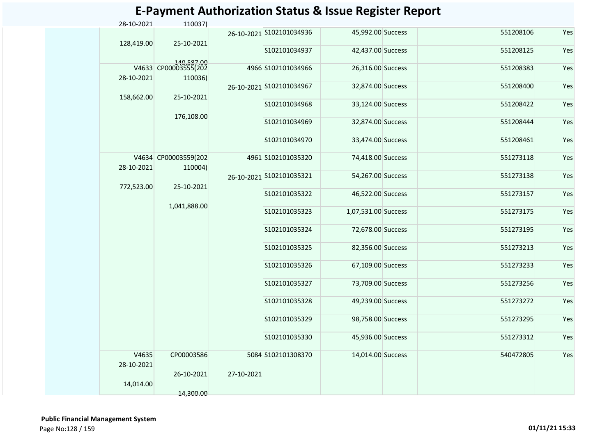| 28-10-2021          | 110037)                                       |                            |                          |                     |           |     |
|---------------------|-----------------------------------------------|----------------------------|--------------------------|---------------------|-----------|-----|
| 128,419.00          | 25-10-2021                                    |                            | 26-10-2021 S102101034936 | 45,992.00 Success   | 551208106 | Yes |
|                     |                                               |                            | S102101034937            | 42,437.00 Success   | 551208125 | Yes |
| 28-10-2021          | 140,587.00<br>V4633 CP00003555(202<br>110036) |                            | 4966 S102101034966       | 26,316.00 Success   | 551208383 | Yes |
|                     |                                               |                            | 26-10-2021 S102101034967 | 32,874.00 Success   | 551208400 | Yes |
| 158,662.00          |                                               | 25-10-2021<br>176,108.00   | S102101034968            | 33,124.00 Success   | 551208422 | Yes |
|                     |                                               |                            | S102101034969            | 32,874.00 Success   | 551208444 | Yes |
|                     |                                               |                            | S102101034970            | 33,474.00 Success   | 551208461 | Yes |
|                     | V4634 CP00003559(202<br>28-10-2021<br>110004) |                            | 4961 S102101035320       | 74,418.00 Success   | 551273118 | Yes |
| 772,523.00          |                                               | 25-10-2021<br>1,041,888.00 | 26-10-2021 S102101035321 | 54,267.00 Success   | 551273138 | Yes |
|                     |                                               |                            | S102101035322            | 46,522.00 Success   | 551273157 | Yes |
|                     |                                               |                            | S102101035323            | 1,07,531.00 Success | 551273175 | Yes |
|                     |                                               |                            | S102101035324            | 72,678.00 Success   | 551273195 | Yes |
|                     |                                               |                            | S102101035325            | 82,356.00 Success   | 551273213 | Yes |
|                     |                                               |                            | S102101035326            | 67,109.00 Success   | 551273233 | Yes |
|                     |                                               |                            | S102101035327            | 73,709.00 Success   | 551273256 | Yes |
|                     |                                               |                            | S102101035328            | 49,239.00 Success   | 551273272 | Yes |
|                     |                                               |                            | S102101035329            | 98,758.00 Success   | 551273295 | Yes |
|                     |                                               |                            | S102101035330            | 45,936.00 Success   | 551273312 | Yes |
| V4635<br>28-10-2021 | CP00003586                                    |                            | 5084 S102101308370       | 14,014.00 Success   | 540472805 | Yes |
| 14,014.00           | 14,300.00                                     | 27-10-2021<br>26-10-2021   |                          |                     |           |     |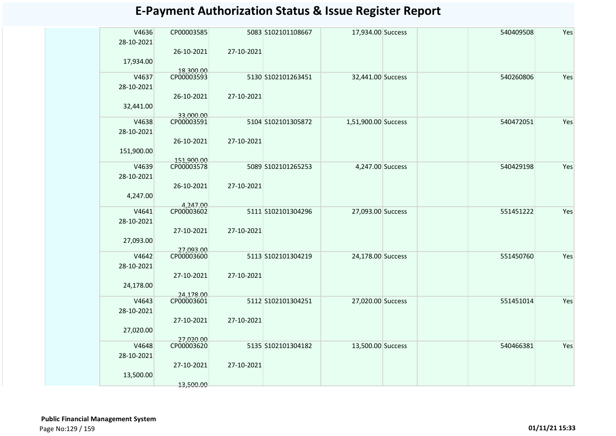| V4636<br>Yes<br>CP00003585<br>5083 S102101108667<br>17,934.00 Success<br>540409508<br>28-10-2021<br>26-10-2021<br>27-10-2021<br>17,934.00<br>18,300.00<br>CP00003593<br>V4637<br>32,441.00 Success<br>540260806<br>Yes<br>5130 S102101263451<br>28-10-2021<br>26-10-2021<br>27-10-2021<br>32,441.00<br>33.000.00<br>CP00003591<br>V4638<br>5104 S102101305872<br>1,51,900.00 Success<br>540472051<br>Yes<br>28-10-2021<br>27-10-2021<br>26-10-2021<br>151,900.00<br>151,900.00<br>CP00003578<br>4,247.00 Success<br>540429198<br>Yes<br>V4639<br>5089 S102101265253<br>28-10-2021<br>27-10-2021<br>26-10-2021<br>4,247.00<br>4,247.00<br>V4641<br>CP00003602<br>5111 S102101304296<br>27,093.00 Success<br>551451222<br>Yes<br>28-10-2021<br>27-10-2021<br>27-10-2021<br>27,093.00<br>27,093.00<br>CP00003600<br>V4642<br>5113 S102101304219<br>24,178.00 Success<br>551450760<br>Yes<br>28-10-2021<br>27-10-2021<br>27-10-2021<br>24,178.00<br>24,178.00<br>CP00003601<br>5112 S102101304251<br>27,020.00 Success<br>Yes<br>V4643<br>551451014<br>28-10-2021<br>27-10-2021<br>27-10-2021<br>27,020.00<br>27.020.00<br>V4648<br>CP00003620<br>5135 S102101304182<br>13,500.00 Success<br>540466381<br>Yes<br>28-10-2021<br>27-10-2021<br>27-10-2021<br>13,500.00<br>13,500.00 |  |  |  |  |  |
|-------------------------------------------------------------------------------------------------------------------------------------------------------------------------------------------------------------------------------------------------------------------------------------------------------------------------------------------------------------------------------------------------------------------------------------------------------------------------------------------------------------------------------------------------------------------------------------------------------------------------------------------------------------------------------------------------------------------------------------------------------------------------------------------------------------------------------------------------------------------------------------------------------------------------------------------------------------------------------------------------------------------------------------------------------------------------------------------------------------------------------------------------------------------------------------------------------------------------------------------------------------------------------|--|--|--|--|--|
|                                                                                                                                                                                                                                                                                                                                                                                                                                                                                                                                                                                                                                                                                                                                                                                                                                                                                                                                                                                                                                                                                                                                                                                                                                                                               |  |  |  |  |  |
|                                                                                                                                                                                                                                                                                                                                                                                                                                                                                                                                                                                                                                                                                                                                                                                                                                                                                                                                                                                                                                                                                                                                                                                                                                                                               |  |  |  |  |  |
|                                                                                                                                                                                                                                                                                                                                                                                                                                                                                                                                                                                                                                                                                                                                                                                                                                                                                                                                                                                                                                                                                                                                                                                                                                                                               |  |  |  |  |  |
|                                                                                                                                                                                                                                                                                                                                                                                                                                                                                                                                                                                                                                                                                                                                                                                                                                                                                                                                                                                                                                                                                                                                                                                                                                                                               |  |  |  |  |  |
|                                                                                                                                                                                                                                                                                                                                                                                                                                                                                                                                                                                                                                                                                                                                                                                                                                                                                                                                                                                                                                                                                                                                                                                                                                                                               |  |  |  |  |  |
|                                                                                                                                                                                                                                                                                                                                                                                                                                                                                                                                                                                                                                                                                                                                                                                                                                                                                                                                                                                                                                                                                                                                                                                                                                                                               |  |  |  |  |  |
|                                                                                                                                                                                                                                                                                                                                                                                                                                                                                                                                                                                                                                                                                                                                                                                                                                                                                                                                                                                                                                                                                                                                                                                                                                                                               |  |  |  |  |  |
|                                                                                                                                                                                                                                                                                                                                                                                                                                                                                                                                                                                                                                                                                                                                                                                                                                                                                                                                                                                                                                                                                                                                                                                                                                                                               |  |  |  |  |  |
|                                                                                                                                                                                                                                                                                                                                                                                                                                                                                                                                                                                                                                                                                                                                                                                                                                                                                                                                                                                                                                                                                                                                                                                                                                                                               |  |  |  |  |  |
|                                                                                                                                                                                                                                                                                                                                                                                                                                                                                                                                                                                                                                                                                                                                                                                                                                                                                                                                                                                                                                                                                                                                                                                                                                                                               |  |  |  |  |  |
|                                                                                                                                                                                                                                                                                                                                                                                                                                                                                                                                                                                                                                                                                                                                                                                                                                                                                                                                                                                                                                                                                                                                                                                                                                                                               |  |  |  |  |  |
|                                                                                                                                                                                                                                                                                                                                                                                                                                                                                                                                                                                                                                                                                                                                                                                                                                                                                                                                                                                                                                                                                                                                                                                                                                                                               |  |  |  |  |  |
|                                                                                                                                                                                                                                                                                                                                                                                                                                                                                                                                                                                                                                                                                                                                                                                                                                                                                                                                                                                                                                                                                                                                                                                                                                                                               |  |  |  |  |  |
|                                                                                                                                                                                                                                                                                                                                                                                                                                                                                                                                                                                                                                                                                                                                                                                                                                                                                                                                                                                                                                                                                                                                                                                                                                                                               |  |  |  |  |  |
|                                                                                                                                                                                                                                                                                                                                                                                                                                                                                                                                                                                                                                                                                                                                                                                                                                                                                                                                                                                                                                                                                                                                                                                                                                                                               |  |  |  |  |  |
|                                                                                                                                                                                                                                                                                                                                                                                                                                                                                                                                                                                                                                                                                                                                                                                                                                                                                                                                                                                                                                                                                                                                                                                                                                                                               |  |  |  |  |  |
|                                                                                                                                                                                                                                                                                                                                                                                                                                                                                                                                                                                                                                                                                                                                                                                                                                                                                                                                                                                                                                                                                                                                                                                                                                                                               |  |  |  |  |  |
|                                                                                                                                                                                                                                                                                                                                                                                                                                                                                                                                                                                                                                                                                                                                                                                                                                                                                                                                                                                                                                                                                                                                                                                                                                                                               |  |  |  |  |  |
|                                                                                                                                                                                                                                                                                                                                                                                                                                                                                                                                                                                                                                                                                                                                                                                                                                                                                                                                                                                                                                                                                                                                                                                                                                                                               |  |  |  |  |  |
|                                                                                                                                                                                                                                                                                                                                                                                                                                                                                                                                                                                                                                                                                                                                                                                                                                                                                                                                                                                                                                                                                                                                                                                                                                                                               |  |  |  |  |  |
|                                                                                                                                                                                                                                                                                                                                                                                                                                                                                                                                                                                                                                                                                                                                                                                                                                                                                                                                                                                                                                                                                                                                                                                                                                                                               |  |  |  |  |  |
|                                                                                                                                                                                                                                                                                                                                                                                                                                                                                                                                                                                                                                                                                                                                                                                                                                                                                                                                                                                                                                                                                                                                                                                                                                                                               |  |  |  |  |  |
|                                                                                                                                                                                                                                                                                                                                                                                                                                                                                                                                                                                                                                                                                                                                                                                                                                                                                                                                                                                                                                                                                                                                                                                                                                                                               |  |  |  |  |  |
|                                                                                                                                                                                                                                                                                                                                                                                                                                                                                                                                                                                                                                                                                                                                                                                                                                                                                                                                                                                                                                                                                                                                                                                                                                                                               |  |  |  |  |  |
|                                                                                                                                                                                                                                                                                                                                                                                                                                                                                                                                                                                                                                                                                                                                                                                                                                                                                                                                                                                                                                                                                                                                                                                                                                                                               |  |  |  |  |  |
|                                                                                                                                                                                                                                                                                                                                                                                                                                                                                                                                                                                                                                                                                                                                                                                                                                                                                                                                                                                                                                                                                                                                                                                                                                                                               |  |  |  |  |  |
|                                                                                                                                                                                                                                                                                                                                                                                                                                                                                                                                                                                                                                                                                                                                                                                                                                                                                                                                                                                                                                                                                                                                                                                                                                                                               |  |  |  |  |  |
|                                                                                                                                                                                                                                                                                                                                                                                                                                                                                                                                                                                                                                                                                                                                                                                                                                                                                                                                                                                                                                                                                                                                                                                                                                                                               |  |  |  |  |  |
|                                                                                                                                                                                                                                                                                                                                                                                                                                                                                                                                                                                                                                                                                                                                                                                                                                                                                                                                                                                                                                                                                                                                                                                                                                                                               |  |  |  |  |  |
|                                                                                                                                                                                                                                                                                                                                                                                                                                                                                                                                                                                                                                                                                                                                                                                                                                                                                                                                                                                                                                                                                                                                                                                                                                                                               |  |  |  |  |  |
|                                                                                                                                                                                                                                                                                                                                                                                                                                                                                                                                                                                                                                                                                                                                                                                                                                                                                                                                                                                                                                                                                                                                                                                                                                                                               |  |  |  |  |  |
|                                                                                                                                                                                                                                                                                                                                                                                                                                                                                                                                                                                                                                                                                                                                                                                                                                                                                                                                                                                                                                                                                                                                                                                                                                                                               |  |  |  |  |  |
|                                                                                                                                                                                                                                                                                                                                                                                                                                                                                                                                                                                                                                                                                                                                                                                                                                                                                                                                                                                                                                                                                                                                                                                                                                                                               |  |  |  |  |  |
|                                                                                                                                                                                                                                                                                                                                                                                                                                                                                                                                                                                                                                                                                                                                                                                                                                                                                                                                                                                                                                                                                                                                                                                                                                                                               |  |  |  |  |  |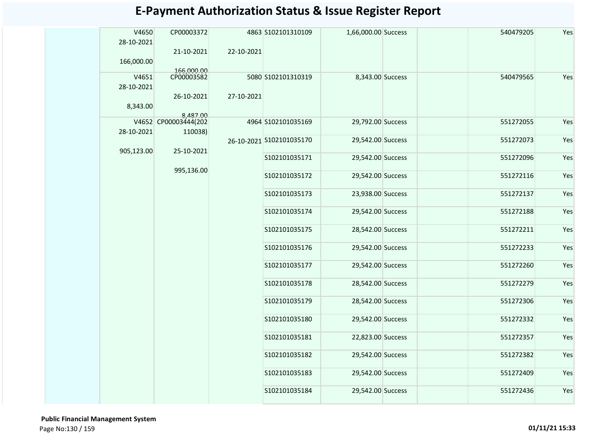| V4650<br>28-10-2021 | CP00003372<br>21-10-2021        |            | 4863 S102101310109       | 1,66,000.00 Success |  | 540479205 | Yes |
|---------------------|---------------------------------|------------|--------------------------|---------------------|--|-----------|-----|
| 166,000.00          |                                 | 22-10-2021 |                          |                     |  |           |     |
| V4651<br>28-10-2021 | 166,000.00<br>CP00003582        |            | 5080 S102101310319       | 8,343.00 Success    |  | 540479565 | Yes |
| 8,343.00            | 26-10-2021<br>8,487.00          | 27-10-2021 |                          |                     |  |           |     |
| 28-10-2021          | V4652 CP00003444(202<br>110038) |            | 4964 S102101035169       | 29,792.00 Success   |  | 551272055 | Yes |
| 905,123.00          | 25-10-2021                      |            | 26-10-2021 S102101035170 | 29,542.00 Success   |  | 551272073 | Yes |
|                     | 995,136.00                      |            | S102101035171            | 29,542.00 Success   |  | 551272096 | Yes |
|                     |                                 |            | S102101035172            | 29,542.00 Success   |  | 551272116 | Yes |
|                     |                                 |            | S102101035173            | 23,938.00 Success   |  | 551272137 | Yes |
|                     |                                 |            | S102101035174            | 29,542.00 Success   |  | 551272188 | Yes |
|                     |                                 |            | S102101035175            | 28,542.00 Success   |  | 551272211 | Yes |
|                     |                                 |            | S102101035176            | 29,542.00 Success   |  | 551272233 | Yes |
|                     |                                 |            | S102101035177            | 29,542.00 Success   |  | 551272260 | Yes |
|                     |                                 |            | S102101035178            | 28,542.00 Success   |  | 551272279 | Yes |
|                     |                                 |            | S102101035179            | 28,542.00 Success   |  | 551272306 | Yes |
|                     |                                 |            | S102101035180            | 29,542.00 Success   |  | 551272332 | Yes |
|                     |                                 |            | S102101035181            | 22,823.00 Success   |  | 551272357 | Yes |
|                     |                                 |            | S102101035182            | 29,542.00 Success   |  | 551272382 | Yes |
|                     |                                 |            | S102101035183            | 29,542.00 Success   |  | 551272409 | Yes |
|                     |                                 |            | S102101035184            | 29,542.00 Success   |  | 551272436 | Yes |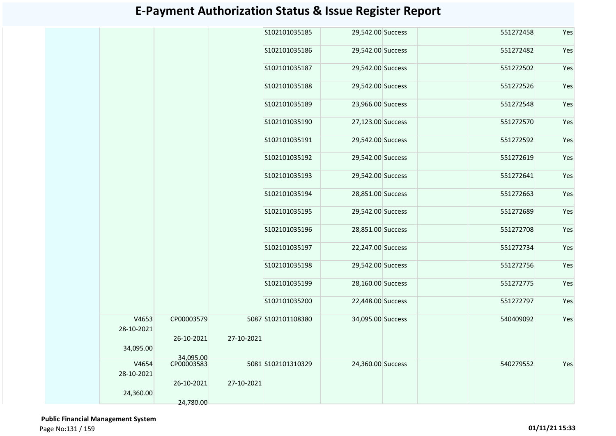|                     |            |            | S102101035185      | 29,542.00 Success | 551272458 | Yes |
|---------------------|------------|------------|--------------------|-------------------|-----------|-----|
|                     |            |            | S102101035186      | 29,542.00 Success | 551272482 | Yes |
|                     |            |            | S102101035187      | 29,542.00 Success | 551272502 | Yes |
|                     |            |            | S102101035188      | 29,542.00 Success | 551272526 | Yes |
|                     |            |            | S102101035189      | 23,966.00 Success | 551272548 | Yes |
|                     |            |            | S102101035190      | 27,123.00 Success | 551272570 | Yes |
|                     |            |            | S102101035191      | 29,542.00 Success | 551272592 | Yes |
|                     |            |            | S102101035192      | 29,542.00 Success | 551272619 | Yes |
|                     |            |            | S102101035193      | 29,542.00 Success | 551272641 | Yes |
|                     |            |            | S102101035194      | 28,851.00 Success | 551272663 | Yes |
|                     |            |            | S102101035195      | 29,542.00 Success | 551272689 | Yes |
|                     |            |            | S102101035196      | 28,851.00 Success | 551272708 | Yes |
|                     |            |            | S102101035197      | 22,247.00 Success | 551272734 | Yes |
|                     |            |            | S102101035198      | 29,542.00 Success | 551272756 | Yes |
|                     |            |            | S102101035199      | 28,160.00 Success | 551272775 | Yes |
|                     |            |            | S102101035200      | 22,448.00 Success | 551272797 | Yes |
| V4653<br>28-10-2021 | CP00003579 |            | 5087 S102101108380 | 34,095.00 Success | 540409092 | Yes |
| 34,095.00           | 26-10-2021 | 27-10-2021 |                    |                   |           |     |
|                     | 34,095.00  |            |                    |                   |           |     |
| V4654               | CP00003583 |            | 5081 S102101310329 | 24,360.00 Success | 540279552 | Yes |
| 28-10-2021          |            |            |                    |                   |           |     |
| 24,360.00           | 26-10-2021 | 27-10-2021 |                    |                   |           |     |
|                     | 24,780.00  |            |                    |                   |           |     |

 **Public Financial Management System**  Page No:131 / 159 **01/11/21 15:33**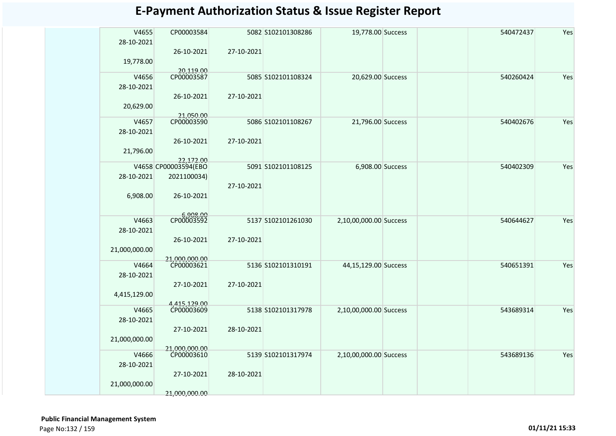| V4655         | CP00003584                        |            | 5082 S102101308286 | 19,778.00 Success      | 540472437 | Yes |
|---------------|-----------------------------------|------------|--------------------|------------------------|-----------|-----|
| 28-10-2021    |                                   |            |                    |                        |           |     |
|               | 26-10-2021                        | 27-10-2021 |                    |                        |           |     |
| 19,778.00     | 20,119.00                         |            |                    |                        |           |     |
| V4656         | CP00003587                        |            | 5085 S102101108324 | 20,629.00 Success      | 540260424 | Yes |
| 28-10-2021    |                                   |            |                    |                        |           |     |
|               | 26-10-2021                        | 27-10-2021 |                    |                        |           |     |
| 20,629.00     |                                   |            |                    |                        |           |     |
|               | 21,050.00                         |            |                    |                        |           |     |
| V4657         | CP00003590                        |            | 5086 S102101108267 | 21,796.00 Success      | 540402676 | Yes |
| 28-10-2021    |                                   |            |                    |                        |           |     |
|               | 26-10-2021                        | 27-10-2021 |                    |                        |           |     |
| 21,796.00     |                                   |            |                    |                        |           |     |
|               | 22.172.00<br>V4658 CP00003594(EBO |            | 5091 S102101108125 | 6,908.00 Success       | 540402309 | Yes |
| 28-10-2021    | 2021100034)                       |            |                    |                        |           |     |
|               |                                   | 27-10-2021 |                    |                        |           |     |
| 6,908.00      | 26-10-2021                        |            |                    |                        |           |     |
|               |                                   |            |                    |                        |           |     |
|               | CP00003592                        |            |                    |                        |           |     |
| V4663         |                                   |            | 5137 S102101261030 | 2,10,00,000.00 Success | 540644627 | Yes |
| 28-10-2021    |                                   |            |                    |                        |           |     |
|               | 26-10-2021                        | 27-10-2021 |                    |                        |           |     |
| 21,000,000.00 |                                   |            |                    |                        |           |     |
| V4664         | 21,000,000.00<br>CP00003621       |            | 5136 S102101310191 | 44,15,129.00 Success   | 540651391 | Yes |
| 28-10-2021    |                                   |            |                    |                        |           |     |
|               | 27-10-2021                        | 27-10-2021 |                    |                        |           |     |
| 4,415,129.00  |                                   |            |                    |                        |           |     |
|               | 4,415,129.00<br>CP00003609        |            |                    |                        |           |     |
| V4665         |                                   |            | 5138 S102101317978 | 2,10,00,000.00 Success | 543689314 | Yes |
| 28-10-2021    |                                   |            |                    |                        |           |     |
|               | 27-10-2021                        | 28-10-2021 |                    |                        |           |     |
| 21,000,000.00 |                                   |            |                    |                        |           |     |
| V4666         | 21,000,000.00<br>CP00003610       |            | 5139 S102101317974 | 2,10,00,000.00 Success | 543689136 | Yes |
| 28-10-2021    |                                   |            |                    |                        |           |     |
|               | 27-10-2021                        | 28-10-2021 |                    |                        |           |     |
| 21,000,000.00 |                                   |            |                    |                        |           |     |
|               | 21,000,000.00                     |            |                    |                        |           |     |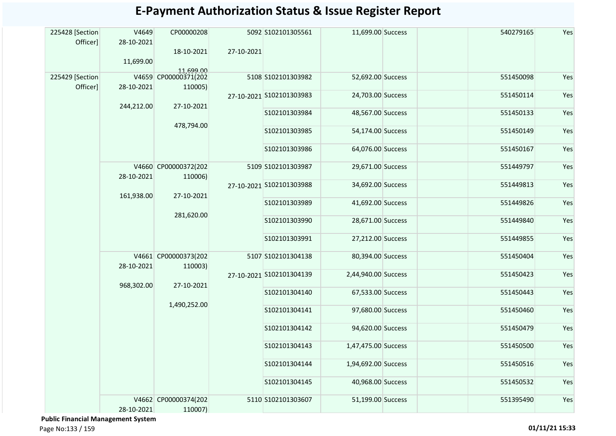| 225428 [Section<br>Officer] | V4649<br>28-10-2021<br>11,699.00 | CP00000208<br>18-10-2021                     | 27-10-2021 | 5092 S102101305561       | 11,699.00 Success   | 540279165 | Yes |
|-----------------------------|----------------------------------|----------------------------------------------|------------|--------------------------|---------------------|-----------|-----|
| 225429 [Section<br>Officer] | 28-10-2021                       | 11,699.00<br>V4659 CP00000371(202<br>110005) |            | 5108 S102101303982       | 52,692.00 Success   | 551450098 | Yes |
|                             | 244,212.00                       | 27-10-2021                                   |            | 27-10-2021 S102101303983 | 24,703.00 Success   | 551450114 | Yes |
|                             |                                  |                                              |            | S102101303984            | 48,567.00 Success   | 551450133 | Yes |
|                             |                                  | 478,794.00                                   |            | S102101303985            | 54,174.00 Success   | 551450149 | Yes |
|                             |                                  |                                              |            | S102101303986            | 64,076.00 Success   | 551450167 | Yes |
|                             | 28-10-2021                       | V4660 CP00000372(202<br>110006)              |            | 5109 S102101303987       | 29,671.00 Success   | 551449797 | Yes |
|                             | 161,938.00                       | 27-10-2021<br>281,620.00                     |            | 27-10-2021 S102101303988 | 34,692.00 Success   | 551449813 | Yes |
|                             |                                  |                                              |            | S102101303989            | 41,692.00 Success   | 551449826 | Yes |
|                             |                                  |                                              |            | S102101303990            | 28,671.00 Success   | 551449840 | Yes |
|                             |                                  |                                              |            | S102101303991            | 27,212.00 Success   | 551449855 | Yes |
|                             | 28-10-2021                       | V4661 CP00000373(202<br>110003)              |            | 5107 S102101304138       | 80,394.00 Success   | 551450404 | Yes |
|                             | 968,302.00                       |                                              |            | 27-10-2021 S102101304139 | 2,44,940.00 Success | 551450423 | Yes |
|                             |                                  | 27-10-2021                                   |            | S102101304140            | 67,533.00 Success   | 551450443 | Yes |
|                             |                                  | 1,490,252.00                                 |            | S102101304141            | 97,680.00 Success   | 551450460 | Yes |
|                             |                                  |                                              |            | S102101304142            | 94,620.00 Success   | 551450479 | Yes |
|                             |                                  |                                              |            | S102101304143            | 1,47,475.00 Success | 551450500 | Yes |
|                             |                                  |                                              |            | S102101304144            | 1,94,692.00 Success | 551450516 | Yes |
|                             |                                  |                                              |            | S102101304145            | 40,968.00 Success   | 551450532 | Yes |
|                             | 28-10-2021                       | V4662 CP00000374(202<br>110007)              |            | 5110 S102101303607       | 51,199.00 Success   | 551395490 | Yes |

 **Public Financial Management System**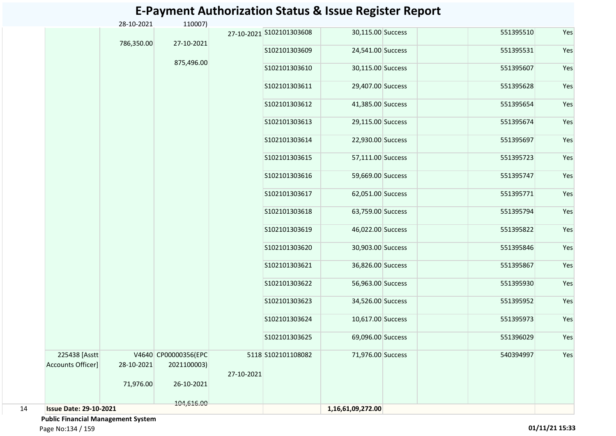|    |                                    | 28-10-2021 | 110007)                             |            |                          |                   |           |     |
|----|------------------------------------|------------|-------------------------------------|------------|--------------------------|-------------------|-----------|-----|
|    |                                    | 786,350.00 | 27-10-2021                          |            | 27-10-2021 S102101303608 | 30,115.00 Success | 551395510 | Yes |
|    |                                    |            |                                     |            | S102101303609            | 24,541.00 Success | 551395531 | Yes |
|    |                                    |            | 875,496.00                          |            | S102101303610            | 30,115.00 Success | 551395607 | Yes |
|    |                                    |            |                                     |            | S102101303611            | 29,407.00 Success | 551395628 | Yes |
|    |                                    |            |                                     |            | S102101303612            | 41,385.00 Success | 551395654 | Yes |
|    |                                    |            |                                     |            | S102101303613            | 29,115.00 Success | 551395674 | Yes |
|    |                                    |            |                                     |            | S102101303614            | 22,930.00 Success | 551395697 | Yes |
|    |                                    |            |                                     |            | S102101303615            | 57,111.00 Success | 551395723 | Yes |
|    |                                    |            |                                     |            | S102101303616            | 59,669.00 Success | 551395747 | Yes |
|    |                                    |            |                                     |            | S102101303617            | 62,051.00 Success | 551395771 | Yes |
|    |                                    |            |                                     |            | S102101303618            | 63,759.00 Success | 551395794 | Yes |
|    |                                    |            |                                     |            | S102101303619            | 46,022.00 Success | 551395822 | Yes |
|    |                                    |            |                                     |            | S102101303620            | 30,903.00 Success | 551395846 | Yes |
|    |                                    |            |                                     |            | S102101303621            | 36,826.00 Success | 551395867 | Yes |
|    |                                    |            |                                     |            | S102101303622            | 56,963.00 Success | 551395930 | Yes |
|    |                                    |            |                                     |            | S102101303623            | 34,526.00 Success | 551395952 | Yes |
|    |                                    |            |                                     |            | S102101303624            | 10,617.00 Success | 551395973 | Yes |
|    |                                    |            |                                     |            | S102101303625            | 69,096.00 Success | 551396029 | Yes |
|    | 225438 [Asstt<br>Accounts Officer] | 28-10-2021 | V4640 CP00000356(EPC<br>2021100003) | 27-10-2021 | 5118 S102101108082       | 71,976.00 Success | 540394997 | Yes |
|    |                                    | 71,976.00  | 26-10-2021                          |            |                          |                   |           |     |
| 14 | <b>Issue Date: 29-10-2021</b>      |            | 104,616.00                          |            |                          | 1,16,61,09,272.00 |           |     |

 **Public Financial Management System** 

Page No:134 / 159 **01/11/21 15:33**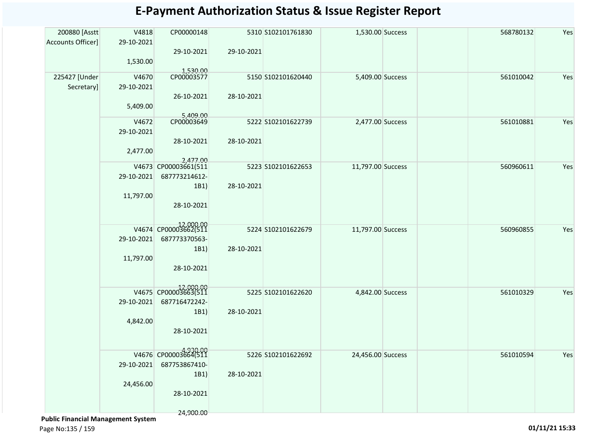| 200880 [Asstt]              | V4818               | CP00000148                               |            | 5310 S102101761830 | 1,530.00 Success  |  | 568780132 | Yes |
|-----------------------------|---------------------|------------------------------------------|------------|--------------------|-------------------|--|-----------|-----|
| Accounts Officer]           | 29-10-2021          | 29-10-2021                               | 29-10-2021 |                    |                   |  |           |     |
|                             | 1,530.00            |                                          |            |                    |                   |  |           |     |
|                             |                     | 1,530.00<br>CP00003577                   |            |                    |                   |  | 561010042 |     |
| 225427 [Under<br>Secretary] | V4670<br>29-10-2021 |                                          |            | 5150 S102101620440 | 5,409.00 Success  |  |           | Yes |
|                             |                     | 26-10-2021                               | 28-10-2021 |                    |                   |  |           |     |
|                             | 5,409.00            |                                          |            |                    |                   |  |           |     |
|                             | V4672               | 5,409.00<br>CP00003649                   |            | 5222 S102101622739 | 2,477.00 Success  |  | 561010881 | Yes |
|                             | 29-10-2021          |                                          |            |                    |                   |  |           |     |
|                             |                     | 28-10-2021                               | 28-10-2021 |                    |                   |  |           |     |
|                             | 2,477.00            |                                          |            |                    |                   |  |           |     |
|                             |                     | 2,477.00<br>V4673 CP00003661(511         |            | 5223 S102101622653 | 11,797.00 Success |  | 560960611 | Yes |
|                             | 29-10-2021          | 687773214612-                            |            |                    |                   |  |           |     |
|                             |                     | 1B1)                                     | 28-10-2021 |                    |                   |  |           |     |
|                             | 11,797.00           | 28-10-2021                               |            |                    |                   |  |           |     |
|                             |                     |                                          |            |                    |                   |  |           |     |
|                             |                     | V4674 CP00003662(511                     |            | 5224 S102101622679 | 11,797.00 Success |  | 560960855 | Yes |
|                             | 29-10-2021          | 687773370563-                            |            |                    |                   |  |           |     |
|                             |                     | 1B1)                                     | 28-10-2021 |                    |                   |  |           |     |
|                             | 11,797.00           |                                          |            |                    |                   |  |           |     |
|                             |                     | 28-10-2021                               |            |                    |                   |  |           |     |
|                             |                     | 000.00 12,000.00<br>V4675 CP00003663(511 |            | 5225 S102101622620 | 4,842.00 Success  |  | 561010329 | Yes |
|                             | 29-10-2021          | 687716472242-                            |            |                    |                   |  |           |     |
|                             |                     | 1B1)                                     | 28-10-2021 |                    |                   |  |           |     |
|                             | 4,842.00            |                                          |            |                    |                   |  |           |     |
|                             |                     | 28-10-2021                               |            |                    |                   |  |           |     |
|                             |                     |                                          |            |                    |                   |  |           |     |
|                             |                     | V4676 CP00003664(511<br>687753867410-    |            | 5226 S102101622692 | 24,456.00 Success |  | 561010594 | Yes |
|                             | 29-10-2021          | 1B1)                                     | 28-10-2021 |                    |                   |  |           |     |
|                             | 24,456.00           |                                          |            |                    |                   |  |           |     |
|                             |                     | 28-10-2021                               |            |                    |                   |  |           |     |
|                             |                     | 24,900.00                                |            |                    |                   |  |           |     |
|                             |                     |                                          |            |                    |                   |  |           |     |

 **Public Financial Management System** 

Page No:135 / 159 **01/11/21 15:33**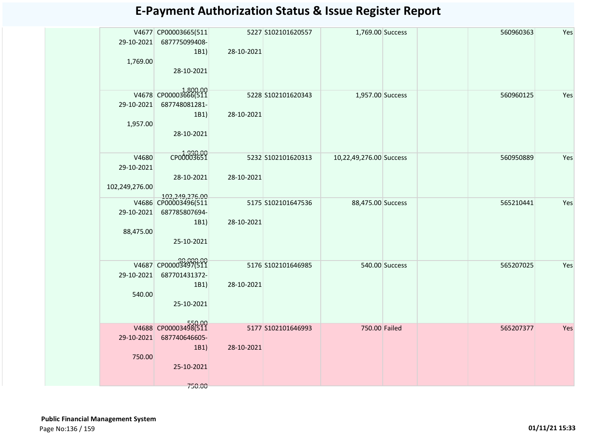| 29-10-2021<br>1,769.00                | V4677 CP00003665(511<br>687775099408-<br>1B1)<br>28-10-2021              | 28-10-2021 | 5227 S102101620557 | 1,769.00 Success        |                | 560960363 | Yes |
|---------------------------------------|--------------------------------------------------------------------------|------------|--------------------|-------------------------|----------------|-----------|-----|
| 29-10-2021<br>1,957.00                | V4678 CP00003666(511<br>687748081281-<br>1B1)<br>28-10-2021              | 28-10-2021 | 5228 S102101620343 | 1,957.00 Success        |                | 560960125 | Yes |
| V4680<br>29-10-2021<br>102,249,276.00 | CP00003651<br>28-10-2021<br>102,249,276.00                               | 28-10-2021 | 5232 S102101620313 | 10,22,49,276.00 Success |                | 560950889 | Yes |
| 29-10-2021<br>88,475.00               | V4686 CP00003496(511<br>687785807694-<br>1B1)<br>25-10-2021              | 28-10-2021 | 5175 S102101647536 | 88,475.00 Success       |                | 565210441 | Yes |
| 29-10-2021<br>540.00                  | 90,000.00<br>V4687 CP00003497(511<br>687701431372-<br>1B1)<br>25-10-2021 | 28-10-2021 | 5176 S102101646985 |                         | 540.00 Success | 565207025 | Yes |
| 29-10-2021<br>750.00                  | V4688 CP00003498(511<br>687740646605-<br>1B1)<br>25-10-2021<br>750.00    | 28-10-2021 | 5177 S102101646993 | 750.00 Failed           |                | 565207377 | Yes |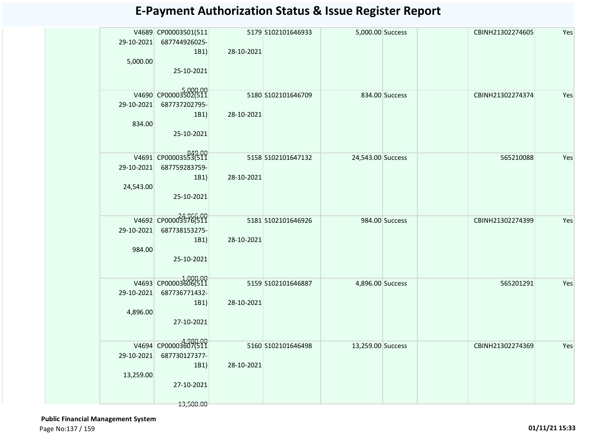| 29-10-2021 | V4689 CP00003501(511<br>687744926025-<br>1B1) | 28-10-2021 | 5179 S102101646933  | 5,000.00 Success  |                | CBINH21302274605 | Yes |
|------------|-----------------------------------------------|------------|---------------------|-------------------|----------------|------------------|-----|
| 5,000.00   | 25-10-2021                                    |            |                     |                   |                |                  |     |
|            | V4690 CP00003502(511                          |            | 5180 S102101646709  |                   | 834.00 Success | CBINH21302274374 | Yes |
| 29-10-2021 | 687737202795-                                 |            |                     |                   |                |                  |     |
|            | 1B1)                                          | 28-10-2021 |                     |                   |                |                  |     |
| 834.00     | 25-10-2021                                    |            |                     |                   |                |                  |     |
|            |                                               |            |                     |                   |                |                  |     |
|            | V4691 CP00003553(511                          |            | 5158 \$102101647132 | 24,543.00 Success |                | 565210088        | Yes |
| 29-10-2021 | 687759283759-                                 |            |                     |                   |                |                  |     |
|            | 1B1)                                          | 28-10-2021 |                     |                   |                |                  |     |
| 24,543.00  | 25-10-2021                                    |            |                     |                   |                |                  |     |
|            |                                               |            |                     |                   |                |                  |     |
|            | V4692 CP00003576(511                          |            | 5181 \$102101646926 |                   | 984.00 Success | CBINH21302274399 | Yes |
| 29-10-2021 | 687738153275-                                 |            |                     |                   |                |                  |     |
|            | 1B1)                                          | 28-10-2021 |                     |                   |                |                  |     |
| 984.00     | 25-10-2021                                    |            |                     |                   |                |                  |     |
|            |                                               |            |                     |                   |                |                  |     |
|            | V4693 CP00003606(511                          |            | 5159 \$102101646887 | 4,896.00 Success  |                | 565201291        | Yes |
| 29-10-2021 | 687736771432-                                 |            |                     |                   |                |                  |     |
|            | 1B1)                                          | 28-10-2021 |                     |                   |                |                  |     |
| 4,896.00   | 27-10-2021                                    |            |                     |                   |                |                  |     |
|            |                                               |            |                     |                   |                |                  |     |
|            | 4,980.00<br>V4694 CP00003607(511              |            | 5160 S102101646498  | 13,259.00 Success |                | CBINH21302274369 | Yes |
| 29-10-2021 | 687730127377-                                 |            |                     |                   |                |                  |     |
|            | 1B1)                                          | 28-10-2021 |                     |                   |                |                  |     |
| 13,259.00  | 27-10-2021                                    |            |                     |                   |                |                  |     |
|            |                                               |            |                     |                   |                |                  |     |
|            | 13,500.00                                     |            |                     |                   |                |                  |     |

 **Public Financial Management System**  Page No:137 / 159 **01/11/21 15:33**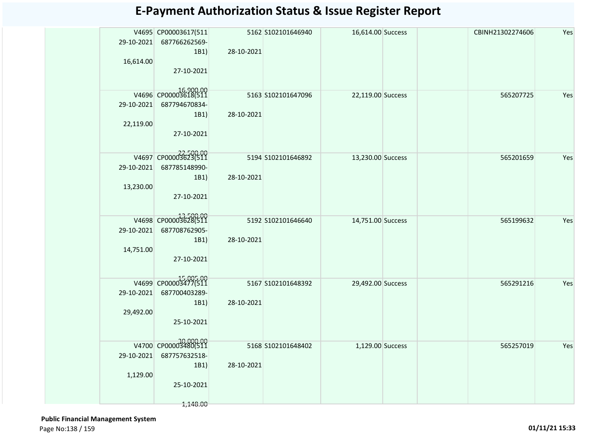| 29-10-2021 | V4695 CP00003617(511<br>687766262569-<br>1B1) | 28-10-2021 | 5162 S102101646940  | 16,614.00 Success |  | CBINH21302274606 | Yes |
|------------|-----------------------------------------------|------------|---------------------|-------------------|--|------------------|-----|
| 16,614.00  |                                               |            |                     |                   |  |                  |     |
|            | 27-10-2021                                    |            |                     |                   |  |                  |     |
|            | 16,900.00<br>V4696 CP00003618(511             |            | 5163 \$102101647096 | 22,119.00 Success |  | 565207725        | Yes |
| 29-10-2021 | 687794670834-                                 |            |                     |                   |  |                  |     |
|            | 1B1)                                          | 28-10-2021 |                     |                   |  |                  |     |
| 22,119.00  |                                               |            |                     |                   |  |                  |     |
|            | 27-10-2021                                    |            |                     |                   |  |                  |     |
|            | V4697 CP00003623(511                          |            | 5194 S102101646892  | 13,230.00 Success |  | 565201659        | Yes |
| 29-10-2021 | 687785148990-                                 |            |                     |                   |  |                  |     |
|            | 1B1)                                          | 28-10-2021 |                     |                   |  |                  |     |
| 13,230.00  |                                               |            |                     |                   |  |                  |     |
|            | 27-10-2021                                    |            |                     |                   |  |                  |     |
|            |                                               |            |                     |                   |  |                  |     |
|            | V4698 CP00003628(511                          |            | 5192 5102101646640  | 14,751.00 Success |  | 565199632        | Yes |
| 29-10-2021 | 687708762905-                                 |            |                     |                   |  |                  |     |
|            | 1B1)                                          | 28-10-2021 |                     |                   |  |                  |     |
| 14,751.00  |                                               |            |                     |                   |  |                  |     |
|            | 27-10-2021                                    |            |                     |                   |  |                  |     |
|            | 15,005.00<br>V4699 CP00003477(511             |            | 5167 S102101648392  | 29,492.00 Success |  | 565291216        | Yes |
| 29-10-2021 | 687700403289-                                 |            |                     |                   |  |                  |     |
|            | 1B1)                                          | 28-10-2021 |                     |                   |  |                  |     |
| 29,492.00  |                                               |            |                     |                   |  |                  |     |
|            | 25-10-2021                                    |            |                     |                   |  |                  |     |
|            |                                               |            |                     |                   |  |                  |     |
|            | 30,000.00<br>V4700 CP00003480(511             |            | 5168 5102101648402  | 1,129.00 Success  |  | 565257019        | Yes |
| 29-10-2021 | 687757632518-                                 |            |                     |                   |  |                  |     |
|            | 1B1)                                          | 28-10-2021 |                     |                   |  |                  |     |
| 1,129.00   |                                               |            |                     |                   |  |                  |     |
|            | 25-10-2021                                    |            |                     |                   |  |                  |     |
|            | 1,148.00                                      |            |                     |                   |  |                  |     |

 **Public Financial Management System**  Page No:138 / 159 **01/11/21 15:33**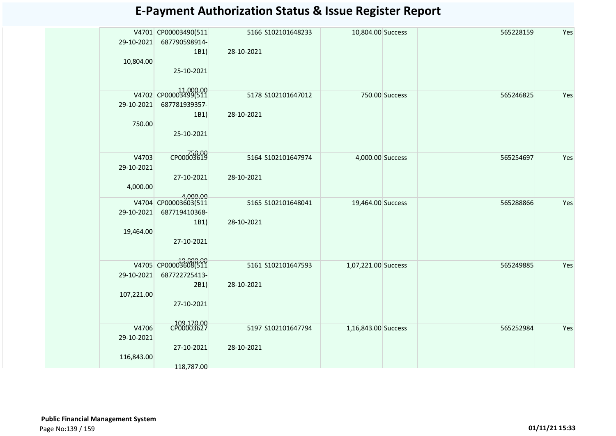|            | V4701 CP00003490(511              |            | 5166 S102101648233 | 10,804.00 Success   |                | 565228159 | Yes |
|------------|-----------------------------------|------------|--------------------|---------------------|----------------|-----------|-----|
| 29-10-2021 | 687790598914-                     |            |                    |                     |                |           |     |
|            | 1B1)                              | 28-10-2021 |                    |                     |                |           |     |
| 10,804.00  |                                   |            |                    |                     |                |           |     |
|            | 25-10-2021                        |            |                    |                     |                |           |     |
|            |                                   |            |                    |                     |                |           |     |
|            |                                   |            |                    |                     |                |           |     |
|            | V4702 CP00003499(511              |            | 5178 5102101647012 |                     | 750.00 Success | 565246825 | Yes |
| 29-10-2021 | 687781939357-                     |            |                    |                     |                |           |     |
|            | 1B1)                              | 28-10-2021 |                    |                     |                |           |     |
| 750.00     |                                   |            |                    |                     |                |           |     |
|            | 25-10-2021                        |            |                    |                     |                |           |     |
|            |                                   |            |                    |                     |                |           |     |
|            |                                   |            |                    |                     |                |           |     |
| V4703      | CP00003619                        |            | 5164 S102101647974 | 4,000.00 Success    |                | 565254697 | Yes |
| 29-10-2021 |                                   |            |                    |                     |                |           |     |
|            | 27-10-2021                        | 28-10-2021 |                    |                     |                |           |     |
| 4,000.00   |                                   |            |                    |                     |                |           |     |
|            | 4.000.00                          |            |                    |                     |                |           |     |
|            | V4704 CP00003603(511              |            | 5165 S102101648041 | 19,464.00 Success   |                | 565288866 | Yes |
| 29-10-2021 | 687719410368-                     |            |                    |                     |                |           |     |
|            | 1B1)                              | 28-10-2021 |                    |                     |                |           |     |
| 19,464.00  |                                   |            |                    |                     |                |           |     |
|            | 27-10-2021                        |            |                    |                     |                |           |     |
|            |                                   |            |                    |                     |                |           |     |
|            |                                   |            |                    |                     |                |           |     |
|            | 19,800.00<br>V4705 CP00003608(511 |            | 5161 S102101647593 | 1,07,221.00 Success |                | 565249885 | Yes |
| 29-10-2021 | 687722725413-                     |            |                    |                     |                |           |     |
|            | 2B1)                              | 28-10-2021 |                    |                     |                |           |     |
| 107,221.00 |                                   |            |                    |                     |                |           |     |
|            | 27-10-2021                        |            |                    |                     |                |           |     |
|            |                                   |            |                    |                     |                |           |     |
|            |                                   |            |                    |                     |                |           |     |
| V4706      | CP00003627                        |            | 5197 S102101647794 | 1,16,843.00 Success |                | 565252984 | Yes |
| 29-10-2021 |                                   |            |                    |                     |                |           |     |
|            | 27-10-2021                        | 28-10-2021 |                    |                     |                |           |     |
| 116,843.00 |                                   |            |                    |                     |                |           |     |
|            | 118,787.00                        |            |                    |                     |                |           |     |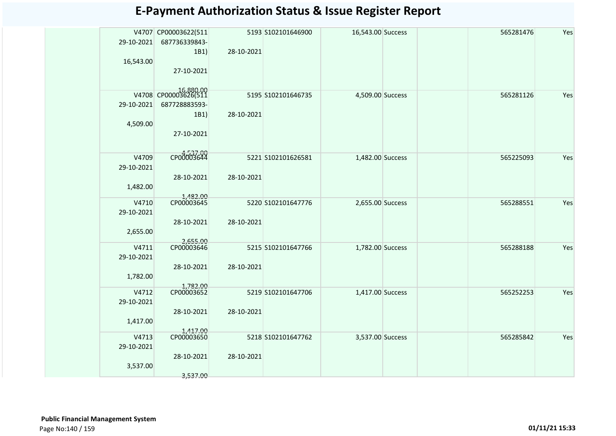| <b>E-Payment Authorization Status &amp; Issue Register Report</b> |  |  |  |  |
|-------------------------------------------------------------------|--|--|--|--|
|-------------------------------------------------------------------|--|--|--|--|

| 29-10-2021<br>16,543.00 | V4707 CP00003622(511<br>687736339843-<br>1B1) | 28-10-2021 | 5193 S102101646900 | 16,543.00 Success |  | 565281476 | Yes |
|-------------------------|-----------------------------------------------|------------|--------------------|-------------------|--|-----------|-----|
|                         | 27-10-2021                                    |            |                    |                   |  |           |     |
|                         | 00.000 16.880.00<br>V4708 CP00003626(511      |            | 5195 S102101646735 | 4,509.00 Success  |  | 565281126 | Yes |
| 29-10-2021              | 687728883593-                                 |            |                    |                   |  |           |     |
|                         | 1B1)                                          | 28-10-2021 |                    |                   |  |           |     |
| 4,509.00                |                                               |            |                    |                   |  |           |     |
|                         | 27-10-2021                                    |            |                    |                   |  |           |     |
| V4709                   | CP00003644                                    |            |                    |                   |  |           |     |
|                         |                                               |            | 5221 S102101626581 | 1,482.00 Success  |  | 565225093 | Yes |
| 29-10-2021              |                                               |            |                    |                   |  |           |     |
|                         | 28-10-2021                                    | 28-10-2021 |                    |                   |  |           |     |
| 1,482.00                |                                               |            |                    |                   |  |           |     |
|                         | 1,482.00<br>CP00003645                        |            |                    |                   |  |           |     |
| V4710                   |                                               |            | 5220 S102101647776 | 2,655.00 Success  |  | 565288551 | Yes |
| 29-10-2021              |                                               |            |                    |                   |  |           |     |
|                         | 28-10-2021                                    | 28-10-2021 |                    |                   |  |           |     |
| 2,655.00                |                                               |            |                    |                   |  |           |     |
|                         | 2,655.00<br>CP00003646                        |            | 5215 S102101647766 |                   |  |           | Yes |
| V4711                   |                                               |            |                    | 1,782.00 Success  |  | 565288188 |     |
| 29-10-2021              |                                               |            |                    |                   |  |           |     |
|                         | 28-10-2021                                    | 28-10-2021 |                    |                   |  |           |     |
| 1,782.00                |                                               |            |                    |                   |  |           |     |
| V4712                   | 1,782.00<br>CP00003652                        |            | 5219 S102101647706 |                   |  | 565252253 | Yes |
|                         |                                               |            |                    | 1,417.00 Success  |  |           |     |
| 29-10-2021              |                                               |            |                    |                   |  |           |     |
|                         | 28-10-2021                                    | 28-10-2021 |                    |                   |  |           |     |
| 1,417.00                |                                               |            |                    |                   |  |           |     |
| V4713                   | 1,417.00<br>CP00003650                        |            |                    |                   |  |           | Yes |
|                         |                                               |            | 5218 S102101647762 | 3,537.00 Success  |  | 565285842 |     |
| 29-10-2021              |                                               |            |                    |                   |  |           |     |
|                         | 28-10-2021                                    | 28-10-2021 |                    |                   |  |           |     |
| 3,537.00                |                                               |            |                    |                   |  |           |     |
|                         | 3,537.00                                      |            |                    |                   |  |           |     |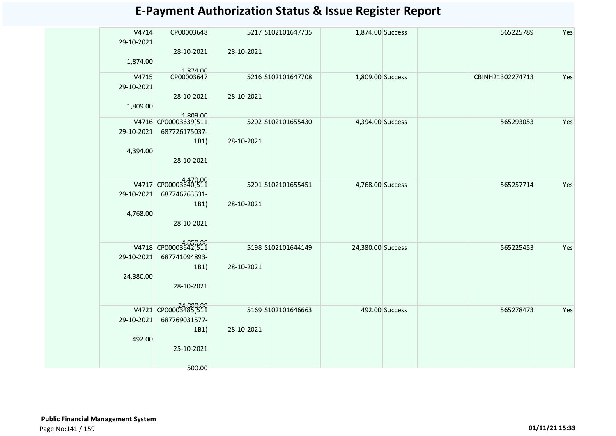| V4714      | CP00003648                       |            | 5217 S102101647735 | 1,874.00 Success  |                | 565225789        | Yes |
|------------|----------------------------------|------------|--------------------|-------------------|----------------|------------------|-----|
| 29-10-2021 |                                  |            |                    |                   |                |                  |     |
|            | 28-10-2021                       | 28-10-2021 |                    |                   |                |                  |     |
| 1,874.00   |                                  |            |                    |                   |                |                  |     |
| V4715      | 1,874.00<br>CP00003647           |            | 5216 S102101647708 |                   |                | CBINH21302274713 | Yes |
| 29-10-2021 |                                  |            |                    | 1,809.00 Success  |                |                  |     |
|            | 28-10-2021                       | 28-10-2021 |                    |                   |                |                  |     |
| 1,809.00   |                                  |            |                    |                   |                |                  |     |
|            |                                  |            |                    |                   |                |                  |     |
|            | 1,809.00<br>V4716 CP00003639(511 |            | 5202 S102101655430 | 4,394.00 Success  |                | 565293053        | Yes |
| 29-10-2021 | 687726175037-                    |            |                    |                   |                |                  |     |
|            | 1B1)                             | 28-10-2021 |                    |                   |                |                  |     |
| 4,394.00   |                                  |            |                    |                   |                |                  |     |
|            | 28-10-2021                       |            |                    |                   |                |                  |     |
|            |                                  |            |                    |                   |                |                  |     |
|            | V4717 CP00003640(511             |            | 5201 S102101655451 | 4,768.00 Success  |                | 565257714        | Yes |
| 29-10-2021 | 687746763531-                    |            |                    |                   |                |                  |     |
|            | 1B1)                             | 28-10-2021 |                    |                   |                |                  |     |
| 4,768.00   |                                  |            |                    |                   |                |                  |     |
|            | 28-10-2021                       |            |                    |                   |                |                  |     |
|            |                                  |            |                    |                   |                |                  |     |
|            | V4718 CP00003642(511             |            | 5198 S102101644149 | 24,380.00 Success |                | 565225453        | Yes |
| 29-10-2021 | 687741094893-                    |            |                    |                   |                |                  |     |
|            | 1B1)                             | 28-10-2021 |                    |                   |                |                  |     |
| 24,380.00  |                                  |            |                    |                   |                |                  |     |
|            | 28-10-2021                       |            |                    |                   |                |                  |     |
|            |                                  |            |                    |                   |                |                  |     |
|            | V4721 CP00003485(511             |            |                    |                   |                |                  | Yes |
| 29-10-2021 | 687769031577-                    |            | 5169 S102101646663 |                   | 492.00 Success | 565278473        |     |
|            | 1B1)                             | 28-10-2021 |                    |                   |                |                  |     |
| 492.00     |                                  |            |                    |                   |                |                  |     |
|            | 25-10-2021                       |            |                    |                   |                |                  |     |
|            |                                  |            |                    |                   |                |                  |     |
|            | 500.00                           |            |                    |                   |                |                  |     |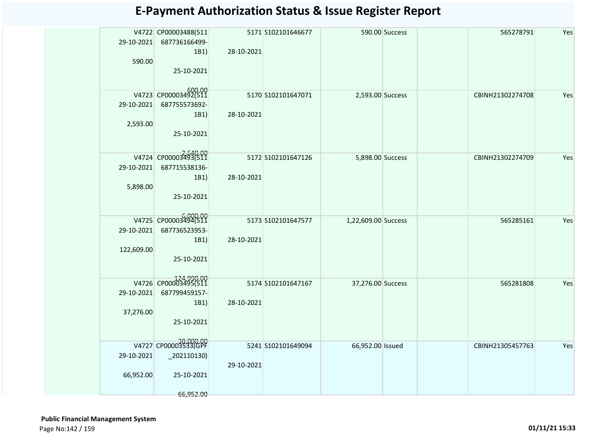| Yes | 565278791        | 590.00 Success |                     | 5171 S102101646677 | V4722 CP00003488(511<br>687736166499-<br>28-10-2021<br>1B1)<br>25-10-2021                              | 29-10-2021<br>590.00     |
|-----|------------------|----------------|---------------------|--------------------|--------------------------------------------------------------------------------------------------------|--------------------------|
| Yes | CBINH21302274708 |                | 2,593.00 Success    | 5170 S102101647071 | V4723 CP00003492(511<br>687755573692-<br>1B1)<br>28-10-2021<br>25-10-2021                              | 29-10-2021<br>2,593.00   |
| Yes | CBINH21302274709 |                | 5,898.00 Success    | 5172 S102101647126 | V4724 CP00003493(511<br>687715538136-<br>28-10-2021<br>1B1)<br>25-10-2021                              | 29-10-2021<br>5,898.00   |
| Yes | 565285161        |                | 1,22,609.00 Success | 5173 S102101647577 | V4725 CP00003494(511<br>687736523953-<br>28-10-2021<br>1B1)<br>25-10-2021                              | 29-10-2021<br>122,609.00 |
| Yes | 565281808        |                | 37,276.00 Success   | 5174 S102101647167 | V4726 CP00003495(511<br>687799459157-<br>28-10-2021<br>1B1)<br>25-10-2021                              | 29-10-2021<br>37,276.00  |
| Yes | CBINH21305457763 |                | 66,952.00 Issued    | 5241 S102101649094 | 38,000.00<br>V4727 CP00003533(GPF<br>$\left[202110130\right)$<br>29-10-2021<br>25-10-2021<br>66,952.00 | 29-10-2021<br>66,952.00  |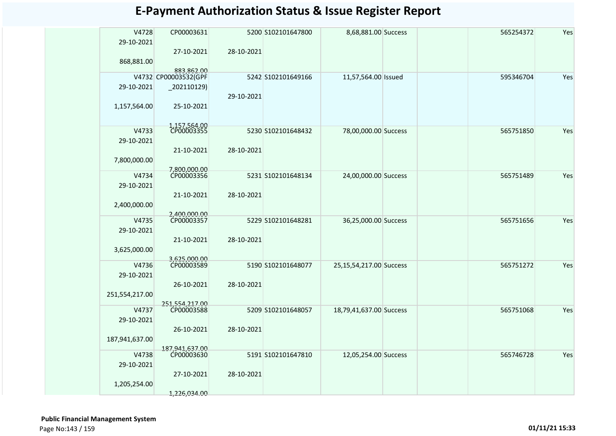| <b>E-Payment Authorization Status &amp; Issue Register Report</b> |  |  |
|-------------------------------------------------------------------|--|--|
|-------------------------------------------------------------------|--|--|

| V4728          | CP00003631                         |            | 5200 S102101647800 | 8,68,881.00 Success     |  | 565254372 | Yes |
|----------------|------------------------------------|------------|--------------------|-------------------------|--|-----------|-----|
| 29-10-2021     |                                    |            |                    |                         |  |           |     |
|                | 27-10-2021                         | 28-10-2021 |                    |                         |  |           |     |
| 868,881.00     |                                    |            |                    |                         |  |           |     |
|                | 883,862.00<br>V4732 CP00003532(GPF |            | 5242 S102101649166 | 11,57,564.00 Issued     |  | 595346704 | Yes |
| 29-10-2021     | $-202110129$                       |            |                    |                         |  |           |     |
|                |                                    | 29-10-2021 |                    |                         |  |           |     |
| 1,157,564.00   | 25-10-2021                         |            |                    |                         |  |           |     |
|                |                                    |            |                    |                         |  |           |     |
|                |                                    |            |                    |                         |  |           |     |
| V4733          | 1,157,564.00<br>CP00003355         |            | 5230 S102101648432 | 78,00,000.00 Success    |  | 565751850 | Yes |
| 29-10-2021     |                                    |            |                    |                         |  |           |     |
|                | 21-10-2021                         | 28-10-2021 |                    |                         |  |           |     |
| 7,800,000.00   |                                    |            |                    |                         |  |           |     |
|                | 7.800.000.00                       |            |                    |                         |  |           |     |
| V4734          | CP00003356                         |            | 5231 S102101648134 | 24,00,000.00 Success    |  | 565751489 | Yes |
| 29-10-2021     |                                    |            |                    |                         |  |           |     |
|                | 21-10-2021                         | 28-10-2021 |                    |                         |  |           |     |
| 2,400,000.00   |                                    |            |                    |                         |  |           |     |
| V4735          | 2.400.000.00<br>CP00003357         |            | 5229 S102101648281 | 36,25,000.00 Success    |  | 565751656 | Yes |
| 29-10-2021     |                                    |            |                    |                         |  |           |     |
|                | 21-10-2021                         | 28-10-2021 |                    |                         |  |           |     |
| 3,625,000.00   |                                    |            |                    |                         |  |           |     |
|                | 3,625,000.00                       |            |                    |                         |  |           |     |
| V4736          | CP00003589                         |            | 5190 S102101648077 | 25,15,54,217.00 Success |  | 565751272 | Yes |
| 29-10-2021     |                                    |            |                    |                         |  |           |     |
|                | 26-10-2021                         | 28-10-2021 |                    |                         |  |           |     |
| 251,554,217.00 |                                    |            |                    |                         |  |           |     |
| V4737          | 251,554,217.00<br>CP00003588       |            | 5209 S102101648057 | 18,79,41,637.00 Success |  | 565751068 | Yes |
| 29-10-2021     |                                    |            |                    |                         |  |           |     |
|                | 26-10-2021                         | 28-10-2021 |                    |                         |  |           |     |
| 187,941,637.00 |                                    |            |                    |                         |  |           |     |
|                | 187,941,637.00                     |            |                    |                         |  |           |     |
| V4738          | CP00003630                         |            | 5191 S102101647810 | 12,05,254.00 Success    |  | 565746728 | Yes |
| 29-10-2021     |                                    |            |                    |                         |  |           |     |
|                | 27-10-2021                         | 28-10-2021 |                    |                         |  |           |     |
| 1,205,254.00   |                                    |            |                    |                         |  |           |     |
|                | 1,226,034.00                       |            |                    |                         |  |           |     |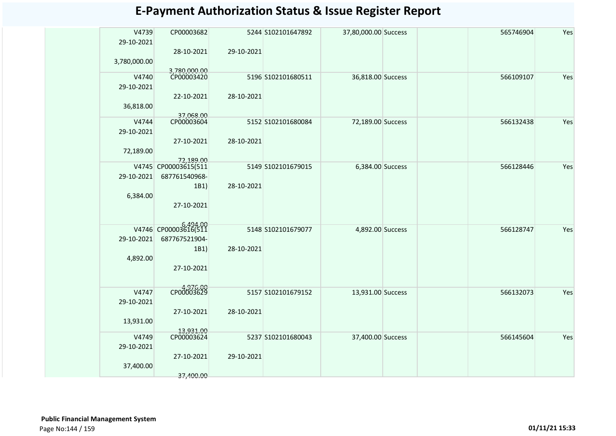|              |                      |            |                    | <b>E-Payment Authorization Status &amp; Issue Register Report</b> |  |           |     |
|--------------|----------------------|------------|--------------------|-------------------------------------------------------------------|--|-----------|-----|
|              |                      |            |                    |                                                                   |  |           |     |
| V4739        | CP00003682           |            | 5244 S102101647892 | 37,80,000.00 Success                                              |  | 565746904 | Yes |
| 29-10-2021   |                      |            |                    |                                                                   |  |           |     |
|              | 28-10-2021           | 29-10-2021 |                    |                                                                   |  |           |     |
| 3,780,000.00 |                      |            |                    |                                                                   |  |           |     |
|              | 3.780.000.00         |            |                    |                                                                   |  |           |     |
| V4740        | CP00003420           |            | 5196 S102101680511 | 36,818.00 Success                                                 |  | 566109107 | Yes |
| 29-10-2021   |                      |            |                    |                                                                   |  |           |     |
|              | 22-10-2021           | 28-10-2021 |                    |                                                                   |  |           |     |
| 36,818.00    |                      |            |                    |                                                                   |  |           |     |
|              | 37,068.00            |            |                    |                                                                   |  |           |     |
| V4744        | CP00003604           |            | 5152 S102101680084 | 72,189.00 Success                                                 |  | 566132438 | Yes |
| 29-10-2021   |                      |            |                    |                                                                   |  |           |     |
|              | 27-10-2021           | 28-10-2021 |                    |                                                                   |  |           |     |
| 72,189.00    |                      |            |                    |                                                                   |  |           |     |
|              | 72,189,00            |            |                    |                                                                   |  |           |     |
|              | V4745 CP00003615(511 |            | 5149 S102101679015 | 6,384.00 Success                                                  |  | 566128446 | Yes |
| 29-10-2021   | 687761540968-        |            |                    |                                                                   |  |           |     |
|              | 1B1)                 | 28-10-2021 |                    |                                                                   |  |           |     |
| 6,384.00     |                      |            |                    |                                                                   |  |           |     |
|              | 27-10-2021           |            |                    |                                                                   |  |           |     |
|              |                      |            |                    |                                                                   |  |           |     |
|              |                      |            |                    |                                                                   |  |           |     |
|              | V4746 CP00003616(511 |            | 5148 S102101679077 | 4,892.00 Success                                                  |  | 566128747 | Yes |
| 29-10-2021   | 687767521904-        |            |                    |                                                                   |  |           |     |
|              | 1B1)                 | 28-10-2021 |                    |                                                                   |  |           |     |
| 4,892.00     |                      |            |                    |                                                                   |  |           |     |
|              | 27-10-2021           |            |                    |                                                                   |  |           |     |
|              |                      |            |                    |                                                                   |  |           |     |
|              |                      |            |                    |                                                                   |  |           |     |
| V4747        | сроддо3629           |            | 5157 S102101679152 | 13,931.00 Success                                                 |  | 566132073 | Yes |
| 29-10-2021   |                      |            |                    |                                                                   |  |           |     |
|              | 27-10-2021           | 28-10-2021 |                    |                                                                   |  |           |     |
| 13,931.00    |                      |            |                    |                                                                   |  |           |     |

5237 S102101680043

29-10-2021

13,931.00

CP00003624

27-10-2021

37,400.00

V4749 29-10-2021

37,400.00

37,400.00 Success 566145604 Yes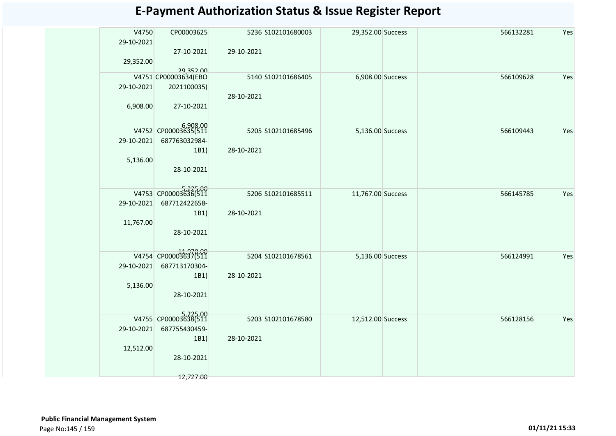| <b>E-Payment Authorization Status &amp; Issue Register Report</b> |
|-------------------------------------------------------------------|
|-------------------------------------------------------------------|

| V4750<br>29-10-2021 | CP00003625<br>27-10-2021          | 29-10-2021 | 5236 S102101680003 | 29,352.00 Success |  | 566132281 | Yes |
|---------------------|-----------------------------------|------------|--------------------|-------------------|--|-----------|-----|
| 29,352.00           |                                   |            |                    |                   |  |           |     |
|                     | 29,352.00<br>V4751 CP00003634(EBO |            | 5140 S102101686405 | 6,908.00 Success  |  | 566109628 | Yes |
| 29-10-2021          | 2021100035)                       | 28-10-2021 |                    |                   |  |           |     |
| 6,908.00            | 27-10-2021                        |            |                    |                   |  |           |     |
|                     | 6,908.00<br>V4752 CP00003635(511  |            | 5205 S102101685496 | 5,136.00 Success  |  | 566109443 | Yes |
| 29-10-2021          | 687763032984-                     |            |                    |                   |  |           |     |
| 5,136.00            | 1B1)                              | 28-10-2021 |                    |                   |  |           |     |
|                     | 28-10-2021                        |            |                    |                   |  |           |     |
|                     |                                   |            |                    |                   |  |           |     |
|                     | V4753 CP00003636(511              |            | 5206 S102101685511 | 11,767.00 Success |  | 566145785 | Yes |
| 29-10-2021          | 687712422658-                     |            |                    |                   |  |           |     |
| 11,767.00           | 1B1)                              | 28-10-2021 |                    |                   |  |           |     |
|                     | 28-10-2021                        |            |                    |                   |  |           |     |
|                     |                                   |            |                    |                   |  |           |     |
|                     | V4754 CP00003637(511              |            | 5204 S102101678561 | 5,136.00 Success  |  | 566124991 | Yes |
| 29-10-2021          | 687713170304-                     |            |                    |                   |  |           |     |
| 5,136.00            | 1B1)                              | 28-10-2021 |                    |                   |  |           |     |
|                     | 28-10-2021                        |            |                    |                   |  |           |     |
|                     |                                   |            |                    |                   |  |           |     |
|                     | V4755 CP00003638(511              |            | 5203 S102101678580 | 12,512.00 Success |  | 566128156 | Yes |
| 29-10-2021          | 687755430459-                     |            |                    |                   |  |           |     |
| 12,512.00           | 1B1)                              | 28-10-2021 |                    |                   |  |           |     |
|                     | 28-10-2021                        |            |                    |                   |  |           |     |
|                     |                                   |            |                    |                   |  |           |     |
|                     | 12,727.00                         |            |                    |                   |  |           |     |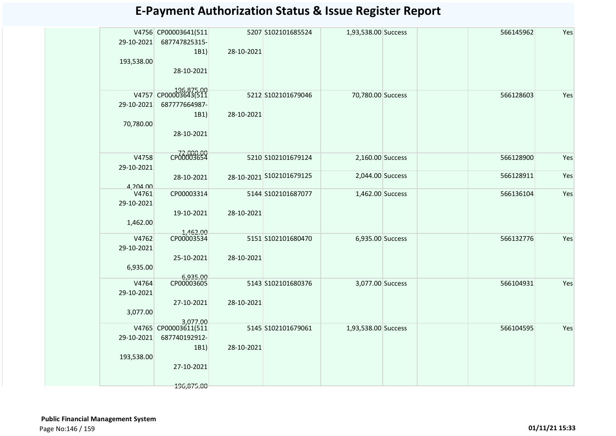| 29-10-2021          | V4756 CP00003641(511<br>687747825315-<br>1B1) | 28-10-2021 | 5207 S102101685524       | 1,93,538.00 Success | 566145962 | Yes |
|---------------------|-----------------------------------------------|------------|--------------------------|---------------------|-----------|-----|
| 193,538.00          | 28-10-2021                                    |            |                          |                     |           |     |
| 29-10-2021          | V4757 CP00003643(511<br>687777664987-<br>1B1) | 28-10-2021 | 5212 S102101679046       | 70,780.00 Success   | 566128603 | Yes |
| 70,780.00           | 28-10-2021                                    |            |                          |                     |           |     |
| V4758<br>29-10-2021 | CP00003654                                    |            | 5210 S102101679124       | 2,160.00 Success    | 566128900 | Yes |
| 4,204.00            | 28-10-2021                                    |            | 28-10-2021 S102101679125 | 2,044.00 Success    | 566128911 | Yes |
| V4761<br>29-10-2021 | CP00003314                                    |            | 5144 S102101687077       | 1,462.00 Success    | 566136104 | Yes |
| 1,462.00            | 19-10-2021                                    | 28-10-2021 |                          |                     |           |     |
| V4762               | 1,462.00<br>CP00003534                        |            | 5151 S102101680470       | 6,935.00 Success    | 566132776 | Yes |
| 29-10-2021          |                                               |            |                          |                     |           |     |
| 6,935.00            | 25-10-2021                                    | 28-10-2021 |                          |                     |           |     |
| V4764               | 6,935.00<br>CP00003605                        |            | 5143 S102101680376       | 3,077.00 Success    | 566104931 | Yes |
| 29-10-2021          |                                               |            |                          |                     |           |     |
|                     | 27-10-2021                                    | 28-10-2021 |                          |                     |           |     |
| 3,077.00            |                                               |            |                          |                     |           |     |
|                     | 3.077.00                                      |            |                          |                     |           |     |
|                     | V4765 CP00003611(511                          |            | 5145 S102101679061       | 1,93,538.00 Success | 566104595 | Yes |
| 29-10-2021          | 687740192912-                                 |            |                          |                     |           |     |
| 193,538.00          | 1B1)                                          | 28-10-2021 |                          |                     |           |     |
|                     | 27-10-2021                                    |            |                          |                     |           |     |
|                     | 196,875.00                                    |            |                          |                     |           |     |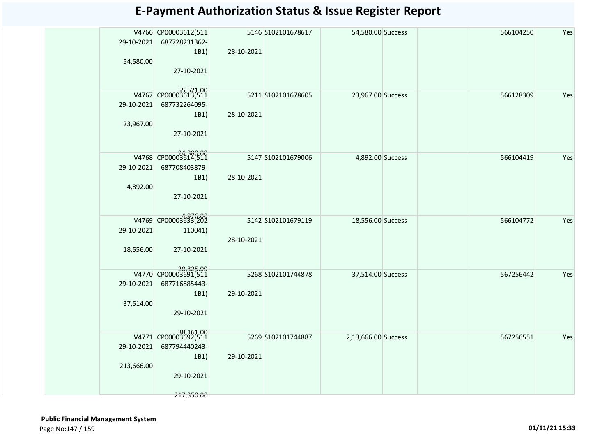| 29-10-2021<br>54,580.00 | V4766 CP00003612(511<br>687728231362-<br>1B1 | 28-10-2021 | 5146 S102101678617  | 54,580.00 Success   |  | 566104250 | Yes |
|-------------------------|----------------------------------------------|------------|---------------------|---------------------|--|-----------|-----|
|                         | 27-10-2021                                   |            |                     |                     |  |           |     |
|                         | V4767 CP00003613(511                         |            | 5211 S102101678605  | 23,967.00 Success   |  | 566128309 | Yes |
| 29-10-2021              | 687732264095-                                |            |                     |                     |  |           |     |
|                         | 1B1)                                         | 28-10-2021 |                     |                     |  |           |     |
| 23,967.00               | 27-10-2021                                   |            |                     |                     |  |           |     |
|                         | V4768 CP00003614(511                         |            | 5147 S102101679006  | 4,892.00 Success    |  | 566104419 | Yes |
| 29-10-2021              | 687708403879-                                |            |                     |                     |  |           |     |
|                         | 1B1                                          | 28-10-2021 |                     |                     |  |           |     |
| 4,892.00                |                                              |            |                     |                     |  |           |     |
|                         | 27-10-2021                                   |            |                     |                     |  |           |     |
|                         |                                              |            |                     |                     |  |           |     |
|                         | V4769 CP00003633(202                         |            | 5142 S102101679119  | 18,556.00 Success   |  | 566104772 | Yes |
| 29-10-2021              | 110041)                                      |            |                     |                     |  |           |     |
|                         |                                              | 28-10-2021 |                     |                     |  |           |     |
| 18,556.00               | 27-10-2021                                   |            |                     |                     |  |           |     |
|                         |                                              |            |                     |                     |  |           |     |
|                         | 20,325.00<br>V4770 CP00003691(511            |            | 5268 \$102101744878 | 37,514.00 Success   |  | 567256442 | Yes |
| 29-10-2021              | 687716885443-                                |            |                     |                     |  |           |     |
|                         | 1B1)                                         | 29-10-2021 |                     |                     |  |           |     |
| 37,514.00               |                                              |            |                     |                     |  |           |     |
|                         | 29-10-2021                                   |            |                     |                     |  |           |     |
|                         |                                              |            |                     |                     |  |           |     |
|                         | V4771 CP00003692(511                         |            | 5269 S102101744887  | 2,13,666.00 Success |  | 567256551 | Yes |
| 29-10-2021              | 687794440243-                                |            |                     |                     |  |           |     |
|                         | 1B1)                                         | 29-10-2021 |                     |                     |  |           |     |
| 213,666.00              |                                              |            |                     |                     |  |           |     |
|                         | 29-10-2021                                   |            |                     |                     |  |           |     |
|                         | 217,350.00                                   |            |                     |                     |  |           |     |
|                         |                                              |            |                     |                     |  |           |     |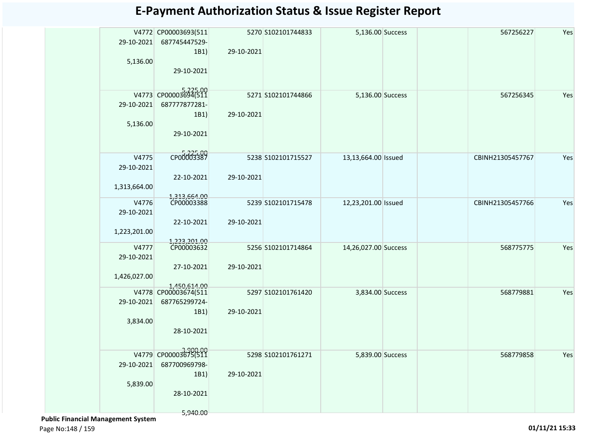| 29-10-2021   | V4772 CP00003693(511<br>687745447529- | 29-10-2021 | 5270 S102101744833 | 5,136.00 Success     |  | 567256227        | Yes |
|--------------|---------------------------------------|------------|--------------------|----------------------|--|------------------|-----|
| 5,136.00     | 1B1)                                  |            |                    |                      |  |                  |     |
|              | 29-10-2021                            |            |                    |                      |  |                  |     |
|              |                                       |            |                    |                      |  |                  |     |
|              | V4773 CP00003694(511                  |            | 5271 S102101744866 | 5,136.00 Success     |  | 567256345        | Yes |
| 29-10-2021   | 687777877281-                         |            |                    |                      |  |                  |     |
|              | 1B1)                                  | 29-10-2021 |                    |                      |  |                  |     |
| 5,136.00     |                                       |            |                    |                      |  |                  |     |
|              | 29-10-2021                            |            |                    |                      |  |                  |     |
|              |                                       |            |                    |                      |  |                  |     |
| V4775        | CP00003387                            |            | 5238 S102101715527 | 13,13,664.00 Issued  |  | CBINH21305457767 | Yes |
| 29-10-2021   |                                       |            |                    |                      |  |                  |     |
|              | 22-10-2021                            | 29-10-2021 |                    |                      |  |                  |     |
| 1,313,664.00 |                                       |            |                    |                      |  |                  |     |
| V4776        | 1,313,664.00<br>CP00003388            |            | 5239 S102101715478 | 12,23,201.00 Issued  |  | CBINH21305457766 | Yes |
| 29-10-2021   |                                       |            |                    |                      |  |                  |     |
|              | 22-10-2021                            | 29-10-2021 |                    |                      |  |                  |     |
| 1,223,201.00 |                                       |            |                    |                      |  |                  |     |
| V4777        | 1,223,201.00<br>CP00003632            |            |                    |                      |  |                  |     |
| 29-10-2021   |                                       |            | 5256 S102101714864 | 14,26,027.00 Success |  | 568775775        | Yes |
|              | 27-10-2021                            | 29-10-2021 |                    |                      |  |                  |     |
| 1,426,027.00 |                                       |            |                    |                      |  |                  |     |
|              | 1.450.614.00                          |            |                    |                      |  |                  |     |
|              | V4778 CP00003674(511                  |            | 5297 S102101761420 | 3,834.00 Success     |  | 568779881        | Yes |
| 29-10-2021   | 687765299724-                         | 29-10-2021 |                    |                      |  |                  |     |
| 3,834.00     | 1B1)                                  |            |                    |                      |  |                  |     |
|              | 28-10-2021                            |            |                    |                      |  |                  |     |
|              |                                       |            |                    |                      |  |                  |     |
|              | V4779 CP00003675(511                  |            | 5298 S102101761271 | 5,839.00 Success     |  | 568779858        | Yes |
| 29-10-2021   | 687700969798-                         |            |                    |                      |  |                  |     |
|              | 1B1)                                  | 29-10-2021 |                    |                      |  |                  |     |
| 5,839.00     |                                       |            |                    |                      |  |                  |     |
|              | 28-10-2021                            |            |                    |                      |  |                  |     |
|              |                                       |            |                    |                      |  |                  |     |
|              | 5,940.00                              |            |                    |                      |  |                  |     |

 **Public Financial Management System** 

Page No:148 / 159 **01/11/21 15:33**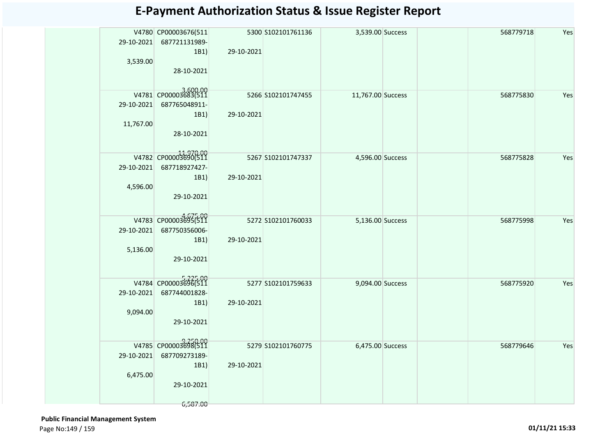|            | V4780 CP00003676(511<br>29-10-2021 687721131989-<br>1B1) | 29-10-2021 | 5300 S102101761136  | 3,539.00 Success  |  | 568779718 | Yes |
|------------|----------------------------------------------------------|------------|---------------------|-------------------|--|-----------|-----|
| 3,539.00   |                                                          |            |                     |                   |  |           |     |
|            | 28-10-2021                                               |            |                     |                   |  |           |     |
|            | V4781 CP00003683(511                                     |            | 5266 S102101747455  | 11,767.00 Success |  | 568775830 | Yes |
| 29-10-2021 | 687765048911-                                            |            |                     |                   |  |           |     |
|            | 1B1)                                                     | 29-10-2021 |                     |                   |  |           |     |
| 11,767.00  |                                                          |            |                     |                   |  |           |     |
|            | 28-10-2021                                               |            |                     |                   |  |           |     |
|            | V4782 CP00003690(511                                     |            | 5267 S102101747337  | 4,596.00 Success  |  | 568775828 | Yes |
| 29-10-2021 | 687718927427-                                            |            |                     |                   |  |           |     |
|            | 1B1)                                                     | 29-10-2021 |                     |                   |  |           |     |
| 4,596.00   |                                                          |            |                     |                   |  |           |     |
|            | 29-10-2021                                               |            |                     |                   |  |           |     |
|            | V4783 CP00003695(511                                     |            | 5272 \$102101760033 | 5,136.00 Success  |  | 568775998 | Yes |
| 29-10-2021 | 687750356006-                                            |            |                     |                   |  |           |     |
|            | 1B1)                                                     | 29-10-2021 |                     |                   |  |           |     |
| 5,136.00   |                                                          |            |                     |                   |  |           |     |
|            | 29-10-2021                                               |            |                     |                   |  |           |     |
|            | V4784 CP00003696(511                                     |            | 5277 S102101759633  | 9,094.00 Success  |  | 568775920 | Yes |
| 29-10-2021 | 687744001828-                                            |            |                     |                   |  |           |     |
|            | 1B1)                                                     | 29-10-2021 |                     |                   |  |           |     |
| 9,094.00   | 29-10-2021                                               |            |                     |                   |  |           |     |
|            |                                                          |            |                     |                   |  |           |     |
|            | V4785 CP00003698(511                                     |            | 5279 S102101760775  | 6,475.00 Success  |  | 568779646 | Yes |
| 29-10-2021 | 687709273189-                                            |            |                     |                   |  |           |     |
|            | 1B1)                                                     | 29-10-2021 |                     |                   |  |           |     |
| 6,475.00   |                                                          |            |                     |                   |  |           |     |
|            | 29-10-2021                                               |            |                     |                   |  |           |     |
|            | 6,587.00                                                 |            |                     |                   |  |           |     |

 **Public Financial Management System**  Page No:149 / 159 **01/11/21 15:33**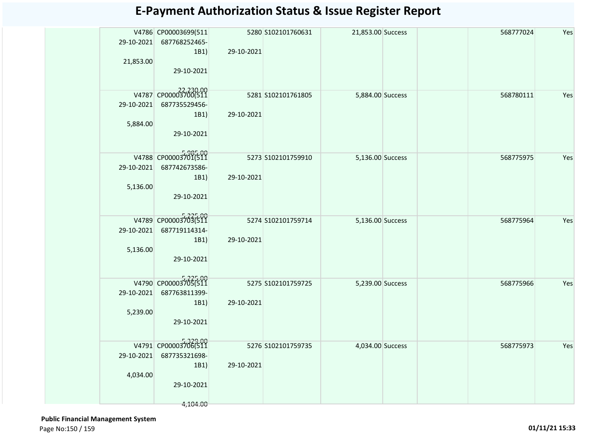|            | V4786 CP00003699(511  |            | 5280 S102101760631 | 21,853.00 Success |  | 568777024 | Yes |
|------------|-----------------------|------------|--------------------|-------------------|--|-----------|-----|
| 29-10-2021 | 687768252465-<br>1B1) | 29-10-2021 |                    |                   |  |           |     |
| 21,853.00  |                       |            |                    |                   |  |           |     |
|            | 29-10-2021            |            |                    |                   |  |           |     |
|            | V4787 CP00003700(511  |            | 5281 S102101761805 | 5,884.00 Success  |  | 568780111 | Yes |
| 29-10-2021 | 687735529456-         |            |                    |                   |  |           |     |
|            | 1B1)                  | 29-10-2021 |                    |                   |  |           |     |
| 5,884.00   | 29-10-2021            |            |                    |                   |  |           |     |
|            |                       |            |                    |                   |  |           |     |
|            | V4788 CP00003701(511  |            | 5273 S102101759910 | 5,136.00 Success  |  | 568775975 | Yes |
| 29-10-2021 | 687742673586-         |            |                    |                   |  |           |     |
|            | 1B1)                  | 29-10-2021 |                    |                   |  |           |     |
| 5,136.00   | 29-10-2021            |            |                    |                   |  |           |     |
|            |                       |            |                    |                   |  |           |     |
|            | V4789 CP00003703(511  |            | 5274 S102101759714 | 5,136.00 Success  |  | 568775964 | Yes |
| 29-10-2021 | 687719114314-         |            |                    |                   |  |           |     |
|            | 1B1)                  | 29-10-2021 |                    |                   |  |           |     |
| 5,136.00   | 29-10-2021            |            |                    |                   |  |           |     |
|            |                       |            |                    |                   |  |           |     |
|            | V4790 CP00003705(511  |            | 5275 S102101759725 | 5,239.00 Success  |  | 568775966 | Yes |
| 29-10-2021 | 687763811399-         |            |                    |                   |  |           |     |
| 5,239.00   | 1B1)                  | 29-10-2021 |                    |                   |  |           |     |
|            | 29-10-2021            |            |                    |                   |  |           |     |
|            |                       |            |                    |                   |  |           |     |
|            | V4791 CP00003706(511  |            | 5276 S102101759735 | 4,034.00 Success  |  | 568775973 | Yes |
| 29-10-2021 | 687735321698-         |            |                    |                   |  |           |     |
| 4,034.00   | 1B1)                  | 29-10-2021 |                    |                   |  |           |     |
|            | 29-10-2021            |            |                    |                   |  |           |     |
|            |                       |            |                    |                   |  |           |     |
|            | 4,104.00              |            |                    |                   |  |           |     |

 **Public Financial Management System**  Page No:150 / 159 **01/11/21 15:33**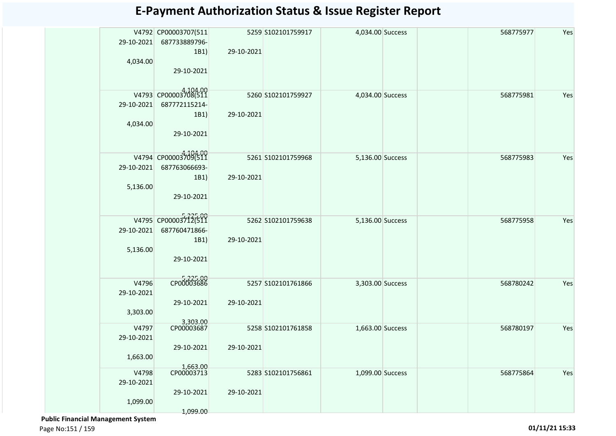| 29-10-2021<br>4,034.00          | V4792 CP00003707(511<br>687733889796-<br>1B1)<br>29-10-2021    | 29-10-2021 | 5259 S102101759917  | 4,034.00 Success | 568775977 | Yes |
|---------------------------------|----------------------------------------------------------------|------------|---------------------|------------------|-----------|-----|
| 29-10-2021<br>4,034.00          | V4793 CP00003708(511<br>687772115214-<br>1B1)<br>29-10-2021    | 29-10-2021 | 5260 S102101759927  | 4,034.00 Success | 568775981 | Yes |
| 29-10-2021<br>5,136.00          | V4794 CP00003709(511<br>687763066693-<br>1B1)<br>29-10-2021    | 29-10-2021 | 5261 S102101759968  | 5,136.00 Success | 568775983 | Yes |
| 29-10-2021<br>5,136.00          | $V4795$ CP00003712(511)<br>687760471866-<br>1B1)<br>29-10-2021 | 29-10-2021 | 5262 \$102101759638 | 5,136.00 Success | 568775958 | Yes |
| V4796<br>29-10-2021<br>3,303.00 | CP00003686<br>29-10-2021                                       | 29-10-2021 | 5257 S102101761866  | 3,303.00 Success | 568780242 | Yes |
| V4797<br>29-10-2021<br>1,663.00 | 3,303.00<br>CP00003687<br>29-10-2021<br>1,663.00               | 29-10-2021 | 5258 S102101761858  | 1,663.00 Success | 568780197 | Yes |
| V4798<br>29-10-2021<br>1,099.00 | CP00003713<br>29-10-2021<br>1,099.00                           | 29-10-2021 | 5283 S102101756861  | 1,099.00 Success | 568775864 | Yes |

 **Public Financial Management System** 

Page No:151 / 159 **01/11/21 15:33**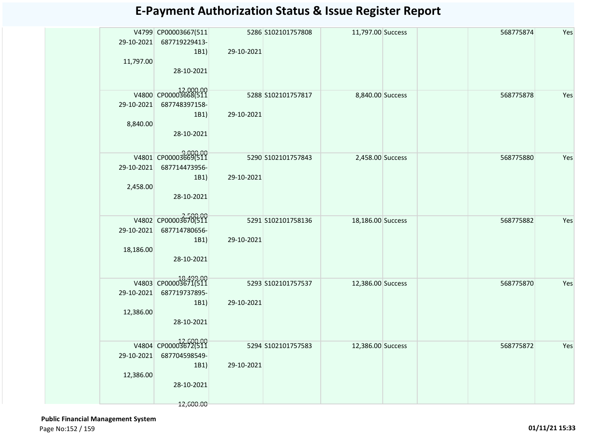| 11,797.00  | V4799 CP00003667(511<br>29-10-2021 687719229413-<br>1B1) | 29-10-2021 | 5286 S102101757808 | 11,797.00 Success | 568775874 | Yes |
|------------|----------------------------------------------------------|------------|--------------------|-------------------|-----------|-----|
|            | 28-10-2021                                               |            |                    |                   |           |     |
|            | V4800 CP00003668(511                                     |            | 5288 S102101757817 | 8,840.00 Success  | 568775878 | Yes |
| 29-10-2021 | 687748397158-                                            |            |                    |                   |           |     |
|            | 1B1)                                                     | 29-10-2021 |                    |                   |           |     |
| 8,840.00   |                                                          |            |                    |                   |           |     |
|            | 28-10-2021                                               |            |                    |                   |           |     |
|            | 9,000.00<br>V4801 CP00003669(511                         |            | 5290 S102101757843 | 2,458.00 Success  | 568775880 | Yes |
| 29-10-2021 | 687714473956-                                            |            |                    |                   |           |     |
|            | 1B1)                                                     | 29-10-2021 |                    |                   |           |     |
| 2,458.00   |                                                          |            |                    |                   |           |     |
|            | 28-10-2021                                               |            |                    |                   |           |     |
|            |                                                          |            |                    |                   |           |     |
|            | V4802 CP00003670(511                                     |            | 5291 S102101758136 | 18,186.00 Success | 568775882 | Yes |
| 29-10-2021 | 687714780656-                                            |            |                    |                   |           |     |
|            | 1B1)                                                     | 29-10-2021 |                    |                   |           |     |
| 18,186.00  |                                                          |            |                    |                   |           |     |
|            | 28-10-2021                                               |            |                    |                   |           |     |
|            | V4803 CP00003671(511                                     |            | 5293 S102101757537 | 12,386.00 Success | 568775870 | Yes |
| 29-10-2021 | 687719737895-                                            |            |                    |                   |           |     |
|            | 1B1)                                                     | 29-10-2021 |                    |                   |           |     |
| 12,386.00  |                                                          |            |                    |                   |           |     |
|            | 28-10-2021                                               |            |                    |                   |           |     |
|            | V4804 CP00003672(511                                     |            |                    |                   |           |     |
|            | 687704598549-                                            |            | 5294 S102101757583 | 12,386.00 Success | 568775872 | Yes |
| 29-10-2021 | 1B1)                                                     | 29-10-2021 |                    |                   |           |     |
| 12,386.00  |                                                          |            |                    |                   |           |     |
|            | 28-10-2021                                               |            |                    |                   |           |     |
|            |                                                          |            |                    |                   |           |     |
|            | 12,600.00                                                |            |                    |                   |           |     |

 **Public Financial Management System**  Page No:152 / 159 **01/11/21 15:33**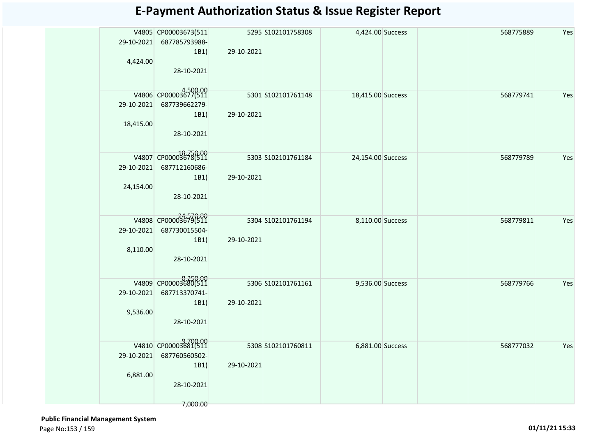| 29-10-2021 | V4805 CP00003673(511<br>687785793988- |            | 5295 S102101758308 | 4,424.00 Success  |  | 568775889 | Yes |
|------------|---------------------------------------|------------|--------------------|-------------------|--|-----------|-----|
| 4,424.00   | 1B1)                                  | 29-10-2021 |                    |                   |  |           |     |
|            | 28-10-2021                            |            |                    |                   |  |           |     |
|            | V4806 CP00003677(511                  |            | 5301 S102101761148 | 18,415.00 Success |  | 568779741 | Yes |
| 29-10-2021 | 687739662279-                         |            |                    |                   |  |           |     |
|            | 1B1)                                  | 29-10-2021 |                    |                   |  |           |     |
| 18,415.00  |                                       |            |                    |                   |  |           |     |
|            | 28-10-2021                            |            |                    |                   |  |           |     |
|            | V4807 CP00003678(511                  |            | 5303 S102101761184 | 24,154.00 Success |  | 568779789 | Yes |
| 29-10-2021 | 687712160686-                         |            |                    |                   |  |           |     |
|            | 1B1)                                  | 29-10-2021 |                    |                   |  |           |     |
| 24,154.00  | 28-10-2021                            |            |                    |                   |  |           |     |
|            |                                       |            |                    |                   |  |           |     |
|            | V4808 CP00003679(511                  |            | 5304 S102101761194 | 8,110.00 Success  |  | 568779811 | Yes |
| 29-10-2021 | 687730015504-                         |            |                    |                   |  |           |     |
|            | 1B1)                                  | 29-10-2021 |                    |                   |  |           |     |
| 8,110.00   |                                       |            |                    |                   |  |           |     |
|            | 28-10-2021                            |            |                    |                   |  |           |     |
|            | V4809 CP00003680(511                  |            | 5306 S102101761161 | 9,536.00 Success  |  | 568779766 | Yes |
| 29-10-2021 | 687713370741-                         |            |                    |                   |  |           |     |
|            | 1B1)                                  | 29-10-2021 |                    |                   |  |           |     |
| 9,536.00   |                                       |            |                    |                   |  |           |     |
|            | 28-10-2021                            |            |                    |                   |  |           |     |
|            | 9,700.00<br>V4810 CP00003681(511      |            | 5308 S102101760811 | 6,881.00 Success  |  | 568777032 | Yes |
| 29-10-2021 | 687760560502-                         |            |                    |                   |  |           |     |
|            | 1B1)                                  | 29-10-2021 |                    |                   |  |           |     |
| 6,881.00   | 28-10-2021                            |            |                    |                   |  |           |     |
|            |                                       |            |                    |                   |  |           |     |
|            | 7,000.00                              |            |                    |                   |  |           |     |

 **Public Financial Management System**  Page No:153 / 159 **01/11/21 15:33**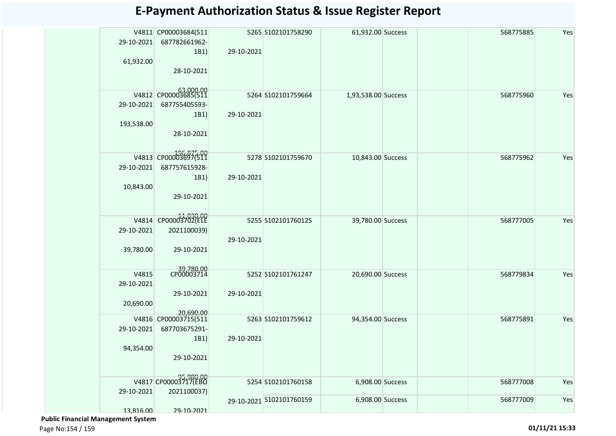| 29-10-2021<br>61,932.00 | V4811 CP00003684(511<br>687782661962-<br>1B1)<br>28-10-2021 | 29-10-2021 | 5265 S102101758290       | 61,932.00 Success   |  | 568775885 | Yes |
|-------------------------|-------------------------------------------------------------|------------|--------------------------|---------------------|--|-----------|-----|
|                         |                                                             |            |                          |                     |  |           |     |
| 29-10-2021              | 63,000.00<br>V4812 CP00003685(511<br>687755405593-          |            | 5264 S102101759664       | 1,93,538.00 Success |  | 568775960 | Yes |
|                         | 1B1)                                                        | 29-10-2021 |                          |                     |  |           |     |
| 193,538.00              |                                                             |            |                          |                     |  |           |     |
|                         | 28-10-2021                                                  |            |                          |                     |  |           |     |
|                         | V4813 CP00003697(511                                        |            | 5278 S102101759670       | 10,843.00 Success   |  | 568775962 | Yes |
| 29-10-2021              | 687757615928-                                               |            |                          |                     |  |           |     |
| 10,843.00               | 1B1)<br>29-10-2021                                          | 29-10-2021 |                          |                     |  |           |     |
|                         |                                                             |            |                          |                     |  |           |     |
|                         | V4814 CP00003702(ELE                                        |            | 5255 S102101760125       | 39,780.00 Success   |  | 568777005 | Yes |
| 29-10-2021              | 2021100039)                                                 | 29-10-2021 |                          |                     |  |           |     |
| 39,780.00               | 29-10-2021                                                  |            |                          |                     |  |           |     |
| V4815                   | 39,780.00<br>CP00003714                                     |            | 5252 S102101761247       | 20,690.00 Success   |  | 568779834 | Yes |
| 29-10-2021              |                                                             |            |                          |                     |  |           |     |
| 20,690.00               | 29-10-2021                                                  | 29-10-2021 |                          |                     |  |           |     |
|                         | 20,690.00                                                   |            |                          |                     |  |           |     |
|                         | V4816 CP00003715(511                                        |            | 5263 S102101759612       | 94,354.00 Success   |  | 568775891 | Yes |
| 29-10-2021              | 687703675291-                                               |            |                          |                     |  |           |     |
| 94,354.00               | 1B1)                                                        | 29-10-2021 |                          |                     |  |           |     |
|                         | 29-10-2021                                                  |            |                          |                     |  |           |     |
|                         | V4817 CP00003717(EBO                                        |            |                          |                     |  |           |     |
| 29-10-2021              | 2021100037)                                                 |            | 5254 S102101760158       | 6,908.00 Success    |  | 568777008 | Yes |
|                         | 29-10-2021                                                  |            | 29-10-2021 S102101760159 | 6,908.00 Success    |  | 568777009 | Yes |
| 13,816.00               |                                                             |            |                          |                     |  |           |     |

 **Public Financial Management System**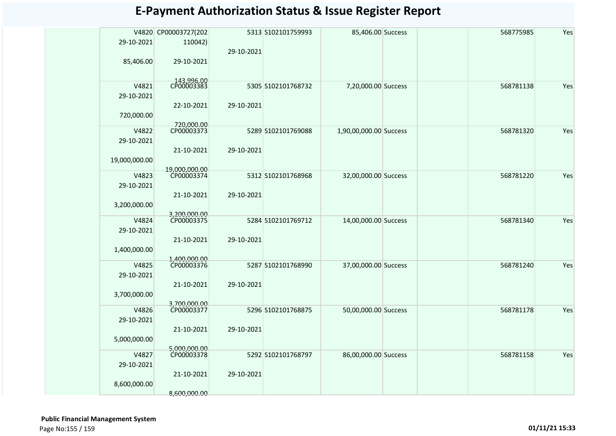|               | V4820 CP00003727(202       |            | 5313 S102101759993 | 85,406.00 Success      | 568775985 | Yes |
|---------------|----------------------------|------------|--------------------|------------------------|-----------|-----|
| 29-10-2021    | 110042)                    |            |                    |                        |           |     |
|               |                            | 29-10-2021 |                    |                        |           |     |
| 85,406.00     | 29-10-2021                 |            |                    |                        |           |     |
|               |                            |            |                    |                        |           |     |
| V4821         | 143,996.00<br>CP00003383   |            | 5305 S102101768732 |                        | 568781138 |     |
| 29-10-2021    |                            |            |                    | 7,20,000.00 Success    |           | Yes |
|               |                            | 29-10-2021 |                    |                        |           |     |
|               | 22-10-2021                 |            |                    |                        |           |     |
| 720,000.00    |                            |            |                    |                        |           |     |
| V4822         | 720,000.00<br>CP00003373   |            | 5289 S102101769088 | 1,90,00,000.00 Success | 568781320 | Yes |
| 29-10-2021    |                            |            |                    |                        |           |     |
|               | 21-10-2021                 | 29-10-2021 |                    |                        |           |     |
| 19,000,000.00 |                            |            |                    |                        |           |     |
|               | 19,000,000.00              |            |                    |                        |           |     |
| V4823         | CP00003374                 |            | 5312 S102101768968 | 32,00,000.00 Success   | 568781220 | Yes |
| 29-10-2021    |                            |            |                    |                        |           |     |
|               | 21-10-2021                 | 29-10-2021 |                    |                        |           |     |
| 3,200,000.00  |                            |            |                    |                        |           |     |
| V4824         | 3,200,000.00<br>CP00003375 |            | 5284 S102101769712 | 14,00,000.00 Success   | 568781340 | Yes |
| 29-10-2021    |                            |            |                    |                        |           |     |
|               | 21-10-2021                 | 29-10-2021 |                    |                        |           |     |
| 1,400,000.00  |                            |            |                    |                        |           |     |
|               | 1,400,000.00               |            |                    |                        |           |     |
| V4825         | CP00003376                 |            | 5287 S102101768990 | 37,00,000.00 Success   | 568781240 | Yes |
| 29-10-2021    |                            |            |                    |                        |           |     |
|               | 21-10-2021                 | 29-10-2021 |                    |                        |           |     |
| 3,700,000.00  |                            |            |                    |                        |           |     |
| V4826         | 3,700,000.00<br>CP00003377 |            | 5296 S102101768875 |                        | 568781178 | Yes |
| 29-10-2021    |                            |            |                    | 50,00,000.00 Success   |           |     |
|               | 21-10-2021                 | 29-10-2021 |                    |                        |           |     |
| 5,000,000.00  |                            |            |                    |                        |           |     |
|               | 5,000,000.00               |            |                    |                        |           |     |
| V4827         | CP00003378                 |            | 5292 S102101768797 | 86,00,000.00 Success   | 568781158 | Yes |
| 29-10-2021    |                            |            |                    |                        |           |     |
|               | 21-10-2021                 | 29-10-2021 |                    |                        |           |     |
| 8,600,000.00  |                            |            |                    |                        |           |     |
|               | 8,600,000.00               |            |                    |                        |           |     |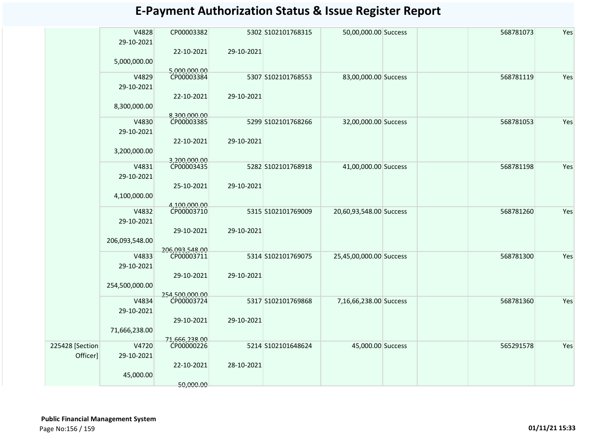|                 | V4828<br>29-10-2021 | CP00003382                 |            | 5302 S102101768315 | 50,00,000.00 Success    | 568781073 | Yes |
|-----------------|---------------------|----------------------------|------------|--------------------|-------------------------|-----------|-----|
|                 | 5,000,000.00        | 22-10-2021                 | 29-10-2021 |                    |                         |           |     |
|                 | V4829               | 5,000,000.00<br>CP00003384 |            | 5307 S102101768553 | 83,00,000.00 Success    | 568781119 | Yes |
|                 | 29-10-2021          |                            |            |                    |                         |           |     |
|                 |                     | 22-10-2021                 | 29-10-2021 |                    |                         |           |     |
|                 | 8,300,000.00        | 8,300,000.00               |            |                    |                         |           |     |
|                 | V4830               | CP00003385                 |            | 5299 S102101768266 | 32,00,000.00 Success    | 568781053 | Yes |
|                 | 29-10-2021          |                            |            |                    |                         |           |     |
|                 |                     | 22-10-2021                 | 29-10-2021 |                    |                         |           |     |
|                 | 3,200,000.00        |                            |            |                    |                         |           |     |
|                 |                     | 3.200.000.00               |            |                    |                         |           |     |
|                 | V4831               | CP00003435                 |            | 5282 S102101768918 | 41,00,000.00 Success    | 568781198 | Yes |
|                 | 29-10-2021          |                            |            |                    |                         |           |     |
|                 |                     | 25-10-2021                 | 29-10-2021 |                    |                         |           |     |
|                 | 4,100,000.00        |                            |            |                    |                         |           |     |
|                 | V4832               | 4,100,000.00<br>CP00003710 |            | 5315 S102101769009 | 20,60,93,548.00 Success | 568781260 | Yes |
|                 | 29-10-2021          |                            |            |                    |                         |           |     |
|                 |                     | 29-10-2021                 | 29-10-2021 |                    |                         |           |     |
|                 | 206,093,548.00      |                            |            |                    |                         |           |     |
|                 |                     | 206,093,548.00             |            |                    |                         |           |     |
|                 | V4833               | CP00003711                 |            | 5314 S102101769075 | 25,45,00,000.00 Success | 568781300 | Yes |
|                 | 29-10-2021          |                            |            |                    |                         |           |     |
|                 |                     | 29-10-2021                 | 29-10-2021 |                    |                         |           |     |
|                 | 254,500,000.00      |                            |            |                    |                         |           |     |
|                 |                     | 254.500.000.00             |            |                    |                         |           |     |
|                 | V4834<br>29-10-2021 | CP00003724                 |            | 5317 S102101769868 | 7,16,66,238.00 Success  | 568781360 | Yes |
|                 |                     | 29-10-2021                 | 29-10-2021 |                    |                         |           |     |
|                 | 71,666,238.00       |                            |            |                    |                         |           |     |
|                 |                     | 71,666,238.00              |            |                    |                         |           |     |
| 225428 [Section | V4720               | CP00000226                 |            | 5214 S102101648624 | 45,000.00 Success       | 565291578 | Yes |
| Officer]        | 29-10-2021          |                            |            |                    |                         |           |     |
|                 |                     | 22-10-2021                 | 28-10-2021 |                    |                         |           |     |
|                 | 45,000.00           |                            |            |                    |                         |           |     |
|                 |                     | 50,000.00                  |            |                    |                         |           |     |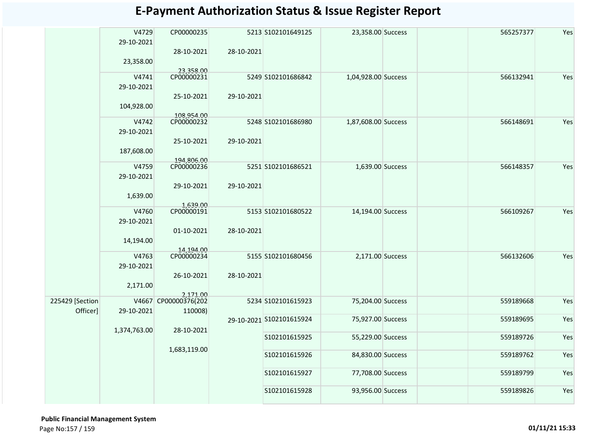|                 | V4729<br>29-10-2021 | CP00000235               |            | 5213 S102101649125       | 23,358.00 Success   | 565257377 | Yes |
|-----------------|---------------------|--------------------------|------------|--------------------------|---------------------|-----------|-----|
|                 |                     | 28-10-2021               | 28-10-2021 |                          |                     |           |     |
|                 | 23,358.00           |                          |            |                          |                     |           |     |
|                 | V4741               | 23,358.00<br>CP00000231  |            | 5249 S102101686842       | 1,04,928.00 Success | 566132941 | Yes |
|                 | 29-10-2021          |                          |            |                          |                     |           |     |
|                 | 104,928.00          | 25-10-2021               | 29-10-2021 |                          |                     |           |     |
|                 |                     | 108,954.00               |            |                          |                     |           |     |
|                 | V4742<br>29-10-2021 | CP00000232               |            | 5248 S102101686980       | 1,87,608.00 Success | 566148691 | Yes |
|                 |                     | 25-10-2021               | 29-10-2021 |                          |                     |           |     |
|                 | 187,608.00          |                          |            |                          |                     |           |     |
|                 | V4759               | 194,806.00<br>CP00000236 |            | 5251 S102101686521       | 1,639.00 Success    | 566148357 | Yes |
|                 | 29-10-2021          |                          |            |                          |                     |           |     |
|                 |                     |                          |            |                          |                     |           |     |
|                 | 1,639.00            | 29-10-2021               | 29-10-2021 |                          |                     |           |     |
|                 |                     | 1,639.00                 |            |                          |                     |           |     |
|                 | V4760               | CP00000191               |            | 5153 S102101680522       | 14,194.00 Success   | 566109267 | Yes |
|                 | 29-10-2021          |                          |            |                          |                     |           |     |
|                 |                     | 01-10-2021               | 28-10-2021 |                          |                     |           |     |
|                 | 14,194.00           |                          |            |                          |                     |           |     |
|                 |                     | 14,194.00                |            |                          |                     |           |     |
|                 | V4763               | CP00000234               |            | 5155 S102101680456       | 2,171.00 Success    | 566132606 | Yes |
|                 | 29-10-2021          |                          |            |                          |                     |           |     |
|                 |                     | 26-10-2021               | 28-10-2021 |                          |                     |           |     |
|                 | 2,171.00            |                          |            |                          |                     |           |     |
|                 |                     | 2,171.00                 |            |                          |                     |           |     |
| 225429 [Section |                     | V4667 CP00000376(202     |            | 5234 S102101615923       | 75,204.00 Success   | 559189668 | Yes |
| Officer]        | 29-10-2021          | 110008)                  |            |                          |                     |           |     |
|                 |                     |                          |            | 29-10-2021 S102101615924 | 75,927.00 Success   | 559189695 | Yes |
|                 | 1,374,763.00        | 28-10-2021               |            |                          |                     |           |     |
|                 |                     |                          |            | S102101615925            | 55,229.00 Success   | 559189726 | Yes |
|                 |                     | 1,683,119.00             |            | S102101615926            | 84,830.00 Success   | 559189762 | Yes |
|                 |                     |                          |            |                          |                     |           |     |
|                 |                     |                          |            | S102101615927            | 77,708.00 Success   | 559189799 | Yes |
|                 |                     |                          |            | S102101615928            | 93,956.00 Success   | 559189826 | Yes |
|                 |                     |                          |            |                          |                     |           |     |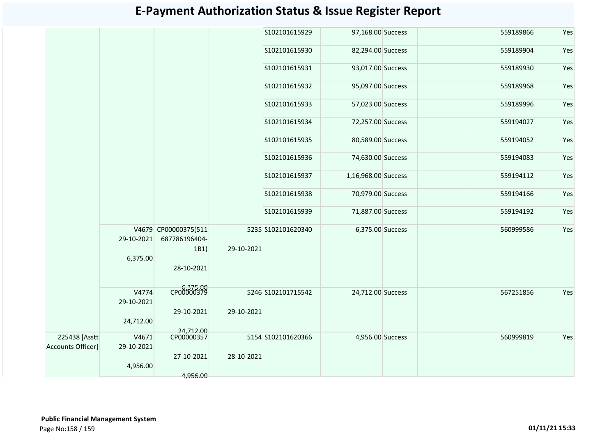|                   |            |                      |            | S102101615929      | 97,168.00 Success   | 559189866 | Yes |
|-------------------|------------|----------------------|------------|--------------------|---------------------|-----------|-----|
|                   |            |                      |            | S102101615930      | 82,294.00 Success   | 559189904 | Yes |
|                   |            |                      |            | S102101615931      | 93,017.00 Success   | 559189930 | Yes |
|                   |            |                      |            | S102101615932      | 95,097.00 Success   | 559189968 | Yes |
|                   |            |                      |            | S102101615933      | 57,023.00 Success   | 559189996 | Yes |
|                   |            |                      |            | S102101615934      | 72,257.00 Success   | 559194027 | Yes |
|                   |            |                      |            | S102101615935      | 80,589.00 Success   | 559194052 | Yes |
|                   |            |                      |            | S102101615936      | 74,630.00 Success   | 559194083 | Yes |
|                   |            |                      |            | S102101615937      | 1,16,968.00 Success | 559194112 | Yes |
|                   |            |                      |            | S102101615938      | 70,979.00 Success   | 559194166 | Yes |
|                   |            |                      |            | S102101615939      | 71,887.00 Success   | 559194192 | Yes |
|                   |            | V4679 CP00000375(511 |            | 5235 S102101620340 | 6,375.00 Success    | 560999586 | Yes |
|                   | 29-10-2021 | 687786196404-        |            |                    |                     |           |     |
|                   |            | 1B1)                 | 29-10-2021 |                    |                     |           |     |
|                   | 6,375.00   |                      |            |                    |                     |           |     |
|                   |            | 28-10-2021           |            |                    |                     |           |     |
|                   | V4774      | CP00000379           |            | 5246 S102101715542 | 24,712.00 Success   | 567251856 | Yes |
|                   | 29-10-2021 |                      |            |                    |                     |           |     |
|                   |            | 29-10-2021           | 29-10-2021 |                    |                     |           |     |
|                   | 24,712.00  | 24,712.00            |            |                    |                     |           |     |
| 225438 [Asstt     | V4671      | CP00000357           |            | 5154 S102101620366 | 4,956.00 Success    | 560999819 | Yes |
| Accounts Officer] | 29-10-2021 |                      |            |                    |                     |           |     |
|                   |            | 27-10-2021           | 28-10-2021 |                    |                     |           |     |
|                   | 4,956.00   |                      |            |                    |                     |           |     |
|                   |            | 4,956.00             |            |                    |                     |           |     |
|                   |            |                      |            |                    |                     |           |     |